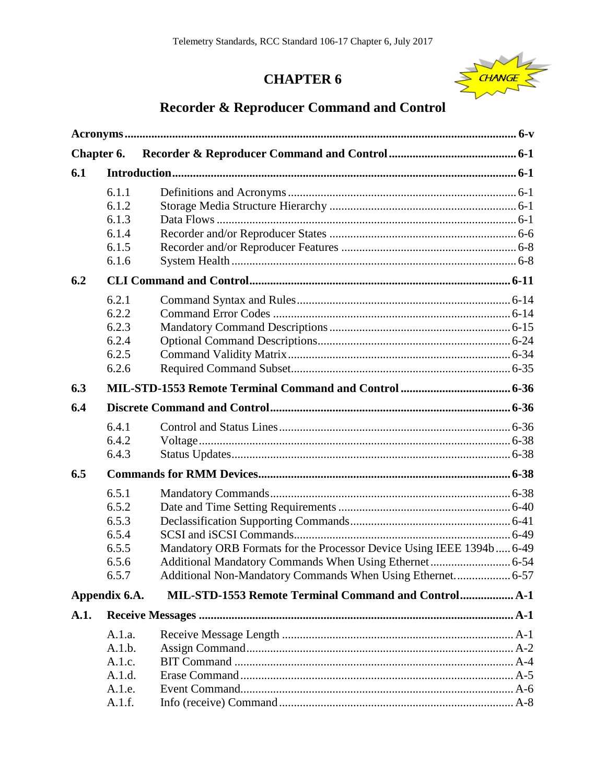# **CHAPTER 6**



# Recorder & Reproducer Command and Control

| Chapter 6. |                                                             |                                                                                                                                   |
|------------|-------------------------------------------------------------|-----------------------------------------------------------------------------------------------------------------------------------|
| 6.1        |                                                             |                                                                                                                                   |
|            | 6.1.1<br>6.1.2<br>6.1.3<br>6.1.4<br>6.1.5<br>6.1.6          |                                                                                                                                   |
| 6.2        |                                                             |                                                                                                                                   |
|            | 6.2.1<br>6.2.2<br>6.2.3<br>6.2.4<br>6.2.5<br>6.2.6          |                                                                                                                                   |
| 6.3        |                                                             |                                                                                                                                   |
| 6.4        |                                                             |                                                                                                                                   |
|            | 6.4.1<br>6.4.2<br>6.4.3                                     |                                                                                                                                   |
| 6.5        |                                                             |                                                                                                                                   |
|            | 6.5.1<br>6.5.2<br>6.5.3<br>6.5.4<br>6.5.5<br>6.5.6<br>6.5.7 | Mandatory ORB Formats for the Processor Device Using IEEE 1394b6-49<br>Additional Non-Mandatory Commands When Using Ethernet 6-57 |
|            | Appendix 6.A.                                               |                                                                                                                                   |
| A.1.       |                                                             |                                                                                                                                   |
|            | A.1.a.<br>A.1.b.<br>A.1.c.<br>A.1.d.<br>A.1.e.<br>A.1.f.    |                                                                                                                                   |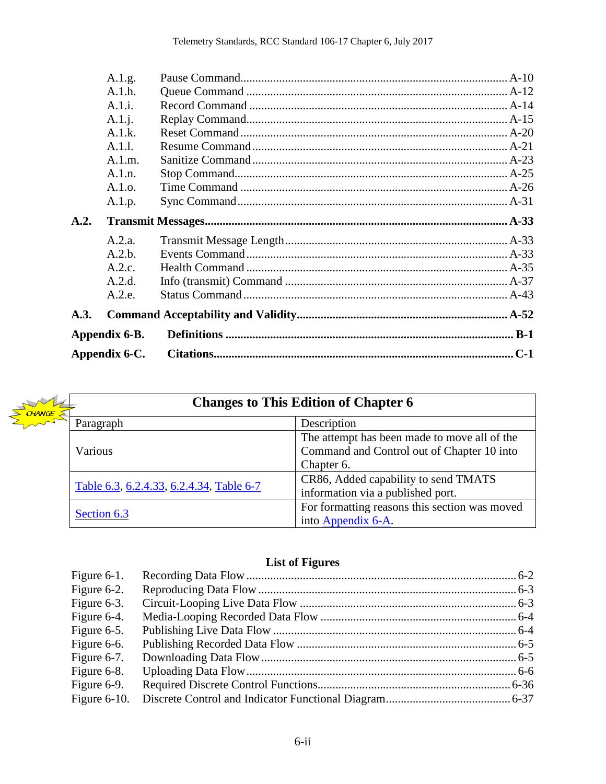|      | A.1.g.        |  |
|------|---------------|--|
|      | A.1.h.        |  |
|      | A.1.i.        |  |
|      | A.1.i.        |  |
|      | A.1.k.        |  |
|      | A.1.1.        |  |
|      | A.1.m.        |  |
|      | A.1.n.        |  |
|      | A.1.o.        |  |
|      | A.1.p.        |  |
| A.2. |               |  |
|      | A.2.a.        |  |
|      | A.2.b.        |  |
|      | A.2.c.        |  |
|      | A.2.d.        |  |
|      | A.2.e.        |  |
| A.3. |               |  |
|      | Appendix 6-B. |  |
|      |               |  |

<span id="page-1-0"></span>

| $\sum$ CHANGE |                                          | <b>Changes to This Edition of Chapter 6</b>   |  |  |  |  |
|---------------|------------------------------------------|-----------------------------------------------|--|--|--|--|
|               | Paragraph                                | Description                                   |  |  |  |  |
|               |                                          | The attempt has been made to move all of the  |  |  |  |  |
|               | Various                                  | Command and Control out of Chapter 10 into    |  |  |  |  |
|               |                                          | Chapter 6.                                    |  |  |  |  |
|               | Table 6.3, 6.2.4.33, 6.2.4.34, Table 6-7 | CR86, Added capability to send TMATS          |  |  |  |  |
|               |                                          | information via a published port.             |  |  |  |  |
|               | Section 6.3                              | For formatting reasons this section was moved |  |  |  |  |
|               |                                          | into Appendix 6-A.                            |  |  |  |  |

# **List of Figures**

| Figure $6-1$ .  |  |
|-----------------|--|
| Figure $6-2$ .  |  |
| Figure 6-3.     |  |
| Figure 6-4.     |  |
| Figure $6-5$ .  |  |
| Figure 6-6.     |  |
| Figure 6-7.     |  |
| Figure 6-8.     |  |
| Figure 6-9.     |  |
| Figure $6-10$ . |  |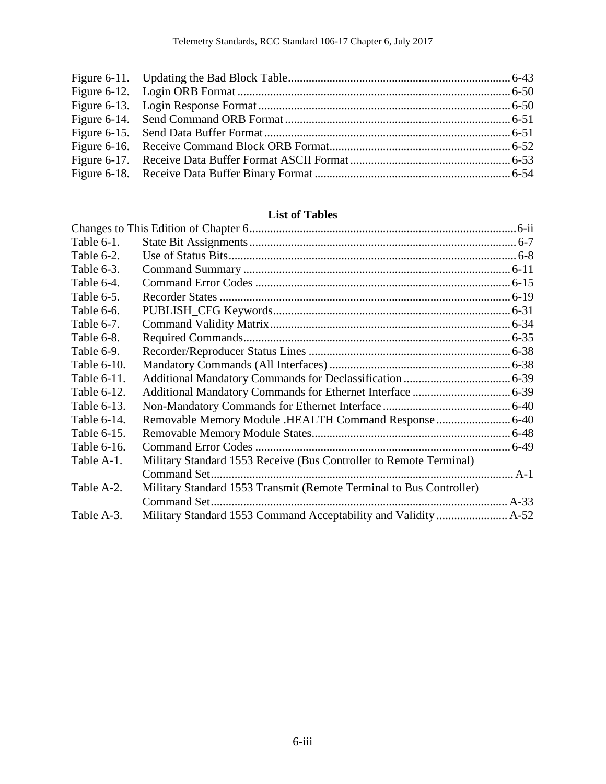# **List of Tables**

| Table $6-1$ . |                                                                     |  |
|---------------|---------------------------------------------------------------------|--|
| Table 6-2.    |                                                                     |  |
| Table 6-3.    |                                                                     |  |
| Table 6-4.    |                                                                     |  |
| Table 6-5.    |                                                                     |  |
| Table 6-6.    |                                                                     |  |
| Table 6-7.    |                                                                     |  |
| Table 6-8.    |                                                                     |  |
| Table 6-9.    |                                                                     |  |
| Table 6-10.   |                                                                     |  |
| Table 6-11.   |                                                                     |  |
| Table 6-12.   |                                                                     |  |
| Table 6-13.   |                                                                     |  |
| Table 6-14.   | Removable Memory Module .HEALTH Command Response  6-40              |  |
| Table 6-15.   |                                                                     |  |
| Table 6-16.   |                                                                     |  |
| Table A-1.    | Military Standard 1553 Receive (Bus Controller to Remote Terminal)  |  |
|               | Command Set.                                                        |  |
| Table A-2.    | Military Standard 1553 Transmit (Remote Terminal to Bus Controller) |  |
|               |                                                                     |  |
| Table A-3.    |                                                                     |  |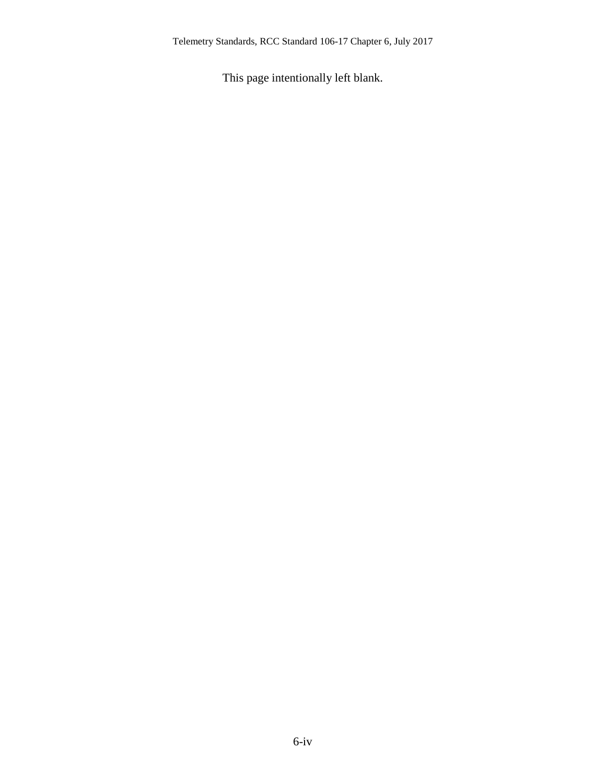This page intentionally left blank.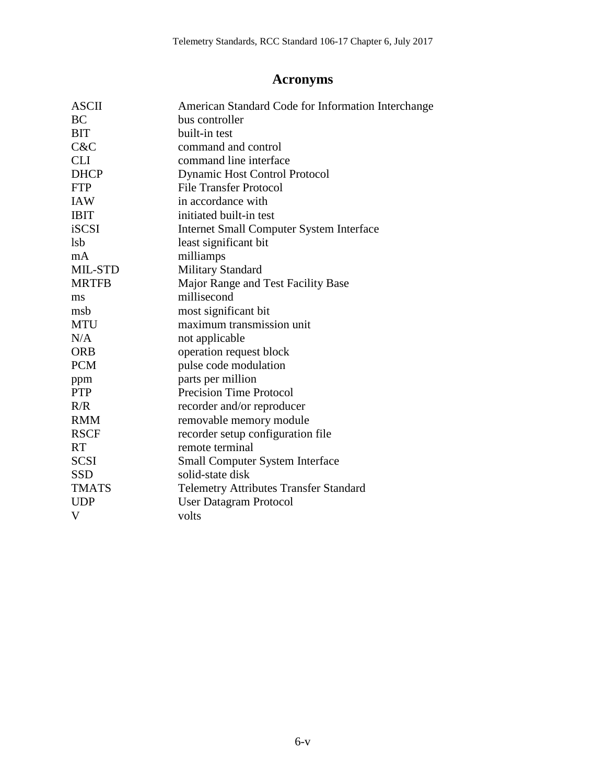# <span id="page-4-0"></span>**Acronyms**

| <b>ASCII</b> | American Standard Code for Information Interchange |
|--------------|----------------------------------------------------|
| <b>BC</b>    | bus controller                                     |
| <b>BIT</b>   | built-in test                                      |
| C&C          | command and control                                |
| <b>CLI</b>   | command line interface                             |
| <b>DHCP</b>  | <b>Dynamic Host Control Protocol</b>               |
| <b>FTP</b>   | <b>File Transfer Protocol</b>                      |
| <b>IAW</b>   | in accordance with                                 |
| <b>IBIT</b>  | initiated built-in test                            |
| iSCSI        | Internet Small Computer System Interface           |
| <b>lsb</b>   | least significant bit                              |
| mA           | milliamps                                          |
| MIL-STD      | <b>Military Standard</b>                           |
| <b>MRTFB</b> | Major Range and Test Facility Base                 |
| ms           | millisecond                                        |
| msb          | most significant bit                               |
| <b>MTU</b>   | maximum transmission unit                          |
| N/A          | not applicable                                     |
| <b>ORB</b>   | operation request block                            |
| <b>PCM</b>   | pulse code modulation                              |
| ppm          | parts per million                                  |
| <b>PTP</b>   | <b>Precision Time Protocol</b>                     |
| R/R          | recorder and/or reproducer                         |
| <b>RMM</b>   | removable memory module                            |
| <b>RSCF</b>  | recorder setup configuration file                  |
| <b>RT</b>    | remote terminal                                    |
| <b>SCSI</b>  | <b>Small Computer System Interface</b>             |
| <b>SSD</b>   | solid-state disk                                   |
| <b>TMATS</b> | <b>Telemetry Attributes Transfer Standard</b>      |
| <b>UDP</b>   | <b>User Datagram Protocol</b>                      |
| V            | volts                                              |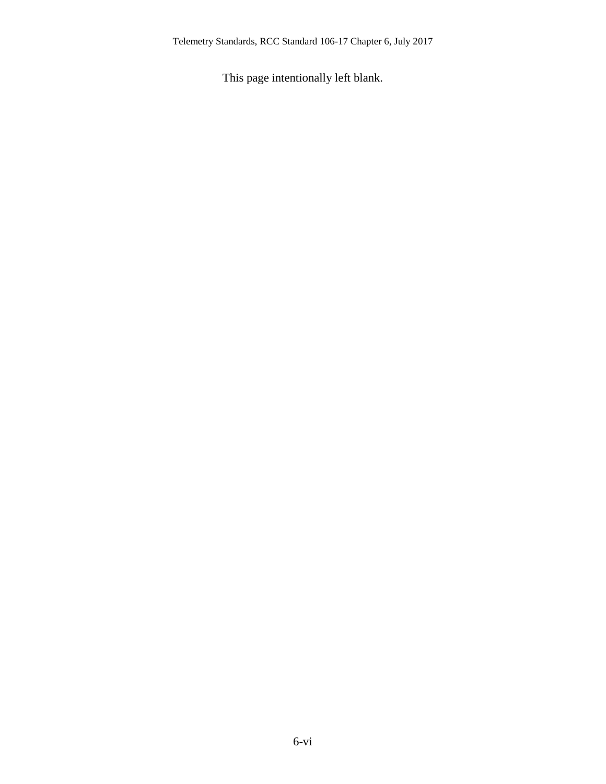This page intentionally left blank.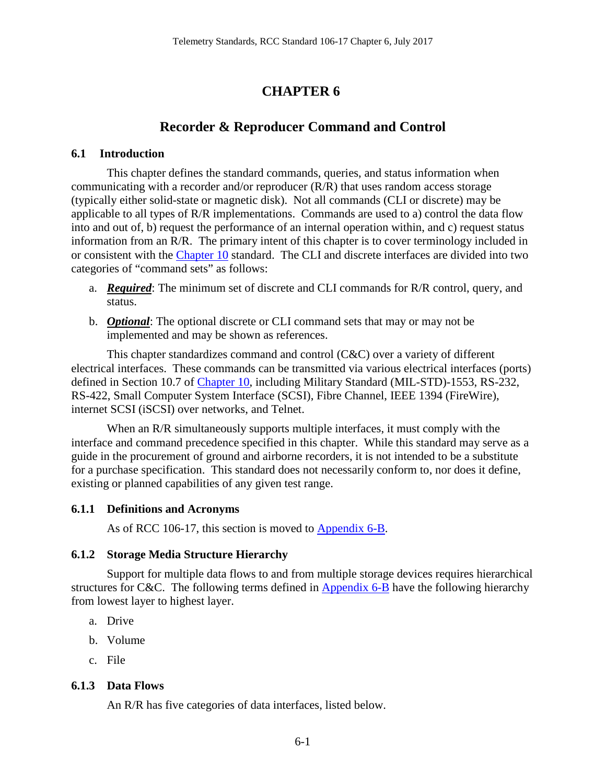# <span id="page-6-0"></span>**CHAPTER 6**

# **Recorder & Reproducer Command and Control**

#### <span id="page-6-1"></span>**6.1 Introduction**

This chapter defines the standard commands, queries, and status information when communicating with a recorder and/or reproducer (R/R) that uses random access storage (typically either solid-state or magnetic disk). Not all commands (CLI or discrete) may be applicable to all types of R/R implementations. Commands are used to a) control the data flow into and out of, b) request the performance of an internal operation within, and c) request status information from an R/R. The primary intent of this chapter is to cover terminology included in or consistent with the [Chapter 10](http://www.wsmr.army.mil/RCCsite/Documents/106-17_Telemetry_Standards/chapter%2010.pdf) standard. The CLI and discrete interfaces are divided into two categories of "command sets" as follows:

- a. *Required*: The minimum set of discrete and CLI commands for R/R control, query, and status.
- b. *Optional*: The optional discrete or CLI command sets that may or may not be implemented and may be shown as references.

This chapter standardizes command and control (C&C) over a variety of different electrical interfaces. These commands can be transmitted via various electrical interfaces (ports) defined in Section 10.7 of [Chapter 10,](http://www.wsmr.army.mil/RCCsite/Documents/106-17_Telemetry_Standards/chapter%2010.pdf) including Military Standard (MIL-STD)-1553, RS-232, RS-422, Small Computer System Interface (SCSI), Fibre Channel, IEEE 1394 (FireWire), internet SCSI (iSCSI) over networks, and Telnet.

When an R/R simultaneously supports multiple interfaces, it must comply with the interface and command precedence specified in this chapter. While this standard may serve as a guide in the procurement of ground and airborne recorders, it is not intended to be a substitute for a purchase specification. This standard does not necessarily conform to, nor does it define, existing or planned capabilities of any given test range.

## <span id="page-6-2"></span>**6.1.1 Definitions and Acronyms**

As of RCC 106-17, this section is moved to [Appendix 6-B.](#page-120-1)

## <span id="page-6-3"></span>**6.1.2 Storage Media Structure Hierarchy**

Support for multiple data flows to and from multiple storage devices requires hierarchical structures for C&C. The following terms defined in [Appendix 6-B](#page-120-1) have the following hierarchy from lowest layer to highest layer.

- a. Drive
- b. Volume
- c. File

## <span id="page-6-4"></span>**6.1.3 Data Flows**

An R/R has five categories of data interfaces, listed below.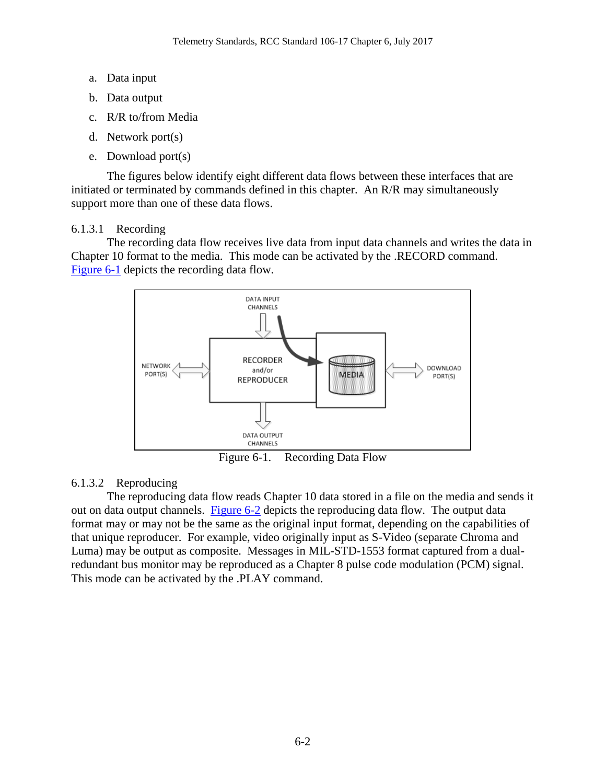- a. Data input
- b. Data output
- c. R/R to/from Media
- d. Network port(s)
- e. Download port(s)

The figures below identify eight different data flows between these interfaces that are initiated or terminated by commands defined in this chapter. An R/R may simultaneously support more than one of these data flows.

#### 6.1.3.1 Recording

The recording data flow receives live data from input data channels and writes the data in Chapter 10 format to the media. This mode can be activated by the .RECORD command. [Figure 6-1](#page-7-0) depicts the recording data flow.



Figure 6-1. Recording Data Flow

## <span id="page-7-0"></span>6.1.3.2 Reproducing

The reproducing data flow reads Chapter 10 data stored in a file on the media and sends it out on data output channels. [Figure 6-2](#page-8-0) depicts the reproducing data flow. The output data format may or may not be the same as the original input format, depending on the capabilities of that unique reproducer. For example, video originally input as S-Video (separate Chroma and Luma) may be output as composite. Messages in MIL-STD-1553 format captured from a dualredundant bus monitor may be reproduced as a Chapter 8 pulse code modulation (PCM) signal. This mode can be activated by the .PLAY command.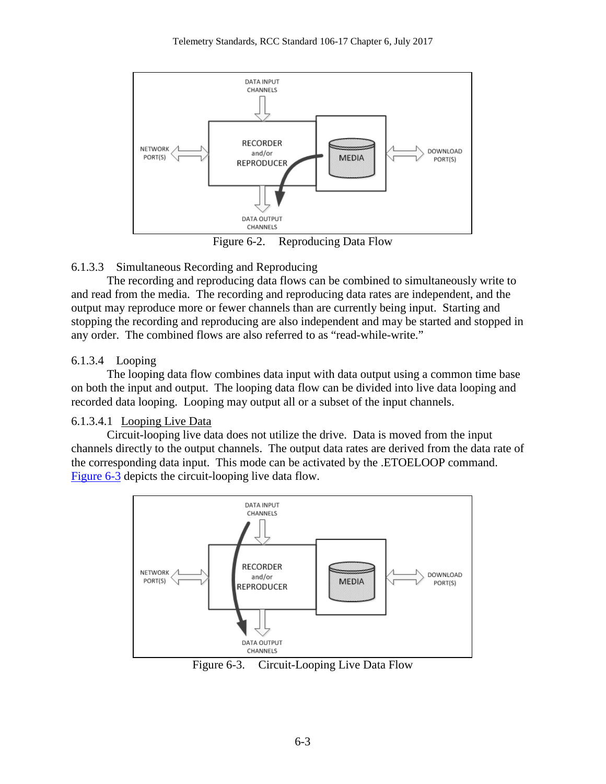

Figure 6-2. Reproducing Data Flow

## <span id="page-8-0"></span>6.1.3.3 Simultaneous Recording and Reproducing

The recording and reproducing data flows can be combined to simultaneously write to and read from the media. The recording and reproducing data rates are independent, and the output may reproduce more or fewer channels than are currently being input. Starting and stopping the recording and reproducing are also independent and may be started and stopped in any order. The combined flows are also referred to as "read-while-write."

## 6.1.3.4 Looping

The looping data flow combines data input with data output using a common time base on both the input and output. The looping data flow can be divided into live data looping and recorded data looping. Looping may output all or a subset of the input channels.

## 6.1.3.4.1 Looping Live Data

Circuit-looping live data does not utilize the drive. Data is moved from the input channels directly to the output channels. The output data rates are derived from the data rate of the corresponding data input. This mode can be activated by the .ETOELOOP command. [Figure 6-3](#page-8-1) depicts the circuit-looping live data flow.



<span id="page-8-1"></span>Figure 6-3. Circuit-Looping Live Data Flow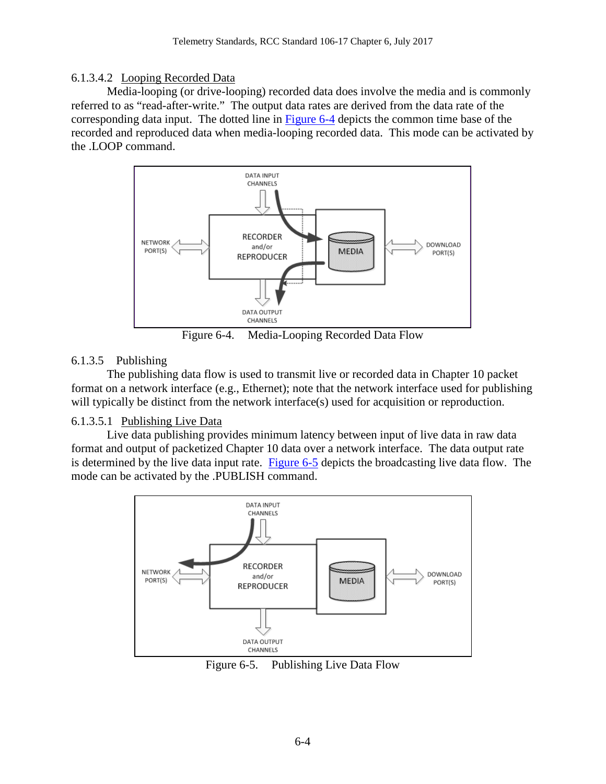## 6.1.3.4.2 Looping Recorded Data

Media-looping (or drive-looping) recorded data does involve the media and is commonly referred to as "read-after-write." The output data rates are derived from the data rate of the corresponding data input. The dotted line in [Figure 6-4](#page-9-0) depicts the common time base of the recorded and reproduced data when media-looping recorded data. This mode can be activated by the .LOOP command.



Figure 6-4. Media-Looping Recorded Data Flow

## <span id="page-9-0"></span>6.1.3.5 Publishing

The publishing data flow is used to transmit live or recorded data in Chapter 10 packet format on a network interface (e.g., Ethernet); note that the network interface used for publishing will typically be distinct from the network interface(s) used for acquisition or reproduction.

## 6.1.3.5.1 Publishing Live Data

Live data publishing provides minimum latency between input of live data in raw data format and output of packetized Chapter 10 data over a network interface. The data output rate is determined by the live data input rate. [Figure 6-5](#page-9-1) depicts the broadcasting live data flow. The mode can be activated by the .PUBLISH command.



<span id="page-9-1"></span>Figure 6-5. Publishing Live Data Flow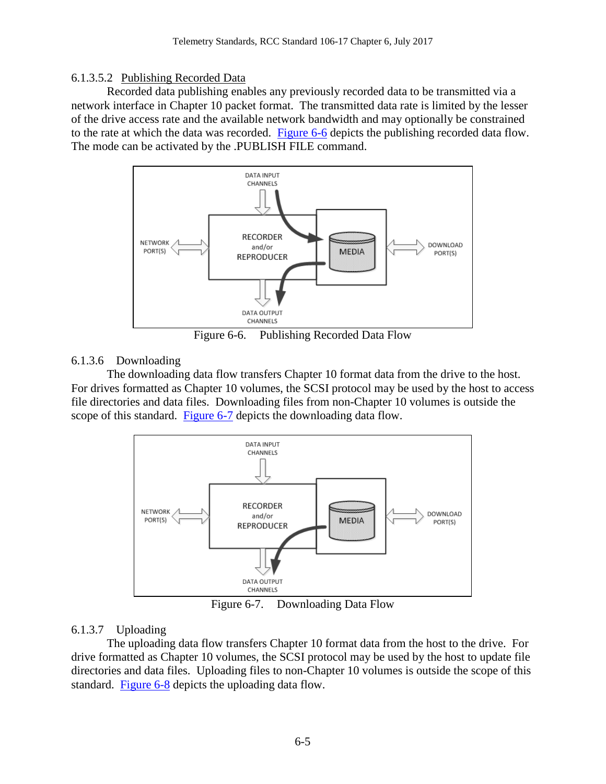## 6.1.3.5.2 Publishing Recorded Data

Recorded data publishing enables any previously recorded data to be transmitted via a network interface in Chapter 10 packet format. The transmitted data rate is limited by the lesser of the drive access rate and the available network bandwidth and may optionally be constrained to the rate at which the data was recorded. [Figure 6-6](#page-10-0) depicts the publishing recorded data flow. The mode can be activated by the .PUBLISH FILE command.



Figure 6-6. Publishing Recorded Data Flow

## <span id="page-10-0"></span>6.1.3.6 Downloading

The downloading data flow transfers Chapter 10 format data from the drive to the host. For drives formatted as Chapter 10 volumes, the SCSI protocol may be used by the host to access file directories and data files. Downloading files from non-Chapter 10 volumes is outside the scope of this standard. [Figure 6-7](#page-10-1) depicts the downloading data flow.



Figure 6-7. Downloading Data Flow

## <span id="page-10-1"></span>6.1.3.7 Uploading

The uploading data flow transfers Chapter 10 format data from the host to the drive. For drive formatted as Chapter 10 volumes, the SCSI protocol may be used by the host to update file directories and data files. Uploading files to non-Chapter 10 volumes is outside the scope of this standard. [Figure 6-8](#page-11-1) depicts the uploading data flow.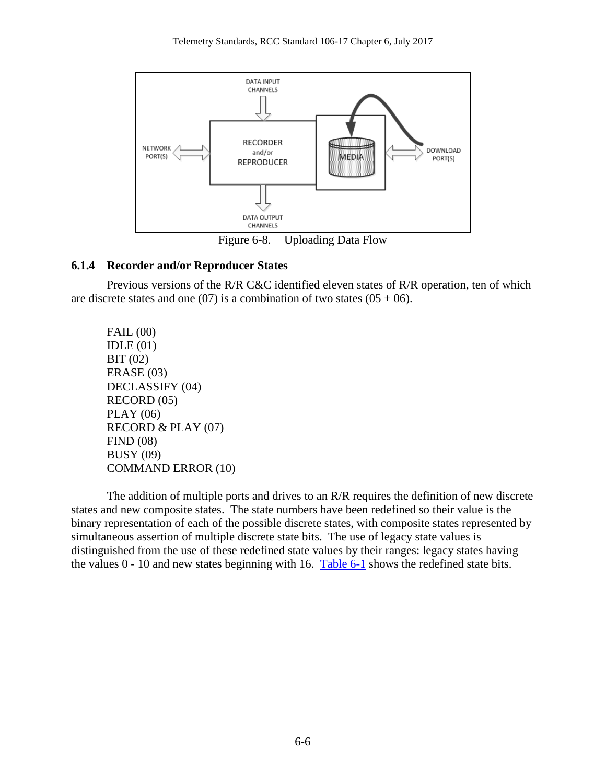

Figure 6-8. Uploading Data Flow

## <span id="page-11-1"></span><span id="page-11-0"></span>**6.1.4 Recorder and/or Reproducer States**

Previous versions of the R/R C&C identified eleven states of R/R operation, ten of which are discrete states and one (07) is a combination of two states ( $05 + 06$ ).

```
FAIL (00)
IDLE (01)
BIT (02)
ERASE (03)
DECLASSIFY (04)
RECORD (05)
PLAY (06)
RECORD & PLAY (07)
FIND (08)
BUSY (09)
COMMAND ERROR (10)
```
The addition of multiple ports and drives to an R/R requires the definition of new discrete states and new composite states. The state numbers have been redefined so their value is the binary representation of each of the possible discrete states, with composite states represented by simultaneous assertion of multiple discrete state bits. The use of legacy state values is distinguished from the use of these redefined state values by their ranges: legacy states having the values 0 - 10 and new states beginning with 16. [Table 6-1](#page-12-0) shows the redefined state bits.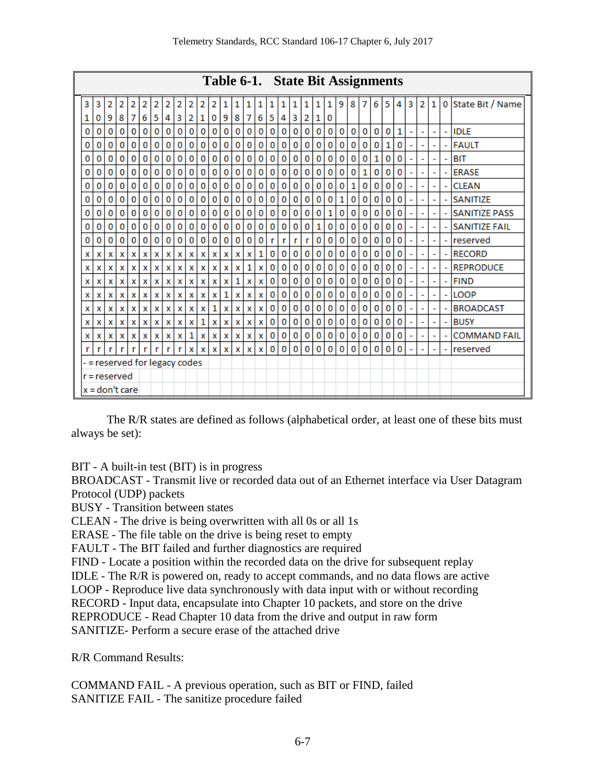<span id="page-12-0"></span>

|   | Table 6-1. State Bit Assignments |                               |   |              |   |   |   |   |   |   |   |              |              |   |   |    |   |   |   |   |   |   |   |   |   |             |          |   |                |          |                          |                      |
|---|----------------------------------|-------------------------------|---|--------------|---|---|---|---|---|---|---|--------------|--------------|---|---|----|---|---|---|---|---|---|---|---|---|-------------|----------|---|----------------|----------|--------------------------|----------------------|
| 3 | 3                                | 2                             | 2 | 2            | 2 | 2 | 2 | 2 | 2 | 2 | 2 | 1            | 1            |   |   |    | 1 |   |   |   | 1 | 9 | 8 | 7 | 6 | 5           | 4        | 3 | $\overline{2}$ | $1\vert$ |                          | 0 State Bit / Name   |
| 1 | 0                                | 9                             | 8 | 7            | 6 | 5 | 4 | 3 | 2 | 1 | 0 | 9            | 8            | 7 | 6 | 5  | 4 | 3 | 2 | 1 | 0 |   |   |   |   |             |          |   |                |          |                          |                      |
| 0 | 0                                | 0                             | 0 | 0            | 0 | 0 | 0 | 0 | 0 | 0 | 0 | 0            | 0            | 0 | 0 | 0  | 0 | 0 | 0 | 0 | 0 | 0 | 0 | 0 | 0 | 0           | 1        |   |                |          |                          | <b>IDLE</b>          |
| 0 | 0                                | 0                             | 0 | 0            | 0 | 0 | 0 | 0 | 0 | 0 | 0 | 0            | 0            | 0 | 0 | 0  | 0 | 0 | 0 | 0 | 0 | 0 | 0 | 0 | 0 | 1           | 0        |   |                |          |                          | <b>FAULT</b>         |
| 0 | 0                                | 0                             | 0 | 0            | 0 | 0 | 0 | 0 | 0 | 0 | 0 | 0            | 0            | 0 | 0 | 0  | 0 | 0 | 0 | 0 | 0 | 0 | 0 | 0 | 1 | 0           | 0        |   |                |          | ٠                        | <b>BIT</b>           |
| 0 | 0                                | 0                             | 0 | 0            | 0 | 0 | 0 | 0 | 0 | 0 | 0 | 0            | 0            | 0 | 0 | 0  | 0 | 0 | 0 | 0 | 0 | 0 | 0 | 1 | 0 | 0           | 0        |   |                |          | $\blacksquare$           | <b>ERASE</b>         |
| 0 | 0                                | 0                             | 0 | 0            | 0 | 0 | 0 | 0 | 0 | 0 | 0 | 0            | 0            | 0 | 0 | 0  | 0 | 0 | 0 | 0 | 0 | 0 |   | 0 | 0 | 0           | 0        |   |                | ۰        |                          | <b>CLEAN</b>         |
| 0 | 0                                | 0                             | 0 | 0            | 0 | 0 | 0 | 0 | 0 | 0 | 0 | 0            | 0            | 0 | 0 | 0  | 0 | 0 | 0 | 0 | 0 | 1 | 0 | 0 | 0 | 0           | 0        |   |                | ۰        | $\overline{\phantom{a}}$ | <b>SANITIZE</b>      |
| 0 | 0                                | 0                             | 0 | $\mathbf{0}$ | 0 | 0 | 0 | 0 | 0 | 0 | 0 | 0            | 0            | 0 | 0 | 0  | 0 | 0 | 0 | 0 | 1 | 0 | 0 | 0 | 0 | $\mathbf 0$ | 0        |   |                |          |                          | <b>SANITIZE PASS</b> |
| 0 | 0                                | 0                             | 0 | 0            | 0 | 0 | 0 | 0 | 0 | 0 | 0 | $\mathbf{0}$ | 0            | 0 | 0 | 0  | 0 | 0 | 0 | 1 | 0 | 0 | 0 | 0 | 0 | 0           | 0        |   |                |          |                          | <b>SANITIZE FAIL</b> |
| 0 | 0                                | 0                             | 0 | 0            | 0 | 0 | 0 | 0 | 0 | 0 | 0 | 0            | 0            | 0 | 0 | r. | r | r | r | 0 | 0 | 0 | 0 | 0 | 0 | 0           | 0        |   |                |          | $\overline{a}$           | reserved             |
| x | x                                | x                             | x | x            | x | x | x | x | x | x | x | x.           | $\mathbf{x}$ | x | 1 | 0  | 0 | 0 | 0 | 0 | 0 | 0 | 0 | 0 | 0 | 0           | 0        |   |                |          |                          | <b>RECORD</b>        |
| x | x                                | x                             | x | x            | x | x | x | x | x | x | x | x            | x            | 1 | x | 0  | 0 | 0 | 0 | 0 | 0 | 0 | 0 | 0 | 0 | 0           | 0        |   |                |          |                          | <b>REPRODUCE</b>     |
| X | x                                | x                             | x | x            | x | x | x | x | x | x | x | x            | 1            | x | x | 0  | 0 | 0 | 0 | 0 | 0 | 0 | 0 | 0 | 0 | 0           | 0        |   |                |          |                          | <b>FIND</b>          |
| x | x                                | x                             | x | x            | х | x | x | x | x | x | x | 1            | X.           | x | х | 0  | 0 | 0 | 0 | 0 | 0 | 0 | 0 | 0 | 0 | $\mathbf 0$ | 0        |   |                |          |                          | LOOP                 |
| x | x                                | x                             | x | x            | x | x | x | x | x | x | 1 | x            | x            | x | x | 0  | 0 | 0 | 0 | 0 | 0 | 0 | 0 | 0 | 0 | 0           | $\bf{0}$ |   |                |          |                          | <b>BROADCAST</b>     |
| x | x                                | x                             | x | x            | x | x | x | x | x | 1 | x | x            | x            | x | x | 0  | 0 | 0 | 0 | 0 | 0 | 0 | 0 | 0 | 0 | 0           | 0        |   |                | ۰        | ۰                        | <b>BUSY</b>          |
| x | x                                | x                             | x | x            | x | x | x | x | 1 | x | x | x            | x            | x | x | 0  | 0 | 0 | 0 | 0 | 0 | 0 | 0 | 0 | 0 | 0           | 0        |   |                |          |                          | <b>COMMAND FAIL</b>  |
| r |                                  |                               | r | r            |   | r |   | r | x | x | x | x            | x            | x | x | 0  | 0 | 0 | 0 | 0 | 0 | 0 | 0 | 0 | 0 | 0           | 0        |   |                |          | $\overline{\phantom{a}}$ | reserved             |
|   |                                  | - = reserved for legacy codes |   |              |   |   |   |   |   |   |   |              |              |   |   |    |   |   |   |   |   |   |   |   |   |             |          |   |                |          |                          |                      |
|   |                                  | $r =$ reserved                |   |              |   |   |   |   |   |   |   |              |              |   |   |    |   |   |   |   |   |   |   |   |   |             |          |   |                |          |                          |                      |
|   |                                  | $x = don't care$              |   |              |   |   |   |   |   |   |   |              |              |   |   |    |   |   |   |   |   |   |   |   |   |             |          |   |                |          |                          |                      |

The R/R states are defined as follows (alphabetical order, at least one of these bits must always be set):

BIT - A built-in test (BIT) is in progress

BROADCAST - Transmit live or recorded data out of an Ethernet interface via User Datagram Protocol (UDP) packets

BUSY - Transition between states

CLEAN - The drive is being overwritten with all 0s or all 1s

ERASE - The file table on the drive is being reset to empty

FAULT - The BIT failed and further diagnostics are required

FIND - Locate a position within the recorded data on the drive for subsequent replay

IDLE - The R/R is powered on, ready to accept commands, and no data flows are active

LOOP - Reproduce live data synchronously with data input with or without recording

RECORD - Input data, encapsulate into Chapter 10 packets, and store on the drive REPRODUCE - Read Chapter 10 data from the drive and output in raw form

SANITIZE- Perform a secure erase of the attached drive

R/R Command Results:

COMMAND FAIL - A previous operation, such as BIT or FIND, failed SANITIZE FAIL - The sanitize procedure failed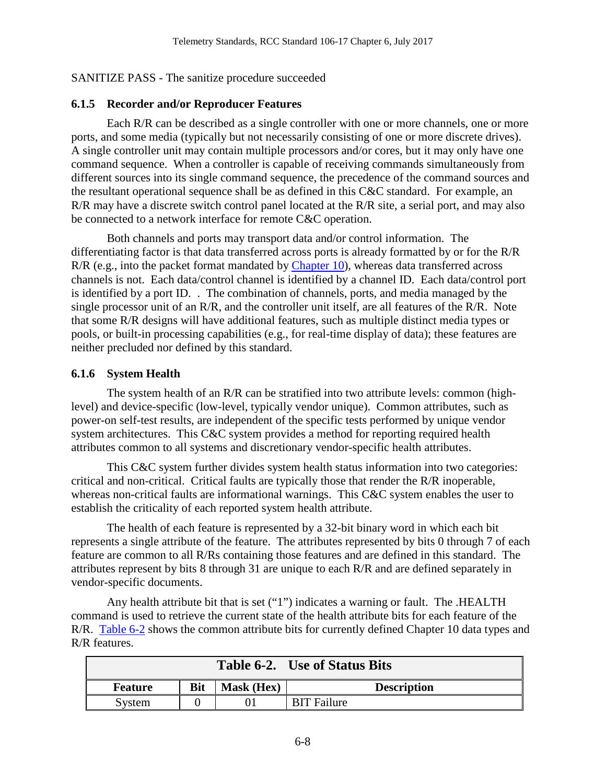## SANITIZE PASS - The sanitize procedure succeeded

## <span id="page-13-0"></span>**6.1.5 Recorder and/or Reproducer Features**

Each R/R can be described as a single controller with one or more channels, one or more ports, and some media (typically but not necessarily consisting of one or more discrete drives). A single controller unit may contain multiple processors and/or cores, but it may only have one command sequence. When a controller is capable of receiving commands simultaneously from different sources into its single command sequence, the precedence of the command sources and the resultant operational sequence shall be as defined in this C&C standard. For example, an R/R may have a discrete switch control panel located at the R/R site, a serial port, and may also be connected to a network interface for remote C&C operation.

Both channels and ports may transport data and/or control information. The differentiating factor is that data transferred across ports is already formatted by or for the R/R R/R (e.g., into the packet format mandated by [Chapter 10\)](http://www.wsmr.army.mil/RCCsite/Documents/106-17_Telemetry_Standards/chapter10.pdf), whereas data transferred across channels is not. Each data/control channel is identified by a channel ID. Each data/control port is identified by a port ID. . The combination of channels, ports, and media managed by the single processor unit of an R/R, and the controller unit itself, are all features of the R/R. Note that some R/R designs will have additional features, such as multiple distinct media types or pools, or built-in processing capabilities (e.g., for real-time display of data); these features are neither precluded nor defined by this standard.

## <span id="page-13-1"></span>**6.1.6 System Health**

The system health of an R/R can be stratified into two attribute levels: common (highlevel) and device-specific (low-level, typically vendor unique). Common attributes, such as power-on self-test results, are independent of the specific tests performed by unique vendor system architectures. This C&C system provides a method for reporting required health attributes common to all systems and discretionary vendor-specific health attributes.

This C&C system further divides system health status information into two categories: critical and non-critical. Critical faults are typically those that render the R/R inoperable, whereas non-critical faults are informational warnings. This C&C system enables the user to establish the criticality of each reported system health attribute.

The health of each feature is represented by a 32-bit binary word in which each bit represents a single attribute of the feature. The attributes represented by bits 0 through 7 of each feature are common to all R/Rs containing those features and are defined in this standard. The attributes represent by bits 8 through 31 are unique to each R/R and are defined separately in vendor-specific documents.

Any health attribute bit that is set ("1") indicates a warning or fault. The .HEALTH command is used to retrieve the current state of the health attribute bits for each feature of the R/R. [Table 6-2](#page-13-2) shows the common attribute bits for currently defined Chapter 10 data types and R/R features.

<span id="page-13-2"></span>

|                |            |                   | Table 6-2. Use of Status Bits |
|----------------|------------|-------------------|-------------------------------|
| <b>Feature</b> | <b>Bit</b> | <b>Mask (Hex)</b> | <b>Description</b>            |
| System         |            |                   | <b>BIT</b> Failure            |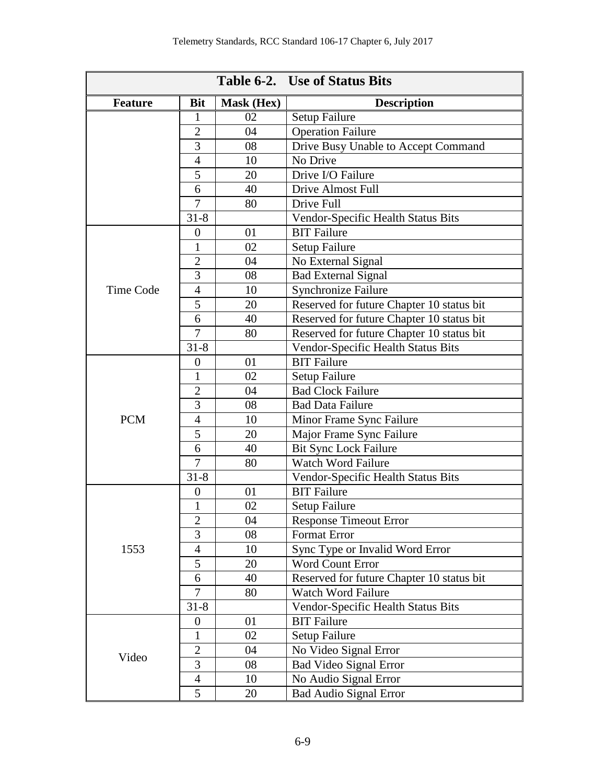|                |                  |                   | Table 6-2. Use of Status Bits             |
|----------------|------------------|-------------------|-------------------------------------------|
| <b>Feature</b> | <b>Bit</b>       | <b>Mask (Hex)</b> | <b>Description</b>                        |
|                | 1                | 02                | Setup Failure                             |
|                | $\overline{2}$   | 04                | <b>Operation Failure</b>                  |
|                | 3                | 08                | Drive Busy Unable to Accept Command       |
|                | $\overline{4}$   | 10                | No Drive                                  |
|                | 5                | 20                | Drive I/O Failure                         |
|                | 6                | 40                | Drive Almost Full                         |
|                | 7                | 80                | Drive Full                                |
|                | $31 - 8$         |                   | Vendor-Specific Health Status Bits        |
|                | $\theta$         | 01                | <b>BIT</b> Failure                        |
|                | 1                | 02                | Setup Failure                             |
|                | $\overline{2}$   | 04                | No External Signal                        |
|                | 3                | 08                | <b>Bad External Signal</b>                |
| Time Code      | $\overline{4}$   | 10                | Synchronize Failure                       |
|                | 5                | 20                | Reserved for future Chapter 10 status bit |
|                | 6                | 40                | Reserved for future Chapter 10 status bit |
|                | 7                | 80                | Reserved for future Chapter 10 status bit |
|                | $31 - 8$         |                   | Vendor-Specific Health Status Bits        |
|                | 0                | 01                | <b>BIT</b> Failure                        |
|                | 1                | 02                | Setup Failure                             |
|                | $\overline{2}$   | 04                | <b>Bad Clock Failure</b>                  |
|                | $\overline{3}$   | 08                | <b>Bad Data Failure</b>                   |
| <b>PCM</b>     | $\overline{4}$   | 10                | Minor Frame Sync Failure                  |
|                | 5                | 20                | Major Frame Sync Failure                  |
|                | 6                | 40                | <b>Bit Sync Lock Failure</b>              |
|                | 7                | 80                | <b>Watch Word Failure</b>                 |
|                | $31 - 8$         |                   | Vendor-Specific Health Status Bits        |
|                | $\boldsymbol{0}$ | 01                | <b>BIT</b> Failure                        |
|                | 1                | 02                | Setup Failure                             |
|                | $\overline{2}$   | 04                | <b>Response Timeout Error</b>             |
|                | 3                | 08                | <b>Format Error</b>                       |
| 1553           | 4                | 10                | Sync Type or Invalid Word Error           |
|                | 5                | 20                | <b>Word Count Error</b>                   |
|                | 6                | 40                | Reserved for future Chapter 10 status bit |
|                | 7                | 80                | <b>Watch Word Failure</b>                 |
|                | $31 - 8$         |                   | <b>Vendor-Specific Health Status Bits</b> |
|                | $\boldsymbol{0}$ | 01                | <b>BIT</b> Failure                        |
|                | 1                | 02                | Setup Failure                             |
|                | $\overline{2}$   | 04                | No Video Signal Error                     |
| Video          | $\overline{3}$   | 08                | <b>Bad Video Signal Error</b>             |
|                | 4                | 10                | No Audio Signal Error                     |
|                | 5                | 20                | <b>Bad Audio Signal Error</b>             |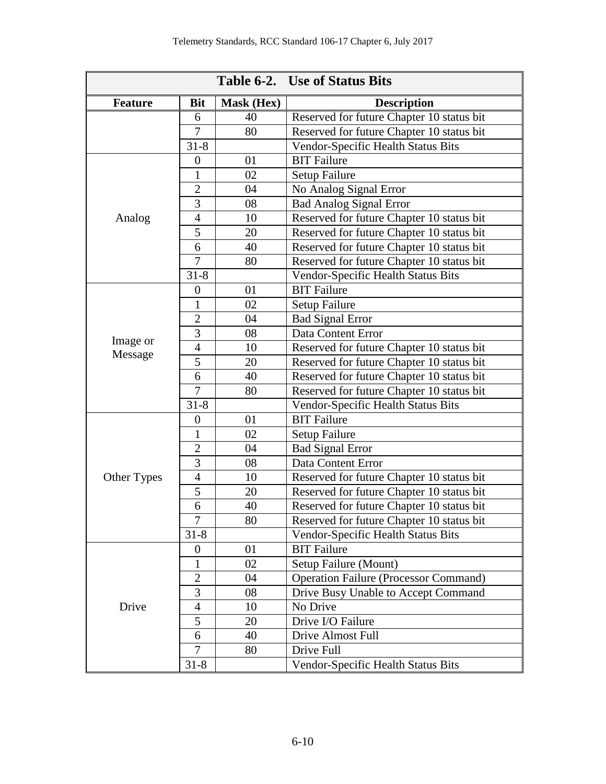|                    |                  |                   | Table 6-2. Use of Status Bits                |
|--------------------|------------------|-------------------|----------------------------------------------|
| <b>Feature</b>     | <b>Bit</b>       | <b>Mask (Hex)</b> | <b>Description</b>                           |
|                    | 6                | 40                | Reserved for future Chapter 10 status bit    |
|                    | 7                | 80                | Reserved for future Chapter 10 status bit    |
|                    | $31 - 8$         |                   | Vendor-Specific Health Status Bits           |
|                    | $\theta$         | 01                | <b>BIT</b> Failure                           |
|                    | 1                | 02                | Setup Failure                                |
|                    | $\overline{2}$   | 04                | No Analog Signal Error                       |
|                    | 3                | 08                | <b>Bad Analog Signal Error</b>               |
| Analog             | 4                | 10                | Reserved for future Chapter 10 status bit    |
|                    | 5                | 20                | Reserved for future Chapter 10 status bit    |
|                    | 6                | 40                | Reserved for future Chapter 10 status bit    |
|                    | $\overline{7}$   | 80                | Reserved for future Chapter 10 status bit    |
|                    | $31 - 8$         |                   | Vendor-Specific Health Status Bits           |
|                    | $\theta$         | 01                | <b>BIT</b> Failure                           |
|                    | 1                | 02                | Setup Failure                                |
|                    | $\overline{2}$   | 04                | <b>Bad Signal Error</b>                      |
|                    | $\overline{3}$   | 08                | Data Content Error                           |
| Image or           | $\overline{4}$   | 10                | Reserved for future Chapter 10 status bit    |
| Message            | 5                | 20                | Reserved for future Chapter 10 status bit    |
|                    | 6                | 40                | Reserved for future Chapter 10 status bit    |
|                    | 7                | 80                | Reserved for future Chapter 10 status bit    |
|                    | $31 - 8$         |                   | Vendor-Specific Health Status Bits           |
|                    | $\boldsymbol{0}$ | 01                | <b>BIT</b> Failure                           |
|                    | 1                | 02                | Setup Failure                                |
|                    | $\overline{2}$   | 04                | <b>Bad Signal Error</b>                      |
|                    | 3                | 08                | Data Content Error                           |
| <b>Other Types</b> | $\overline{4}$   | 10                | Reserved for future Chapter 10 status bit    |
|                    | 5                | 20                | Reserved for future Chapter 10 status bit    |
|                    | 6                | 40                | Reserved for future Chapter 10 status bit    |
|                    | 7                | 80                | Reserved for future Chapter 10 status bit    |
|                    | $31 - 8$         |                   | <b>Vendor-Specific Health Status Bits</b>    |
|                    | $\theta$         | 01                | <b>BIT</b> Failure                           |
|                    | 1                | 02                | Setup Failure (Mount)                        |
|                    | $\overline{2}$   | 04                | <b>Operation Failure (Processor Command)</b> |
|                    | 3                | 08                | Drive Busy Unable to Accept Command          |
| Drive              | 4                | 10                | No Drive                                     |
|                    | 5                | 20                | Drive I/O Failure                            |
|                    | 6                | 40                | Drive Almost Full                            |
|                    | $\overline{7}$   | 80                | Drive Full                                   |
|                    | $31 - 8$         |                   | Vendor-Specific Health Status Bits           |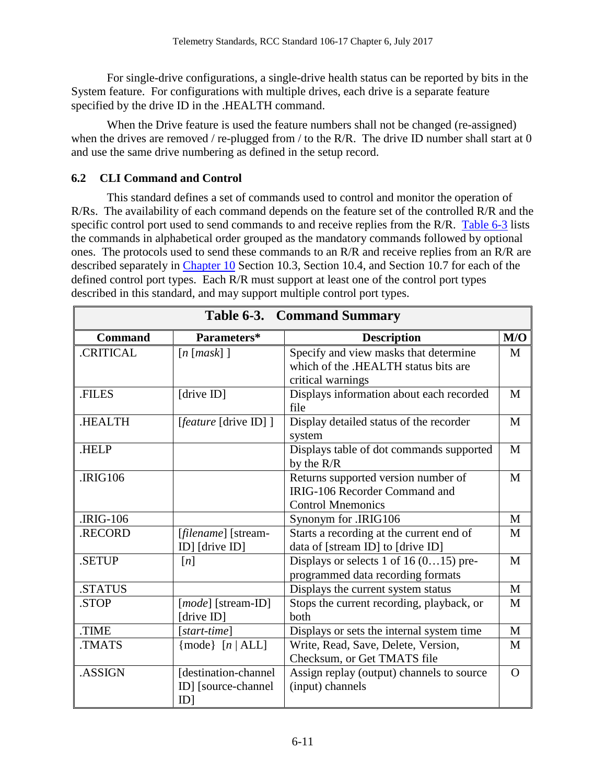For single-drive configurations, a single-drive health status can be reported by bits in the System feature. For configurations with multiple drives, each drive is a separate feature specified by the drive ID in the .HEALTH command.

When the Drive feature is used the feature numbers shall not be changed (re-assigned) when the drives are removed / re-plugged from / to the R/R. The drive ID number shall start at 0 and use the same drive numbering as defined in the setup record.

## <span id="page-16-0"></span>**6.2 CLI Command and Control**

This standard defines a set of commands used to control and monitor the operation of R/Rs. The availability of each command depends on the feature set of the controlled R/R and the specific control port used to send commands to and receive replies from the R/R. [Table 6-3](#page-16-1) lists the commands in alphabetical order grouped as the mandatory commands followed by optional ones. The protocols used to send these commands to an R/R and receive replies from an R/R are described separately in [Chapter 10](http://www.wsmr.army.mil/RCCsite/Documents/106-17_Telemetry_Standards/chapter10.pdf) Section 10.3, Section 10.4, and Section 10.7 for each of the defined control port types. Each R/R must support at least one of the control port types described in this standard, and may support multiple control port types.

<span id="page-16-1"></span>

|                 |                      | <b>Table 6-3. Command Summary</b>         |          |
|-----------------|----------------------|-------------------------------------------|----------|
| <b>Command</b>  | Parameters*          | <b>Description</b>                        | M/O      |
| .CRITICAL       | $[n \, [mask] ]$     | Specify and view masks that determine     | M        |
|                 |                      | which of the .HEALTH status bits are      |          |
|                 |                      | critical warnings                         |          |
| .FILES          | [drive ID]           | Displays information about each recorded  | M        |
|                 |                      | file                                      |          |
| <b>HEALTH</b>   | [feature [drive ID]] | Display detailed status of the recorder   | M        |
|                 |                      | system                                    |          |
| .HELP           |                      | Displays table of dot commands supported  | M        |
|                 |                      | by the R/R                                |          |
| <b>.IRIG106</b> |                      | Returns supported version number of       | M        |
|                 |                      | IRIG-106 Recorder Command and             |          |
|                 |                      | <b>Control Mnemonics</b>                  |          |
| .IRIG-106       |                      | Synonym for .IRIG106                      | M        |
| .RECORD         | [filename] [stream-  | Starts a recording at the current end of  | M        |
|                 | ID] [drive ID]       | data of [stream ID] to [drive ID]         |          |
| .SETUP          | [n]                  | Displays or selects 1 of 16 $(015)$ pre-  | M        |
|                 |                      | programmed data recording formats         |          |
| .STATUS         |                      | Displays the current system status        | M        |
| STOP.           | [mode] [stream-ID]   | Stops the current recording, playback, or | M        |
|                 | [drive ID]           | both                                      |          |
| <b>TIME</b>     | [start-time]         | Displays or sets the internal system time | M        |
| .TMATS          | ${mode}$ [n   ALL]   | Write, Read, Save, Delete, Version,       | M        |
|                 |                      | Checksum, or Get TMATS file               |          |
| .ASSIGN         | [destination-channel | Assign replay (output) channels to source | $\Omega$ |
|                 | ID] [source-channel] | (input) channels                          |          |
|                 | ID                   |                                           |          |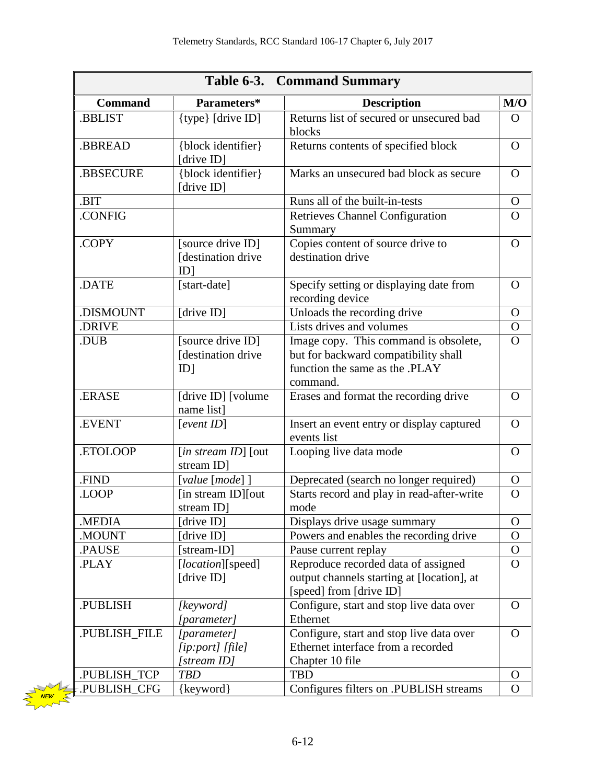| <b>Table 6-3. Command Summary</b> |                                                |                                                                                                                             |                |  |
|-----------------------------------|------------------------------------------------|-----------------------------------------------------------------------------------------------------------------------------|----------------|--|
| <b>Command</b>                    | Parameters*                                    | <b>Description</b>                                                                                                          | M/O            |  |
| <b>BBLIST</b>                     | $\{type\}$ [drive ID]                          | Returns list of secured or unsecured bad<br>blocks                                                                          | O              |  |
| .BBREAD                           | {block identifier}<br>[drive ID]               | Returns contents of specified block                                                                                         | $\Omega$       |  |
| <b>BBSECURE</b>                   | {block identifier}<br>[drive ID]               | Marks an unsecured bad block as secure                                                                                      | $\overline{O}$ |  |
| .BIT                              |                                                | Runs all of the built-in-tests                                                                                              | $\Omega$       |  |
| .CONFIG                           |                                                | <b>Retrieves Channel Configuration</b><br>Summary                                                                           | $\Omega$       |  |
| .COPY                             | [source drive ID]<br>[destination drive<br>ID  | Copies content of source drive to<br>destination drive                                                                      | $\Omega$       |  |
| .DATE                             | [start-date]                                   | Specify setting or displaying date from<br>recording device                                                                 | $\Omega$       |  |
| .DISMOUNT                         | [drive ID]                                     | Unloads the recording drive                                                                                                 | $\mathbf O$    |  |
| .DRIVE                            |                                                | Lists drives and volumes                                                                                                    | $\mathbf O$    |  |
| .DUB                              | [source drive ID]<br>[destination drive<br>ID  | Image copy. This command is obsolete,<br>but for backward compatibility shall<br>function the same as the .PLAY<br>command. | $\overline{O}$ |  |
| .ERASE                            | [drive ID] [volume]<br>name list]              | Erases and format the recording drive                                                                                       | $\Omega$       |  |
| .EVENT                            | [event ID]                                     | Insert an event entry or display captured<br>events list                                                                    | $\overline{O}$ |  |
| .ETOLOOP                          | [in stream ID] [out<br>stream ID]              | Looping live data mode                                                                                                      | $\Omega$       |  |
| .FIND                             | [value [mode]]                                 | Deprecated (search no longer required)                                                                                      | $\mathbf{O}$   |  |
| LOOP                              | [in stream ID][out<br>stream ID]               | Starts record and play in read-after-write<br>mode                                                                          | $\overline{O}$ |  |
| .MEDIA                            | [drive ID]                                     | Displays drive usage summary                                                                                                | $\mathbf O$    |  |
| .MOUNT                            | drive ID]                                      | Powers and enables the recording drive                                                                                      | $\mathbf{O}$   |  |
| .PAUSE                            | [stream-ID]                                    | Pause current replay                                                                                                        | $\mathbf O$    |  |
| .PLAY                             | [location][speed]<br>[drive ID]                | Reproduce recorded data of assigned<br>output channels starting at [location], at<br>[speed] from [drive ID]                | $\Omega$       |  |
| .PUBLISH                          | [keyword]<br>[parameter]                       | Configure, start and stop live data over<br>Ethernet                                                                        | $\Omega$       |  |
| .PUBLISH_FILE                     | [parameter]<br>[ip:port] [file]<br>[stream ID] | Configure, start and stop live data over<br>Ethernet interface from a recorded<br>Chapter 10 file                           | $\Omega$       |  |
| .PUBLISH_TCP                      | <b>TBD</b>                                     | <b>TBD</b>                                                                                                                  | $\Omega$       |  |
| PUBLISH_CFG                       | {keyword}                                      | Configures filters on .PUBLISH streams                                                                                      | $\mathbf{O}$   |  |

<span id="page-17-0"></span>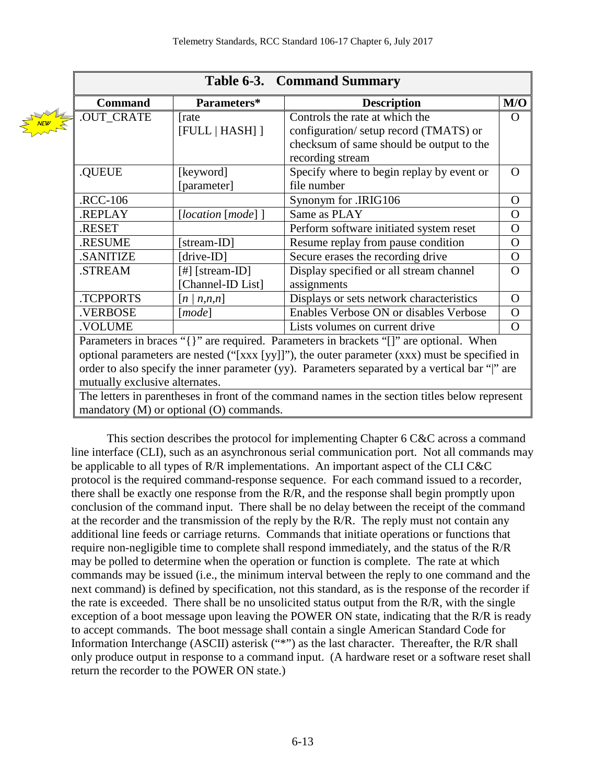| <b>Table 6-3. Command Summary</b>                                                              |                   |                                           |                |  |
|------------------------------------------------------------------------------------------------|-------------------|-------------------------------------------|----------------|--|
| <b>Command</b>                                                                                 | Parameters*       | <b>Description</b>                        | M/O            |  |
| .OUT_CRATE                                                                                     | [rate]            | Controls the rate at which the            | O              |  |
|                                                                                                | [FULL   HASH] ]   | configuration/ setup record (TMATS) or    |                |  |
|                                                                                                |                   | checksum of same should be output to the  |                |  |
|                                                                                                |                   | recording stream                          |                |  |
| .QUEUE                                                                                         | [keyword]         | Specify where to begin replay by event or | $\Omega$       |  |
|                                                                                                | [parameter]       | file number                               |                |  |
| $RCC-106$                                                                                      |                   | Synonym for .IRIG106                      | $\overline{O}$ |  |
| .REPLAY                                                                                        | [location [mode]] | Same as PLAY                              | $\overline{O}$ |  |
| .RESET                                                                                         |                   | Perform software initiated system reset   | O              |  |
| .RESUME                                                                                        | stream-ID]        | Resume replay from pause condition        | $\mathbf O$    |  |
| <b>SANITIZE</b>                                                                                | [drive-ID]        | Secure erases the recording drive         | $\mathbf{O}$   |  |
| .STREAM                                                                                        | [#] [stream-ID]   | Display specified or all stream channel   | $\overline{O}$ |  |
|                                                                                                | [Channel-ID List] | assignments                               |                |  |
| .TCPPORTS                                                                                      | [n/n,n,n]         | Displays or sets network characteristics  | $\overline{O}$ |  |
| .VERBOSE                                                                                       | [mode]            | Enables Verbose ON or disables Verbose    | $\overline{O}$ |  |
| .VOLUME                                                                                        |                   | Lists volumes on current drive            | $\overline{O}$ |  |
| Parameters in braces "{}" are required. Parameters in brackets "[]" are optional. When         |                   |                                           |                |  |
| optional parameters are nested ("[xxx [yy]]"), the outer parameter (xxx) must be specified in  |                   |                                           |                |  |
| order to also specify the inner parameter (yy). Parameters separated by a vertical bar " " are |                   |                                           |                |  |
| mutually exclusive alternates.                                                                 |                   |                                           |                |  |
| The letters in parentheses in front of the command names in the section titles below represent |                   |                                           |                |  |
| mandatory $(M)$ or optional $(O)$ commands.                                                    |                   |                                           |                |  |

This section describes the protocol for implementing Chapter 6 C&C across a command line interface (CLI), such as an asynchronous serial communication port. Not all commands may be applicable to all types of R/R implementations. An important aspect of the CLI C&C protocol is the required command-response sequence. For each command issued to a recorder, there shall be exactly one response from the R/R, and the response shall begin promptly upon conclusion of the command input. There shall be no delay between the receipt of the command at the recorder and the transmission of the reply by the R/R. The reply must not contain any additional line feeds or carriage returns. Commands that initiate operations or functions that require non-negligible time to complete shall respond immediately, and the status of the R/R may be polled to determine when the operation or function is complete. The rate at which commands may be issued (i.e., the minimum interval between the reply to one command and the next command) is defined by specification, not this standard, as is the response of the recorder if the rate is exceeded. There shall be no unsolicited status output from the  $R/R$ , with the single exception of a boot message upon leaving the POWER ON state, indicating that the R/R is ready to accept commands. The boot message shall contain a single American Standard Code for Information Interchange (ASCII) asterisk ("\*") as the last character. Thereafter, the R/R shall only produce output in response to a command input. (A hardware reset or a software reset shall return the recorder to the POWER ON state.)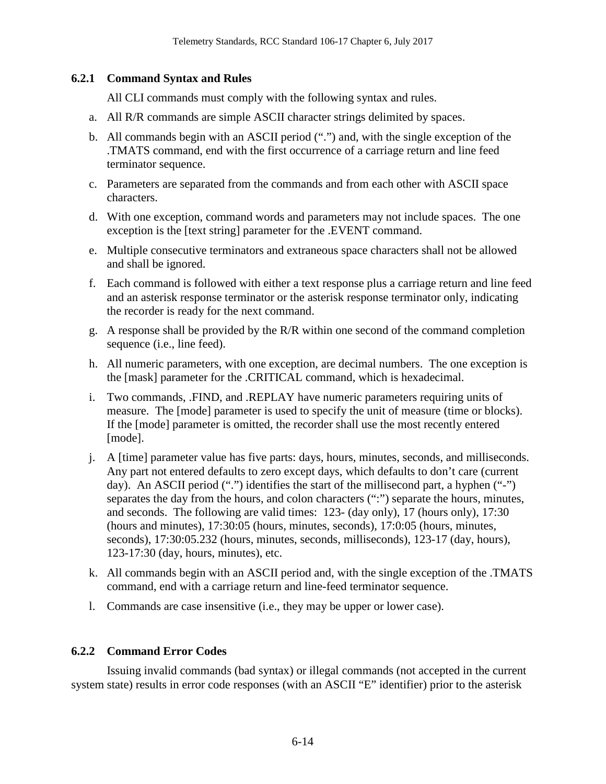## <span id="page-19-0"></span>**6.2.1 Command Syntax and Rules**

All CLI commands must comply with the following syntax and rules.

- a. All R/R commands are simple ASCII character strings delimited by spaces.
- b. All commands begin with an ASCII period (".") and, with the single exception of the .TMATS command, end with the first occurrence of a carriage return and line feed terminator sequence.
- c. Parameters are separated from the commands and from each other with ASCII space characters.
- d. With one exception, command words and parameters may not include spaces. The one exception is the [text string] parameter for the .EVENT command.
- e. Multiple consecutive terminators and extraneous space characters shall not be allowed and shall be ignored.
- f. Each command is followed with either a text response plus a carriage return and line feed and an asterisk response terminator or the asterisk response terminator only, indicating the recorder is ready for the next command.
- g. A response shall be provided by the R/R within one second of the command completion sequence (*i.e.*, line feed).
- h. All numeric parameters, with one exception, are decimal numbers. The one exception is the [mask] parameter for the .CRITICAL command, which is hexadecimal.
- i. Two commands, .FIND, and .REPLAY have numeric parameters requiring units of measure. The [mode] parameter is used to specify the unit of measure (time or blocks). If the [mode] parameter is omitted, the recorder shall use the most recently entered [mode].
- <span id="page-19-2"></span>j. A [time] parameter value has five parts: days, hours, minutes, seconds, and milliseconds. Any part not entered defaults to zero except days, which defaults to don't care (current day). An ASCII period (".") identifies the start of the millisecond part, a hyphen ("-") separates the day from the hours, and colon characters (":") separate the hours, minutes, and seconds. The following are valid times: 123- (day only), 17 (hours only), 17:30 (hours and minutes), 17:30:05 (hours, minutes, seconds), 17:0:05 (hours, minutes, seconds), 17:30:05.232 (hours, minutes, seconds, milliseconds), 123-17 (day, hours), 123-17:30 (day, hours, minutes), etc.
- k. All commands begin with an ASCII period and, with the single exception of the .TMATS command, end with a carriage return and line-feed terminator sequence.
- l. Commands are case insensitive (i.e., they may be upper or lower case).

## <span id="page-19-1"></span>**6.2.2 Command Error Codes**

Issuing invalid commands (bad syntax) or illegal commands (not accepted in the current system state) results in error code responses (with an ASCII "E" identifier) prior to the asterisk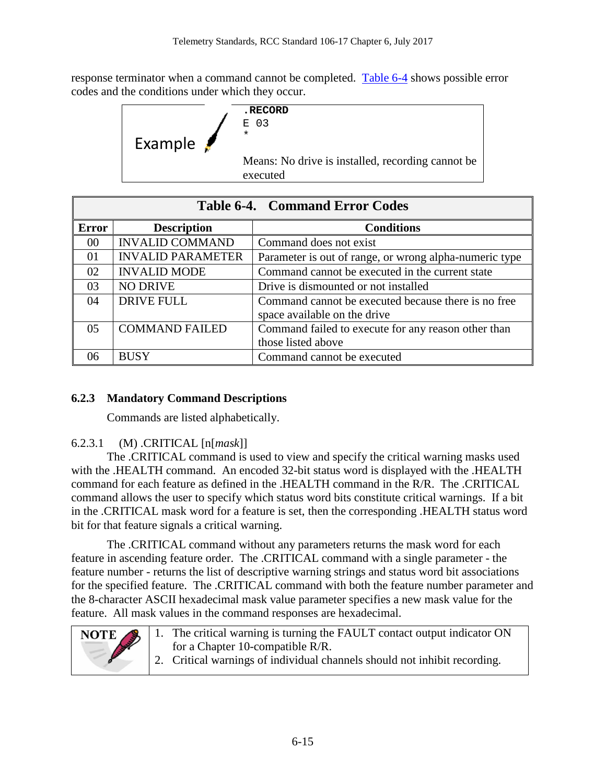response terminator when a command cannot be completed. [Table 6-4](#page-20-1) shows possible error codes and the conditions under which they occur.



<span id="page-20-1"></span>

| <b>Table 6-4. Command Error Codes</b> |                          |                                                        |  |  |
|---------------------------------------|--------------------------|--------------------------------------------------------|--|--|
| Error                                 | <b>Description</b>       | <b>Conditions</b>                                      |  |  |
| 00                                    | <b>INVALID COMMAND</b>   | Command does not exist                                 |  |  |
| 01                                    | <b>INVALID PARAMETER</b> | Parameter is out of range, or wrong alpha-numeric type |  |  |
| 02                                    | <b>INVALID MODE</b>      | Command cannot be executed in the current state        |  |  |
| 03                                    | <b>NO DRIVE</b>          | Drive is dismounted or not installed                   |  |  |
| 04                                    | <b>DRIVE FULL</b>        | Command cannot be executed because there is no free    |  |  |
|                                       |                          | space available on the drive                           |  |  |
| 05                                    | <b>COMMAND FAILED</b>    | Command failed to execute for any reason other than    |  |  |
|                                       |                          | those listed above                                     |  |  |
|                                       | <b>BUSY</b>              | Command cannot be executed                             |  |  |

## <span id="page-20-0"></span>**6.2.3 Mandatory Command Descriptions**

Commands are listed alphabetically.

## 6.2.3.1 (M) .CRITICAL [n[*mask*]]

The .CRITICAL command is used to view and specify the critical warning masks used with the .HEALTH command. An encoded 32-bit status word is displayed with the .HEALTH command for each feature as defined in the .HEALTH command in the R/R. The .CRITICAL command allows the user to specify which status word bits constitute critical warnings. If a bit in the .CRITICAL mask word for a feature is set, then the corresponding .HEALTH status word bit for that feature signals a critical warning.

The .CRITICAL command without any parameters returns the mask word for each feature in ascending feature order. The .CRITICAL command with a single parameter - the feature number - returns the list of descriptive warning strings and status word bit associations for the specified feature. The .CRITICAL command with both the feature number parameter and the 8-character ASCII hexadecimal mask value parameter specifies a new mask value for the feature. All mask values in the command responses are hexadecimal.

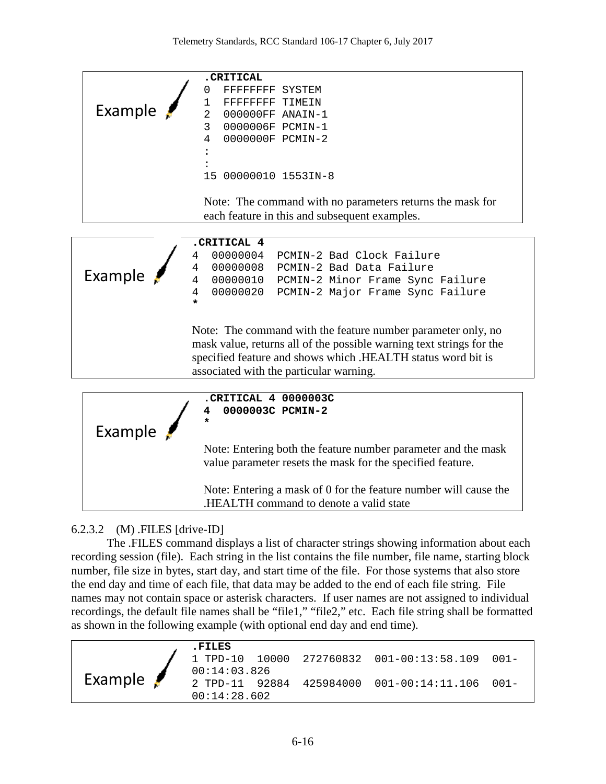|         | .CRITICAL                                                                                                                                                                                                                                       |  |
|---------|-------------------------------------------------------------------------------------------------------------------------------------------------------------------------------------------------------------------------------------------------|--|
|         | FFFFFFFF SYSTEM<br>0                                                                                                                                                                                                                            |  |
|         | 1<br>FFFFFFFF TIMEIN                                                                                                                                                                                                                            |  |
| Example | $\overline{2}$<br>000000FF ANAIN-1                                                                                                                                                                                                              |  |
|         | 3<br>0000006F PCMIN-1                                                                                                                                                                                                                           |  |
|         | $\overline{4}$<br>0000000F PCMIN-2                                                                                                                                                                                                              |  |
|         |                                                                                                                                                                                                                                                 |  |
|         |                                                                                                                                                                                                                                                 |  |
|         | 15 00000010 1553IN-8                                                                                                                                                                                                                            |  |
|         | Note: The command with no parameters returns the mask for<br>each feature in this and subsequent examples.                                                                                                                                      |  |
|         |                                                                                                                                                                                                                                                 |  |
|         | .CRITICAL 4                                                                                                                                                                                                                                     |  |
|         | 00000004<br>PCMIN-2 Bad Clock Failure<br>4                                                                                                                                                                                                      |  |
|         | $\overline{4}$<br>00000008 PCMIN-2 Bad Data Failure                                                                                                                                                                                             |  |
| Example | $\overline{4}$<br>00000010 PCMIN-2 Minor Frame Sync Failure                                                                                                                                                                                     |  |
|         | $\overline{4}$<br>00000020 PCMIN-2 Major Frame Sync Failure                                                                                                                                                                                     |  |
|         |                                                                                                                                                                                                                                                 |  |
|         | Note: The command with the feature number parameter only, no<br>mask value, returns all of the possible warning text strings for the<br>specified feature and shows which .HEALTH status word bit is<br>associated with the particular warning. |  |
|         |                                                                                                                                                                                                                                                 |  |
| Example | .CRITICAL 4 0000003C<br>0000003C PCMIN-2<br>4<br>÷                                                                                                                                                                                              |  |
|         | Note: Entering both the feature number parameter and the mask                                                                                                                                                                                   |  |
|         | value parameter resets the mask for the specified feature.                                                                                                                                                                                      |  |
|         | Note: Entering a mask of 0 for the feature number will cause the                                                                                                                                                                                |  |
|         | .HEALTH command to denote a valid state                                                                                                                                                                                                         |  |

## 6.2.3.2 (M) .FILES [drive-ID]

The .FILES command displays a list of character strings showing information about each recording session (file). Each string in the list contains the file number, file name, starting block number, file size in bytes, start day, and start time of the file. For those systems that also store the end day and time of each file, that data may be added to the end of each file string. File names may not contain space or asterisk characters. If user names are not assigned to individual recordings, the default file names shall be "file1," "file2," etc. Each file string shall be formatted as shown in the following example (with optional end day and end time).

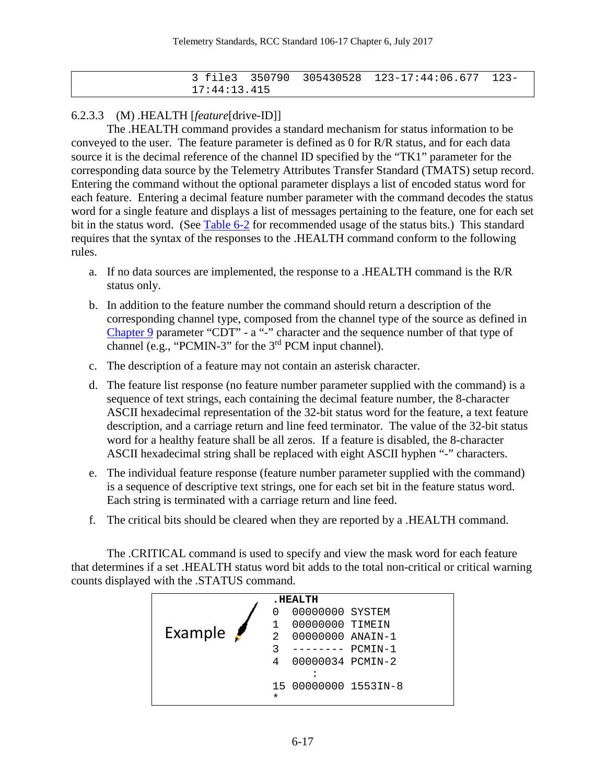3 file3 350790 305430528 123-17:44:06.677 123- 17:44:13.415

## 6.2.3.3 (M) .HEALTH [*feature*[drive-ID]]

The .HEALTH command provides a standard mechanism for status information to be conveyed to the user. The feature parameter is defined as 0 for R/R status, and for each data source it is the decimal reference of the channel ID specified by the "TK1" parameter for the corresponding data source by the Telemetry Attributes Transfer Standard (TMATS) setup record. Entering the command without the optional parameter displays a list of encoded status word for each feature. Entering a decimal feature number parameter with the command decodes the status word for a single feature and displays a list of messages pertaining to the feature, one for each set bit in the status word. (See [Table 6-2](#page-13-2) for recommended usage of the status bits.) This standard requires that the syntax of the responses to the .HEALTH command conform to the following rules.

- a. If no data sources are implemented, the response to a .HEALTH command is the R/R status only.
- b. In addition to the feature number the command should return a description of the corresponding channel type, composed from the channel type of the source as defined in [Chapter 9](http://www.wsmr.army.mil/RCCsite/Documents/106-17_Telemetry_Standards/Chapter9.pdf) parameter "CDT" - a "-" character and the sequence number of that type of channel (e.g., "PCMIN-3" for the  $3<sup>rd</sup>$  PCM input channel).
- c. The description of a feature may not contain an asterisk character.
- d. The feature list response (no feature number parameter supplied with the command) is a sequence of text strings, each containing the decimal feature number, the 8-character ASCII hexadecimal representation of the 32-bit status word for the feature, a text feature description, and a carriage return and line feed terminator. The value of the 32-bit status word for a healthy feature shall be all zeros. If a feature is disabled, the 8-character ASCII hexadecimal string shall be replaced with eight ASCII hyphen "-" characters.
- e. The individual feature response (feature number parameter supplied with the command) is a sequence of descriptive text strings, one for each set bit in the feature status word. Each string is terminated with a carriage return and line feed.
- f. The critical bits should be cleared when they are reported by a .HEALTH command.

The .CRITICAL command is used to specify and view the mask word for each feature that determines if a set .HEALTH status word bit adds to the total non-critical or critical warning counts displayed with the .STATUS command.

|         |               | .HRAI.TH             |         |
|---------|---------------|----------------------|---------|
|         |               | 00000000 SYSTEM      |         |
|         |               | 00000000 TIMEIN      |         |
| Example | $\mathcal{L}$ | 00000000 ANAIN-1     |         |
|         | ζ             | $---$                | PCMIN-1 |
|         | 4             | 00000034 PCMIN-2     |         |
|         |               |                      |         |
|         |               | 15 00000000 1553IN-8 |         |
|         | $\star$       |                      |         |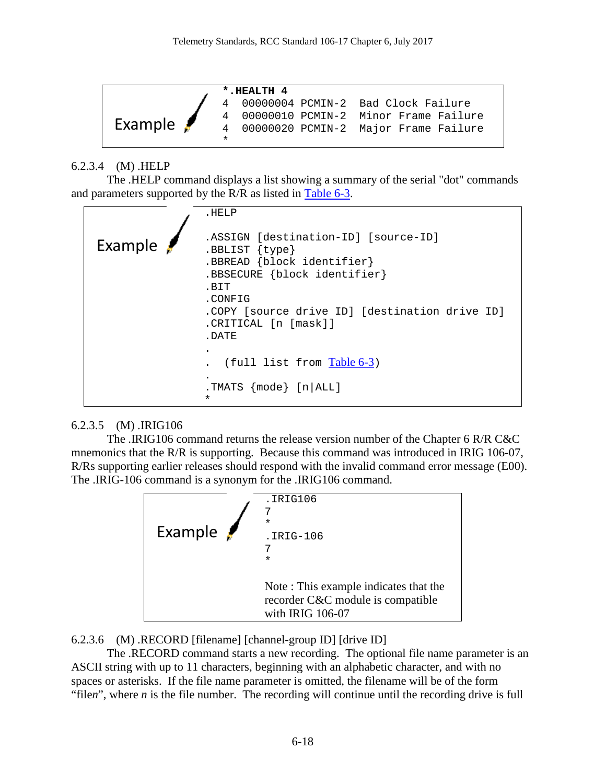|                               |         | *.HEALTH 4                             |
|-------------------------------|---------|----------------------------------------|
|                               |         | 4 00000004 PCMIN-2 Bad Clock Failure   |
|                               |         | 4 00000010 PCMIN-2 Minor Frame Failure |
| Example $\blacktriangleright$ |         | 4 00000020 PCMIN-2 Major Frame Failure |
|                               | $\star$ |                                        |

## 6.2.3.4 (M) .HELP

The .HELP command displays a list showing a summary of the serial "dot" commands and parameters supported by the R/R as listed in [Table 6-3.](#page-16-1)



## 6.2.3.5 (M) .IRIG106

The .IRIG106 command returns the release version number of the Chapter 6 R/R C&C mnemonics that the R/R is supporting. Because this command was introduced in IRIG 106-07, R/Rs supporting earlier releases should respond with the invalid command error message (E00). The .IRIG-106 command is a synonym for the .IRIG106 command.



6.2.3.6 (M) .RECORD [filename] [channel-group ID] [drive ID]

The .RECORD command starts a new recording. The optional file name parameter is an ASCII string with up to 11 characters, beginning with an alphabetic character, and with no spaces or asterisks. If the file name parameter is omitted, the filename will be of the form "file*n*", where *n* is the file number. The recording will continue until the recording drive is full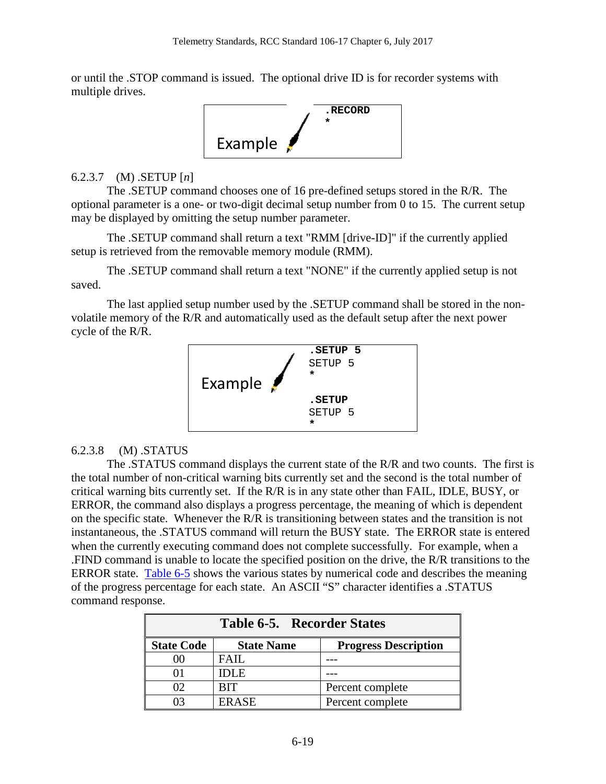or until the .STOP command is issued. The optional drive ID is for recorder systems with multiple drives.



## 6.2.3.7 (M) .SETUP [*n*]

The .SETUP command chooses one of 16 pre-defined setups stored in the R/R. The optional parameter is a one- or two-digit decimal setup number from 0 to 15. The current setup may be displayed by omitting the setup number parameter.

The .SETUP command shall return a text "RMM [drive-ID]" if the currently applied setup is retrieved from the removable memory module (RMM).

The .SETUP command shall return a text "NONE" if the currently applied setup is not saved.

The last applied setup number used by the .SETUP command shall be stored in the nonvolatile memory of the R/R and automatically used as the default setup after the next power cycle of the R/R.



## 6.2.3.8 (M) .STATUS

The .STATUS command displays the current state of the R/R and two counts. The first is the total number of non-critical warning bits currently set and the second is the total number of critical warning bits currently set. If the R/R is in any state other than FAIL, IDLE, BUSY, or ERROR, the command also displays a progress percentage, the meaning of which is dependent on the specific state. Whenever the R/R is transitioning between states and the transition is not instantaneous, the .STATUS command will return the BUSY state. The ERROR state is entered when the currently executing command does not complete successfully. For example, when a .FIND command is unable to locate the specified position on the drive, the R/R transitions to the ERROR state. [Table 6-5](#page-24-0) shows the various states by numerical code and describes the meaning of the progress percentage for each state. An ASCII "S" character identifies a .STATUS command response.

<span id="page-24-0"></span>

| Table 6-5. Recorder States |                   |                             |  |
|----------------------------|-------------------|-----------------------------|--|
| <b>State Code</b>          | <b>State Name</b> | <b>Progress Description</b> |  |
| 00                         | FAIL              |                             |  |
|                            | <b>IDLE</b>       |                             |  |
| 02                         | <b>BIT</b>        | Percent complete            |  |
|                            | <b>ERASE</b>      | Percent complete            |  |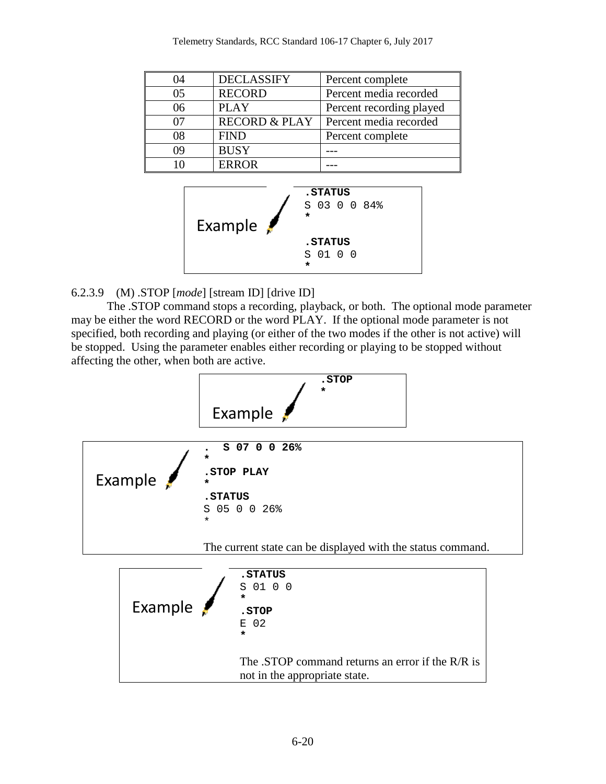| 04             | <b>DECLASSIFY</b>        | Percent complete         |
|----------------|--------------------------|--------------------------|
| 0 <sub>5</sub> | <b>RECORD</b>            | Percent media recorded   |
| 06             | <b>PLAY</b>              | Percent recording played |
| 07             | <b>RECORD &amp; PLAY</b> | Percent media recorded   |
| 08             | <b>FIND</b>              | Percent complete         |
| 09             | <b>BUSY</b>              |                          |
| 10             | <b>ERROR</b>             |                          |



6.2.3.9 (M) .STOP [*mode*] [stream ID] [drive ID]

The .STOP command stops a recording, playback, or both. The optional mode parameter may be either the word RECORD or the word PLAY. If the optional mode parameter is not specified, both recording and playing (or either of the two modes if the other is not active) will be stopped. Using the parameter enables either recording or playing to be stopped without affecting the other, when both are active.

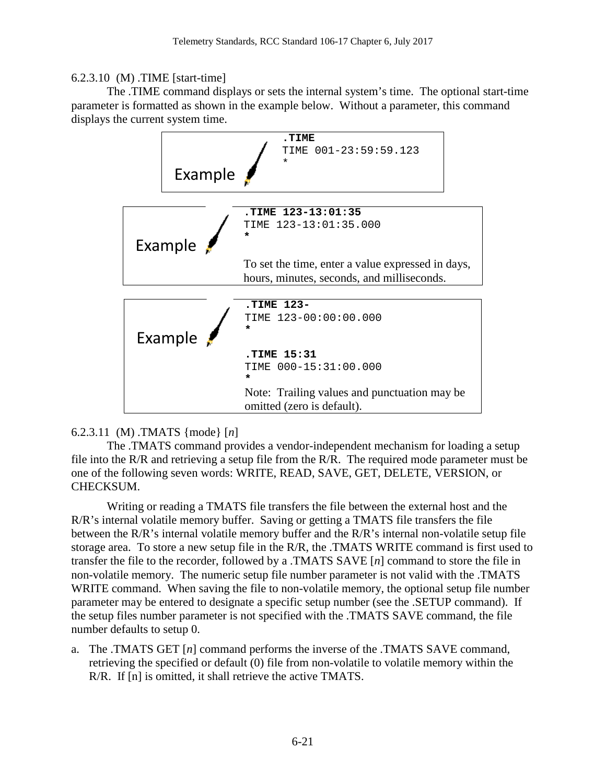## 6.2.3.10 (M) .TIME [start-time]

The .TIME command displays or sets the internal system's time. The optional start-time parameter is formatted as shown in the example below. Without a parameter, this command displays the current system time.



## 6.2.3.11 (M) .TMATS {mode} [*n*]

The .TMATS command provides a vendor-independent mechanism for loading a setup file into the R/R and retrieving a setup file from the R/R. The required mode parameter must be one of the following seven words: WRITE, READ, SAVE, GET, DELETE, VERSION, or CHECKSUM.

Writing or reading a TMATS file transfers the file between the external host and the R/R's internal volatile memory buffer. Saving or getting a TMATS file transfers the file between the R/R's internal volatile memory buffer and the R/R's internal non-volatile setup file storage area. To store a new setup file in the R/R, the .TMATS WRITE command is first used to transfer the file to the recorder, followed by a .TMATS SAVE [*n*] command to store the file in non-volatile memory. The numeric setup file number parameter is not valid with the .TMATS WRITE command. When saving the file to non-volatile memory, the optional setup file number parameter may be entered to designate a specific setup number (see the .SETUP command). If the setup files number parameter is not specified with the .TMATS SAVE command, the file number defaults to setup 0.

a. The .TMATS GET [*n*] command performs the inverse of the .TMATS SAVE command, retrieving the specified or default (0) file from non-volatile to volatile memory within the R/R. If [n] is omitted, it shall retrieve the active TMATS.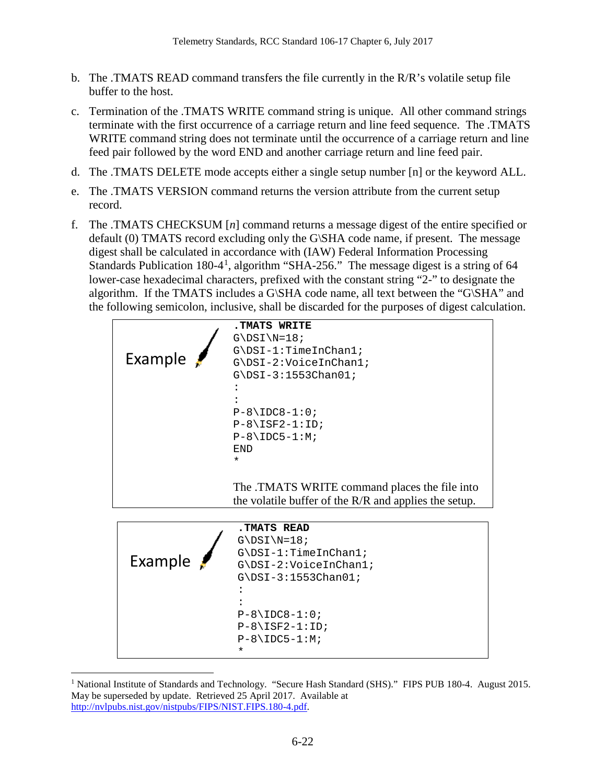- b. The .TMATS READ command transfers the file currently in the R/R's volatile setup file buffer to the host.
- c. Termination of the .TMATS WRITE command string is unique. All other command strings terminate with the first occurrence of a carriage return and line feed sequence. The .TMATS WRITE command string does not terminate until the occurrence of a carriage return and line feed pair followed by the word END and another carriage return and line feed pair.
- d. The .TMATS DELETE mode accepts either a single setup number [n] or the keyword ALL.
- e. The .TMATS VERSION command returns the version attribute from the current setup record.
- <span id="page-27-1"></span>f. The .TMATS CHECKSUM [*n*] command returns a message digest of the entire specified or default (0) TMATS record excluding only the G\SHA code name, if present. The message digest shall be calculated in accordance with (IAW) Federal Information Processing Standards Publication [1](#page-27-0)80-4<sup>1</sup>, algorithm "SHA-256." The message digest is a string of 64 lower-case hexadecimal characters, prefixed with the constant string "2-" to designate the algorithm. If the TMATS includes a G\SHA code name, all text between the "G\SHA" and the following semicolon, inclusive, shall be discarded for the purposes of digest calculation.

| Example | <b>.TMATS WRITE</b><br>$G\DSI\N=18;$<br>$G\Delta:TimeInChan1;$<br>G\DSI-2:VoiceInChan1;<br>$G\DSI-3:1553Chan01;$                                |
|---------|-------------------------------------------------------------------------------------------------------------------------------------------------|
|         | $P-8\IDC8-1:0;$<br>$P-8\ISF2-1:ID;$<br>$P-8\IDC5-1:M;$<br><b>END</b><br>$\star$                                                                 |
|         | The .TMATS WRITE command places the file into<br>the volatile buffer of the R/R and applies the setup.                                          |
| Example | .TMATS READ<br>$G\DSI\N=18;$<br>$G\DSI-1:TimeInChan1;$<br>G\DSI-2:VoiceInChan1;<br>$G\DBI-3:1553Chan01;$<br>$P-8\IDC8-1:0;$<br>$P-8\ISF2-1:ID;$ |
|         | $P-8\IDC5-1:M;$<br>$\star$                                                                                                                      |

<span id="page-27-0"></span><sup>&</sup>lt;sup>1</sup> National Institute of Standards and Technology. "Secure Hash Standard (SHS)." FIPS PUB 180-4. August 2015. May be superseded by update. Retrieved 25 April 2017. Available at [http://nvlpubs.nist.gov/nistpubs/FIPS/NIST.FIPS.180-4.pdf.](http://nvlpubs.nist.gov/nistpubs/FIPS/NIST.FIPS.180-4.pdf)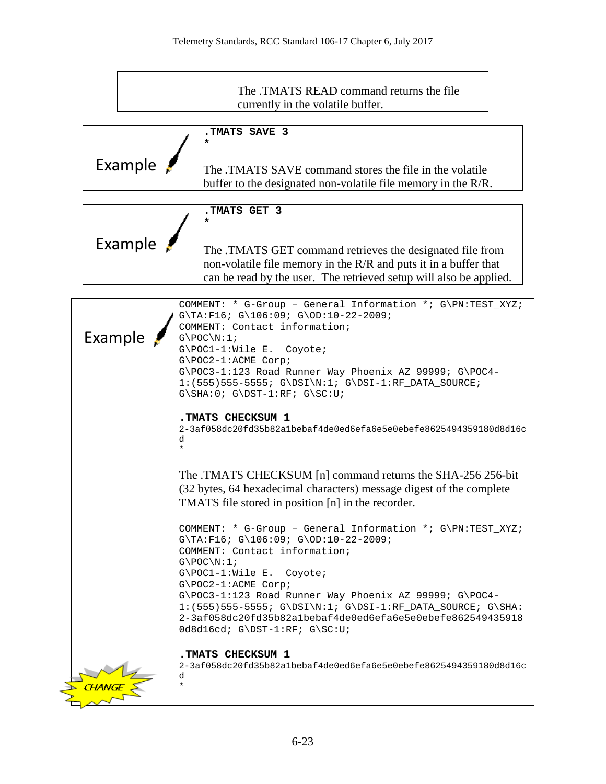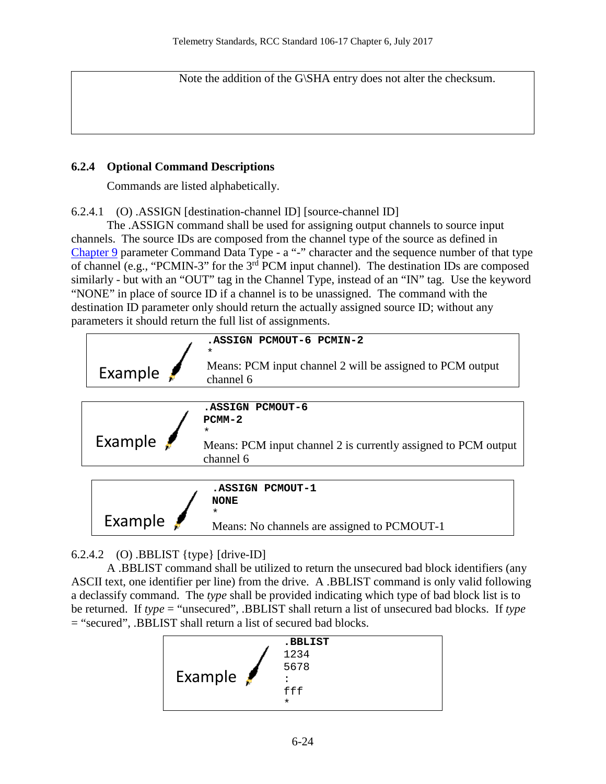Note the addition of the G\SHA entry does not alter the checksum.

## <span id="page-29-0"></span>**6.2.4 Optional Command Descriptions**

Commands are listed alphabetically.

6.2.4.1 (O) .ASSIGN [destination-channel ID] [source-channel ID]

The .ASSIGN command shall be used for assigning output channels to source input channels. The source IDs are composed from the channel type of the source as defined in [Chapter 9](http://www.wsmr.army.mil/RCCsite/Documents/106-17_Telemetry_Standards/Chapter9.pdf) parameter Command Data Type - a "-" character and the sequence number of that type of channel (e.g., "PCMIN-3" for the 3<sup>rd</sup> PCM input channel). The destination IDs are composed similarly - but with an "OUT" tag in the Channel Type, instead of an "IN" tag. Use the keyword "NONE" in place of source ID if a channel is to be unassigned. The command with the destination ID parameter only should return the actually assigned source ID; without any parameters it should return the full list of assignments.



## 6.2.4.2 (O) .BBLIST {type} [drive-ID]

A .BBLIST command shall be utilized to return the unsecured bad block identifiers (any ASCII text, one identifier per line) from the drive. A .BBLIST command is only valid following a declassify command. The *type* shall be provided indicating which type of bad block list is to be returned. If *type* = "unsecured", .BBLIST shall return a list of unsecured bad blocks. If *type* = "secured", .BBLIST shall return a list of secured bad blocks.

|                               | .BBLIST |
|-------------------------------|---------|
|                               | 1234    |
|                               | 5678    |
| Example $\blacktriangleright$ |         |
|                               | fff     |
|                               | *       |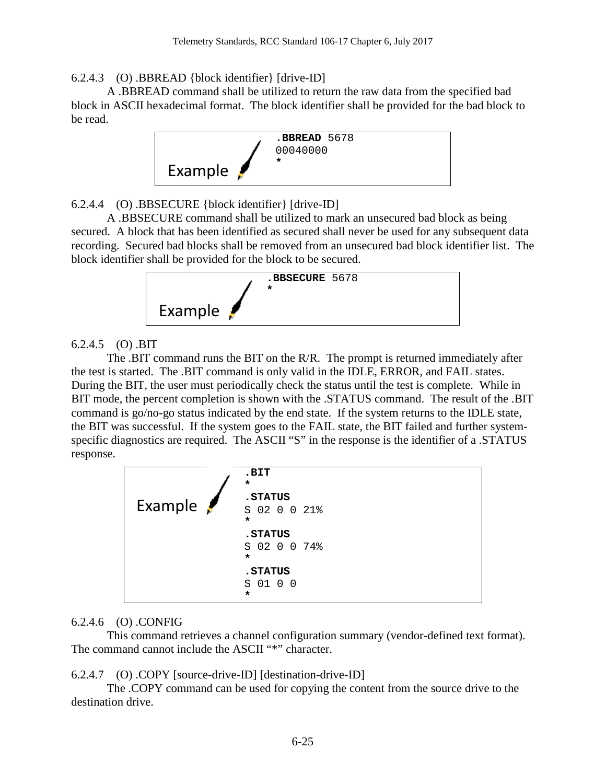6.2.4.3 (O) .BBREAD {block identifier} [drive-ID]

A .BBREAD command shall be utilized to return the raw data from the specified bad block in ASCII hexadecimal format. The block identifier shall be provided for the bad block to be read.



6.2.4.4 (O) .BBSECURE {block identifier} [drive-ID]

A .BBSECURE command shall be utilized to mark an unsecured bad block as being secured. A block that has been identified as secured shall never be used for any subsequent data recording. Secured bad blocks shall be removed from an unsecured bad block identifier list. The block identifier shall be provided for the block to be secured.



6.2.4.5 (O) .BIT

The .BIT command runs the BIT on the R/R. The prompt is returned immediately after the test is started. The .BIT command is only valid in the IDLE, ERROR, and FAIL states. During the BIT, the user must periodically check the status until the test is complete. While in BIT mode, the percent completion is shown with the .STATUS command. The result of the .BIT command is go/no-go status indicated by the end state. If the system returns to the IDLE state, the BIT was successful. If the system goes to the FAIL state, the BIT failed and further systemspecific diagnostics are required. The ASCII "S" in the response is the identifier of a .STATUS response.

|                               | .BIT<br>$\star$         |
|-------------------------------|-------------------------|
| Example $\blacktriangleright$ | .STATUS                 |
|                               | S 02 0 0 21%<br>$\star$ |
|                               | .STATUS                 |
|                               | S 02 0 0 74%            |
|                               | $\star$                 |
|                               | .STATUS                 |
|                               | S 01 0 0                |
|                               | $\star$                 |

## 6.2.4.6 (O) .CONFIG

This command retrieves a channel configuration summary (vendor-defined text format). The command cannot include the ASCII "\*" character.

6.2.4.7 (O) .COPY [source-drive-ID] [destination-drive-ID]

The .COPY command can be used for copying the content from the source drive to the destination drive.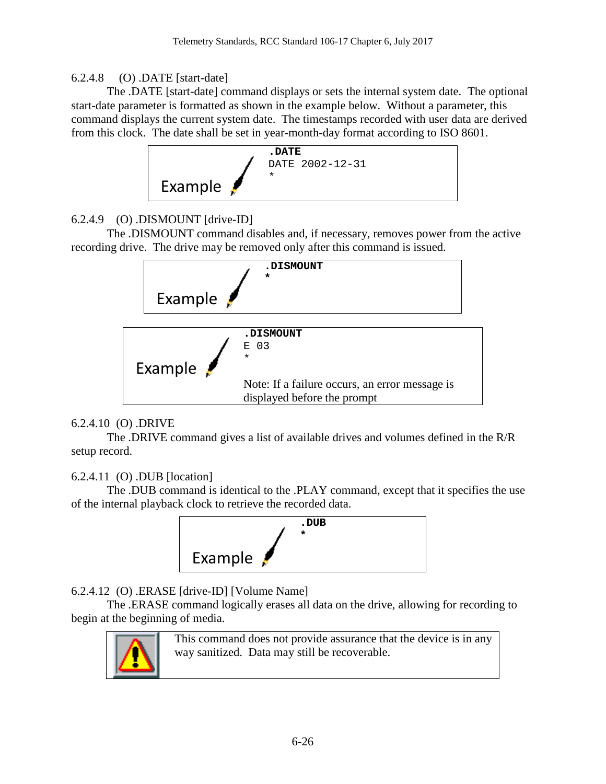## 6.2.4.8 (O) .DATE [start-date]

The .DATE [start-date] command displays or sets the internal system date. The optional start-date parameter is formatted as shown in the example below. Without a parameter, this command displays the current system date. The timestamps recorded with user data are derived from this clock. The date shall be set in year-month-day format according to ISO 8601.



## 6.2.4.9 (O) .DISMOUNT [drive-ID]

The .DISMOUNT command disables and, if necessary, removes power from the active recording drive. The drive may be removed only after this command is issued.



## 6.2.4.10 (O) .DRIVE

The .DRIVE command gives a list of available drives and volumes defined in the R/R setup record.

# 6.2.4.11 (O) .DUB [location]

The .DUB command is identical to the .PLAY command, except that it specifies the use of the internal playback clock to retrieve the recorded data.



6.2.4.12 (O) .ERASE [drive-ID] [Volume Name]

The .ERASE command logically erases all data on the drive, allowing for recording to begin at the beginning of media.



This command does not provide assurance that the device is in any way sanitized. Data may still be recoverable.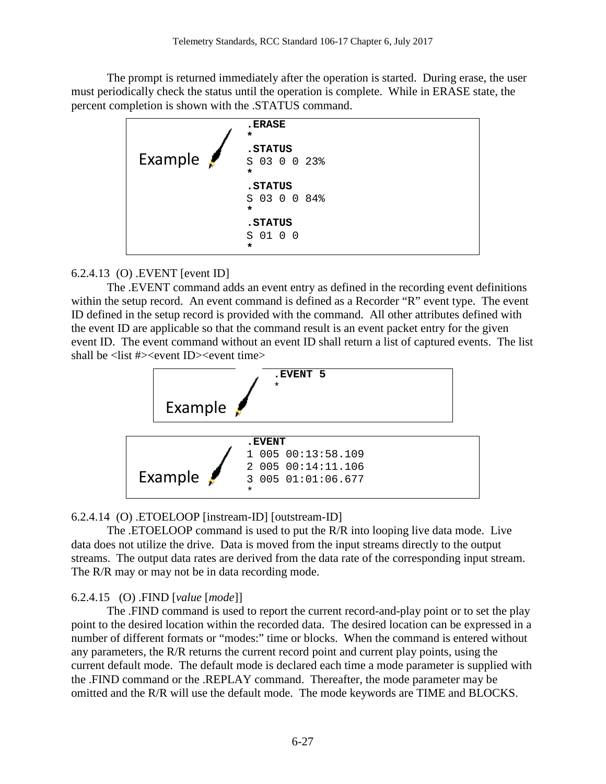The prompt is returned immediately after the operation is started. During erase, the user must periodically check the status until the operation is complete. While in ERASE state, the percent completion is shown with the .STATUS command.

| Example $\blacktriangleright$ | <b>.ERASE</b><br>$\star$<br>.STATUS |
|-------------------------------|-------------------------------------|
|                               | S 03 0 0 23%<br>$\star$             |
|                               | .STATUS<br>S 03 0 0 84%<br>$\star$  |
|                               | .STATUS                             |
|                               | S 01 0 0<br>$\star$                 |

## 6.2.4.13 (O) .EVENT [event ID]

The .EVENT command adds an event entry as defined in the recording event definitions within the setup record. An event command is defined as a Recorder "R" event type. The event ID defined in the setup record is provided with the command. All other attributes defined with the event ID are applicable so that the command result is an event packet entry for the given event ID. The event command without an event ID shall return a list of captured events. The list shall be <list #><event ID><event time>



## 6.2.4.14 (O) .ETOELOOP [instream-ID] [outstream-ID]

The .ETOELOOP command is used to put the R/R into looping live data mode. Live data does not utilize the drive. Data is moved from the input streams directly to the output streams. The output data rates are derived from the data rate of the corresponding input stream. The R/R may or may not be in data recording mode.

## 6.2.4.15 (O) .FIND [*value* [*mode*]]

The .FIND command is used to report the current record-and-play point or to set the play point to the desired location within the recorded data. The desired location can be expressed in a number of different formats or "modes:" time or blocks. When the command is entered without any parameters, the R/R returns the current record point and current play points, using the current default mode. The default mode is declared each time a mode parameter is supplied with the .FIND command or the .REPLAY command. Thereafter, the mode parameter may be omitted and the R/R will use the default mode. The mode keywords are TIME and BLOCKS.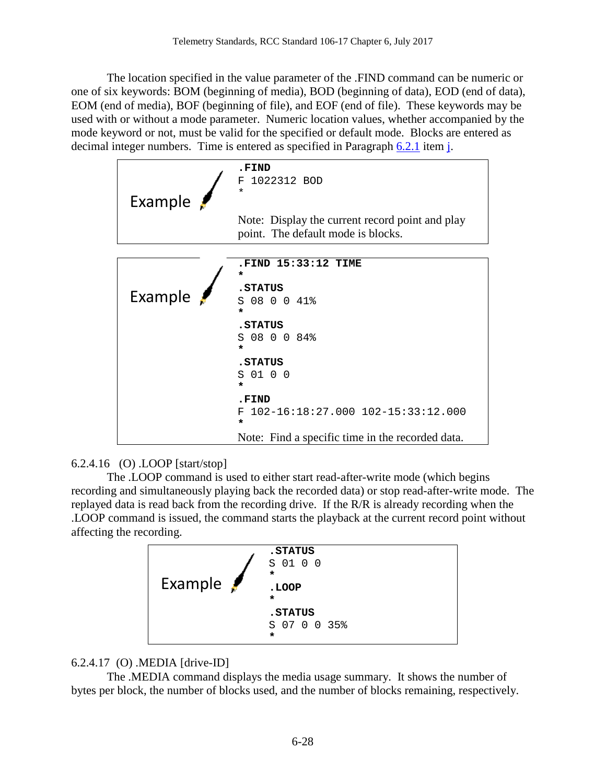The location specified in the value parameter of the .FIND command can be numeric or one of six keywords: BOM (beginning of media), BOD (beginning of data), EOD (end of data), EOM (end of media), BOF (beginning of file), and EOF (end of file). These keywords may be used with or without a mode parameter. Numeric location values, whether accompanied by the mode keyword or not, must be valid for the specified or default mode. Blocks are entered as decimal integer numbers. Time is entered as specified in Paragraph [6.2.1](#page-19-0) item [j.](#page-19-2)

| Example | .FIND<br>1022312 BOD<br>F<br>$\star$                                                  |
|---------|---------------------------------------------------------------------------------------|
|         | Note: Display the current record point and play<br>point. The default mode is blocks. |
|         |                                                                                       |
|         | <b>.FIND 15:33:12 TIME</b><br>*                                                       |
| Example | .STATUS<br>S 08 0 0 41%<br>*                                                          |
|         | <b>.STATUS</b>                                                                        |
|         | S 08 0 0 84%<br>$\star$                                                               |
|         | .STATUS<br>S 01 0 0<br>*                                                              |
|         | <b>.FIND</b><br>102-16:18:27.000 102-15:33:12.000<br>F                                |
|         | *                                                                                     |
|         | Note: Find a specific time in the recorded data.                                      |

## 6.2.4.16 (O) .LOOP [start/stop]

The .LOOP command is used to either start read-after-write mode (which begins recording and simultaneously playing back the recorded data) or stop read-after-write mode. The replayed data is read back from the recording drive. If the R/R is already recording when the .LOOP command is issued, the command starts the playback at the current record point without affecting the recording.



## 6.2.4.17 (O) .MEDIA [drive-ID]

The .MEDIA command displays the media usage summary. It shows the number of bytes per block, the number of blocks used, and the number of blocks remaining, respectively.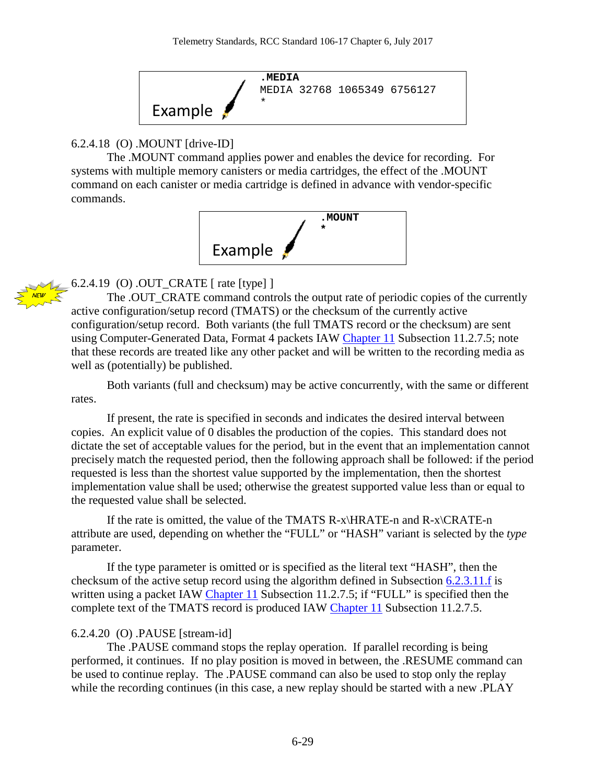

#### 6.2.4.18 (O) .MOUNT [drive-ID]

The .MOUNT command applies power and enables the device for recording. For systems with multiple memory canisters or media cartridges, the effect of the .MOUNT command on each canister or media cartridge is defined in advance with vendor-specific commands.



<span id="page-34-0"></span>6.2.4.19 (O) .OUT\_CRATE [ rate [type] ]

The .OUT\_CRATE command controls the output rate of periodic copies of the currently active configuration/setup record (TMATS) or the checksum of the currently active configuration/setup record. Both variants (the full TMATS record or the checksum) are sent using Computer-Generated Data, Format 4 packets IAW [Chapter 11](http://www.wsmr.army.mil/RCCsite/Documents/106-17_Telemetry_Standards/Chapter11.pdf) Subsection 11.2.7.5; note that these records are treated like any other packet and will be written to the recording media as well as (potentially) be published.

Both variants (full and checksum) may be active concurrently, with the same or different rates.

If present, the rate is specified in seconds and indicates the desired interval between copies. An explicit value of 0 disables the production of the copies. This standard does not dictate the set of acceptable values for the period, but in the event that an implementation cannot precisely match the requested period, then the following approach shall be followed: if the period requested is less than the shortest value supported by the implementation, then the shortest implementation value shall be used; otherwise the greatest supported value less than or equal to the requested value shall be selected.

If the rate is omitted, the value of the TMATS R-x\HRATE-n and R-x\CRATE-n attribute are used, depending on whether the "FULL" or "HASH" variant is selected by the *type* parameter.

If the type parameter is omitted or is specified as the literal text "HASH", then the checksum of the active setup record using the algorithm defined in Subsection [6.2.3.11.f](#page-27-1) is written using a packet IAW [Chapter 11](http://www.wsmr.army.mil/RCCsite/Documents/106-17_Telemetry_Standards/Chapter11.pdf) Subsection 11.2.7.5; if "FULL" is specified then the complete text of the TMATS record is produced IAW [Chapter 11](http://www.wsmr.army.mil/RCCsite/Documents/106-17_Telemetry_Standards/Chapter11.pdf) Subsection 11.2.7.5.

#### 6.2.4.20 (O) .PAUSE [stream-id]

The .PAUSE command stops the replay operation. If parallel recording is being performed, it continues. If no play position is moved in between, the .RESUME command can be used to continue replay. The .PAUSE command can also be used to stop only the replay while the recording continues (in this case, a new replay should be started with a new .PLAY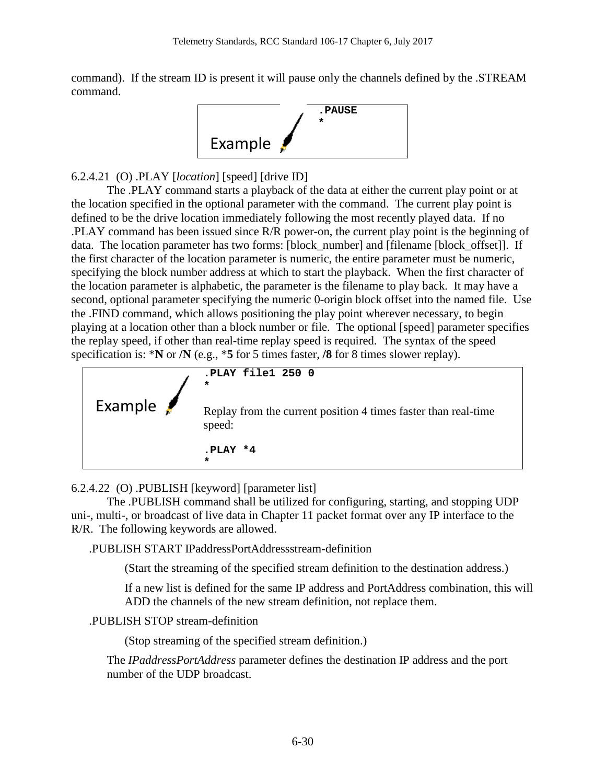command). If the stream ID is present it will pause only the channels defined by the .STREAM command.



## 6.2.4.21 (O) .PLAY [*location*] [speed] [drive ID]

The .PLAY command starts a playback of the data at either the current play point or at the location specified in the optional parameter with the command. The current play point is defined to be the drive location immediately following the most recently played data. If no .PLAY command has been issued since R/R power-on, the current play point is the beginning of data. The location parameter has two forms: [block\_number] and [filename [block\_offset]]. If the first character of the location parameter is numeric, the entire parameter must be numeric, specifying the block number address at which to start the playback. When the first character of the location parameter is alphabetic, the parameter is the filename to play back. It may have a second, optional parameter specifying the numeric 0-origin block offset into the named file. Use the .FIND command, which allows positioning the play point wherever necessary, to begin playing at a location other than a block number or file. The optional [speed] parameter specifies the replay speed, if other than real-time replay speed is required. The syntax of the speed specification is: \***N** or **/N** (e.g., \***5** for 5 times faster, **/8** for 8 times slower replay).



## 6.2.4.22 (O) .PUBLISH [keyword] [parameter list]

The .PUBLISH command shall be utilized for configuring, starting, and stopping UDP uni-, multi-, or broadcast of live data in Chapter 11 packet format over any IP interface to the R/R. The following keywords are allowed.

.PUBLISH START IPaddressPortAddressstream-definition

(Start the streaming of the specified stream definition to the destination address.)

If a new list is defined for the same IP address and PortAddress combination, this will ADD the channels of the new stream definition, not replace them.

## .PUBLISH STOP stream-definition

(Stop streaming of the specified stream definition.)

The *IPaddressPortAddress* parameter defines the destination IP address and the port number of the UDP broadcast.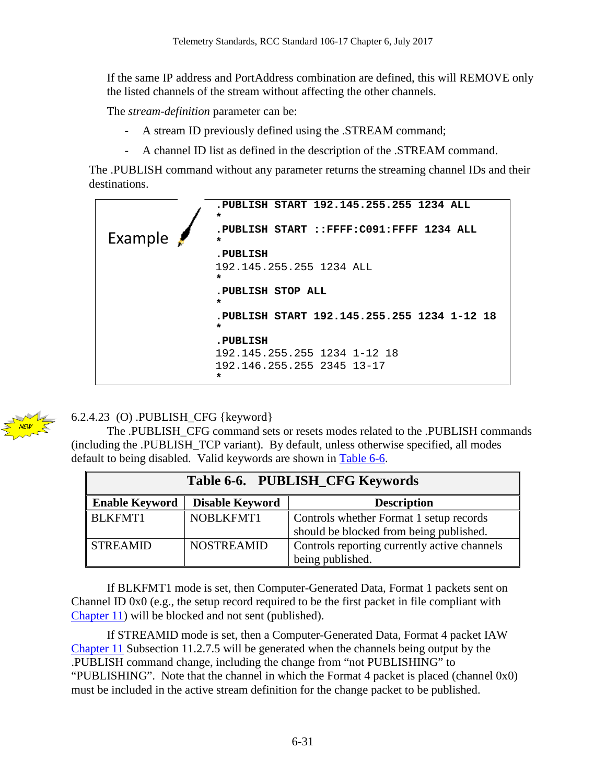If the same IP address and PortAddress combination are defined, this will REMOVE only the listed channels of the stream without affecting the other channels.

The *stream-definition* parameter can be:

- A stream ID previously defined using the .STREAM command;
- A channel ID list as defined in the description of the .STREAM command.

The .PUBLISH command without any parameter returns the streaming channel IDs and their destinations.

|         | PUBLISH START 192.145.255.255 1234 ALL.<br>$\star$     |
|---------|--------------------------------------------------------|
| Example | PUBLISH START ::FFFF:C091:FFFF 1234 ALL.<br>$\star$    |
|         | .PUBLISH                                               |
|         | 192.145.255.255 1234 ALL<br>$\star$                    |
|         | PUBLISH STOP ALL<br>$\star$                            |
|         | PUBLISH START 192.145.255.255 1234 1-12 18.<br>$\star$ |
|         | .PUBLISH                                               |
|         | 192.145.255.255 1234 1-12 18                           |
|         | 192.146.255.255 2345 13-17<br>$\star$                  |



6.2.4.23 (O) .PUBLISH\_CFG {keyword}

The .PUBLISH\_CFG command sets or resets modes related to the .PUBLISH commands (including the .PUBLISH\_TCP variant). By default, unless otherwise specified, all modes default to being disabled. Valid keywords are shown in [Table 6-6.](#page-36-0)

<span id="page-36-0"></span>

| Table 6-6. PUBLISH_CFG Keywords                                       |                   |                                              |  |  |  |
|-----------------------------------------------------------------------|-------------------|----------------------------------------------|--|--|--|
| <b>Description</b><br><b>Enable Keyword</b><br><b>Disable Keyword</b> |                   |                                              |  |  |  |
| <b>BLKFMT1</b>                                                        | NOBLKFMT1         | Controls whether Format 1 setup records      |  |  |  |
|                                                                       |                   | should be blocked from being published.      |  |  |  |
| <b>STREAMID</b>                                                       | <b>NOSTREAMID</b> | Controls reporting currently active channels |  |  |  |
|                                                                       |                   | being published.                             |  |  |  |

If BLKFMT1 mode is set, then Computer-Generated Data, Format 1 packets sent on Channel ID 0x0 (e.g., the setup record required to be the first packet in file compliant with [Chapter 11\)](http://www.wsmr.army.mil/RCCsite/Documents/106-17_Telemetry_Standards/chapter%2011.pdf) will be blocked and not sent (published).

If STREAMID mode is set, then a Computer-Generated Data, Format 4 packet IAW [Chapter 11](http://www.wsmr.army.mil/RCCsite/Documents/106-17_Telemetry_Standards/chapter%2011.pdf) Subsection 11.2.7.5 will be generated when the channels being output by the .PUBLISH command change, including the change from "not PUBLISHING" to "PUBLISHING". Note that the channel in which the Format 4 packet is placed (channel  $(x_0)$ ) must be included in the active stream definition for the change packet to be published.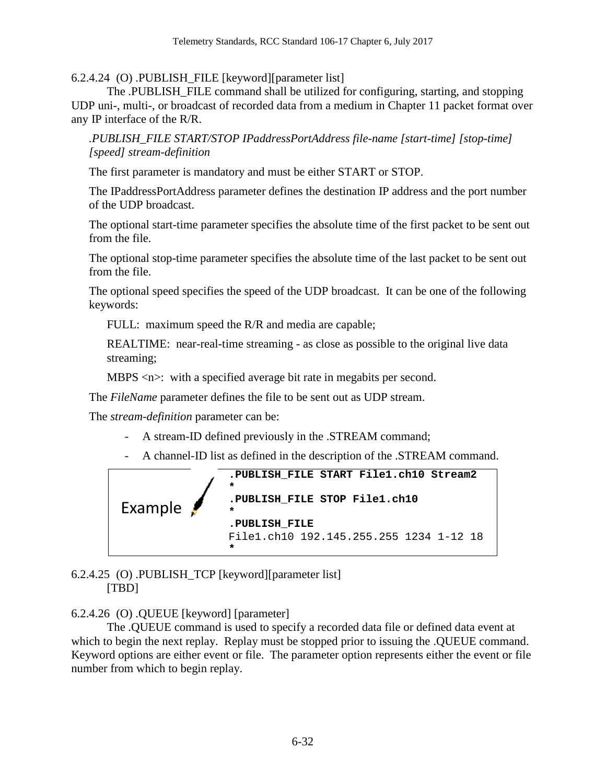6.2.4.24 (O) .PUBLISH\_FILE [keyword][parameter list]

The .PUBLISH\_FILE command shall be utilized for configuring, starting, and stopping UDP uni-, multi-, or broadcast of recorded data from a medium in Chapter 11 packet format over any IP interface of the R/R.

*.PUBLISH\_FILE START/STOP IPaddressPortAddress file-name [start-time] [stop-time] [speed] stream-definition*

The first parameter is mandatory and must be either START or STOP.

The IPaddressPortAddress parameter defines the destination IP address and the port number of the UDP broadcast.

The optional start-time parameter specifies the absolute time of the first packet to be sent out from the file.

The optional stop-time parameter specifies the absolute time of the last packet to be sent out from the file.

The optional speed specifies the speed of the UDP broadcast. It can be one of the following keywords:

FULL: maximum speed the R/R and media are capable;

REALTIME: near-real-time streaming - as close as possible to the original live data streaming;

MBPS  $\langle n \rangle$ : with a specified average bit rate in megabits per second.

The *FileName* parameter defines the file to be sent out as UDP stream.

The *stream-definition* parameter can be:

- A stream-ID defined previously in the .STREAM command;
- A channel-ID list as defined in the description of the .STREAM command.



6.2.4.25 (O) .PUBLISH\_TCP [keyword][parameter list] [TBD]

# 6.2.4.26 (O) .QUEUE [keyword] [parameter]

The .QUEUE command is used to specify a recorded data file or defined data event at which to begin the next replay. Replay must be stopped prior to issuing the .QUEUE command. Keyword options are either event or file. The parameter option represents either the event or file number from which to begin replay.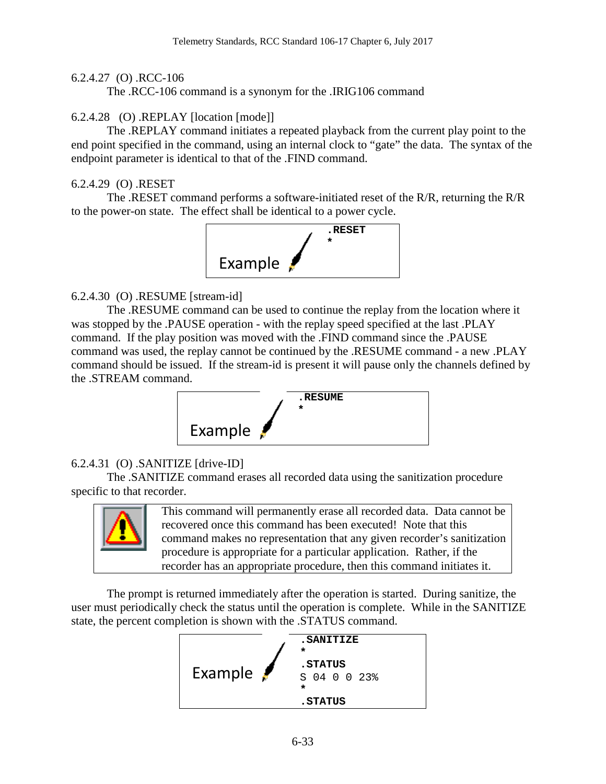#### 6.2.4.27 (O) .RCC-106

The .RCC-106 command is a synonym for the .IRIG106 command

# 6.2.4.28 (O) .REPLAY [location [mode]]

The .REPLAY command initiates a repeated playback from the current play point to the end point specified in the command, using an internal clock to "gate" the data. The syntax of the endpoint parameter is identical to that of the .FIND command.

#### 6.2.4.29 (O) .RESET

The .RESET command performs a software-initiated reset of the R/R, returning the R/R to the power-on state. The effect shall be identical to a power cycle.



# 6.2.4.30 (O) .RESUME [stream-id]

The .RESUME command can be used to continue the replay from the location where it was stopped by the .PAUSE operation - with the replay speed specified at the last .PLAY command. If the play position was moved with the .FIND command since the .PAUSE command was used, the replay cannot be continued by the .RESUME command - a new .PLAY command should be issued. If the stream-id is present it will pause only the channels defined by the .STREAM command.



# 6.2.4.31 (O) .SANITIZE [drive-ID]

The .SANITIZE command erases all recorded data using the sanitization procedure specific to that recorder.



This command will permanently erase all recorded data. Data cannot be recovered once this command has been executed! Note that this command makes no representation that any given recorder's sanitization procedure is appropriate for a particular application. Rather, if the recorder has an appropriate procedure, then this command initiates it.

The prompt is returned immediately after the operation is started. During sanitize, the user must periodically check the status until the operation is complete. While in the SANITIZE state, the percent completion is shown with the .STATUS command.

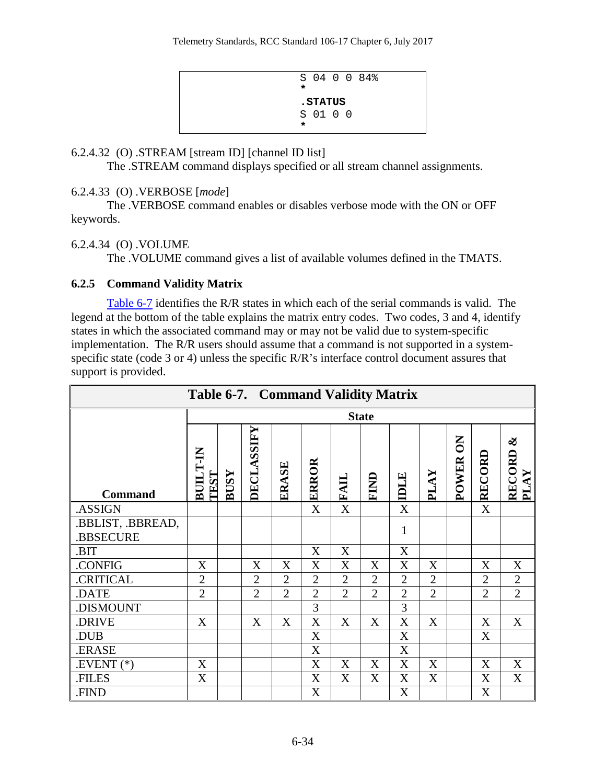| S 04 0 0 84%<br>*          |
|----------------------------|
| <b>.STATUS</b><br>S 01 0 0 |

## 6.2.4.32 (O) .STREAM [stream ID] [channel ID list]

The .STREAM command displays specified or all stream channel assignments.

#### 6.2.4.33 (O) .VERBOSE [*mode*]

The .VERBOSE command enables or disables verbose mode with the ON or OFF keywords.

## 6.2.4.34 (O) .VOLUME

The .VOLUME command gives a list of available volumes defined in the TMATS.

# **6.2.5 Command Validity Matrix**

[Table 6-7](#page-39-0) identifies the R/R states in which each of the serial commands is valid. The legend at the bottom of the table explains the matrix entry codes. Two codes, 3 and 4, identify states in which the associated command may or may not be valid due to system-specific implementation. The R/R users should assume that a command is not supported in a systemspecific state (code 3 or 4) unless the specific R/R's interface control document assures that support is provided.

<span id="page-39-0"></span>

| <b>Table 6-7. Command Validity Matrix</b> |                         |             |                |                |                |                |                |                           |                |          |                           |                            |
|-------------------------------------------|-------------------------|-------------|----------------|----------------|----------------|----------------|----------------|---------------------------|----------------|----------|---------------------------|----------------------------|
|                                           |                         |             |                |                |                |                | <b>State</b>   |                           |                |          |                           |                            |
| <b>Command</b>                            | <b>BUILT-IN</b><br>TEST | <b>ASOR</b> | DECLASSIFY     | ERASE          | ERROR          | FAIL           | EIND           | TION                      | PLAY           | POWER ON | RECORD                    | $\infty$<br>RECORD<br>PLAY |
| .ASSIGN                                   |                         |             |                |                | X              | X              |                | X                         |                |          | X                         |                            |
| BBLIST, BBREAD,<br><b>BBSECURE</b>        |                         |             |                |                |                |                |                | $\mathbf{1}$              |                |          |                           |                            |
| .BIT                                      |                         |             |                |                | X              | X              |                | X                         |                |          |                           |                            |
| .CONFIG                                   | X                       |             | X              | $\mathbf X$    | X              | X              | X              | X                         | $\mathbf X$    |          | $\mathbf X$               | $\boldsymbol{\mathrm{X}}$  |
| .CRITICAL                                 | $\overline{2}$          |             | $\overline{2}$ | $\overline{2}$ | $\overline{2}$ | $\overline{2}$ | $\overline{2}$ | $\overline{2}$            | $\overline{2}$ |          | $\overline{2}$            | $\overline{2}$             |
| .DATE                                     | $\overline{2}$          |             | $\overline{2}$ | $\overline{2}$ | $\overline{2}$ | $\overline{2}$ | $\overline{2}$ | $\overline{2}$            | $\overline{2}$ |          | $\overline{2}$            | $\overline{2}$             |
| .DISMOUNT                                 |                         |             |                |                | 3              |                |                | 3                         |                |          |                           |                            |
| .DRIVE                                    | X                       |             | X              | X              | X              | X              | X              | X                         | X              |          | X                         | X                          |
| .DUB                                      |                         |             |                |                | X              |                |                | $\boldsymbol{\mathrm{X}}$ |                |          | X                         |                            |
| <b>ERASE</b>                              |                         |             |                |                | X              |                |                | X                         |                |          |                           |                            |
| $EVENT (*)$                               | X                       |             |                |                | X              | X              | X              | X                         | X              |          | X                         | X                          |
| <b>FILES</b>                              | X                       |             |                |                | X              | X              | X              | X                         | X              |          | X                         | X                          |
| <b>FIND</b>                               |                         |             |                |                | X              |                |                | $\boldsymbol{\mathrm{X}}$ |                |          | $\boldsymbol{\mathrm{X}}$ |                            |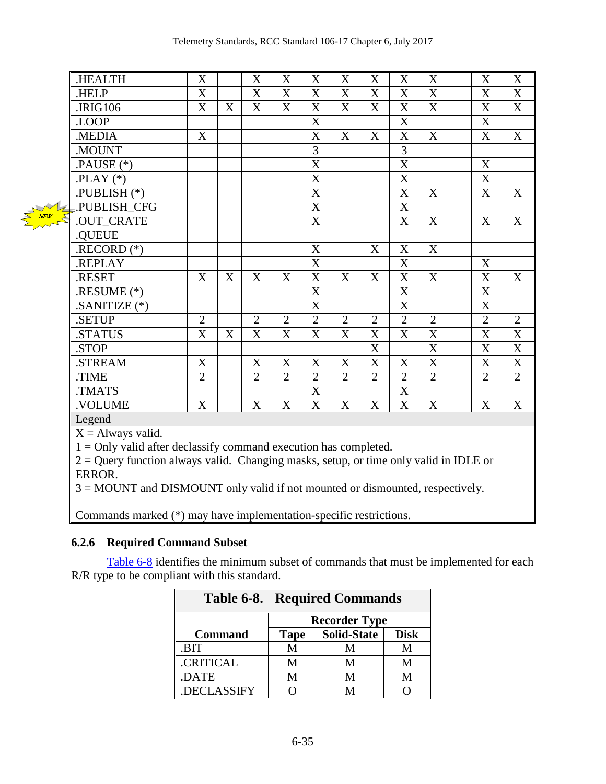| <b>HEALTH</b>                                                                           | X                |   | $\boldsymbol{X}$ | $\boldsymbol{\mathrm{X}}$ | X                         | X              | X              | $\mathbf X$           | X              | $\boldsymbol{X}$ | X                         |
|-----------------------------------------------------------------------------------------|------------------|---|------------------|---------------------------|---------------------------|----------------|----------------|-----------------------|----------------|------------------|---------------------------|
| .HELP                                                                                   | X                |   | X                | $\mathbf X$               | $\mathbf X$               | X              | X              | $\mathbf X$           | X              | $\mathbf X$      | $\boldsymbol{\mathrm{X}}$ |
| .IRIG106                                                                                | X                | X | X                | X                         | X                         | X              | X              | X                     | X              | X                | X                         |
| LOOP                                                                                    |                  |   |                  |                           | X                         |                |                | X                     |                | X                |                           |
| .MEDIA                                                                                  | X                |   |                  |                           | X                         | X              | X              | $\mathbf X$           | X              | X                | $\mathbf X$               |
| MOUNT.                                                                                  |                  |   |                  |                           | 3                         |                |                | $\overline{3}$        |                |                  |                           |
| $PAUSE$ (*)                                                                             |                  |   |                  |                           | $\overline{\text{X}}$     |                |                | $\overline{\text{X}}$ |                | X                |                           |
| $.$ PLAY $(*)$                                                                          |                  |   |                  |                           | X                         |                |                | $\mathbf X$           |                | X                |                           |
| .PUBLISH (*)                                                                            |                  |   |                  |                           | X                         |                |                | X                     | X              | X                | X                         |
| PUBLISH_CFG                                                                             |                  |   |                  |                           | $\mathbf X$               |                |                | X                     |                |                  |                           |
| .OUT_CRATE                                                                              |                  |   |                  |                           | X                         |                |                | X                     | X              | X                | X                         |
| .QUEUE                                                                                  |                  |   |                  |                           |                           |                |                |                       |                |                  |                           |
| .RECORD $(*)$                                                                           |                  |   |                  |                           | X                         |                | X              | $\mathbf X$           | X              |                  |                           |
| .REPLAY                                                                                 |                  |   |                  |                           | X                         |                |                | X                     |                | X                |                           |
| <b>RESET</b>                                                                            | X                | X | X                | X                         | $\boldsymbol{\mathrm{X}}$ | X              | X              | X                     | X              | X                | X                         |
| $RESUME$ (*)                                                                            |                  |   |                  |                           | X                         |                |                | X                     |                | X                |                           |
| $.SANITIZE$ (*)                                                                         |                  |   |                  |                           | X                         |                |                | X                     |                | X                |                           |
| SETUP.                                                                                  | $\overline{2}$   |   | $\overline{2}$   | $\overline{2}$            | $\overline{2}$            | $\overline{2}$ | $\overline{2}$ | $\overline{2}$        | $\overline{2}$ | $\overline{2}$   | $\overline{2}$            |
| <b>STATUS</b>                                                                           | X                | X | X                | X                         | X                         | X              | X              | X                     | X              | $\mathbf X$      | X                         |
| .STOP                                                                                   |                  |   |                  |                           |                           |                | X              |                       | X              | X                | $\mathbf X$               |
| .STREAM                                                                                 | X                |   | X                | X                         | X                         | X              | X              | X                     | X              | X                | $\boldsymbol{\mathrm{X}}$ |
| .TIME                                                                                   | $\overline{2}$   |   | $\overline{2}$   | $\overline{2}$            | $\overline{2}$            | $\overline{2}$ | $\overline{2}$ | $\overline{2}$        | $\overline{2}$ | $\overline{2}$   | $\overline{2}$            |
| TMATS.                                                                                  |                  |   |                  |                           | X                         |                |                | X                     |                |                  |                           |
| .VOLUME                                                                                 | $\boldsymbol{X}$ |   | $\boldsymbol{X}$ | $\boldsymbol{\mathrm{X}}$ | X                         | X              | X              | X                     | X              | $\boldsymbol{X}$ | X                         |
| Legend                                                                                  |                  |   |                  |                           |                           |                |                |                       |                |                  |                           |
| $X =$ Always valid.                                                                     |                  |   |                  |                           |                           |                |                |                       |                |                  |                           |
| $1 =$ Only valid after declassify command execution has completed.                      |                  |   |                  |                           |                           |                |                |                       |                |                  |                           |
| $2 =$ Query function always valid. Changing masks, setup, or time only valid in IDLE or |                  |   |                  |                           |                           |                |                |                       |                |                  |                           |
| ERROR.                                                                                  |                  |   |                  |                           |                           |                |                |                       |                |                  |                           |

3 = MOUNT and DISMOUNT only valid if not mounted or dismounted, respectively.

Commands marked (\*) may have implementation-specific restrictions.

#### **6.2.6 Required Command Subset**

[Table 6-8](#page-40-0) identifies the minimum subset of commands that must be implemented for each R/R type to be compliant with this standard.

<span id="page-40-0"></span>

| <b>Table 6-8. Required Commands</b> |                      |                    |             |  |  |
|-------------------------------------|----------------------|--------------------|-------------|--|--|
|                                     | <b>Recorder Type</b> |                    |             |  |  |
| <b>Command</b>                      | <b>Tape</b>          | <b>Solid-State</b> | <b>Disk</b> |  |  |
| .BIT                                | М                    | M                  | M           |  |  |
| .CRITICAL                           | М                    | M                  | M           |  |  |
| .DATE                               | M                    | M                  | M           |  |  |
| .DECLASSIFY                         |                      |                    |             |  |  |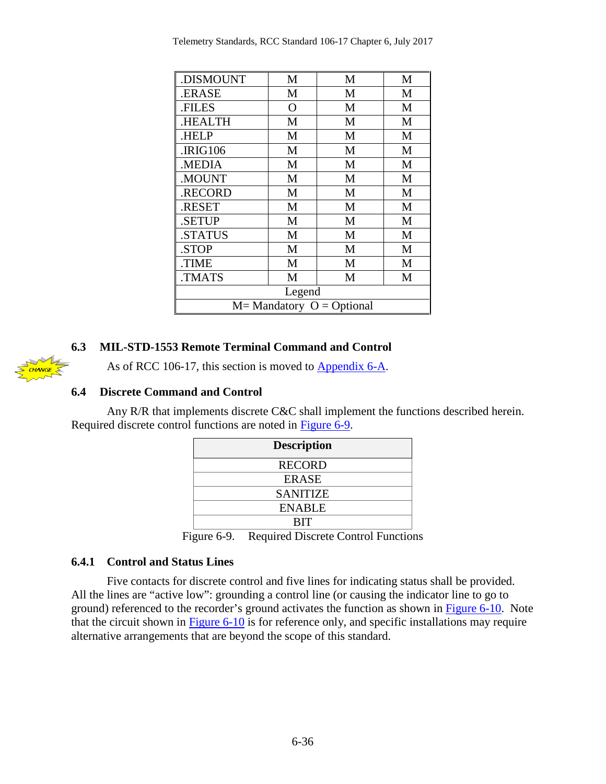|  | Telemetry Standards, RCC Standard 106-17 Chapter 6, July 2017 |  |
|--|---------------------------------------------------------------|--|
|--|---------------------------------------------------------------|--|

| .DISMOUNT     | M | M                             | M |  |
|---------------|---|-------------------------------|---|--|
| <b>.ERASE</b> | M | M                             | M |  |
| <b>FILES</b>  | O | M                             | M |  |
| <b>HEALTH</b> | M | M                             | M |  |
| HELP.         | M | M                             | M |  |
| .IRIG106      | M | M                             | M |  |
| .MEDIA        | M | M                             | M |  |
| <b>MOUNT</b>  | M | M                             | M |  |
| <b>RECORD</b> | M | M                             | M |  |
| .RESET        | M | M                             | M |  |
| <b>SETUP</b>  | M | M                             | M |  |
| <b>STATUS</b> | M | M                             | M |  |
| .STOP         | M | M                             | M |  |
| <b>TIME</b>   | M | M                             | M |  |
| TMATS.        | M | M                             | M |  |
| Legend        |   |                               |   |  |
|               |   | $M=$ Mandatory $O =$ Optional |   |  |

## **6.3 MIL-STD-1553 Remote Terminal Command and Control**

As of RCC 106-17, this section is moved to **Appendix 6-A**.

#### **6.4 Discrete Command and Control**

Any R/R that implements discrete C&C shall implement the functions described herein. Required discrete control functions are noted in [Figure 6-9.](#page-41-0)

| <b>Description</b> |
|--------------------|
| <b>RECORD</b>      |
| <b>ERASE</b>       |
| <b>SANITIZE</b>    |
| <b>ENABLE</b>      |
| RIT                |

Figure 6-9. Required Discrete Control Functions

#### <span id="page-41-0"></span>**6.4.1 Control and Status Lines**

Five contacts for discrete control and five lines for indicating status shall be provided. All the lines are "active low": grounding a control line (or causing the indicator line to go to ground) referenced to the recorder's ground activates the function as shown in [Figure 6-10.](#page-42-0) Note that the circuit shown in [Figure 6-10](#page-42-0) is for reference only, and specific installations may require alternative arrangements that are beyond the scope of this standard.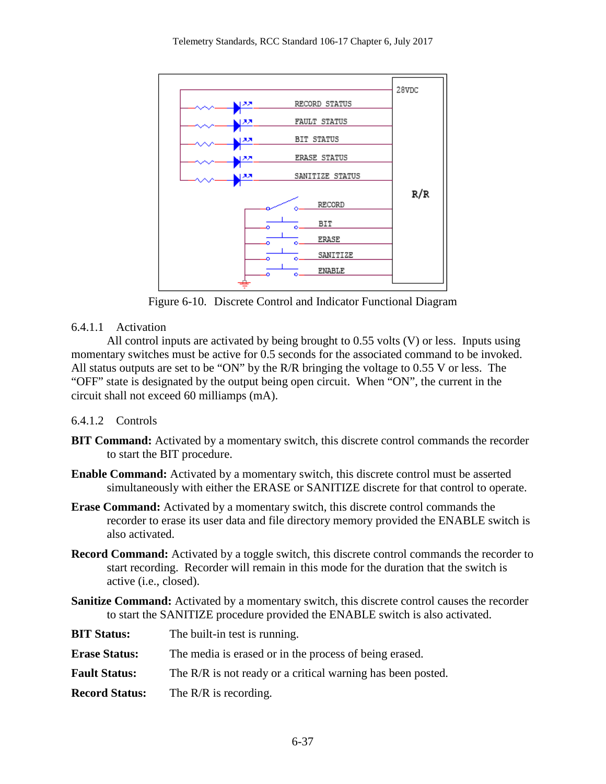

Figure 6-10. Discrete Control and Indicator Functional Diagram

## <span id="page-42-0"></span>6.4.1.1 Activation

All control inputs are activated by being brought to 0.55 volts (V) or less. Inputs using momentary switches must be active for 0.5 seconds for the associated command to be invoked. All status outputs are set to be "ON" by the R/R bringing the voltage to 0.55 V or less. The "OFF" state is designated by the output being open circuit. When "ON", the current in the circuit shall not exceed 60 milliamps (mA).

#### 6.4.1.2 Controls

- **BIT Command:** Activated by a momentary switch, this discrete control commands the recorder to start the BIT procedure.
- **Enable Command:** Activated by a momentary switch, this discrete control must be asserted simultaneously with either the ERASE or SANITIZE discrete for that control to operate.
- **Erase Command:** Activated by a momentary switch, this discrete control commands the recorder to erase its user data and file directory memory provided the ENABLE switch is also activated.
- **Record Command:** Activated by a toggle switch, this discrete control commands the recorder to start recording. Recorder will remain in this mode for the duration that the switch is active (i.e., closed).
- **Sanitize Command:** Activated by a momentary switch, this discrete control causes the recorder to start the SANITIZE procedure provided the ENABLE switch is also activated.

| <b>BIT Status:</b>    | The built-in test is running.                               |
|-----------------------|-------------------------------------------------------------|
| <b>Erase Status:</b>  | The media is erased or in the process of being erased.      |
| <b>Fault Status:</b>  | The R/R is not ready or a critical warning has been posted. |
| <b>Record Status:</b> | The $R/R$ is recording.                                     |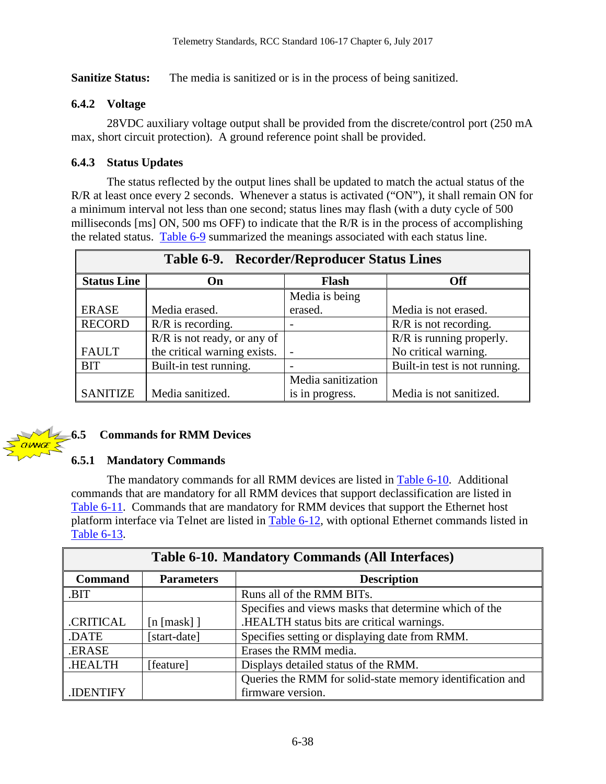**Sanitize Status:** The media is sanitized or is in the process of being sanitized.

# **6.4.2 Voltage**

28VDC auxiliary voltage output shall be provided from the discrete/control port (250 mA max, short circuit protection). A ground reference point shall be provided.

## **6.4.3 Status Updates**

The status reflected by the output lines shall be updated to match the actual status of the R/R at least once every 2 seconds. Whenever a status is activated ("ON"), it shall remain ON for a minimum interval not less than one second; status lines may flash (with a duty cycle of 500 milliseconds [ms] ON, 500 ms OFF) to indicate that the R/R is in the process of accomplishing the related status. [Table 6-9](#page-43-0) summarized the meanings associated with each status line.

<span id="page-43-0"></span>

| Table 6-9. Recorder/Reproducer Status Lines |                               |                    |                               |  |  |
|---------------------------------------------|-------------------------------|--------------------|-------------------------------|--|--|
| <b>Status Line</b>                          | $\mathbf{On}$                 | <b>Flash</b>       | <b>Off</b>                    |  |  |
|                                             |                               | Media is being     |                               |  |  |
| <b>ERASE</b>                                | Media erased.                 | erased.            | Media is not erased.          |  |  |
| <b>RECORD</b>                               | $R/R$ is recording.           |                    | $R/R$ is not recording.       |  |  |
|                                             | $R/R$ is not ready, or any of |                    | $R/R$ is running properly.    |  |  |
| <b>FAULT</b>                                | the critical warning exists.  |                    | No critical warning.          |  |  |
| <b>BIT</b>                                  | Built-in test running.        |                    | Built-in test is not running. |  |  |
|                                             |                               | Media sanitization |                               |  |  |
| <b>SANITIZE</b>                             | Media sanitized.              | is in progress.    | Media is not sanitized.       |  |  |



# **6.5 Commands for RMM Devices**

# **6.5.1 Mandatory Commands**

The mandatory commands for all RMM devices are listed in [Table 6-10.](#page-43-1) Additional commands that are mandatory for all RMM devices that support declassification are listed in [Table 6-11.](#page-44-0) Commands that are mandatory for RMM devices that support the Ethernet host platform interface via Telnet are listed in **Table 6-12**, with optional Ethernet commands listed in [Table 6-13.](#page-45-0)

<span id="page-43-1"></span>

| <b>Table 6-10. Mandatory Commands (All Interfaces)</b> |                   |                                                           |  |  |
|--------------------------------------------------------|-------------------|-----------------------------------------------------------|--|--|
| <b>Command</b>                                         | <b>Parameters</b> | <b>Description</b>                                        |  |  |
| .BIT                                                   |                   | Runs all of the RMM BITs.                                 |  |  |
|                                                        |                   | Specifies and views masks that determine which of the     |  |  |
| .CRITICAL                                              | $[n \, [mask] ]$  | .HEALTH status bits are critical warnings.                |  |  |
| .DATE                                                  | [start-date]      | Specifies setting or displaying date from RMM.            |  |  |
| <b>.ERASE</b>                                          |                   | Erases the RMM media.                                     |  |  |
| .HEALTH                                                | [feature]         | Displays detailed status of the RMM.                      |  |  |
|                                                        |                   | Queries the RMM for solid-state memory identification and |  |  |
| <b>.IDENTIFY</b>                                       |                   | firmware version.                                         |  |  |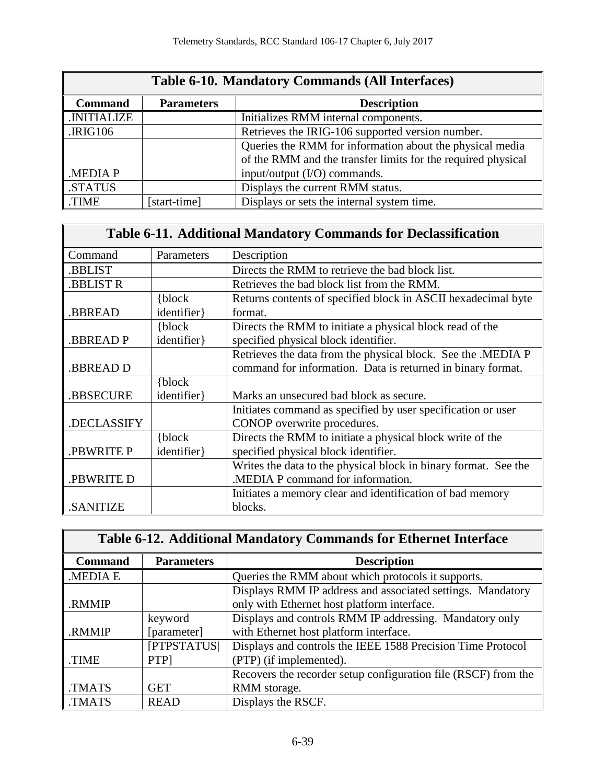| Table 6-10. Mandatory Commands (All Interfaces) |                                                              |                                                          |  |
|-------------------------------------------------|--------------------------------------------------------------|----------------------------------------------------------|--|
| <b>Command</b>                                  | <b>Description</b><br><b>Parameters</b>                      |                                                          |  |
| .INITIALIZE                                     |                                                              | Initializes RMM internal components.                     |  |
| .IRIG106                                        |                                                              | Retrieves the IRIG-106 supported version number.         |  |
|                                                 |                                                              | Queries the RMM for information about the physical media |  |
|                                                 | of the RMM and the transfer limits for the required physical |                                                          |  |
| <b>MEDIAP</b>                                   |                                                              | input/output (I/O) commands.                             |  |
| <b>STATUS</b>                                   |                                                              | Displays the current RMM status.                         |  |
| .TIME                                           | [start-time]                                                 | Displays or sets the internal system time.               |  |

<span id="page-44-0"></span>

|                  |                         | <b>Table 6-11. Additional Mandatory Commands for Declassification</b>                                                       |
|------------------|-------------------------|-----------------------------------------------------------------------------------------------------------------------------|
| Command          | Parameters              | Description                                                                                                                 |
| <b>.BBLIST</b>   |                         | Directs the RMM to retrieve the bad block list.                                                                             |
| <b>.BBLIST R</b> |                         | Retrieves the bad block list from the RMM.                                                                                  |
| .BBREAD          | {block}<br>identifier } | Returns contents of specified block in ASCII hexadecimal byte<br>format.                                                    |
|                  | $\{block\}$             | Directs the RMM to initiate a physical block read of the                                                                    |
| <b>BBREADP</b>   | identifier }            | specified physical block identifier.                                                                                        |
| <b>BBREAD D.</b> |                         | Retrieves the data from the physical block. See the .MEDIA P<br>command for information. Data is returned in binary format. |
|                  | $\{block\}$             |                                                                                                                             |
| .BBSECURE        | identifier }            | Marks an unsecured bad block as secure.                                                                                     |
| .DECLASSIFY      |                         | Initiates command as specified by user specification or user<br>CONOP overwrite procedures.                                 |
|                  | {block}                 | Directs the RMM to initiate a physical block write of the                                                                   |
| PBWRITE P.       | identifier}             | specified physical block identifier.                                                                                        |
|                  |                         | Writes the data to the physical block in binary format. See the                                                             |
| PBWRITE D.       |                         | .MEDIA P command for information.                                                                                           |
|                  |                         | Initiates a memory clear and identification of bad memory                                                                   |
| <b>SANITIZE</b>  |                         | blocks.                                                                                                                     |

<span id="page-44-1"></span>

| Table 6-12. Additional Mandatory Commands for Ethernet Interface |                   |                                                                |  |
|------------------------------------------------------------------|-------------------|----------------------------------------------------------------|--|
| <b>Command</b>                                                   | <b>Parameters</b> | <b>Description</b>                                             |  |
| .MEDIA E                                                         |                   | Queries the RMM about which protocols it supports.             |  |
|                                                                  |                   | Displays RMM IP address and associated settings. Mandatory     |  |
| .RMMIP                                                           |                   | only with Ethernet host platform interface.                    |  |
|                                                                  | keyword           | Displays and controls RMM IP addressing. Mandatory only        |  |
| .RMMIP                                                           | [parameter]       | with Ethernet host platform interface.                         |  |
|                                                                  | [PTPSTATUS]       | Displays and controls the IEEE 1588 Precision Time Protocol    |  |
| TIME.                                                            | PTP <sub>1</sub>  | (PTP) (if implemented).                                        |  |
|                                                                  |                   | Recovers the recorder setup configuration file (RSCF) from the |  |
| TMATS.                                                           | <b>GET</b>        | RMM storage.                                                   |  |
| <b>TMATS</b>                                                     | <b>READ</b>       | Displays the RSCF.                                             |  |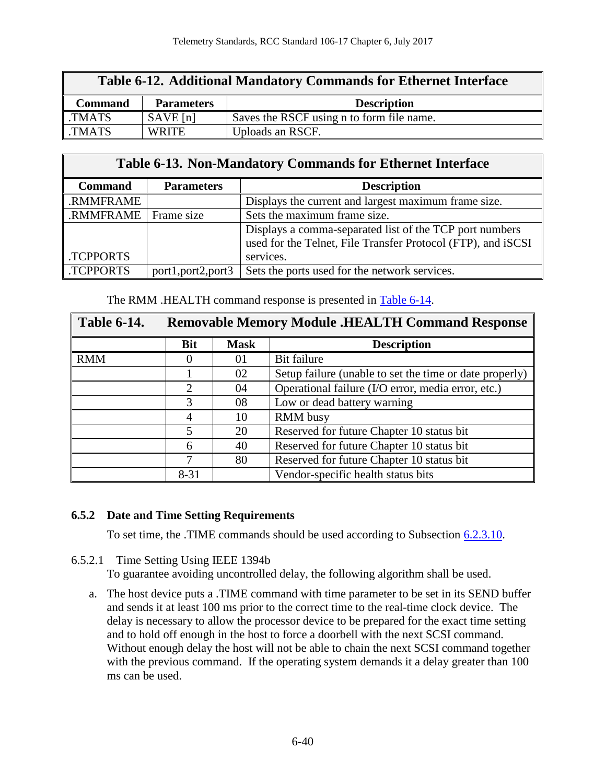| Table 6-12. Additional Mandatory Commands for Ethernet Interface |                   |                                           |  |
|------------------------------------------------------------------|-------------------|-------------------------------------------|--|
| Command                                                          | <b>Parameters</b> | <b>Description</b>                        |  |
| .TMATS                                                           | SAVE[n]           | Saves the RSCF using n to form file name. |  |
| .TMATS                                                           | <b>WRITE</b>      | Uploads an RSCF.                          |  |

<span id="page-45-0"></span>

| Table 6-13. Non-Mandatory Commands for Ethernet Interface |                   |                                                   |
|-----------------------------------------------------------|-------------------|---------------------------------------------------|
| <b>Command</b>                                            | <b>Parameters</b> | <b>Description</b>                                |
| MMED AME                                                  |                   | Displays the owner and largest maximum frame size |

| .RMMFRAME              | Displays the current and largest maximum frame size.              |
|------------------------|-------------------------------------------------------------------|
| .RMMFRAME   Frame size | Sets the maximum frame size.                                      |
|                        | Displays a comma-separated list of the TCP port numbers           |
|                        | used for the Telnet, File Transfer Protocol (FTP), and iSCSI      |
| <b>TCPPORTS</b>        | services.                                                         |
| .TCPPORTS              | port1, port2, port3 Sets the ports used for the network services. |

The RMM .HEALTH command response is presented in [Table 6-14.](#page-45-1)

<span id="page-45-1"></span>

| <b>Table 6-14.</b> | <b>Removable Memory Module .HEALTH Command Response</b> |             |                                                         |  |
|--------------------|---------------------------------------------------------|-------------|---------------------------------------------------------|--|
|                    | Bit                                                     | <b>Mask</b> | <b>Description</b>                                      |  |
| <b>RMM</b>         |                                                         | 01          | Bit failure                                             |  |
|                    |                                                         | 02          | Setup failure (unable to set the time or date properly) |  |
|                    | $\mathcal{D}_{\mathcal{A}}$                             | 04          | Operational failure (I/O error, media error, etc.)      |  |
|                    | 3                                                       | 08          | Low or dead battery warning                             |  |
|                    | 4                                                       | 10          | RMM busy                                                |  |
|                    |                                                         | 20          | Reserved for future Chapter 10 status bit               |  |
|                    | 6                                                       | 40          | Reserved for future Chapter 10 status bit               |  |
|                    | 7                                                       | 80          | Reserved for future Chapter 10 status bit               |  |
|                    | $8 - 31$                                                |             | Vendor-specific health status bits                      |  |

#### **6.5.2 Date and Time Setting Requirements**

To set time, the .TIME commands should be used according to Subsection [6.2.3.10.](#page-26-0)

#### 6.5.2.1 Time Setting Using IEEE 1394b

To guarantee avoiding uncontrolled delay, the following algorithm shall be used.

a. The host device puts a .TIME command with time parameter to be set in its SEND buffer and sends it at least 100 ms prior to the correct time to the real-time clock device. The delay is necessary to allow the processor device to be prepared for the exact time setting and to hold off enough in the host to force a doorbell with the next SCSI command. Without enough delay the host will not be able to chain the next SCSI command together with the previous command. If the operating system demands it a delay greater than 100 ms can be used.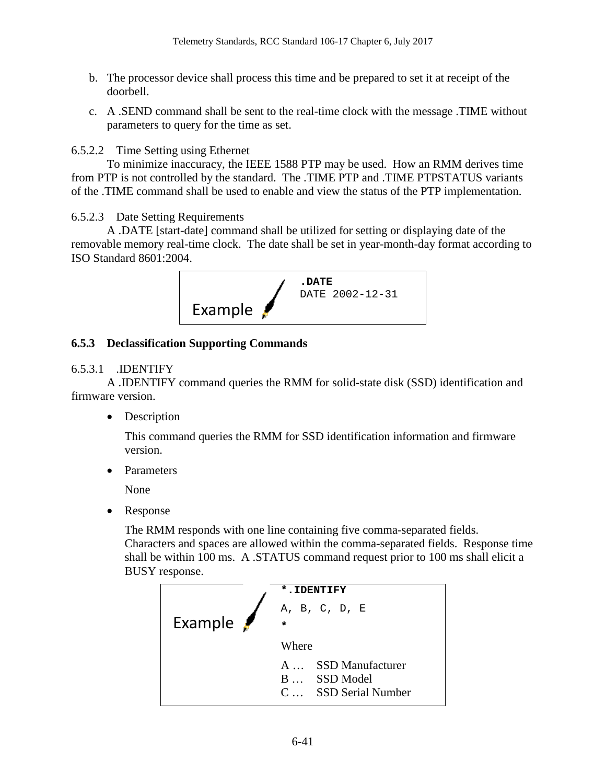- b. The processor device shall process this time and be prepared to set it at receipt of the doorbell.
- c. A .SEND command shall be sent to the real-time clock with the message .TIME without parameters to query for the time as set.

6.5.2.2 Time Setting using Ethernet

To minimize inaccuracy, the IEEE 1588 PTP may be used. How an RMM derives time from PTP is not controlled by the standard. The .TIME PTP and .TIME PTPSTATUS variants of the .TIME command shall be used to enable and view the status of the PTP implementation.

6.5.2.3 Date Setting Requirements

A .DATE [start-date] command shall be utilized for setting or displaying date of the removable memory real-time clock. The date shall be set in year-month-day format according to ISO Standard 8601:2004.



## **6.5.3 Declassification Supporting Commands**

#### 6.5.3.1 .IDENTIFY

A .IDENTIFY command queries the RMM for solid-state disk (SSD) identification and firmware version.

• Description

This command queries the RMM for SSD identification information and firmware version.

• Parameters

None

• Response

The RMM responds with one line containing five comma-separated fields. Characters and spaces are allowed within the comma-separated fields. Response time shall be within 100 ms. A .STATUS command request prior to 100 ms shall elicit a BUSY response.

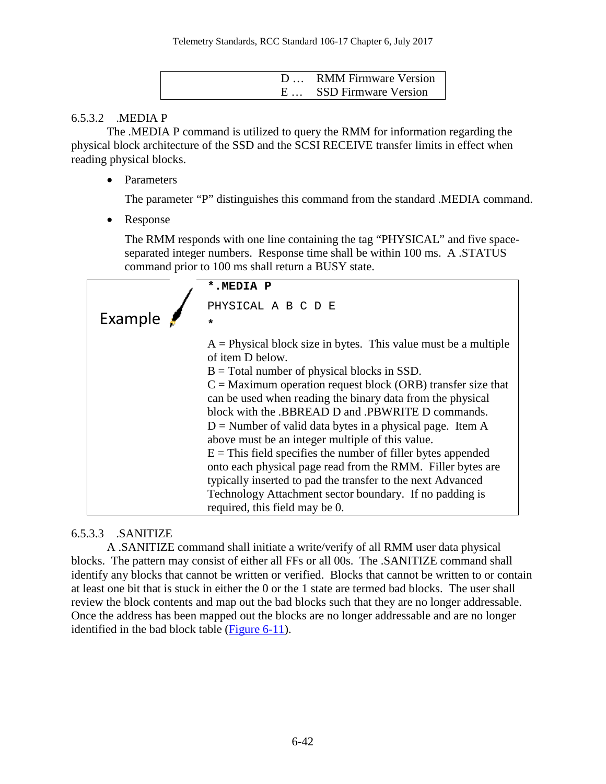| D RMM Firmware Version  |
|-------------------------|
| E  SSD Firmware Version |

#### 6.5.3.2 .MEDIA P

The .MEDIA P command is utilized to query the RMM for information regarding the physical block architecture of the SSD and the SCSI RECEIVE transfer limits in effect when reading physical blocks.

• Parameters

The parameter "P" distinguishes this command from the standard .MEDIA command.

• Response

The RMM responds with one line containing the tag "PHYSICAL" and five spaceseparated integer numbers. Response time shall be within 100 ms. A .STATUS command prior to 100 ms shall return a BUSY state.

|         | *.MEDIA P                                                                             |  |
|---------|---------------------------------------------------------------------------------------|--|
|         | PHYSICAL A B C D E                                                                    |  |
| Example | $\star$                                                                               |  |
|         | $A =$ Physical block size in bytes. This value must be a multiple<br>of item D below. |  |
|         | $B = Total number of physical blocks in SSD.$                                         |  |
|         | $C =$ Maximum operation request block (ORB) transfer size that                        |  |
|         | can be used when reading the binary data from the physical                            |  |
|         | block with the .BBREAD D and .PBWRITE D commands.                                     |  |
|         | $D =$ Number of valid data bytes in a physical page. Item A                           |  |
|         | above must be an integer multiple of this value.                                      |  |
|         | $E =$ This field specifies the number of filler bytes appended                        |  |
|         | onto each physical page read from the RMM. Filler bytes are                           |  |
|         | typically inserted to pad the transfer to the next Advanced                           |  |
|         | Technology Attachment sector boundary. If no padding is                               |  |
|         | required, this field may be 0.                                                        |  |

# 6.5.3.3 .SANITIZE

A .SANITIZE command shall initiate a write/verify of all RMM user data physical blocks. The pattern may consist of either all FFs or all 00s. The .SANITIZE command shall identify any blocks that cannot be written or verified. Blocks that cannot be written to or contain at least one bit that is stuck in either the 0 or the 1 state are termed bad blocks. The user shall review the block contents and map out the bad blocks such that they are no longer addressable. Once the address has been mapped out the blocks are no longer addressable and are no longer identified in the bad block table [\(Figure 6-11\)](#page-48-0).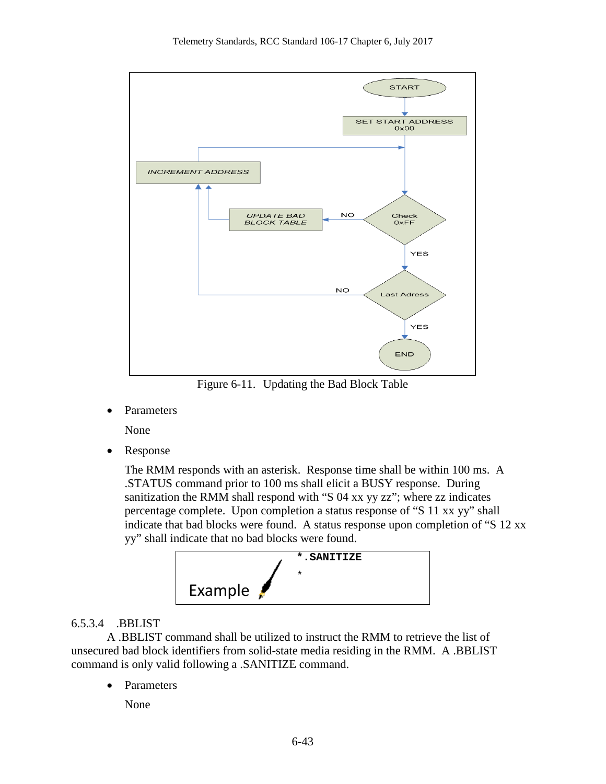

Figure 6-11. Updating the Bad Block Table

<span id="page-48-0"></span>• Parameters

None

• Response

The RMM responds with an asterisk. Response time shall be within 100 ms. A .STATUS command prior to 100 ms shall elicit a BUSY response. During sanitization the RMM shall respond with "S 04 xx yy zz"; where zz indicates percentage complete. Upon completion a status response of "S 11 xx yy" shall indicate that bad blocks were found. A status response upon completion of "S 12 xx yy" shall indicate that no bad blocks were found.



#### 6.5.3.4 .BBLIST

A .BBLIST command shall be utilized to instruct the RMM to retrieve the list of unsecured bad block identifiers from solid-state media residing in the RMM. A .BBLIST command is only valid following a .SANITIZE command.

**Parameters** 

None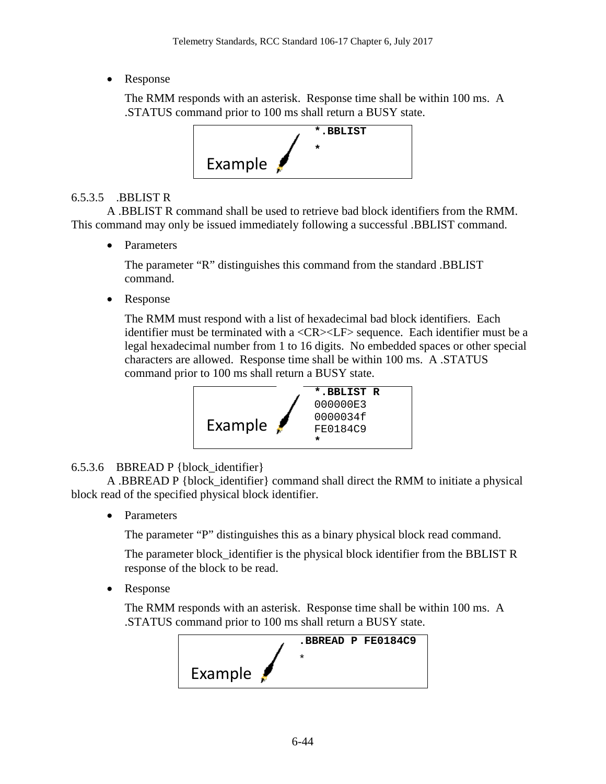• Response

The RMM responds with an asterisk. Response time shall be within 100 ms. A .STATUS command prior to 100 ms shall return a BUSY state.



# 6.5.3.5 .BBLIST R

A .BBLIST R command shall be used to retrieve bad block identifiers from the RMM. This command may only be issued immediately following a successful .BBLIST command.

• Parameters

The parameter "R" distinguishes this command from the standard .BBLIST command.

• Response

The RMM must respond with a list of hexadecimal bad block identifiers. Each identifier must be terminated with a <CR><LF> sequence. Each identifier must be a legal hexadecimal number from 1 to 16 digits. No embedded spaces or other special characters are allowed. Response time shall be within 100 ms. A .STATUS command prior to 100 ms shall return a BUSY state.



# 6.5.3.6 BBREAD P {block\_identifier}

A .BBREAD P {block\_identifier} command shall direct the RMM to initiate a physical block read of the specified physical block identifier.

• Parameters

The parameter "P" distinguishes this as a binary physical block read command.

The parameter block\_identifier is the physical block identifier from the BBLIST R response of the block to be read.

• Response

The RMM responds with an asterisk. Response time shall be within 100 ms. A .STATUS command prior to 100 ms shall return a BUSY state.

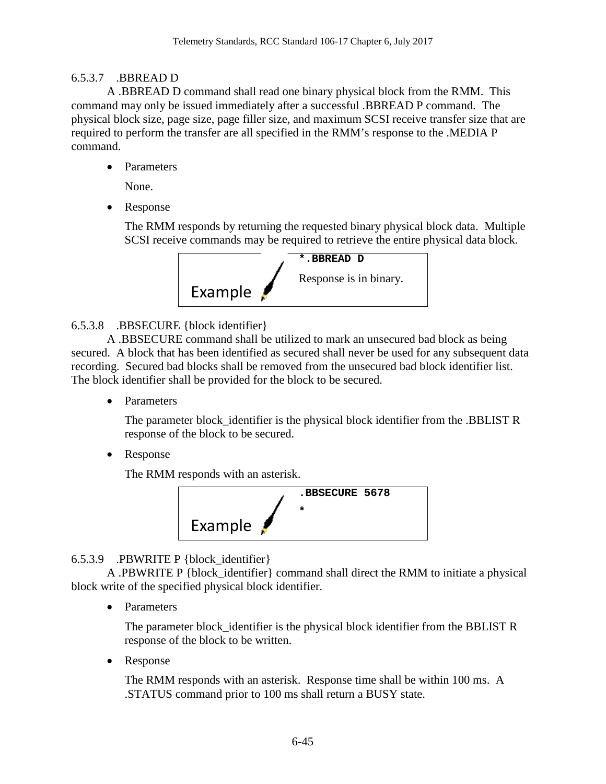# 6.5.3.7 .BBREAD D

A .BBREAD D command shall read one binary physical block from the RMM. This command may only be issued immediately after a successful .BBREAD P command. The physical block size, page size, page filler size, and maximum SCSI receive transfer size that are required to perform the transfer are all specified in the RMM's response to the .MEDIA P command.

• Parameters

None.

• Response

The RMM responds by returning the requested binary physical block data. Multiple SCSI receive commands may be required to retrieve the entire physical data block.



# 6.5.3.8 .BBSECURE {block identifier}

A .BBSECURE command shall be utilized to mark an unsecured bad block as being secured. A block that has been identified as secured shall never be used for any subsequent data recording. Secured bad blocks shall be removed from the unsecured bad block identifier list. The block identifier shall be provided for the block to be secured.

• Parameters

The parameter block identifier is the physical block identifier from the .BBLIST R response of the block to be secured.

• Response

The RMM responds with an asterisk.



# 6.5.3.9 .PBWRITE P {block\_identifier}

A .PBWRITE P {block\_identifier} command shall direct the RMM to initiate a physical block write of the specified physical block identifier.

• Parameters

The parameter block identifier is the physical block identifier from the BBLIST R response of the block to be written.

• Response

The RMM responds with an asterisk. Response time shall be within 100 ms. A .STATUS command prior to 100 ms shall return a BUSY state.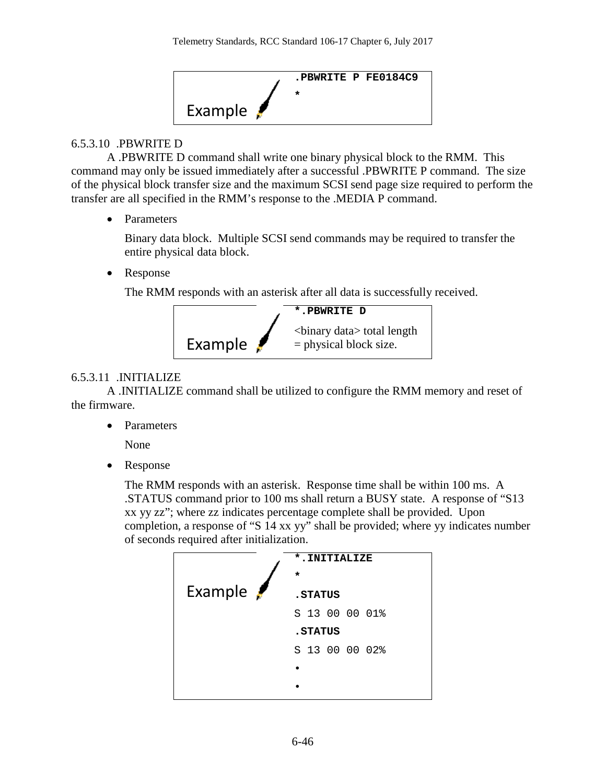

#### 6.5.3.10 .PBWRITE D

A .PBWRITE D command shall write one binary physical block to the RMM. This command may only be issued immediately after a successful .PBWRITE P command. The size of the physical block transfer size and the maximum SCSI send page size required to perform the transfer are all specified in the RMM's response to the .MEDIA P command.

• Parameters

Binary data block. Multiple SCSI send commands may be required to transfer the entire physical data block.

• Response

The RMM responds with an asterisk after all data is successfully received.



# 6.5.3.11 .INITIALIZE

A .INITIALIZE command shall be utilized to configure the RMM memory and reset of the firmware.

• Parameters

None

• Response

The RMM responds with an asterisk. Response time shall be within 100 ms. A .STATUS command prior to 100 ms shall return a BUSY state. A response of "S13 xx yy zz"; where zz indicates percentage complete shall be provided. Upon completion, a response of "S 14 xx yy" shall be provided; where yy indicates number of seconds required after initialization.

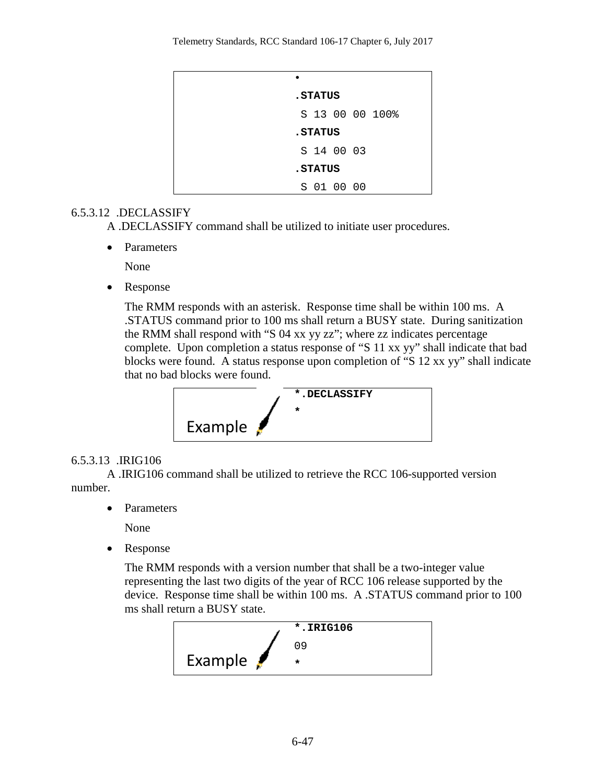| ٠               |
|-----------------|
| .STATUS         |
| S 13 00 00 100% |
| .STATUS         |
| S 14 00 03      |
| .STATUS         |
| S 01 00 00      |

## 6.5.3.12 .DECLASSIFY

A .DECLASSIFY command shall be utilized to initiate user procedures.

• Parameters

None

• Response

The RMM responds with an asterisk. Response time shall be within 100 ms. A .STATUS command prior to 100 ms shall return a BUSY state. During sanitization the RMM shall respond with "S 04 xx yy zz"; where zz indicates percentage complete. Upon completion a status response of "S 11 xx yy" shall indicate that bad blocks were found. A status response upon completion of "S 12 xx yy" shall indicate that no bad blocks were found.



# 6.5.3.13 .IRIG106

A .IRIG106 command shall be utilized to retrieve the RCC 106-supported version number.

• Parameters

None

• Response

The RMM responds with a version number that shall be a two-integer value representing the last two digits of the year of RCC 106 release supported by the device. Response time shall be within 100 ms. A .STATUS command prior to 100 ms shall return a BUSY state.

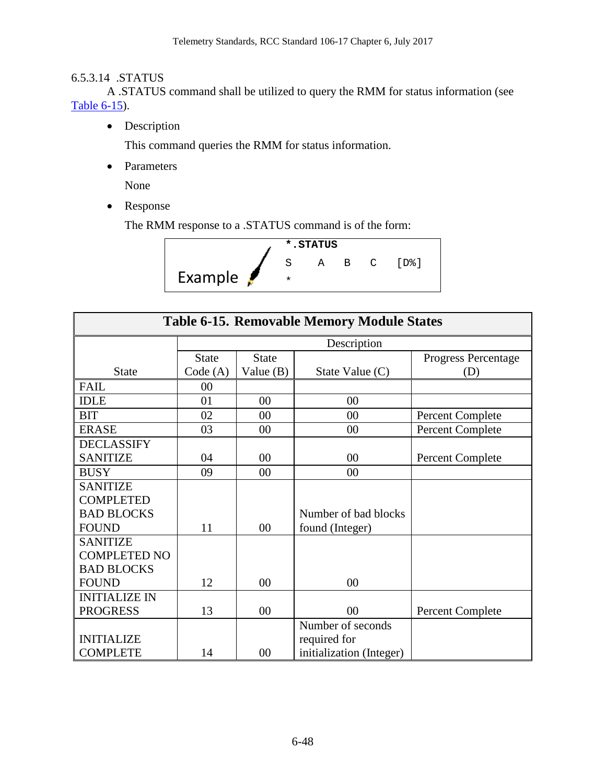### 6.5.3.14 .STATUS

A .STATUS command shall be utilized to query the RMM for status information (see [Table 6-15\)](#page-53-0).

• Description

This command queries the RMM for status information.

• Parameters

None

• Response

The RMM response to a .STATUS command is of the form:

$$
\begin{array}{c|cccc}\n & \star \text{.starus} \\
\hline\n\text{Example} & \star & \text{B} & \text{C} & \text{[D§]} \\
\star & & & & \\
\end{array}
$$

<span id="page-53-0"></span>

| <b>Table 6-15. Removable Memory Module States</b> |              |              |                          |                            |
|---------------------------------------------------|--------------|--------------|--------------------------|----------------------------|
|                                                   |              | Description  |                          |                            |
|                                                   | <b>State</b> | <b>State</b> |                          | <b>Progress Percentage</b> |
| <b>State</b>                                      | Code (A)     | Value $(B)$  | State Value (C)          | (D)                        |
| <b>FAIL</b>                                       | 00           |              |                          |                            |
| <b>IDLE</b>                                       | 01           | $00\,$       | 00                       |                            |
| <b>BIT</b>                                        | 02           | 00           | 00                       | Percent Complete           |
| <b>ERASE</b>                                      | 03           | $00\,$       | 00                       | Percent Complete           |
| <b>DECLASSIFY</b>                                 |              |              |                          |                            |
| <b>SANITIZE</b>                                   | 04           | $00\,$       | 00                       | Percent Complete           |
| <b>BUSY</b>                                       | 09           | $00\,$       | 00                       |                            |
| <b>SANITIZE</b>                                   |              |              |                          |                            |
| <b>COMPLETED</b>                                  |              |              |                          |                            |
| <b>BAD BLOCKS</b>                                 |              |              | Number of bad blocks     |                            |
| <b>FOUND</b>                                      | 11           | $00\,$       | found (Integer)          |                            |
| <b>SANITIZE</b>                                   |              |              |                          |                            |
| <b>COMPLETED NO</b>                               |              |              |                          |                            |
| <b>BAD BLOCKS</b>                                 |              |              |                          |                            |
| <b>FOUND</b>                                      | 12           | $00\,$       | 00                       |                            |
| <b>INITIALIZE IN</b>                              |              |              |                          |                            |
| <b>PROGRESS</b>                                   | 13           | $00\,$       | 00                       | Percent Complete           |
|                                                   |              |              | Number of seconds        |                            |
| <b>INITIALIZE</b>                                 |              |              | required for             |                            |
| <b>COMPLETE</b>                                   | 14           | 00           | initialization (Integer) |                            |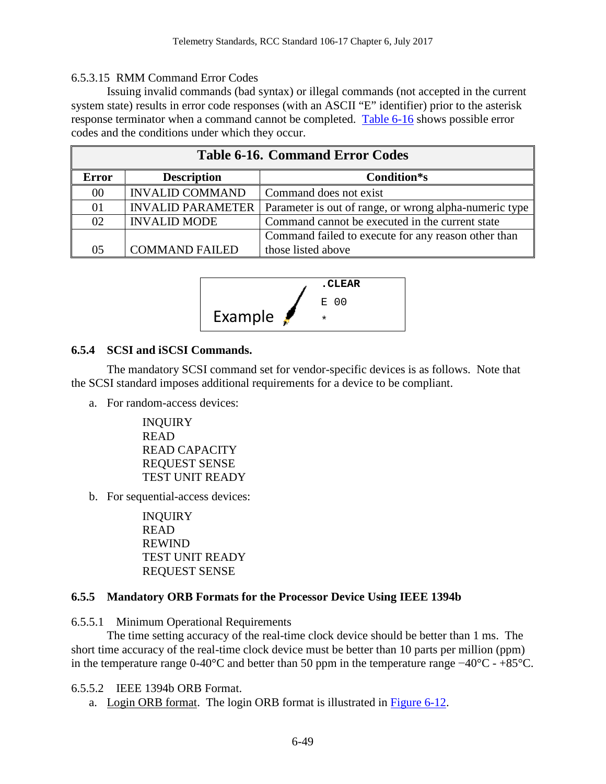#### 6.5.3.15 RMM Command Error Codes

Issuing invalid commands (bad syntax) or illegal commands (not accepted in the current system state) results in error code responses (with an ASCII "E" identifier) prior to the asterisk response terminator when a command cannot be completed. [Table 6-16](#page-54-0) shows possible error codes and the conditions under which they occur.

<span id="page-54-0"></span>

| <b>Table 6-16. Command Error Codes</b> |                          |                                                        |  |  |
|----------------------------------------|--------------------------|--------------------------------------------------------|--|--|
| <b>Error</b>                           | <b>Description</b>       | Condition*s                                            |  |  |
| 00                                     | <b>INVALID COMMAND</b>   | Command does not exist                                 |  |  |
| 01                                     | <b>INVALID PARAMETER</b> | Parameter is out of range, or wrong alpha-numeric type |  |  |
| 02                                     | <b>INVALID MODE</b>      | Command cannot be executed in the current state        |  |  |
|                                        |                          | Command failed to execute for any reason other than    |  |  |
| 0 <sub>5</sub>                         | <b>COMMAND FAILED</b>    | those listed above                                     |  |  |



## **6.5.4 SCSI and iSCSI Commands.**

The mandatory SCSI command set for vendor-specific devices is as follows. Note that the SCSI standard imposes additional requirements for a device to be compliant.

a. For random-access devices:

INQUIRY READ READ CAPACITY REQUEST SENSE TEST UNIT READY

b. For sequential-access devices:

INQUIRY READ REWIND TEST UNIT READY REQUEST SENSE

# **6.5.5 Mandatory ORB Formats for the Processor Device Using IEEE 1394b**

6.5.5.1 Minimum Operational Requirements

The time setting accuracy of the real-time clock device should be better than 1 ms. The short time accuracy of the real-time clock device must be better than 10 parts per million (ppm) in the temperature range 0-40°C and better than 50 ppm in the temperature range −40°C - +85°C.

6.5.5.2 IEEE 1394b ORB Format.

a. Login ORB format. The login ORB format is illustrated in [Figure 6-12.](#page-55-0)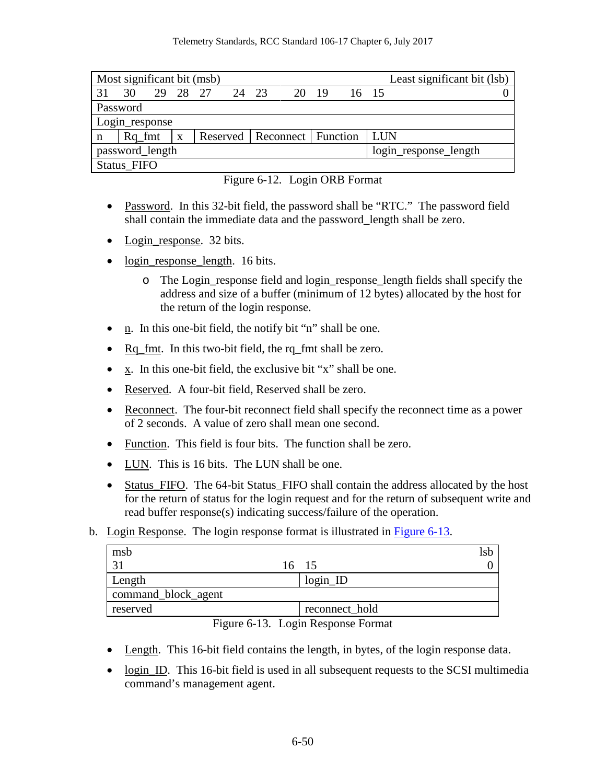|                                          | Least significant bit (lsb)<br>Most significant bit (msb) |  |              |  |       |  |                                 |       |     |  |
|------------------------------------------|-----------------------------------------------------------|--|--------------|--|-------|--|---------------------------------|-------|-----|--|
| 31                                       | 30                                                        |  | 29 28 27     |  | 24 23 |  | 20 19                           | 16 15 |     |  |
| Password                                 |                                                           |  |              |  |       |  |                                 |       |     |  |
|                                          | Login_response                                            |  |              |  |       |  |                                 |       |     |  |
| $\mathbf n$                              | $Rq_{m}$ fmt                                              |  | $\mathbf{X}$ |  |       |  | Reserved   Reconnect   Function |       | LUN |  |
| password_length<br>login_response_length |                                                           |  |              |  |       |  |                                 |       |     |  |
| Status_FIFO                              |                                                           |  |              |  |       |  |                                 |       |     |  |

- <span id="page-55-0"></span>• Password. In this 32-bit field, the password shall be "RTC." The password field shall contain the immediate data and the password\_length shall be zero.
- Login response. 32 bits.
- login\_response\_length. 16 bits.
	- o The Login\_response field and login\_response\_length fields shall specify the address and size of a buffer (minimum of 12 bytes) allocated by the host for the return of the login response.
- n. In this one-bit field, the notify bit "n" shall be one.
- Rq\_fmt. In this two-bit field, the rq\_fmt shall be zero.
- $x$ . In this one-bit field, the exclusive bit "x" shall be one.
- Reserved. A four-bit field, Reserved shall be zero.
- Reconnect. The four-bit reconnect field shall specify the reconnect time as a power of 2 seconds. A value of zero shall mean one second.
- Function. This field is four bits. The function shall be zero.
- LUN. This is 16 bits. The LUN shall be one.
- Status\_FIFO. The 64-bit Status\_FIFO shall contain the address allocated by the host for the return of status for the login request and for the return of subsequent write and read buffer response(s) indicating success/failure of the operation.
- b. Login Response. The login response format is illustrated in [Figure 6-13.](#page-55-1)

| msb                 |       |                       |  |  |
|---------------------|-------|-----------------------|--|--|
|                     | 16 15 |                       |  |  |
| Length              |       | $login$ <sub>ID</sub> |  |  |
| command_block_agent |       |                       |  |  |
| reserved            |       | reconnect_hold        |  |  |

Figure 6-13. Login Response Format

- <span id="page-55-1"></span>• Length. This 16-bit field contains the length, in bytes, of the login response data.
- login ID. This 16-bit field is used in all subsequent requests to the SCSI multimedia command's management agent.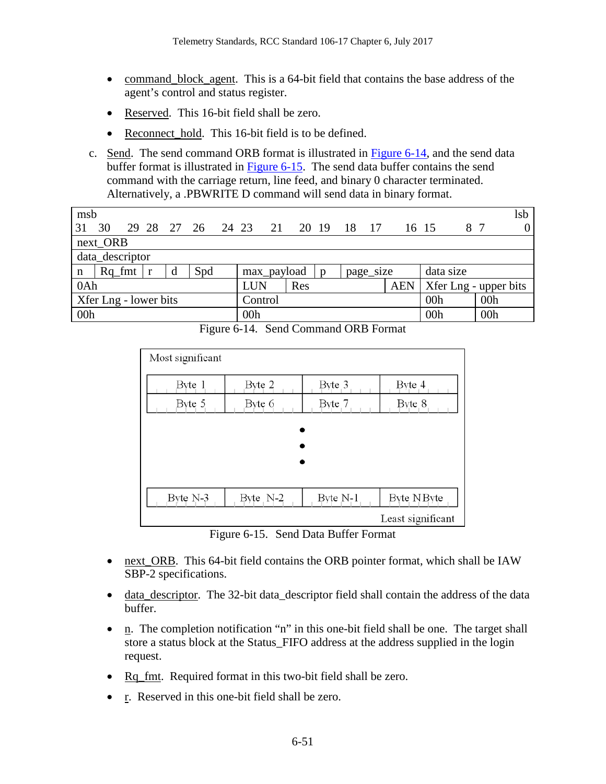- command\_block\_agent. This is a 64-bit field that contains the base address of the agent's control and status register.
- Reserved. This 16-bit field shall be zero.
- Reconnect hold. This 16-bit field is to be defined.
- c. Send. The send command ORB format is illustrated in [Figure 6-14,](#page-56-0) and the send data buffer format is illustrated in [Figure 6-15.](#page-56-1) The send data buffer contains the send command with the carriage return, line feed, and binary 0 character terminated. Alternatively, a .PBWRITE D command will send data in binary format.

| data_descriptor       |  |  |  |  |  |  |
|-----------------------|--|--|--|--|--|--|
|                       |  |  |  |  |  |  |
| Xfer Lng - upper bits |  |  |  |  |  |  |
|                       |  |  |  |  |  |  |
|                       |  |  |  |  |  |  |
|                       |  |  |  |  |  |  |

Figure 6-14. Send Command ORB Format

<span id="page-56-0"></span>

| Most significant |              |          |                   |
|------------------|--------------|----------|-------------------|
| Byte 1           | Byte 2       | Byte 3   | Byte 4            |
| Byte 5           | Byte 6       | Byte 7   | Byte <sub>8</sub> |
|                  |              |          |                   |
|                  |              |          |                   |
|                  |              |          |                   |
|                  |              |          |                   |
| Byte N-3         | $Byte$ $N-2$ | Byte N-1 | Byte NByte        |
|                  |              |          | Least significant |

Figure 6-15. Send Data Buffer Format

- <span id="page-56-1"></span>• next\_ORB. This 64-bit field contains the ORB pointer format, which shall be IAW SBP-2 specifications.
- data\_descriptor. The 32-bit data\_descriptor field shall contain the address of the data buffer.
- n. The completion notification "n" in this one-bit field shall be one. The target shall store a status block at the Status\_FIFO address at the address supplied in the login request.
- Rq fmt. Required format in this two-bit field shall be zero.
- $r.$  Reserved in this one-bit field shall be zero.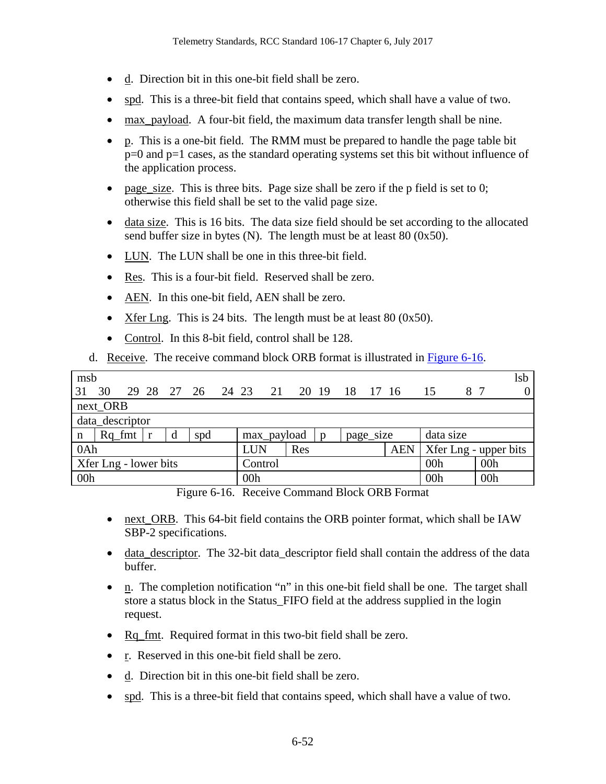- d. Direction bit in this one-bit field shall be zero.
- spd. This is a three-bit field that contains speed, which shall have a value of two.
- max\_payload. A four-bit field, the maximum data transfer length shall be nine.
- p. This is a one-bit field. The RMM must be prepared to handle the page table bit p=0 and p=1 cases, as the standard operating systems set this bit without influence of the application process.
- page\_size. This is three bits. Page size shall be zero if the p field is set to 0; otherwise this field shall be set to the valid page size.
- data size. This is 16 bits. The data size field should be set according to the allocated send buffer size in bytes (N). The length must be at least 80 (0x50).
- LUN. The LUN shall be one in this three-bit field.
- Res. This is a four-bit field. Reserved shall be zero.
- AEN. In this one-bit field, AEN shall be zero.
- Xfer Lng. This is 24 bits. The length must be at least  $80 \, (0x50)$ .
- Control. In this 8-bit field, control shall be 128.
- d. Receive. The receive command block ORB format is illustrated in [Figure 6-16.](#page-57-0)

| msb                   |                                    |  |  |            |                            |     |  |                 |             |                 |                       |           |                 |           |    |  | lsb |
|-----------------------|------------------------------------|--|--|------------|----------------------------|-----|--|-----------------|-------------|-----------------|-----------------------|-----------|-----------------|-----------|----|--|-----|
| 31                    | 30                                 |  |  |            | 29 28 27 26 24 23 21 20 19 |     |  |                 |             |                 | 18 17 16              |           |                 | -15       | 87 |  |     |
|                       | next_ORB                           |  |  |            |                            |     |  |                 |             |                 |                       |           |                 |           |    |  |     |
|                       | data_descriptor                    |  |  |            |                            |     |  |                 |             |                 |                       |           |                 |           |    |  |     |
| $\mathbf n$           | $Rq_{\text{m}}$ $r$                |  |  | d          | spd                        |     |  |                 | max_payload | $\mathbf{p}$    |                       | page_size |                 | data size |    |  |     |
| 0Ah                   |                                    |  |  | <b>LUN</b> |                            | Res |  |                 |             | <b>AEN</b>      | Xfer Lng - upper bits |           |                 |           |    |  |     |
| Xfer Lng - lower bits |                                    |  |  | Control    |                            |     |  | 00 <sub>h</sub> |             | 00 <sub>h</sub> |                       |           |                 |           |    |  |     |
|                       | 00 <sub>h</sub><br>00 <sub>h</sub> |  |  |            |                            |     |  |                 |             |                 | 00 <sub>h</sub>       |           | 00 <sub>h</sub> |           |    |  |     |

Figure 6-16. Receive Command Block ORB Format

- <span id="page-57-0"></span>• next ORB. This 64-bit field contains the ORB pointer format, which shall be IAW SBP-2 specifications.
- data\_descriptor. The 32-bit data\_descriptor field shall contain the address of the data buffer.
- n. The completion notification "n" in this one-bit field shall be one. The target shall store a status block in the Status\_FIFO field at the address supplied in the login request.
- Rq fmt. Required format in this two-bit field shall be zero.
- r. Reserved in this one-bit field shall be zero.
- d. Direction bit in this one-bit field shall be zero.
- spd. This is a three-bit field that contains speed, which shall have a value of two.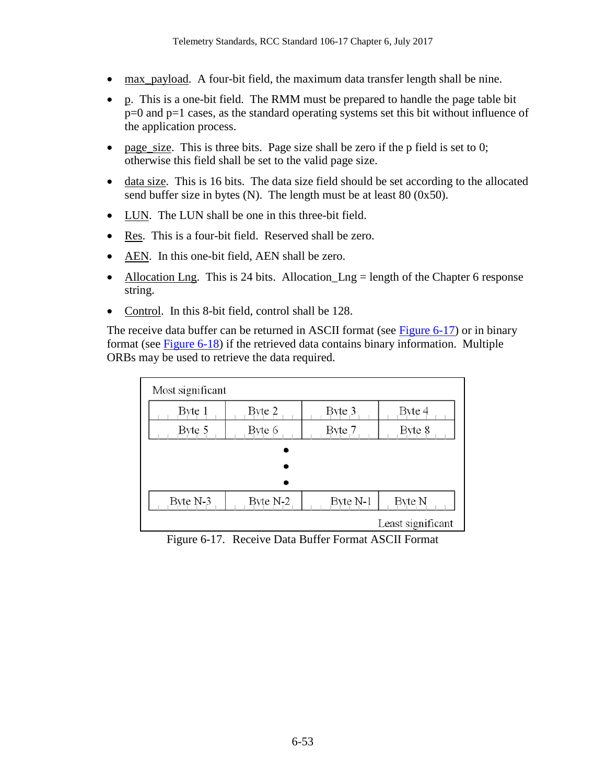- max\_payload. A four-bit field, the maximum data transfer length shall be nine.
- p. This is a one-bit field. The RMM must be prepared to handle the page table bit p=0 and p=1 cases, as the standard operating systems set this bit without influence of the application process.
- page\_size. This is three bits. Page size shall be zero if the p field is set to 0; otherwise this field shall be set to the valid page size.
- data size. This is 16 bits. The data size field should be set according to the allocated send buffer size in bytes (N). The length must be at least 80 (0x50).
- LUN. The LUN shall be one in this three-bit field.
- Res. This is a four-bit field. Reserved shall be zero.
- AEN. In this one-bit field, AEN shall be zero.
- Allocation Lng. This is 24 bits. Allocation Lng  $=$  length of the Chapter 6 response string.
- Control. In this 8-bit field, control shall be 128.

The receive data buffer can be returned in ASCII format (see [Figure 6-17\)](#page-58-0) or in binary format (see [Figure 6-18\)](#page-59-0) if the retrieved data contains binary information. Multiple ORBs may be used to retrieve the data required.

| Most significant |          |          |                   |
|------------------|----------|----------|-------------------|
| Byte 1           | Byte 2   | Byte 3   | Byte 4            |
| Byte 5           | Byte 6   | Byte 7   | Byte 8            |
|                  |          |          |                   |
|                  |          |          |                   |
|                  |          |          |                   |
| Byte N-3         | Byte N-2 | Byte N-1 | Byte N            |
|                  |          |          | Least significant |

<span id="page-58-0"></span>Figure 6-17. Receive Data Buffer Format ASCII Format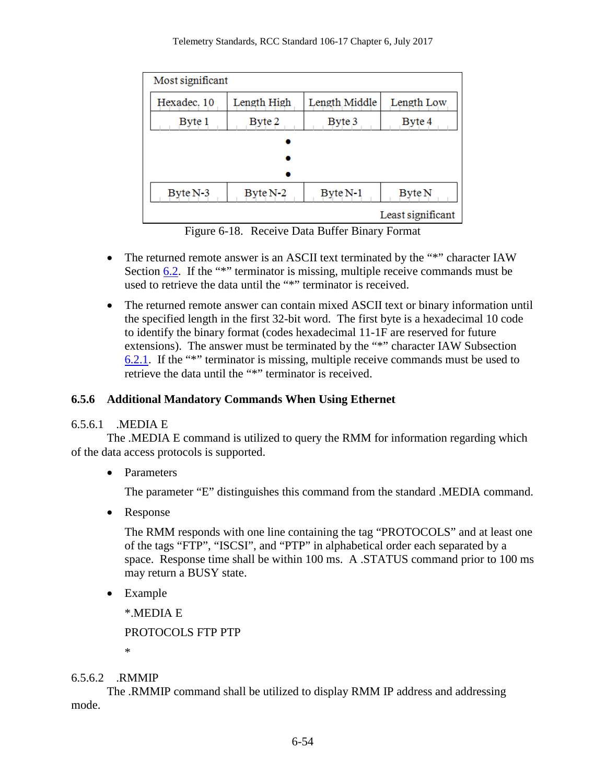| Most significant |             |               |                   |  |  |  |  |
|------------------|-------------|---------------|-------------------|--|--|--|--|
| Hexadec. 10      | Length High | Length Middle | Length Low        |  |  |  |  |
| Byte 1           | Byte 2      | Byte 3        | Byte 4            |  |  |  |  |
|                  |             |               |                   |  |  |  |  |
|                  |             |               |                   |  |  |  |  |
|                  |             |               |                   |  |  |  |  |
| Byte N-3         | Byte N-2    | Byte N-1      | Byte <sub>N</sub> |  |  |  |  |
|                  |             |               | Least significant |  |  |  |  |

Figure 6-18. Receive Data Buffer Binary Format

- <span id="page-59-0"></span>• The returned remote answer is an ASCII text terminated by the "\*" character IAW Section [6.2.](#page-16-0) If the "\*" terminator is missing, multiple receive commands must be used to retrieve the data until the "\*" terminator is received.
- The returned remote answer can contain mixed ASCII text or binary information until the specified length in the first 32-bit word. The first byte is a hexadecimal 10 code to identify the binary format (codes hexadecimal 11-1F are reserved for future extensions). The answer must be terminated by the "\*" character IAW Subsection [6.2.1.](#page-19-0) If the "\*" terminator is missing, multiple receive commands must be used to retrieve the data until the "\*" terminator is received.

# **6.5.6 Additional Mandatory Commands When Using Ethernet**

# 6.5.6.1 .MEDIA E

The .MEDIA E command is utilized to query the RMM for information regarding which of the data access protocols is supported.

• Parameters

The parameter "E" distinguishes this command from the standard .MEDIA command.

• Response

The RMM responds with one line containing the tag "PROTOCOLS" and at least one of the tags "FTP", "ISCSI", and "PTP" in alphabetical order each separated by a space. Response time shall be within 100 ms. A .STATUS command prior to 100 ms may return a BUSY state.

• Example

\*.MEDIA E PROTOCOLS FTP PTP \*

# 6.5.6.2 .RMMIP

The .RMMIP command shall be utilized to display RMM IP address and addressing mode.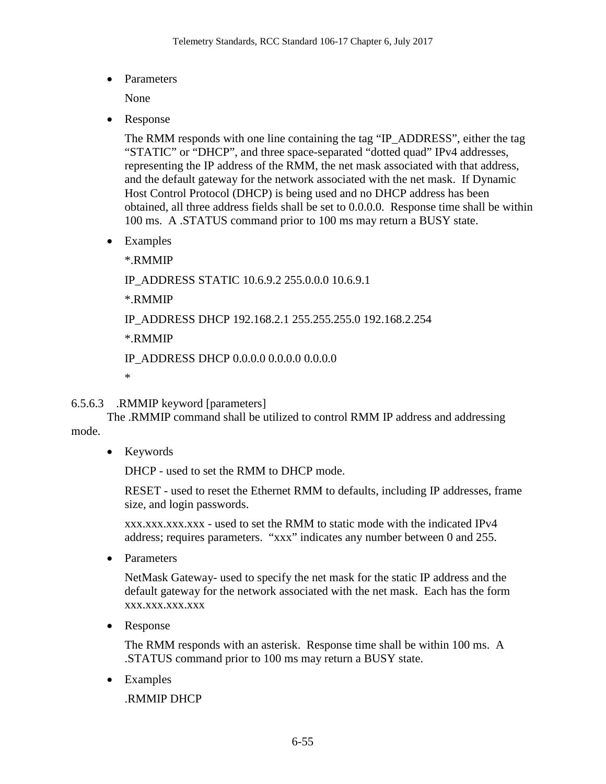• Parameters

None

• Response

The RMM responds with one line containing the tag "IP\_ADDRESS", either the tag "STATIC" or "DHCP", and three space-separated "dotted quad" IPv4 addresses, representing the IP address of the RMM, the net mask associated with that address, and the default gateway for the network associated with the net mask. If Dynamic Host Control Protocol (DHCP) is being used and no DHCP address has been obtained, all three address fields shall be set to 0.0.0.0. Response time shall be within 100 ms. A .STATUS command prior to 100 ms may return a BUSY state.

• Examples

\*.RMMIP

IP\_ADDRESS STATIC 10.6.9.2 255.0.0.0 10.6.9.1

\*.RMMIP

IP\_ADDRESS DHCP 192.168.2.1 255.255.255.0 192.168.2.254

\*.RMMIP

IP\_ADDRESS DHCP 0.0.0.0 0.0.0.0 0.0.0.0

\*

6.5.6.3 .RMMIP keyword [parameters]

The .RMMIP command shall be utilized to control RMM IP address and addressing mode.

• Keywords

DHCP - used to set the RMM to DHCP mode.

RESET - used to reset the Ethernet RMM to defaults, including IP addresses, frame size, and login passwords.

xxx.xxx.xxx.xxx - used to set the RMM to static mode with the indicated IPv4 address; requires parameters. "xxx" indicates any number between 0 and 255.

• Parameters

NetMask Gateway- used to specify the net mask for the static IP address and the default gateway for the network associated with the net mask. Each has the form xxx.xxx.xxx.xxx

• Response

The RMM responds with an asterisk. Response time shall be within 100 ms. A .STATUS command prior to 100 ms may return a BUSY state.

• Examples

.RMMIP DHCP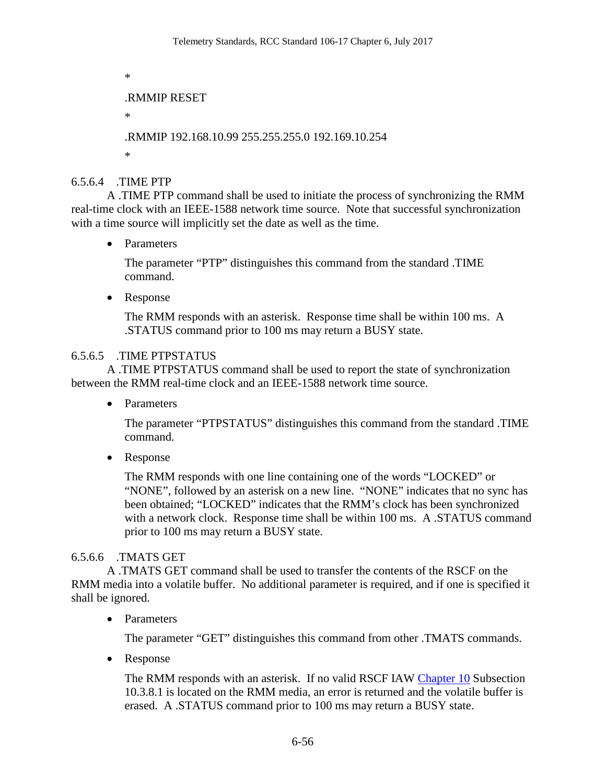\* .RMMIP RESET \* .RMMIP 192.168.10.99 255.255.255.0 192.169.10.254 \*

#### 6.5.6.4 .TIME PTP

A .TIME PTP command shall be used to initiate the process of synchronizing the RMM real-time clock with an IEEE-1588 network time source. Note that successful synchronization with a time source will implicitly set the date as well as the time.

• Parameters

The parameter "PTP" distinguishes this command from the standard .TIME command.

• Response

The RMM responds with an asterisk. Response time shall be within 100 ms. A .STATUS command prior to 100 ms may return a BUSY state.

## 6.5.6.5 .TIME PTPSTATUS

A .TIME PTPSTATUS command shall be used to report the state of synchronization between the RMM real-time clock and an IEEE-1588 network time source.

• Parameters

The parameter "PTPSTATUS" distinguishes this command from the standard .TIME command.

• Response

The RMM responds with one line containing one of the words "LOCKED" or "NONE", followed by an asterisk on a new line. "NONE" indicates that no sync has been obtained; "LOCKED" indicates that the RMM's clock has been synchronized with a network clock. Response time shall be within 100 ms. A .STATUS command prior to 100 ms may return a BUSY state.

# 6.5.6.6 .TMATS GET

A .TMATS GET command shall be used to transfer the contents of the RSCF on the RMM media into a volatile buffer. No additional parameter is required, and if one is specified it shall be ignored.

• Parameters

The parameter "GET" distinguishes this command from other .TMATS commands.

• Response

The RMM responds with an asterisk. If no valid RSCF IAW [Chapter 10](http://www.wsmr.army.mil/RCCsite/Documents/106-17_Telemetry_Standards/chapter10.pdf) Subsection 10.3.8.1 is located on the RMM media, an error is returned and the volatile buffer is erased. A .STATUS command prior to 100 ms may return a BUSY state.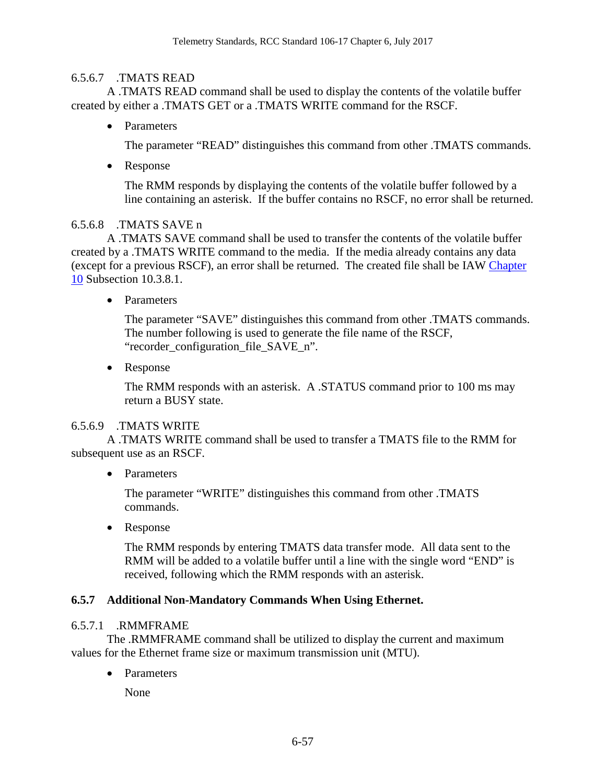#### 6.5.6.7 .TMATS READ

A .TMATS READ command shall be used to display the contents of the volatile buffer created by either a .TMATS GET or a .TMATS WRITE command for the RSCF.

• Parameters

The parameter "READ" distinguishes this command from other .TMATS commands.

• Response

The RMM responds by displaying the contents of the volatile buffer followed by a line containing an asterisk. If the buffer contains no RSCF, no error shall be returned.

## 6.5.6.8 .TMATS SAVE n

A .TMATS SAVE command shall be used to transfer the contents of the volatile buffer created by a .TMATS WRITE command to the media. If the media already contains any data (except for a previous RSCF), an error shall be returned. The created file shall be IAW [Chapter](http://www.wsmr.army.mil/RCCsite/Documents/106-17_Telemetry_Standards/chapter10.pdf)  [10](http://www.wsmr.army.mil/RCCsite/Documents/106-17_Telemetry_Standards/chapter10.pdf) Subsection 10.3.8.1.

• Parameters

The parameter "SAVE" distinguishes this command from other .TMATS commands. The number following is used to generate the file name of the RSCF, "recorder\_configuration\_file\_SAVE\_n".

• Response

The RMM responds with an asterisk. A .STATUS command prior to 100 ms may return a BUSY state.

# 6.5.6.9 .TMATS WRITE

A .TMATS WRITE command shall be used to transfer a TMATS file to the RMM for subsequent use as an RSCF.

• Parameters

The parameter "WRITE" distinguishes this command from other .TMATS commands.

• Response

The RMM responds by entering TMATS data transfer mode. All data sent to the RMM will be added to a volatile buffer until a line with the single word "END" is received, following which the RMM responds with an asterisk.

#### **6.5.7 Additional Non-Mandatory Commands When Using Ethernet.**

#### 6.5.7.1 .RMMFRAME

The .RMMFRAME command shall be utilized to display the current and maximum values for the Ethernet frame size or maximum transmission unit (MTU).

• Parameters

None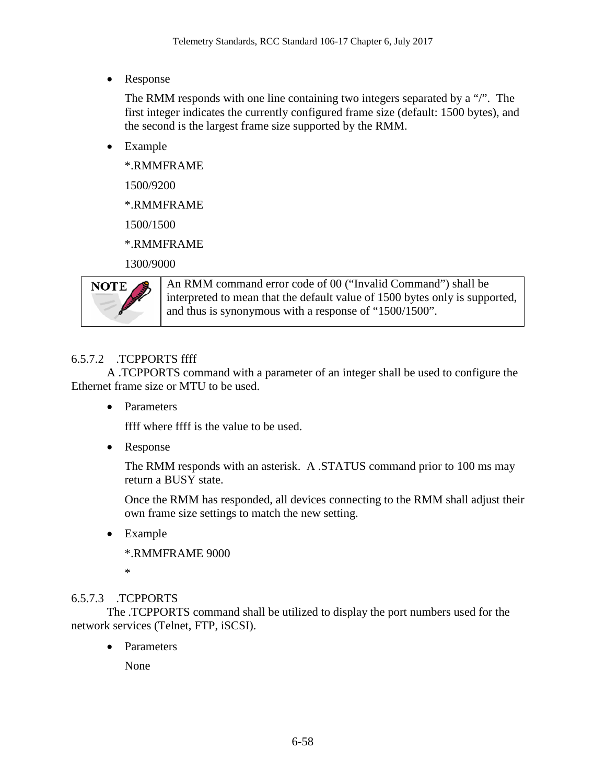• Response

The RMM responds with one line containing two integers separated by a "/". The first integer indicates the currently configured frame size (default: 1500 bytes), and the second is the largest frame size supported by the RMM.

• Example

\*.RMMFRAME 1500/9200 \*.RMMFRAME 1500/1500 \*.RMMFRAME

1300/9000



An RMM command error code of 00 ("Invalid Command") shall be interpreted to mean that the default value of 1500 bytes only is supported, and thus is synonymous with a response of "1500/1500".

# 6.5.7.2 .TCPPORTS ffff

A .TCPPORTS command with a parameter of an integer shall be used to configure the Ethernet frame size or MTU to be used.

• Parameters

ffff where ffff is the value to be used.

• Response

The RMM responds with an asterisk. A .STATUS command prior to 100 ms may return a BUSY state.

Once the RMM has responded, all devices connecting to the RMM shall adjust their own frame size settings to match the new setting.

• Example

\*.RMMFRAME 9000

\*

# 6.5.7.3 .TCPPORTS

The .TCPPORTS command shall be utilized to display the port numbers used for the network services (Telnet, FTP, iSCSI).

• Parameters

None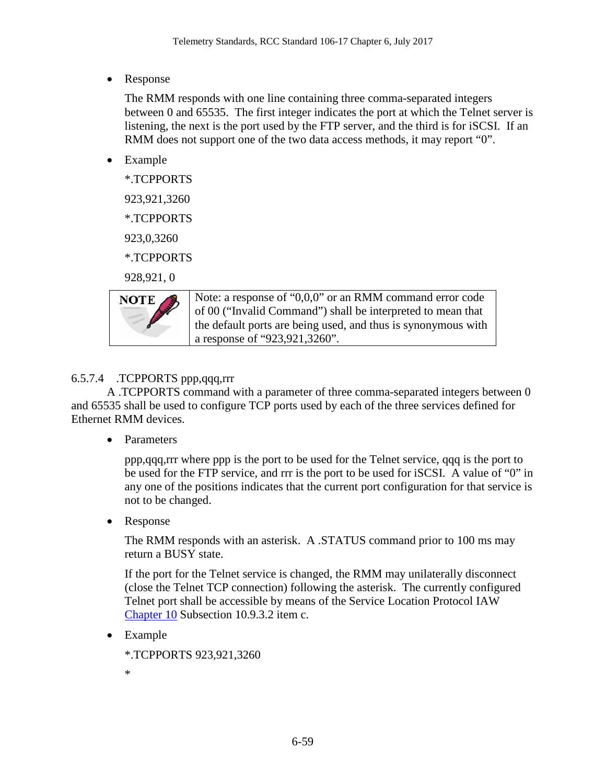• Response

The RMM responds with one line containing three comma-separated integers between 0 and 65535. The first integer indicates the port at which the Telnet server is listening, the next is the port used by the FTP server, and the third is for iSCSI. If an RMM does not support one of the two data access methods, it may report "0".

• Example

\*.TCPPORTS 923,921,3260 \*.TCPPORTS 923,0,3260 \*.TCPPORTS 928,921, 0



Note: a response of "0,0,0" or an RMM command error code of 00 ("Invalid Command") shall be interpreted to mean that the default ports are being used, and thus is synonymous with a response of "923,921,3260".

# 6.5.7.4 .TCPPORTS ppp,qqq,rrr

A .TCPPORTS command with a parameter of three comma-separated integers between 0 and 65535 shall be used to configure TCP ports used by each of the three services defined for Ethernet RMM devices.

• Parameters

ppp,qqq,rrr where ppp is the port to be used for the Telnet service, qqq is the port to be used for the FTP service, and rrr is the port to be used for iSCSI. A value of "0" in any one of the positions indicates that the current port configuration for that service is not to be changed.

• Response

The RMM responds with an asterisk. A .STATUS command prior to 100 ms may return a BUSY state.

If the port for the Telnet service is changed, the RMM may unilaterally disconnect (close the Telnet TCP connection) following the asterisk. The currently configured Telnet port shall be accessible by means of the Service Location Protocol IAW [Chapter 10](http://www.wsmr.army.mil/RCCsite/Documents/106-17_Telemetry_Standards/chapter10.pdf) Subsection 10.9.3.2 item c.

• Example

\*.TCPPORTS 923,921,3260

\*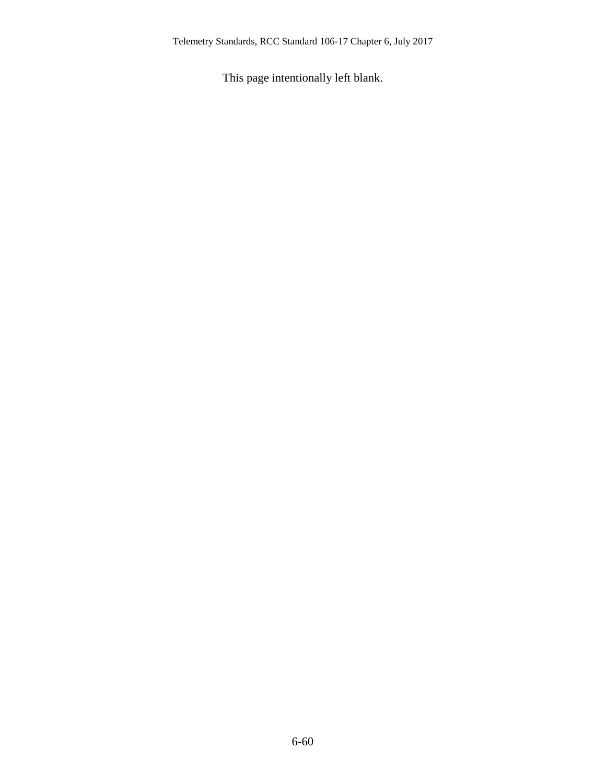This page intentionally left blank.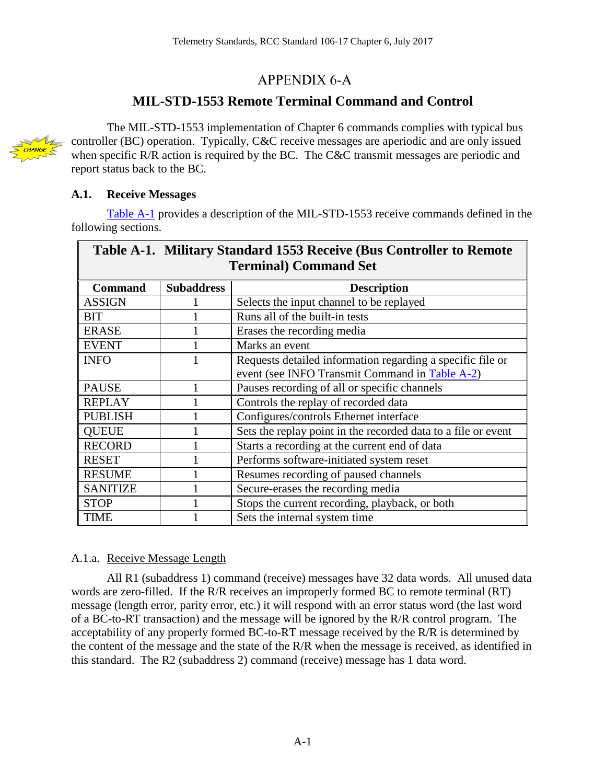# **APPENDIX 6-A**

# **MIL-STD-1553 Remote Terminal Command and Control**

<span id="page-66-0"></span>The MIL-STD-1553 implementation of Chapter 6 commands complies with typical bus controller (BC) operation. Typically, C&C receive messages are aperiodic and are only issued when specific R/R action is required by the BC. The C&C transmit messages are periodic and report status back to the BC.

# **A.1. Receive Messages**

[Table A-1](#page-66-1) provides a description of the MIL-STD-1553 receive commands defined in the following sections.

<span id="page-66-1"></span>

| Table A-1. Military Standard 1553 Receive (Bus Controller to Remote<br><b>Terminal) Command Set</b> |                   |                                                               |  |  |  |  |
|-----------------------------------------------------------------------------------------------------|-------------------|---------------------------------------------------------------|--|--|--|--|
| <b>Command</b>                                                                                      | <b>Subaddress</b> | <b>Description</b>                                            |  |  |  |  |
| <b>ASSIGN</b>                                                                                       |                   | Selects the input channel to be replayed                      |  |  |  |  |
| <b>BIT</b>                                                                                          |                   | Runs all of the built-in tests                                |  |  |  |  |
| <b>ERASE</b>                                                                                        |                   | Erases the recording media                                    |  |  |  |  |
| <b>EVENT</b>                                                                                        |                   | Marks an event                                                |  |  |  |  |
| <b>INFO</b>                                                                                         |                   | Requests detailed information regarding a specific file or    |  |  |  |  |
|                                                                                                     |                   | event (see INFO Transmit Command in Table A-2)                |  |  |  |  |
| <b>PAUSE</b>                                                                                        |                   | Pauses recording of all or specific channels                  |  |  |  |  |
| <b>REPLAY</b>                                                                                       |                   | Controls the replay of recorded data                          |  |  |  |  |
| <b>PUBLISH</b>                                                                                      |                   | Configures/controls Ethernet interface                        |  |  |  |  |
| <b>QUEUE</b>                                                                                        |                   | Sets the replay point in the recorded data to a file or event |  |  |  |  |
| <b>RECORD</b>                                                                                       |                   | Starts a recording at the current end of data                 |  |  |  |  |
| <b>RESET</b>                                                                                        |                   | Performs software-initiated system reset                      |  |  |  |  |
| <b>RESUME</b>                                                                                       |                   | Resumes recording of paused channels                          |  |  |  |  |
| <b>SANITIZE</b>                                                                                     |                   | Secure-erases the recording media                             |  |  |  |  |
| <b>STOP</b>                                                                                         |                   | Stops the current recording, playback, or both                |  |  |  |  |
| <b>TIME</b>                                                                                         |                   | Sets the internal system time                                 |  |  |  |  |

# A.1.a. Receive Message Length

All R1 (subaddress 1) command (receive) messages have 32 data words. All unused data words are zero-filled. If the R/R receives an improperly formed BC to remote terminal (RT) message (length error, parity error, etc.) it will respond with an error status word (the last word of a BC-to-RT transaction) and the message will be ignored by the R/R control program. The acceptability of any properly formed BC-to-RT message received by the R/R is determined by the content of the message and the state of the R/R when the message is received, as identified in this standard. The R2 (subaddress 2) command (receive) message has 1 data word.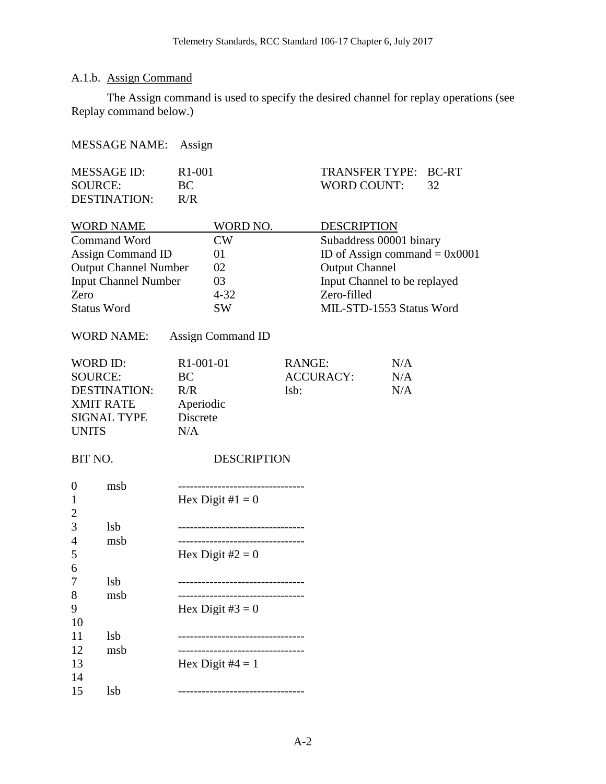# A.1.b. Assign Command

The Assign command is used to specify the desired channel for replay operations (see Replay command below.)

|                    | <b>MESSAGE NAME:</b>         | Assign                        |               |                              |     |                                 |
|--------------------|------------------------------|-------------------------------|---------------|------------------------------|-----|---------------------------------|
|                    | <b>MESSAGE ID:</b>           | R1-001                        |               | TRANSFER TYPE: BC-RT         |     |                                 |
| SOURCE:            |                              | <b>BC</b>                     |               | <b>WORD COUNT:</b>           |     | 32                              |
|                    | <b>DESTINATION:</b>          | R/R                           |               |                              |     |                                 |
|                    |                              |                               |               |                              |     |                                 |
|                    | <b>WORD NAME</b>             | WORD NO.                      |               | <b>DESCRIPTION</b>           |     |                                 |
|                    | <b>Command Word</b>          | CW                            |               | Subaddress 00001 binary      |     |                                 |
|                    | <b>Assign Command ID</b>     | 01                            |               |                              |     | ID of Assign command = $0x0001$ |
|                    | <b>Output Channel Number</b> | 02                            |               | <b>Output Channel</b>        |     |                                 |
|                    | <b>Input Channel Number</b>  | 03                            |               | Input Channel to be replayed |     |                                 |
| Zero               |                              | $4 - 32$                      |               | Zero-filled                  |     |                                 |
| <b>Status Word</b> |                              | <b>SW</b>                     |               | MIL-STD-1553 Status Word     |     |                                 |
|                    |                              |                               |               |                              |     |                                 |
|                    | <b>WORD NAME:</b>            | <b>Assign Command ID</b>      |               |                              |     |                                 |
| WORD ID:           |                              | R <sub>1</sub> -001-01        | <b>RANGE:</b> |                              | N/A |                                 |
| <b>SOURCE:</b>     |                              | <b>BC</b>                     |               | <b>ACCURACY:</b>             | N/A |                                 |
|                    | <b>DESTINATION:</b>          | R/R                           | lsb:          |                              | N/A |                                 |
| <b>XMIT RATE</b>   |                              | Aperiodic                     |               |                              |     |                                 |
|                    | <b>SIGNAL TYPE</b>           | Discrete                      |               |                              |     |                                 |
| <b>UNITS</b>       |                              | N/A                           |               |                              |     |                                 |
|                    |                              |                               |               |                              |     |                                 |
| BIT NO.            |                              | <b>DESCRIPTION</b>            |               |                              |     |                                 |
| $\theta$           | msb                          | ----------------------------- |               |                              |     |                                 |
| 1                  |                              | Hex Digit # $1 = 0$           |               |                              |     |                                 |
| $\overline{2}$     |                              |                               |               |                              |     |                                 |
| 3                  | 1 <sub>sb</sub>              |                               |               |                              |     |                                 |
| 4                  | msb                          |                               |               |                              |     |                                 |
| 5                  |                              | Hex Digit #2 = 0              |               |                              |     |                                 |
| 6                  |                              |                               |               |                              |     |                                 |
| 7                  | <b>lsb</b>                   |                               |               |                              |     |                                 |
| 8                  | msb                          |                               |               |                              |     |                                 |
| 9                  |                              | Hex Digit # $3 = 0$           |               |                              |     |                                 |
|                    |                              |                               |               |                              |     |                                 |
| 10                 |                              |                               |               |                              |     |                                 |
| 11                 | <b>lsb</b>                   | ------------------------      |               |                              |     |                                 |
| 12                 | msb                          |                               |               |                              |     |                                 |
| 13                 |                              | Hex Digit #4 = 1              |               |                              |     |                                 |
| 14                 |                              |                               |               |                              |     |                                 |
| 15                 | <b>lsb</b>                   |                               |               |                              |     |                                 |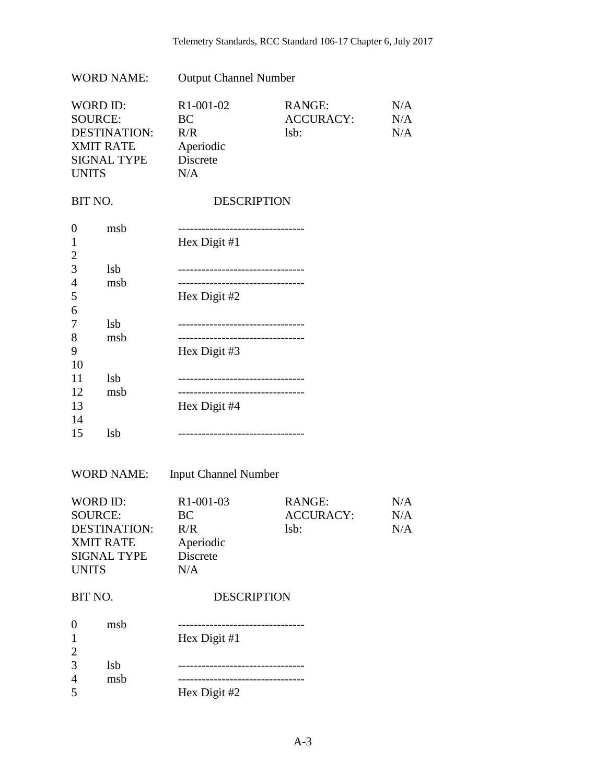| <b>WORD NAME:</b>                                                                                           | <b>Output Channel Number</b>                                                |                                    |                   |
|-------------------------------------------------------------------------------------------------------------|-----------------------------------------------------------------------------|------------------------------------|-------------------|
| WORD ID:<br><b>SOURCE:</b><br><b>DESTINATION:</b><br><b>XMIT RATE</b><br><b>SIGNAL TYPE</b><br><b>UNITS</b> | R <sub>1</sub> -001-02<br>BC.<br>R/R<br>Aperiodic<br><b>Discrete</b><br>N/A | RANGE:<br><b>ACCURACY:</b><br>lsb: | N/A<br>N/A<br>N/A |
|                                                                                                             |                                                                             |                                    |                   |

### BIT NO. DESCRIPTION

| 0              | msb        |              |
|----------------|------------|--------------|
| 1              |            | Hex Digit #1 |
| $\overline{2}$ |            |              |
| 3              | <b>lsb</b> |              |
| $\overline{4}$ | msb        |              |
| 5              |            | Hex Digit #2 |
| 6              |            |              |
| 7              | <b>lsb</b> |              |
| 8              | msb        |              |
| 9              |            | Hex Digit #3 |
| 10             |            |              |
| 11             | <b>lsb</b> |              |
| 12             | msb        |              |
| 13             |            | Hex Digit #4 |
| 14             |            |              |
| 15             | <b>lsb</b> |              |

WORD NAME: Input Channel Number

| WORD ID:            | $R1-001-03$     | RANGE:           | N/A |
|---------------------|-----------------|------------------|-----|
| SOURCE:             | BC.             | <b>ACCURACY:</b> | N/A |
| <b>DESTINATION:</b> | R/R             | lsb:             | N/A |
| <b>XMIT RATE</b>    | Aperiodic       |                  |     |
| <b>SIGNAL TYPE</b>  | <b>Discrete</b> |                  |     |
| <b>UNITS</b>        | N/A             |                  |     |
|                     |                 |                  |     |

## BIT NO. DESCRIPTION

| $\left($ | msb |              |
|----------|-----|--------------|
|          |     | Hex Digit #1 |
|          |     |              |
|          | 1sb |              |
|          | msb |              |
|          |     | Hex Digit #2 |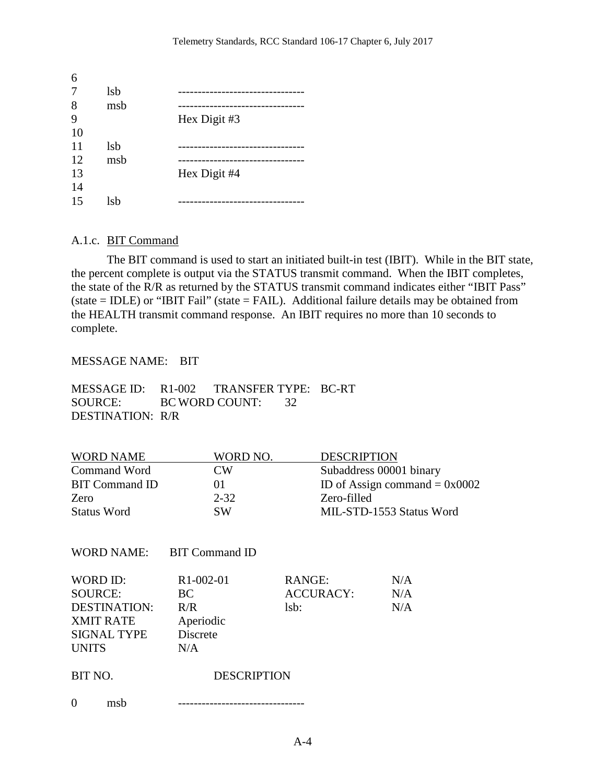| 6  |            |              |
|----|------------|--------------|
|    | <b>lsb</b> |              |
| 8  | msb        |              |
| 9  |            | Hex Digit #3 |
| 10 |            |              |
| 11 | <b>lsb</b> |              |
| 12 | msb        |              |
| 13 |            | Hex Digit #4 |
| 14 |            |              |
| 15 | lsb        |              |

A.1.c. BIT Command

The BIT command is used to start an initiated built-in test (IBIT). While in the BIT state, the percent complete is output via the STATUS transmit command. When the IBIT completes, the state of the R/R as returned by the STATUS transmit command indicates either "IBIT Pass" (state = IDLE) or "IBIT Fail" (state = FAIL). Additional failure details may be obtained from the HEALTH transmit command response. An IBIT requires no more than 10 seconds to complete.

MESSAGE NAME: BIT

| MESSAGE ID: R1-002 TRANSFER TYPE: BC-RT |                   |  |
|-----------------------------------------|-------------------|--|
| SOURCE:                                 | BC WORD COUNT: 32 |  |
| DESTINATION: R/R                        |                   |  |

| <b>WORD NAME</b>      | WORD NO.       | <b>DESCRIPTION</b>              |
|-----------------------|----------------|---------------------------------|
| Command Word          | CW <sub></sub> | Subaddress 00001 binary         |
| <b>BIT Command ID</b> | $_{01}$        | ID of Assign command $= 0x0002$ |
| Zero                  | $2 - 32$       | Zero-filled                     |
| <b>Status Word</b>    | <b>SW</b>      | MIL-STD-1553 Status Word        |
|                       |                |                                 |

WORD NAME: BIT Command ID

| WORD ID:            | R <sub>1</sub> -002-01 | RANGE:           | N/A |
|---------------------|------------------------|------------------|-----|
| SOURCE:             | <b>BC</b>              | <b>ACCURACY:</b> | N/A |
| <b>DESTINATION:</b> | R/R                    | lsb:             | N/A |
| <b>XMIT RATE</b>    | Aperiodic              |                  |     |
| <b>SIGNAL TYPE</b>  | <b>Discrete</b>        |                  |     |
| <b>UNITS</b>        | N/A                    |                  |     |
| BIT NO.             | <b>DESCRIPTION</b>     |                  |     |
| msh                 |                        |                  |     |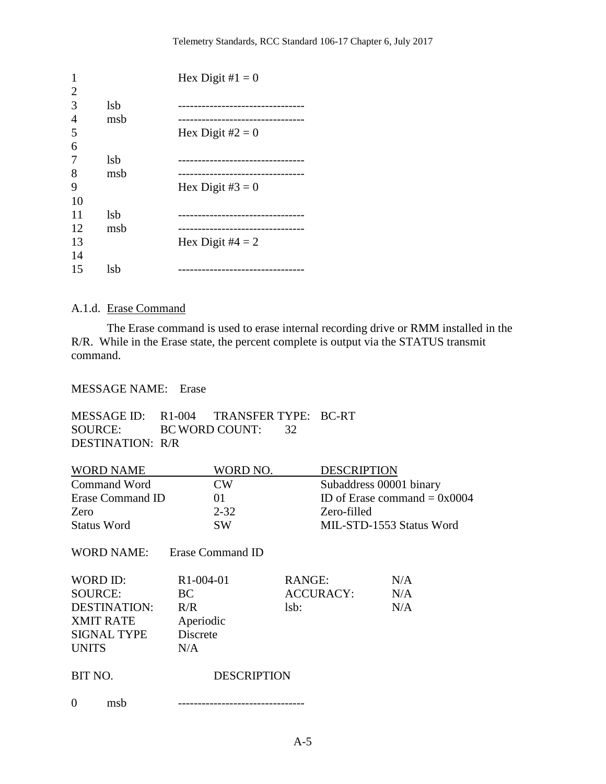|    |                | Hex Digit #1 = 0   |
|----|----------------|--------------------|
| 2  |                |                    |
| 3  | <b>lsb</b>     |                    |
| 4  | msb            | --------------     |
| 5  |                | Hex Digit #2 = 0   |
| 6  |                |                    |
| 7  | $\mathbf{lsb}$ |                    |
| 8  | msb            |                    |
| 9  |                | Hex Digit #3 = 0   |
| 10 |                |                    |
| 11 | $\mathbf{lsb}$ |                    |
| 12 | msb            | -----------        |
| 13 |                | Hex Digit #4 $= 2$ |
| 14 |                |                    |
| 15 | <b>lsb</b>     |                    |

A.1.d. Erase Command

The Erase command is used to erase internal recording drive or RMM installed in the R/R. While in the Erase state, the percent complete is output via the STATUS transmit command.

#### MESSAGE NAME: Erase

| MESSAGE ID: R1-004 TRANSFER TYPE: BC-RT |                   |  |
|-----------------------------------------|-------------------|--|
| SOURCE:                                 | BC WORD COUNT: 32 |  |
| <b>DESTINATION: R/R</b>                 |                   |  |

| <b>WORD NAME</b>    | WORD NO.           | <b>DESCRIPTION</b> |                                |
|---------------------|--------------------|--------------------|--------------------------------|
| <b>Command Word</b> | CW                 |                    | Subaddress 00001 binary        |
| Erase Command ID    | 01                 |                    | ID of Erase command $= 0x0004$ |
| Zero                | $2 - 32$           | Zero-filled        |                                |
| Status Word         | <b>SW</b>          |                    | MIL-STD-1553 Status Word       |
| <b>WORD NAME:</b>   | Erase Command ID   |                    |                                |
| WORD ID:            | $R1-004-01$        | RANGE:             | N/A                            |
| SOURCE:             | <b>BC</b>          | <b>ACCURACY:</b>   | N/A                            |
| <b>DESTINATION:</b> | R/R                | lsb:               | N/A                            |
| <b>XMIT RATE</b>    | Aperiodic          |                    |                                |
| <b>SIGNAL TYPE</b>  | <b>Discrete</b>    |                    |                                |
| <b>UNITS</b>        | N/A                |                    |                                |
| BIT NO.             | <b>DESCRIPTION</b> |                    |                                |
| msb<br>$\Omega$     |                    |                    |                                |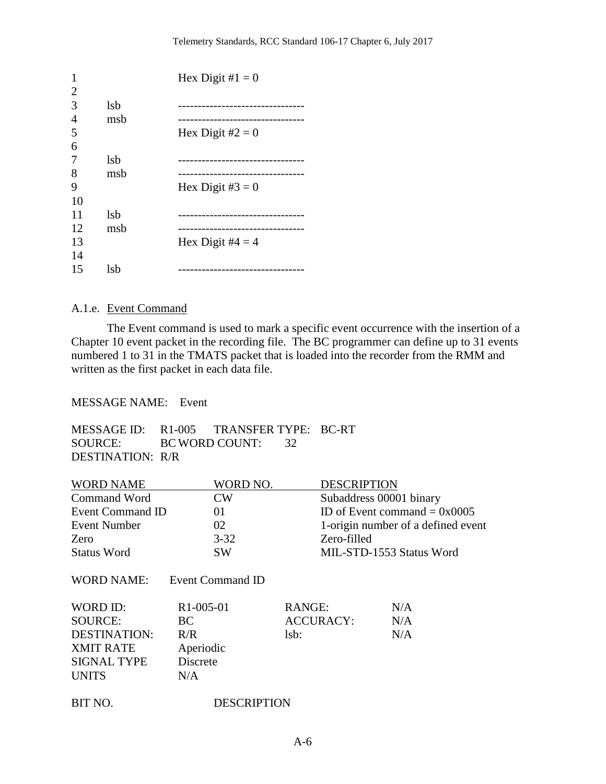|    |                | Hex Digit #1 = 0 |
|----|----------------|------------------|
| 2  |                |                  |
| 3  | <b>lsb</b>     |                  |
| 4  | msb            | -------------    |
| 5  |                | Hex Digit #2 = 0 |
| 6  |                |                  |
| 7  | <b>lsb</b>     |                  |
| 8  | msb            |                  |
| 9  |                | Hex Digit #3 = 0 |
| 10 |                |                  |
| 11 | $\mathbf{lsb}$ |                  |
| 12 | msb            |                  |
| 13 |                | Hex Digit #4 = 4 |
| 14 |                |                  |
| 15 | <b>lsb</b>     |                  |

#### A.1.e. Event Command

The Event command is used to mark a specific event occurrence with the insertion of a Chapter 10 event packet in the recording file. The BC programmer can define up to 31 events numbered 1 to 31 in the TMATS packet that is loaded into the recorder from the RMM and written as the first packet in each data file.

#### MESSAGE NAME: Event

MESSAGE ID: R1-005 TRANSFER TYPE: BC-RT SOURCE: BC WORD COUNT: 32 DESTINATION: R/R

| <b>WORD NAME</b>    | WORD NO.                | <b>DESCRIPTION</b>             |                                    |  |
|---------------------|-------------------------|--------------------------------|------------------------------------|--|
| Command Word        | CW <sup>-</sup>         | Subaddress 00001 binary        |                                    |  |
| Event Command ID    | 01                      | ID of Event command $= 0x0005$ |                                    |  |
| Event Number        | 02                      |                                | 1-origin number of a defined event |  |
| Zero                | $3 - 32$                | Zero-filled                    |                                    |  |
| Status Word         | <b>SW</b>               | MIL-STD-1553 Status Word       |                                    |  |
| <b>WORD NAME:</b>   | <b>Event Command ID</b> |                                |                                    |  |
| WORD ID:            | $R1-005-01$             | <b>RANGE:</b>                  | N/A                                |  |
| SOURCE:             | <b>BC</b>               | <b>ACCURACY:</b>               | N/A                                |  |
| <b>DESTINATION:</b> | R/R                     | lsb:                           | N/A                                |  |
| <b>XMIT RATE</b>    | Aperiodic               |                                |                                    |  |
| <b>SIGNAL TYPE</b>  | Discrete                |                                |                                    |  |
| <b>UNITS</b>        | N/A                     |                                |                                    |  |
| BIT NO.             | DESCRIPTION             |                                |                                    |  |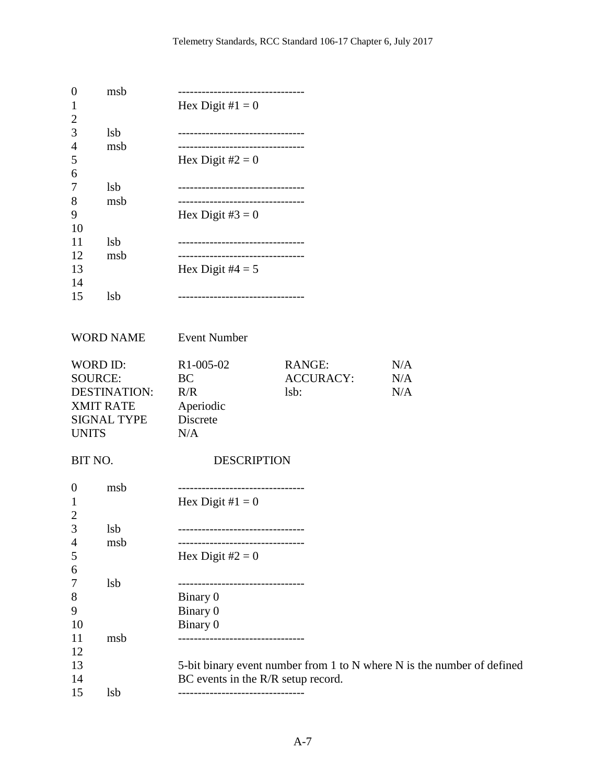| $\boldsymbol{0}$<br>1 | msb                 | ---------------------------------<br>Hex Digit # $1 = 0$ |                  |                                                                        |
|-----------------------|---------------------|----------------------------------------------------------|------------------|------------------------------------------------------------------------|
| $\overline{2}$        |                     |                                                          |                  |                                                                        |
| 3                     | <b>lsb</b>          | ----------------------------                             |                  |                                                                        |
| 4                     | msb                 | ------------------------------                           |                  |                                                                        |
| 5                     |                     | Hex Digit #2 = 0                                         |                  |                                                                        |
| 6                     |                     |                                                          |                  |                                                                        |
| 7                     | <b>lsb</b>          | -------------------------------                          |                  |                                                                        |
| 8                     | msb                 | ------------------------------                           |                  |                                                                        |
| 9<br>10               |                     | Hex Digit # $3 = 0$                                      |                  |                                                                        |
| 11                    | <b>lsb</b>          | -------------------------------                          |                  |                                                                        |
| 12                    | msb                 | ----------------------------                             |                  |                                                                        |
| 13                    |                     | Hex Digit #4 = $5$                                       |                  |                                                                        |
| 14                    |                     |                                                          |                  |                                                                        |
| 15                    | <b>lsb</b>          | -------------------------------                          |                  |                                                                        |
|                       |                     |                                                          |                  |                                                                        |
|                       | <b>WORD NAME</b>    | <b>Event Number</b>                                      |                  |                                                                        |
|                       | WORD ID:            | R1-005-02                                                | <b>RANGE:</b>    | N/A                                                                    |
|                       | <b>SOURCE:</b>      | <b>BC</b>                                                | <b>ACCURACY:</b> | N/A                                                                    |
|                       | <b>DESTINATION:</b> | R/R                                                      | lsb:             | N/A                                                                    |
|                       | <b>XMIT RATE</b>    | Aperiodic                                                |                  |                                                                        |
|                       | <b>SIGNAL TYPE</b>  | Discrete                                                 |                  |                                                                        |
| <b>UNITS</b>          |                     | N/A                                                      |                  |                                                                        |
| BIT NO.               |                     | <b>DESCRIPTION</b>                                       |                  |                                                                        |
| $\boldsymbol{0}$      | msb                 |                                                          |                  |                                                                        |
| 1                     |                     | Hex Digit # $1 = 0$                                      |                  |                                                                        |
| $\overline{2}$        |                     |                                                          |                  |                                                                        |
| 3                     | <b>lsb</b>          | --------------------------------                         |                  |                                                                        |
| $\overline{4}$        | msb                 | -----------------------------                            |                  |                                                                        |
| 5                     |                     | Hex Digit #2 = 0                                         |                  |                                                                        |
| 6                     |                     |                                                          |                  |                                                                        |
| 7                     | <b>lsb</b>          | -----------------------------                            |                  |                                                                        |
| 8<br>9                |                     | Binary 0<br>Binary 0                                     |                  |                                                                        |
| 10                    |                     | Binary 0                                                 |                  |                                                                        |
| 11                    | msb                 | --------------------------------                         |                  |                                                                        |
| 12                    |                     |                                                          |                  |                                                                        |
| 13                    |                     |                                                          |                  | 5-bit binary event number from 1 to N where N is the number of defined |
| 14                    |                     | BC events in the R/R setup record.                       |                  |                                                                        |
| 15                    | <b>lsb</b>          |                                                          |                  |                                                                        |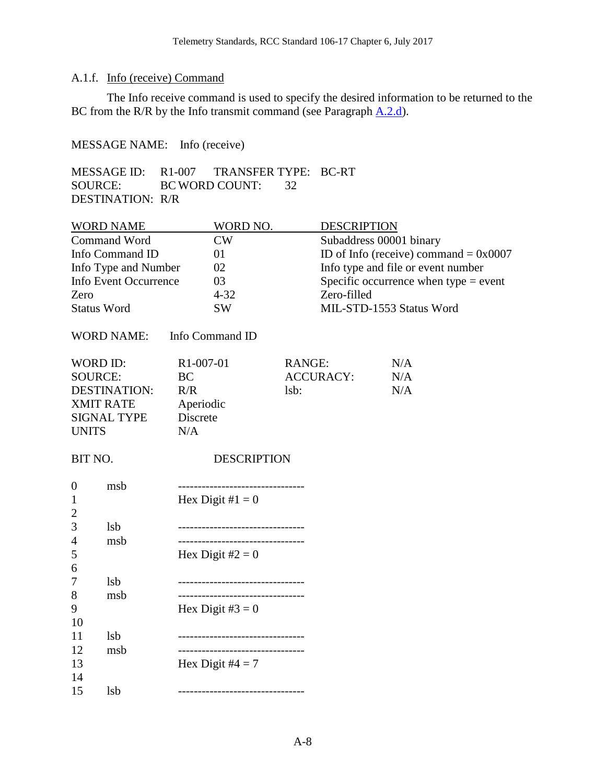## A.1.f. Info (receive) Command

The Info receive command is used to specify the desired information to be returned to the BC from the R/R by the Info transmit command (see Paragraph [A.2.d\)](#page-102-0).

### MESSAGE NAME: Info (receive)

MESSAGE ID: R1-007 TRANSFER TYPE: BC-RT SOURCE: BC WORD COUNT: 32 DESTINATION: R/R

|                    | <b>WORD NAME</b>      | WORD NO.                          | <b>DESCRIPTION</b> |                                         |
|--------------------|-----------------------|-----------------------------------|--------------------|-----------------------------------------|
|                    | Command Word          | CW                                |                    | Subaddress 00001 binary                 |
|                    | Info Command ID       | 01                                |                    | ID of Info (receive) command = $0x0007$ |
|                    | Info Type and Number  | 02                                |                    | Info type and file or event number      |
|                    | Info Event Occurrence | 03                                |                    | Specific occurrence when type $=$ event |
| Zero               |                       | $4 - 32$                          | Zero-filled        |                                         |
| <b>Status Word</b> |                       | <b>SW</b>                         |                    | MIL-STD-1553 Status Word                |
|                    | <b>WORD NAME:</b>     | Info Command ID                   |                    |                                         |
| WORD ID:           |                       | R1-007-01                         | <b>RANGE:</b>      | N/A                                     |
| <b>SOURCE:</b>     |                       | <b>BC</b>                         | <b>ACCURACY:</b>   | N/A                                     |
|                    | <b>DESTINATION:</b>   | R/R                               | lsb:               | N/A                                     |
|                    | <b>XMIT RATE</b>      | Aperiodic                         |                    |                                         |
|                    | <b>SIGNAL TYPE</b>    | Discrete                          |                    |                                         |
| <b>UNITS</b>       |                       | N/A                               |                    |                                         |
| BIT NO.            |                       | <b>DESCRIPTION</b>                |                    |                                         |
| $\boldsymbol{0}$   | msb                   |                                   |                    |                                         |
| 1                  |                       | Hex Digit # $1 = 0$               |                    |                                         |
| $\overline{c}$     |                       |                                   |                    |                                         |
| 3                  | <b>lsb</b>            | ------------------------------    |                    |                                         |
| 4                  | msb                   |                                   |                    |                                         |
| 5                  |                       | Hex Digit #2 = 0                  |                    |                                         |
| 6                  |                       |                                   |                    |                                         |
| 7                  | <b>lsb</b>            | -------------------------------   |                    |                                         |
| 8                  | msb                   |                                   |                    |                                         |
| 9                  |                       | Hex Digit # $3 = 0$               |                    |                                         |
| 10                 |                       |                                   |                    |                                         |
| 11                 | <b>lsb</b>            | ----------------------------      |                    |                                         |
| 12                 | msb                   | --------------------------------  |                    |                                         |
| 13                 |                       | Hex Digit #4 = 7                  |                    |                                         |
| 14                 |                       |                                   |                    |                                         |
| 15                 | <b>lsb</b>            | --------------------------------- |                    |                                         |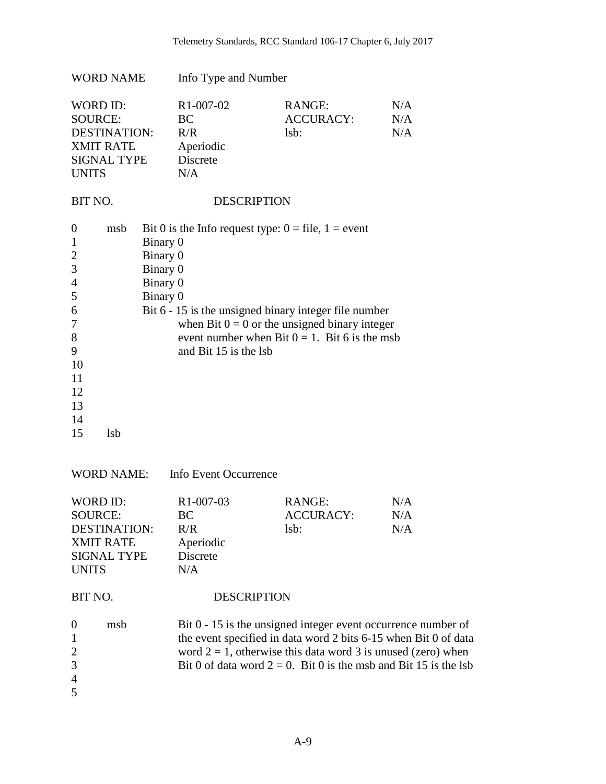| WORD NAME                                                                                                                                                     | Info Type and Number                                                             |                                                                                                                                                              |                   |
|---------------------------------------------------------------------------------------------------------------------------------------------------------------|----------------------------------------------------------------------------------|--------------------------------------------------------------------------------------------------------------------------------------------------------------|-------------------|
| WORD ID:<br><b>SOURCE:</b><br><b>DESTINATION:</b><br><b>XMIT RATE</b><br><b>SIGNAL TYPE</b><br><b>UNITS</b>                                                   | R <sub>1</sub> -007-02<br><b>BC</b><br>R/R<br>Aperiodic<br>Discrete<br>N/A       | <b>RANGE:</b><br><b>ACCURACY:</b><br>lsb:                                                                                                                    | N/A<br>N/A<br>N/A |
| BIT NO.                                                                                                                                                       | <b>DESCRIPTION</b>                                                               |                                                                                                                                                              |                   |
| $\theta$<br>msb<br>Binary 0<br>1<br>2<br>Binary 0<br>3<br>Binary 0<br>$\overline{4}$<br>Binary 0<br>Binary 0<br>5<br>6<br>7<br>8<br>9<br>10<br>11<br>12<br>13 | Bit 0 is the Info request type: $0 =$ file, $1 =$ event<br>and Bit 15 is the lsb | Bit 6 - 15 is the unsigned binary integer file number<br>when Bit $0 = 0$ or the unsigned binary integer<br>event number when Bit $0 = 1$ . Bit 6 is the msb |                   |

- 14
- 15 lsb

WORD NAME: Info Event Occurrence

| WORD ID:                                                  | R <sub>1</sub> -007-03 | <b>RANGE:</b>                                                                                                                                                                                                                                                                | N/A |
|-----------------------------------------------------------|------------------------|------------------------------------------------------------------------------------------------------------------------------------------------------------------------------------------------------------------------------------------------------------------------------|-----|
| <b>SOURCE:</b>                                            | BC                     | <b>ACCURACY:</b>                                                                                                                                                                                                                                                             | N/A |
| <b>DESTINATION:</b>                                       | R/R                    | lsb:                                                                                                                                                                                                                                                                         | N/A |
| XMIT RATE                                                 | Aperiodic              |                                                                                                                                                                                                                                                                              |     |
| <b>SIGNAL TYPE</b>                                        | <b>Discrete</b>        |                                                                                                                                                                                                                                                                              |     |
| <b>UNITS</b>                                              | N/A                    |                                                                                                                                                                                                                                                                              |     |
| BIT NO.                                                   | <b>DESCRIPTION</b>     |                                                                                                                                                                                                                                                                              |     |
| 0<br>msb<br>$\mathbf{1}$<br>$\overline{2}$<br>3<br>4<br>5 |                        | Bit $0 - 15$ is the unsigned integer event occurrence number of<br>the event specified in data word 2 bits 6-15 when Bit 0 of data<br>word $2 = 1$ , otherwise this data word 3 is unused (zero) when<br>Bit 0 of data word $2 = 0$ . Bit 0 is the msb and Bit 15 is the lsb |     |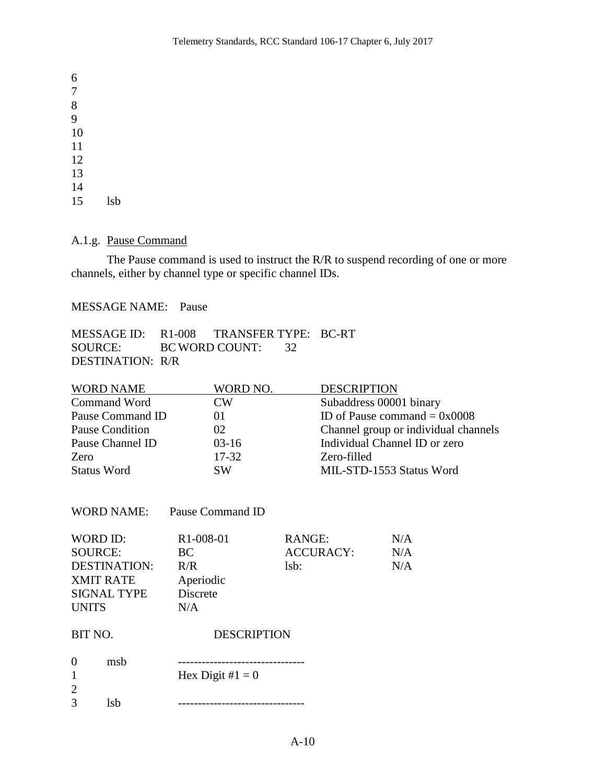### A.1.g. Pause Command

The Pause command is used to instruct the R/R to suspend recording of one or more channels, either by channel type or specific channel IDs.

### MESSAGE NAME: Pause

| MESSAGE ID: R1-008 TRANSFER TYPE: BC-RT |                   |  |
|-----------------------------------------|-------------------|--|
| SOURCE:                                 | BC WORD COUNT: 32 |  |
| <b>DESTINATION: R/R</b>                 |                   |  |

| <b>WORD NAME</b>       | WORD NO.  | <b>DESCRIPTION</b>                   |
|------------------------|-----------|--------------------------------------|
| Command Word           | <b>CW</b> | Subaddress 00001 binary              |
| Pause Command ID       | 01        | ID of Pause command $= 0x0008$       |
| <b>Pause Condition</b> | 02        | Channel group or individual channels |
| Pause Channel ID       | $03-16$   | Individual Channel ID or zero        |
| Zero                   | $17 - 32$ | Zero-filled                          |
| <b>Status Word</b>     | <b>SW</b> | MIL-STD-1553 Status Word             |

WORD NAME: Pause Command ID

| WORD ID:            | R <sub>1</sub> -008-01 | <b>RANGE:</b>    | N/A |
|---------------------|------------------------|------------------|-----|
| SOURCE:             | BC                     | <b>ACCURACY:</b> | N/A |
| <b>DESTINATION:</b> | R/R                    | lsb:             | N/A |
| <b>XMIT RATE</b>    | Aperiodic              |                  |     |
| <b>SIGNAL TYPE</b>  | <b>Discrete</b>        |                  |     |
| <b>UNITS</b>        | N/A                    |                  |     |
|                     |                        |                  |     |
| BIT NO.             | <b>DESCRIPTION</b>     |                  |     |
|                     |                        |                  |     |
| msb<br>$\Omega$     |                        |                  |     |
|                     | Hex Digit # $1 = 0$    |                  |     |
| 2                   |                        |                  |     |
| 3<br>lsb            |                        |                  |     |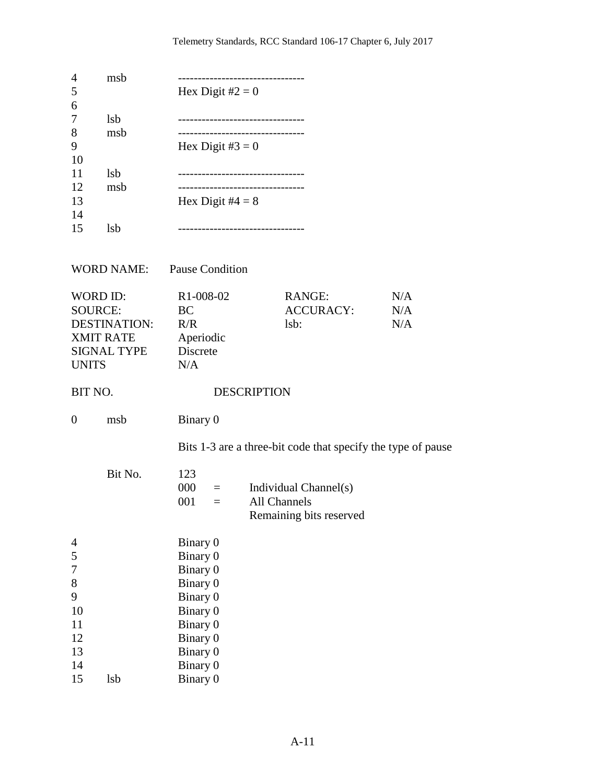| $\overline{4}$<br>5<br>6 | msb                 | Hex Digit #2 = 0           | --------------------------------                             |     |
|--------------------------|---------------------|----------------------------|--------------------------------------------------------------|-----|
| 7                        | <b>lsb</b>          |                            |                                                              |     |
| 8                        | msb                 |                            |                                                              |     |
| 9                        |                     | Hex Digit # $3 = 0$        |                                                              |     |
| 10                       |                     |                            |                                                              |     |
| 11                       | <b>lsb</b>          |                            | ------------------------------                               |     |
| 12                       | msb                 |                            | -------------------------------                              |     |
| 13                       |                     | Hex Digit #4 = $8$         |                                                              |     |
| 14                       |                     |                            |                                                              |     |
| 15                       | <b>lsb</b>          |                            | --------------------------                                   |     |
|                          |                     | WORD NAME: Pause Condition |                                                              |     |
| WORD ID:                 |                     | R1-008-02                  | <b>RANGE:</b>                                                | N/A |
| SOURCE:                  |                     | <b>BC</b>                  | <b>ACCURACY:</b>                                             | N/A |
|                          | <b>DESTINATION:</b> | R/R                        | lsb:                                                         | N/A |
|                          | <b>XMIT RATE</b>    | Aperiodic                  |                                                              |     |
|                          | <b>SIGNAL TYPE</b>  | Discrete                   |                                                              |     |
| <b>UNITS</b>             |                     | N/A                        |                                                              |     |
|                          |                     |                            |                                                              |     |
| BIT NO.                  |                     |                            | <b>DESCRIPTION</b>                                           |     |
| $\overline{0}$           | msb                 | Binary 0                   |                                                              |     |
|                          |                     |                            | Bits 1-3 are a three-bit code that specify the type of pause |     |
|                          | Bit No.             | 123                        |                                                              |     |
|                          |                     | 000<br>$\equiv$ 1000 $\pm$ | Individual Channel(s)                                        |     |
|                          |                     | 001<br>$=$                 | All Channels                                                 |     |
|                          |                     |                            | Remaining bits reserved                                      |     |
|                          |                     |                            |                                                              |     |
| 4                        |                     | Binary 0                   |                                                              |     |
| 5                        |                     | Binary 0                   |                                                              |     |
| $\overline{7}$           |                     | Binary 0                   |                                                              |     |
| 8                        |                     | Binary 0                   |                                                              |     |
| 9                        |                     | Binary 0                   |                                                              |     |
| 10                       |                     | Binary 0                   |                                                              |     |
| 11                       |                     | Binary 0                   |                                                              |     |
| 12                       |                     | Binary 0                   |                                                              |     |
| 13                       |                     | Binary 0                   |                                                              |     |
|                          |                     |                            |                                                              |     |
| 14                       |                     | Binary 0<br>Binary 0       |                                                              |     |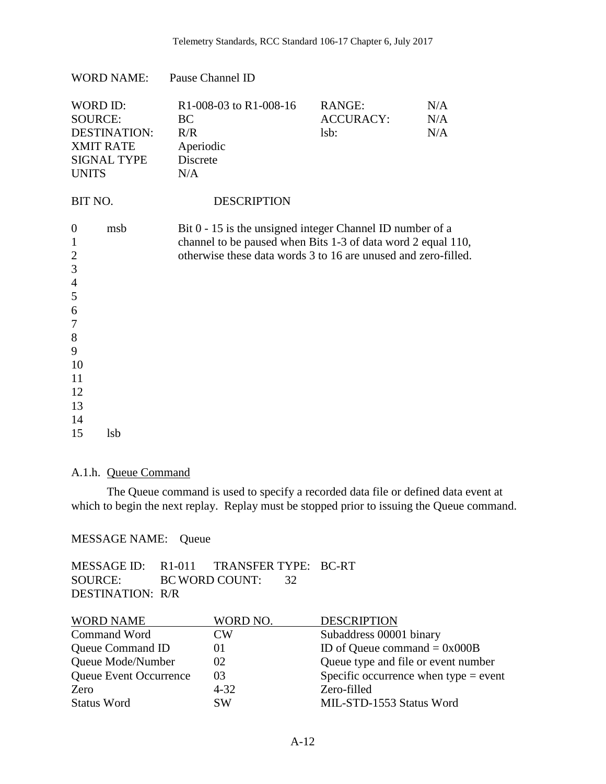| <b>WORD NAME:</b>                                                                                                                                                 | Pause Channel ID                                                                                                                                                                            |                                    |                   |
|-------------------------------------------------------------------------------------------------------------------------------------------------------------------|---------------------------------------------------------------------------------------------------------------------------------------------------------------------------------------------|------------------------------------|-------------------|
| WORD ID:<br><b>SOURCE:</b><br><b>DESTINATION:</b><br><b>XMIT RATE</b><br><b>SIGNAL TYPE</b><br><b>UNITS</b>                                                       | R1-008-03 to R1-008-16<br><b>BC</b><br>R/R<br>Aperiodic<br>Discrete<br>N/A                                                                                                                  | RANGE:<br><b>ACCURACY:</b><br>lsb: | N/A<br>N/A<br>N/A |
| BIT NO.                                                                                                                                                           | <b>DESCRIPTION</b>                                                                                                                                                                          |                                    |                   |
| msb<br>$\boldsymbol{0}$<br>$\mathbf{1}$<br>$\overline{c}$<br>3<br>$\overline{4}$<br>5<br>6<br>$\overline{7}$<br>8<br>9<br>10<br>11<br>12<br>13<br>14<br>15<br>lsb | Bit 0 - 15 is the unsigned integer Channel ID number of a<br>channel to be paused when Bits 1-3 of data word 2 equal 110,<br>otherwise these data words 3 to 16 are unused and zero-filled. |                                    |                   |

# A.1.h. Queue Command

The Queue command is used to specify a recorded data file or defined data event at which to begin the next replay. Replay must be stopped prior to issuing the Queue command.

#### MESSAGE NAME: Queue

| MESSAGE ID: R1-011 TRANSFER TYPE: BC-RT |                   |  |
|-----------------------------------------|-------------------|--|
| SOURCE:                                 | BC WORD COUNT: 32 |  |
| <b>DESTINATION: R/R</b>                 |                   |  |

| <b>WORD NAME</b>       | WORD NO. | <b>DESCRIPTION</b>                      |
|------------------------|----------|-----------------------------------------|
| Command Word           | CW       | Subaddress 00001 binary                 |
| Queue Command ID       | 01       | ID of Queue command $= 0x000B$          |
| Queue Mode/Number      | 02       | Queue type and file or event number     |
| Queue Event Occurrence | 03       | Specific occurrence when type $=$ event |
| Zero                   | $4 - 32$ | Zero-filled                             |
| <b>Status Word</b>     | SW       | MIL-STD-1553 Status Word                |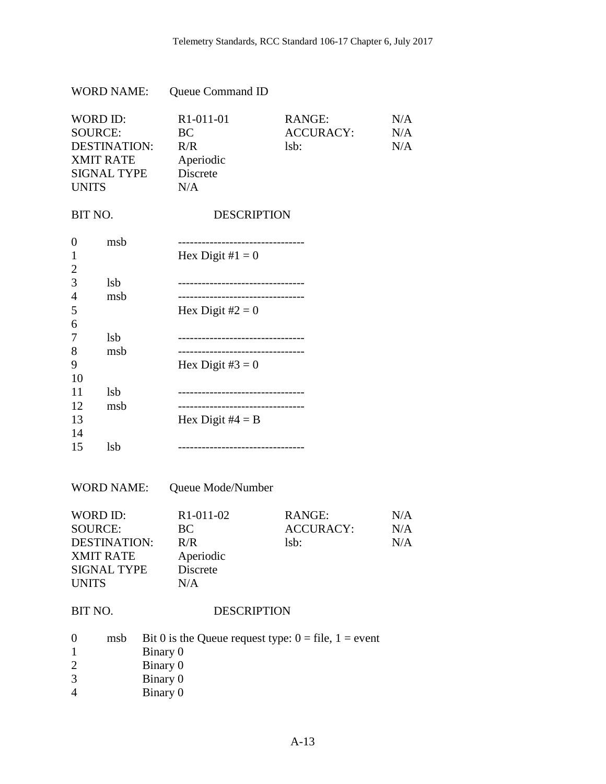| <b>WORD NAME:</b>                                              | Queue Command ID                                               |                                           |                   |
|----------------------------------------------------------------|----------------------------------------------------------------|-------------------------------------------|-------------------|
| WORD ID:<br>SOURCE:<br><b>DESTINATION:</b><br><b>XMIT RATE</b> | R <sub>1</sub> -01 <sub>1</sub> -01<br>BC.<br>R/R<br>Aperiodic | <b>RANGE:</b><br><b>ACCURACY:</b><br>lsb: | N/A<br>N/A<br>N/A |
| <b>SIGNAL TYPE</b><br><b>UNITS</b>                             | Discrete<br>N/A                                                |                                           |                   |

## BIT NO. DESCRIPTION

| 0              | msb        |                     |
|----------------|------------|---------------------|
| 1              |            | Hex Digit # $1 = 0$ |
| 2              |            |                     |
| 3              | <b>lsb</b> |                     |
| $\overline{4}$ | msb        |                     |
| 5              |            | Hex Digit #2 = 0    |
| 6              |            |                     |
| 7              | <b>lsb</b> |                     |
| 8              | msb        |                     |
| 9              |            | Hex Digit #3 = 0    |
| 10             |            |                     |
| 11             | <b>lsb</b> |                     |
| 12             | msb        |                     |
| 13             |            | Hex Digit #4 = B    |
| 14             |            |                     |
| 15             | <b>lsb</b> |                     |

WORD NAME: Queue Mode/Number

| WORD ID:            | R <sub>1</sub> -01 <sub>1</sub> -02 | RANGE:           | N/A |
|---------------------|-------------------------------------|------------------|-----|
| SOURCE:             | BC.                                 | <b>ACCURACY:</b> | N/A |
| <b>DESTINATION:</b> | R/R                                 | lsb:             | N/A |
| <b>XMIT RATE</b>    | Aperiodic                           |                  |     |
| <b>SIGNAL TYPE</b>  | <b>Discrete</b>                     |                  |     |
| <b>UNITS</b>        | N/A                                 |                  |     |

| $\Omega$       | msb | Bit 0 is the Queue request type: $0 =$ file, $1 =$ event |
|----------------|-----|----------------------------------------------------------|
|                |     | Binary 0                                                 |
| 2              |     | Binary 0                                                 |
| 3              |     | Binary 0                                                 |
| $\overline{A}$ |     | Binary 0                                                 |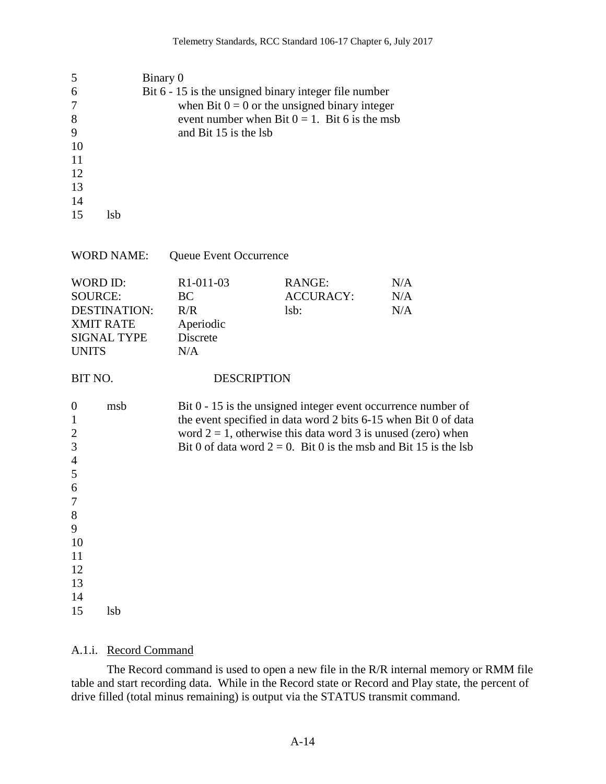| 5  | Binary 0                                              |
|----|-------------------------------------------------------|
| 6  | Bit 6 - 15 is the unsigned binary integer file number |
| 7  | when Bit $0 = 0$ or the unsigned binary integer       |
| 8  | event number when Bit $0 = 1$ . Bit 6 is the msb      |
| 9  | and Bit 15 is the lsb                                 |
| 10 |                                                       |
| 11 |                                                       |
| 12 |                                                       |
| 13 |                                                       |
| 14 |                                                       |
| 15 | <b>lsb</b>                                            |
|    |                                                       |

| <b>WORD NAME:</b>                                                                                                                     | <b>Queue Event Occurrence</b>                                   |                                                                                                                                                                                                                                                                              |                   |
|---------------------------------------------------------------------------------------------------------------------------------------|-----------------------------------------------------------------|------------------------------------------------------------------------------------------------------------------------------------------------------------------------------------------------------------------------------------------------------------------------------|-------------------|
| WORD ID:<br><b>SOURCE:</b><br><b>DESTINATION:</b><br><b>XMIT RATE</b><br><b>SIGNAL TYPE</b><br><b>UNITS</b>                           | $R1-011-03$<br><b>BC</b><br>R/R<br>Aperiodic<br>Discrete<br>N/A | RANGE:<br><b>ACCURACY:</b><br>lsb:                                                                                                                                                                                                                                           | N/A<br>N/A<br>N/A |
| BIT NO.                                                                                                                               | <b>DESCRIPTION</b>                                              |                                                                                                                                                                                                                                                                              |                   |
| msb<br>$\overline{0}$<br>$\mathbf{1}$<br>$\overline{2}$<br>3<br>$\overline{4}$<br>5<br>6<br>7<br>8<br>9<br>10<br>11<br>12<br>13<br>14 |                                                                 | Bit $0 - 15$ is the unsigned integer event occurrence number of<br>the event specified in data word 2 bits 6-15 when Bit 0 of data<br>word $2 = 1$ , otherwise this data word 3 is unused (zero) when<br>Bit 0 of data word $2 = 0$ . Bit 0 is the msb and Bit 15 is the lsb |                   |

15 lsb

## A.1.i. Record Command

The Record command is used to open a new file in the R/R internal memory or RMM file table and start recording data. While in the Record state or Record and Play state, the percent of drive filled (total minus remaining) is output via the STATUS transmit command.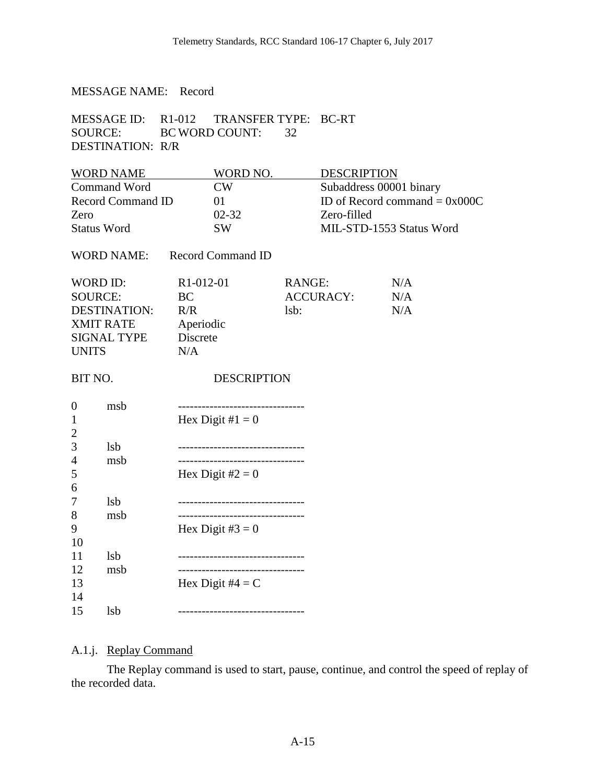### MESSAGE NAME: Record

MESSAGE ID: R1-012 TRANSFER TYPE: BC-RT SOURCE: BC WORD COUNT: 32 DESTINATION: R/R

|                     | <b>WORD NAME</b>         | WORD NO.                          | <b>DESCRIPTION</b> |                                 |
|---------------------|--------------------------|-----------------------------------|--------------------|---------------------------------|
| <b>Command Word</b> |                          | CW                                |                    | Subaddress 00001 binary         |
|                     | <b>Record Command ID</b> | 01                                |                    | ID of Record command $= 0x000C$ |
| Zero                |                          | $02 - 32$                         | Zero-filled        |                                 |
|                     | <b>Status Word</b>       | <b>SW</b>                         |                    | MIL-STD-1553 Status Word        |
|                     | <b>WORD NAME:</b>        | Record Command ID                 |                    |                                 |
|                     | WORD ID:                 | R <sub>1</sub> -012-01            | <b>RANGE:</b>      | N/A                             |
| <b>SOURCE:</b>      |                          | <b>BC</b>                         | <b>ACCURACY:</b>   | N/A                             |
|                     | <b>DESTINATION:</b>      | R/R                               | lsb:               | N/A                             |
|                     | <b>XMIT RATE</b>         | Aperiodic                         |                    |                                 |
|                     | <b>SIGNAL TYPE</b>       | Discrete                          |                    |                                 |
| <b>UNITS</b>        |                          | N/A                               |                    |                                 |
| BIT NO.             |                          | <b>DESCRIPTION</b>                |                    |                                 |
| 0                   | msb                      |                                   |                    |                                 |
| 1                   |                          | Hex Digit # $1 = 0$               |                    |                                 |
| 2                   |                          |                                   |                    |                                 |
| 3                   | <b>lsb</b>               |                                   |                    |                                 |
| 4                   | msb                      |                                   |                    |                                 |
| 5                   |                          | Hex Digit #2 = $0$                |                    |                                 |
| 6                   |                          |                                   |                    |                                 |
| 7                   | <b>lsb</b>               | ---------------------------       |                    |                                 |
| 8                   | msb                      | --------------------------------- |                    |                                 |
| 9                   |                          | Hex Digit #3 = 0                  |                    |                                 |
| 10                  |                          |                                   |                    |                                 |
| 11                  | 1 <sub>sb</sub>          |                                   |                    |                                 |
| 12                  | msb                      |                                   |                    |                                 |
| 13                  |                          | Hex Digit #4 = $C$                |                    |                                 |
| 14                  |                          |                                   |                    |                                 |
| 15                  | <b>lsb</b>               | --------------------------------  |                    |                                 |

## A.1.j. Replay Command

The Replay command is used to start, pause, continue, and control the speed of replay of the recorded data.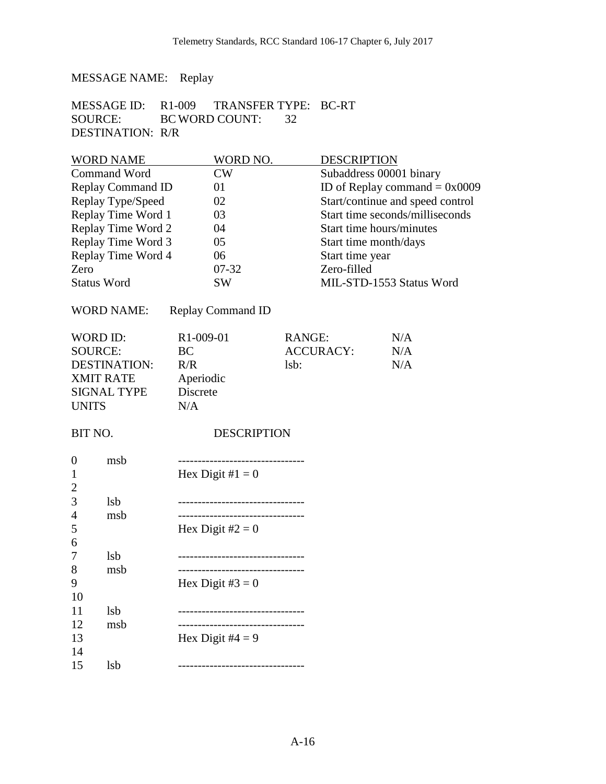## MESSAGE NAME: Replay

MESSAGE ID: R1-009 TRANSFER TYPE: BC-RT SOURCE: BC WORD COUNT: 32 DESTINATION: R/R

| <b>WORD NAME</b>         | WORD NO.                      | <b>DESCRIPTION</b> |                                  |  |
|--------------------------|-------------------------------|--------------------|----------------------------------|--|
| Command Word             | CW                            |                    | Subaddress 00001 binary          |  |
| <b>Replay Command ID</b> | 01                            |                    | ID of Replay command = $0x0009$  |  |
| Replay Type/Speed        | 02                            |                    | Start/continue and speed control |  |
| Replay Time Word 1       | 03                            |                    | Start time seconds/milliseconds  |  |
| Replay Time Word 2       | 04                            |                    | Start time hours/minutes         |  |
| Replay Time Word 3       | 05                            |                    | Start time month/days            |  |
| Replay Time Word 4       | 06                            | Start time year    |                                  |  |
| Zero                     | 07-32                         | Zero-filled        |                                  |  |
| <b>Status Word</b>       | <b>SW</b>                     |                    | MIL-STD-1553 Status Word         |  |
| <b>WORD NAME:</b>        | <b>Replay Command ID</b>      |                    |                                  |  |
| WORD ID:                 | R <sub>1</sub> -009-01        | <b>RANGE:</b>      | N/A                              |  |
| <b>SOURCE:</b>           | <b>BC</b>                     | <b>ACCURACY:</b>   | N/A                              |  |
| <b>DESTINATION:</b>      | R/R                           | lsb:               | N/A                              |  |
| <b>XMIT RATE</b>         | Aperiodic                     |                    |                                  |  |
| <b>SIGNAL TYPE</b>       | <b>Discrete</b>               |                    |                                  |  |
| <b>UNITS</b>             | N/A                           |                    |                                  |  |
| BIT NO.                  | <b>DESCRIPTION</b>            |                    |                                  |  |
| msb<br>0                 |                               |                    |                                  |  |
| 1                        | Hex Digit # $1 = 0$           |                    |                                  |  |
| 2                        |                               |                    |                                  |  |
| 3<br><b>lsb</b>          |                               |                    |                                  |  |
| 4<br>msb                 | ----------------------------  |                    |                                  |  |
| 5                        | Hex Digit #2 = 0              |                    |                                  |  |
| 6                        |                               |                    |                                  |  |
| <b>lsb</b><br>7          | ----------------------------- |                    |                                  |  |
| 8<br>msb                 |                               |                    |                                  |  |
| 9                        | Hex Digit #3 = 0              |                    |                                  |  |
| 10                       |                               |                    |                                  |  |
| 11<br><b>lsb</b>         |                               |                    |                                  |  |
| 12<br>msb                |                               |                    |                                  |  |
| 13                       | Hex Digit #4 = 9              |                    |                                  |  |
|                          |                               |                    |                                  |  |
| 14                       |                               |                    |                                  |  |
| 15<br><b>lsb</b>         |                               |                    |                                  |  |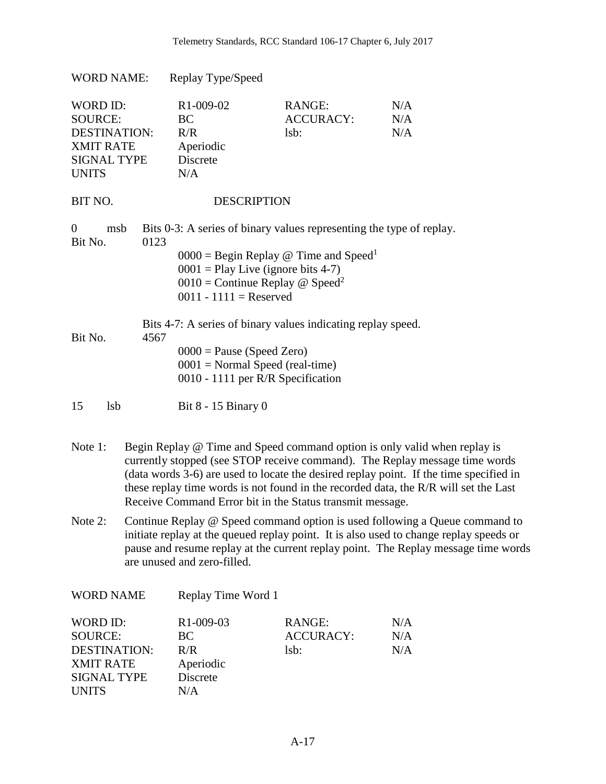| <b>WORD NAME:</b>                                                                                           | Replay Type/Speed                                                          |                                                                                                                                                                                                                                                |                   |
|-------------------------------------------------------------------------------------------------------------|----------------------------------------------------------------------------|------------------------------------------------------------------------------------------------------------------------------------------------------------------------------------------------------------------------------------------------|-------------------|
| WORD ID:<br><b>SOURCE:</b><br><b>DESTINATION:</b><br><b>XMIT RATE</b><br><b>SIGNAL TYPE</b><br><b>UNITS</b> | R <sub>1</sub> -009-02<br><b>BC</b><br>R/R<br>Aperiodic<br>Discrete<br>N/A | RANGE:<br><b>ACCURACY:</b><br>lsb:                                                                                                                                                                                                             | N/A<br>N/A<br>N/A |
| BIT NO.                                                                                                     |                                                                            | <b>DESCRIPTION</b>                                                                                                                                                                                                                             |                   |
| $\Omega$<br>msb<br>Bit No.                                                                                  | 0123                                                                       | Bits 0-3: A series of binary values representing the type of replay.<br>$0000 =$ Begin Replay @ Time and Speed <sup>1</sup><br>$0001$ = Play Live (ignore bits 4-7)<br>0010 = Continue Replay @ Speed <sup>2</sup><br>$0011 - 1111 =$ Reserved |                   |
| Bit No.                                                                                                     | 4567                                                                       | Bits 4-7: A series of binary values indicating replay speed.<br>$0000$ = Pause (Speed Zero)<br>$0001$ = Normal Speed (real-time)<br>0010 - 1111 per R/R Specification                                                                          |                   |
| 15<br><b>lsb</b>                                                                                            | Bit 8 - 15 Binary 0                                                        |                                                                                                                                                                                                                                                |                   |

Note 1: Begin Replay @ Time and Speed command option is only valid when replay is currently stopped (see STOP receive command). The Replay message time words (data words 3-6) are used to locate the desired replay point. If the time specified in these replay time words is not found in the recorded data, the R/R will set the Last Receive Command Error bit in the Status transmit message.

Note 2: Continue Replay @ Speed command option is used following a Queue command to initiate replay at the queued replay point. It is also used to change replay speeds or pause and resume replay at the current replay point. The Replay message time words are unused and zero-filled.

WORD NAME Replay Time Word 1

| WORD ID:     | $R1-009-03$     | RANGE:           | N/A |
|--------------|-----------------|------------------|-----|
| SOURCE:      | BC.             | <b>ACCURACY:</b> | N/A |
| DESTINATION: | R/R             | lsb:             | N/A |
| XMIT RATE    | Aperiodic       |                  |     |
| SIGNAL TYPE  | <b>Discrete</b> |                  |     |
| <b>UNITS</b> | N/A             |                  |     |
|              |                 |                  |     |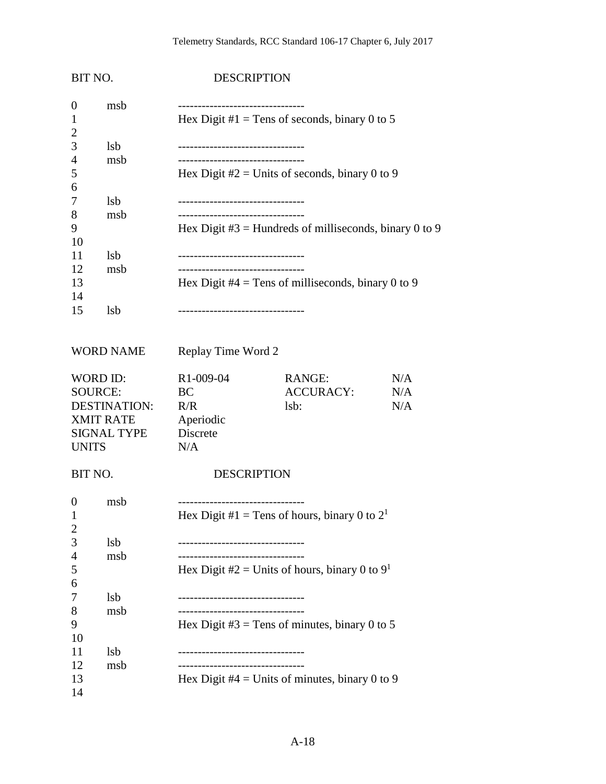| BIT NO. | <b>DESCRIPTION</b> |
|---------|--------------------|
|         |                    |

| 0                  | msb                 |                            |                                                          |     |
|--------------------|---------------------|----------------------------|----------------------------------------------------------|-----|
| 1                  |                     |                            | Hex Digit #1 = Tens of seconds, binary 0 to 5            |     |
| 2                  |                     |                            |                                                          |     |
| 3                  | $\mathbf{lsb}$      |                            |                                                          |     |
| 4<br>5             | msb                 |                            | Hex Digit #2 = Units of seconds, binary 0 to 9           |     |
| 6                  |                     |                            |                                                          |     |
| 7                  | <b>lsb</b>          | -------------------------- |                                                          |     |
| 8                  | msb                 |                            |                                                          |     |
| 9                  |                     |                            | Hex Digit $#3$ = Hundreds of milliseconds, binary 0 to 9 |     |
| 10                 |                     |                            |                                                          |     |
| 11                 | $\mathbf{lsb}$      | ------------------------   |                                                          |     |
| 12                 | msb                 |                            |                                                          |     |
| 13<br>14           |                     |                            | Hex Digit #4 = Tens of milliseconds, binary 0 to 9       |     |
| 15                 | 1 <sub>sb</sub>     |                            |                                                          |     |
|                    |                     |                            |                                                          |     |
|                    |                     |                            |                                                          |     |
|                    | <b>WORD NAME</b>    | Replay Time Word 2         |                                                          |     |
| WORD ID:           |                     | R <sub>1</sub> -009-04     | <b>RANGE:</b>                                            | N/A |
| <b>SOURCE:</b>     |                     | <b>BC</b>                  | <b>ACCURACY:</b>                                         | N/A |
|                    | <b>DESTINATION:</b> | R/R                        | lsb:                                                     | N/A |
|                    | <b>XMIT RATE</b>    | Aperiodic                  |                                                          |     |
| <b>SIGNAL TYPE</b> |                     | Discrete                   |                                                          |     |
| <b>UNITS</b>       |                     | N/A                        |                                                          |     |
| BIT NO.            |                     | <b>DESCRIPTION</b>         |                                                          |     |

| $\theta$ | msb        |                                                 |
|----------|------------|-------------------------------------------------|
|          |            | Hex Digit #1 = Tens of hours, binary 0 to $21$  |
| 2        |            |                                                 |
| 3        | <b>lsb</b> | -----------------------------                   |
| 4        | msb        |                                                 |
| 5        |            | Hex Digit #2 = Units of hours, binary 0 to $91$ |
| 6        |            |                                                 |
| 7        | <b>lsb</b> | -----------------------------                   |
| 8        | msb        |                                                 |
| 9        |            | Hex Digit #3 = Tens of minutes, binary 0 to 5   |
| 10       |            |                                                 |
| 11       | lsb        |                                                 |
| 12       | msb        |                                                 |
| 13       |            | Hex Digit #4 = Units of minutes, binary 0 to 9  |
| 14       |            |                                                 |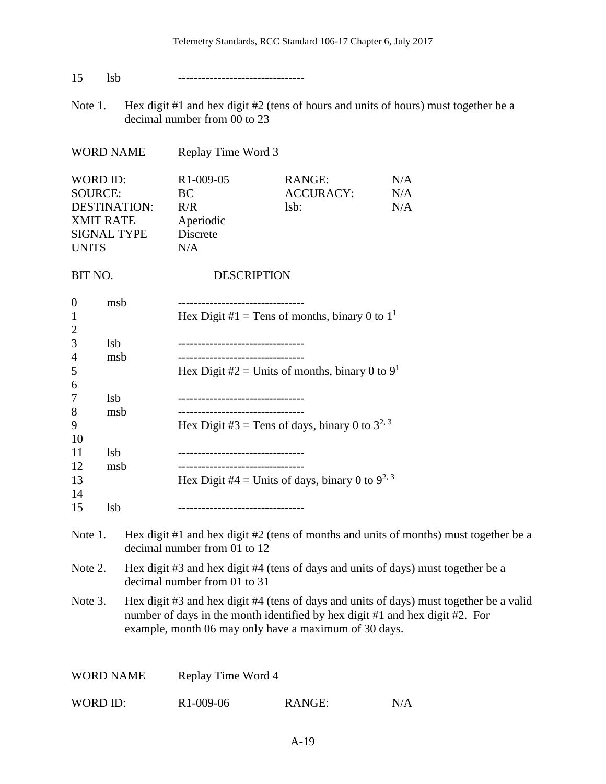15 lsb --------------------------------

Note 1. Hex digit #1 and hex digit #2 (tens of hours and units of hours) must together be a decimal number from 00 to 23

| <b>WORD NAME</b>                                                                                                                                                                                                                            | Replay Time Word 3                                                         |                                                     |                                                                                       |
|---------------------------------------------------------------------------------------------------------------------------------------------------------------------------------------------------------------------------------------------|----------------------------------------------------------------------------|-----------------------------------------------------|---------------------------------------------------------------------------------------|
| WORD ID:<br>SOURCE:<br><b>DESTINATION:</b><br><b>XMIT RATE</b><br><b>SIGNAL TYPE</b><br><b>UNITS</b>                                                                                                                                        | R <sub>1</sub> -009-05<br><b>BC</b><br>R/R<br>Aperiodic<br>Discrete<br>N/A | <b>RANGE:</b><br><b>ACCURACY:</b><br>lsb:           | N/A<br>N/A<br>N/A                                                                     |
| BIT NO.                                                                                                                                                                                                                                     | <b>DESCRIPTION</b>                                                         |                                                     |                                                                                       |
| msb<br>$\boldsymbol{0}$<br>$\mathbf 1$<br>$\overline{c}$                                                                                                                                                                                    | -----------------------------                                              | Hex Digit #1 = Tens of months, binary 0 to $1^1$    |                                                                                       |
| 3<br><b>lsb</b><br>$\overline{4}$<br>msb<br>5                                                                                                                                                                                               | -------------------------<br>-----------------------------                 | Hex Digit #2 = Units of months, binary 0 to $91$    |                                                                                       |
| 6<br>$\boldsymbol{7}$<br><b>lsb</b><br>8<br>msb<br>9                                                                                                                                                                                        | ---------------------------                                                | Hex Digit #3 = Tens of days, binary 0 to $3^{2,3}$  |                                                                                       |
| 10<br><b>lsb</b><br>11<br>12<br>msb<br>13                                                                                                                                                                                                   | --------------------------------                                           | Hex Digit #4 = Units of days, binary 0 to $9^{2,3}$ |                                                                                       |
| 14<br>15<br><b>lsb</b>                                                                                                                                                                                                                      |                                                                            |                                                     |                                                                                       |
| Note 1.                                                                                                                                                                                                                                     | decimal number from 01 to 12                                               |                                                     | Hex digit #1 and hex digit #2 (tens of months and units of months) must together be a |
| Note 2.                                                                                                                                                                                                                                     | decimal number from 01 to 31                                               |                                                     | Hex digit #3 and hex digit #4 (tens of days and units of days) must together be a     |
| Note 3.<br>Hex digit #3 and hex digit #4 (tens of days and units of days) must together be a valid<br>number of days in the month identified by hex digit #1 and hex digit #2. For<br>example, month 06 may only have a maximum of 30 days. |                                                                            |                                                     |                                                                                       |
| <b>WORD NAME</b>                                                                                                                                                                                                                            | Replay Time Word 4                                                         |                                                     |                                                                                       |
| WORD ID:                                                                                                                                                                                                                                    | R1-009-06                                                                  | RANGE:                                              | N/A                                                                                   |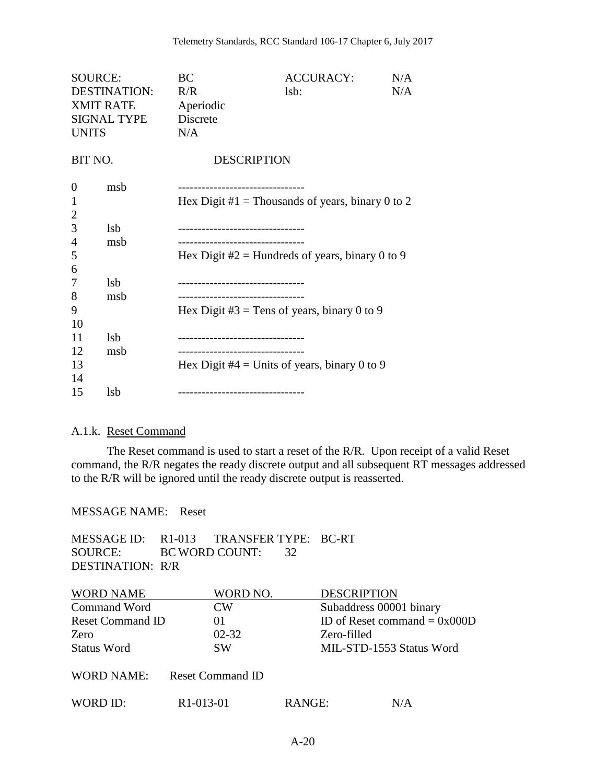| SOURCE:<br><b>UNITS</b>      | <b>DESTINATION:</b><br><b>XMIT RATE</b><br><b>SIGNAL TYPE</b> | <b>BC</b><br>R/R<br>Aperiodic<br>Discrete<br>N/A            | <b>ACCURACY:</b><br>lsb:                         | N/A<br>N/A |
|------------------------------|---------------------------------------------------------------|-------------------------------------------------------------|--------------------------------------------------|------------|
| BIT NO.                      |                                                               | <b>DESCRIPTION</b>                                          |                                                  |            |
| $\theta$<br>1<br>2<br>3<br>4 | msb<br><b>lsb</b><br>msb                                      |                                                             | Hex Digit #1 = Thousands of years, binary 0 to 2 |            |
| 5<br>6                       |                                                               |                                                             | Hex Digit #2 = Hundreds of years, binary 0 to 9  |            |
| 7<br>8<br>9<br>10            | 1sb<br>msb                                                    | Hex Digit #3 = Tens of years, binary 0 to 9                 |                                                  |            |
| 11<br>12<br>13<br>14         | 1sb<br>msb                                                    | ------------------------<br>------------------------------- | Hex Digit #4 = Units of years, binary 0 to 9     |            |
| 15                           | <b>lsb</b>                                                    | ------------------------------                              |                                                  |            |

### A.1.k. Reset Command

The Reset command is used to start a reset of the R/R. Upon receipt of a valid Reset command, the R/R negates the ready discrete output and all subsequent RT messages addressed to the R/R will be ignored until the ready discrete output is reasserted.

#### MESSAGE NAME: Reset

MESSAGE ID: R1-013 TRANSFER TYPE: BC-RT SOURCE: BC WORD COUNT: 32 DESTINATION: R/R

| <b>WORD NAME</b>        | WORD NO.                | <b>DESCRIPTION</b>             |                         |
|-------------------------|-------------------------|--------------------------------|-------------------------|
| <b>Command Word</b>     | <b>CW</b>               |                                | Subaddress 00001 binary |
| <b>Reset Command ID</b> | 01                      | ID of Reset command = $0x000D$ |                         |
| Zero                    | $02 - 32$               | Zero-filled                    |                         |
| <b>Status Word</b>      | <b>SW</b>               | MIL-STD-1553 Status Word       |                         |
| <b>WORD NAME:</b>       | <b>Reset Command ID</b> |                                |                         |
| WORD ID:                | R <sub>1</sub> -013-01  | <b>RANGE:</b>                  | N/A                     |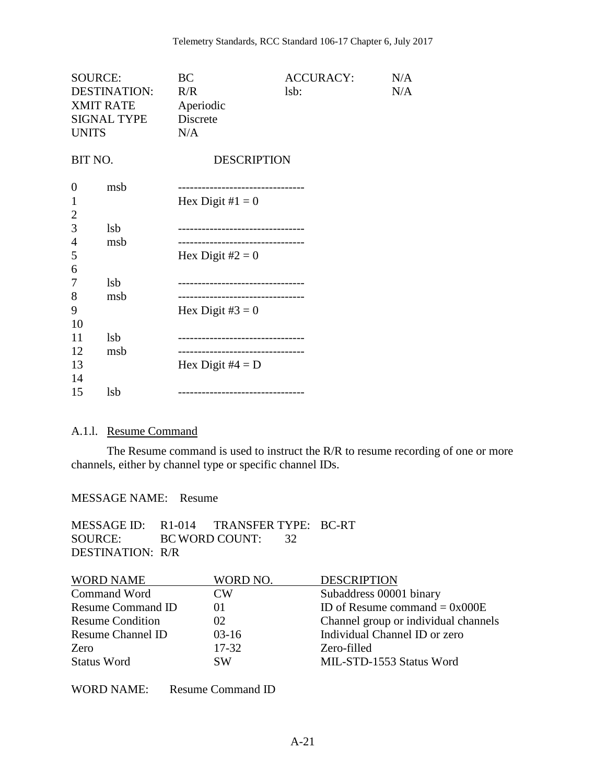| <b>SOURCE:</b><br><b>UNITS</b>        | <b>DESTINATION:</b><br><b>XMIT RATE</b><br><b>SIGNAL TYPE</b> | <b>BC</b><br>R/R<br>Aperiodic<br>Discrete<br>N/A                                      | <b>ACCURACY:</b><br>lsb: | N/A<br>N/A |
|---------------------------------------|---------------------------------------------------------------|---------------------------------------------------------------------------------------|--------------------------|------------|
| BIT NO.                               |                                                               | <b>DESCRIPTION</b>                                                                    |                          |            |
| $\overline{0}$<br>1<br>$\overline{2}$ | msb                                                           | Hex Digit # $1 = 0$                                                                   |                          |            |
| 3<br>$\overline{4}$<br>5              | <b>lsb</b><br>msb                                             | -------------------------------<br>Hex Digit #2 = 0                                   |                          |            |
| 6<br>7<br>8<br>9<br>10                | <b>lsb</b><br>msb                                             | Hex Digit #3 = 0                                                                      |                          |            |
| 11<br>12<br>13<br>14                  | <b>lsb</b><br>msb                                             | ---------------------------<br>--------------------------------<br>Hex Digit #4 = $D$ |                          |            |
| 15                                    | <b>lsb</b>                                                    | -------------------------------                                                       |                          |            |

## A.1.l. Resume Command

The Resume command is used to instruct the R/R to resume recording of one or more channels, either by channel type or specific channel IDs.

#### MESSAGE NAME: Resume

| MESSAGE ID: R1-014 TRANSFER TYPE: BC-RT |                   |  |
|-----------------------------------------|-------------------|--|
| SOURCE:                                 | BC WORD COUNT: 32 |  |
| DESTINATION: R/R                        |                   |  |

| <b>WORD NAME</b>         | WORD NO.  | <b>DESCRIPTION</b>                   |
|--------------------------|-----------|--------------------------------------|
| Command Word             | CW        | Subaddress 00001 binary              |
| <b>Resume Command ID</b> | 01        | ID of Resume command $= 0x000E$      |
| <b>Resume Condition</b>  | 02        | Channel group or individual channels |
| <b>Resume Channel ID</b> | $03-16$   | Individual Channel ID or zero        |
| Zero                     | $17 - 32$ | Zero-filled                          |
| <b>Status Word</b>       | <b>SW</b> | MIL-STD-1553 Status Word             |
|                          |           |                                      |

WORD NAME: Resume Command ID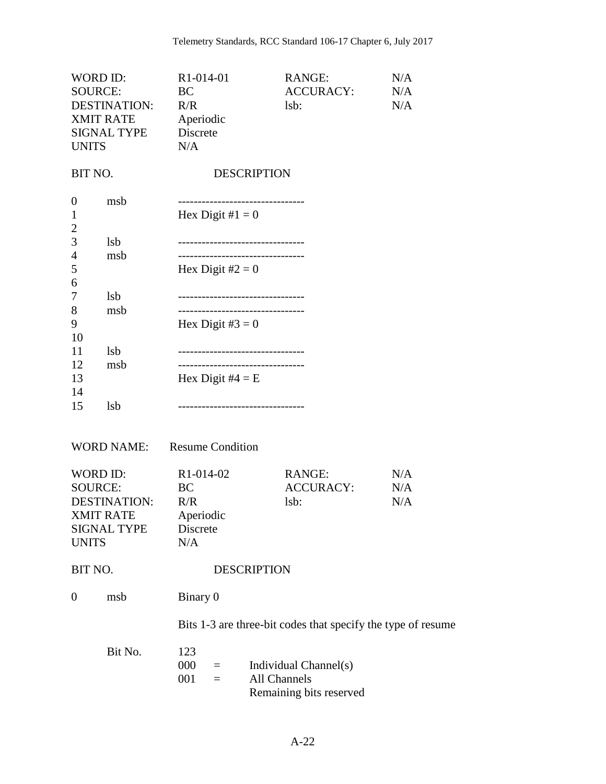| WORD ID:<br>SOURCE:<br><b>UNITS</b>        | <b>DESTINATION:</b><br><b>XMIT RATE</b><br><b>SIGNAL TYPE</b> | R <sub>1</sub> -014-01<br><b>BC</b><br>R/R<br>Aperiodic<br>Discrete<br>N/A | RANGE:<br><b>ACCURACY:</b><br>lsb:                               | N/A<br>N/A<br>N/A |
|--------------------------------------------|---------------------------------------------------------------|----------------------------------------------------------------------------|------------------------------------------------------------------|-------------------|
| BIT NO.                                    |                                                               |                                                                            | <b>DESCRIPTION</b>                                               |                   |
| $\theta$<br>$\mathbf{1}$<br>2              | msb                                                           | Hex Digit #1 = 0                                                           |                                                                  |                   |
| 3<br>4<br>5                                | <b>lsb</b><br>msb                                             | Hex Digit #2 = 0                                                           | ------------------------------                                   |                   |
| 6<br>7<br>8                                | <b>lsb</b><br>msb                                             |                                                                            | ----------------------------<br>-------------------------------  |                   |
| 9<br>10                                    |                                                               | Hex Digit #3 = 0                                                           |                                                                  |                   |
| 11<br>12<br>13<br>14                       | <b>lsb</b><br>msb                                             | ---------------------------------<br>Hex Digit #4 = $E$                    | ------------------------------                                   |                   |
| 15                                         | <b>lsb</b>                                                    |                                                                            |                                                                  |                   |
|                                            | WORD NAME:                                                    | <b>Resume Condition</b>                                                    |                                                                  |                   |
| WORD ID:<br><b>SOURCE:</b><br><b>UNITS</b> | DESTINATION:<br>XMIT RATE<br><b>SIGNAL TYPE</b>               | R <sub>1</sub> -014-02<br><b>BC</b><br>R/R<br>Aperiodic<br>Discrete<br>N/A | <b>RANGE:</b><br><b>ACCURACY:</b><br>lsb:                        | N/A<br>N/A<br>N/A |
| BIT NO.                                    |                                                               |                                                                            | <b>DESCRIPTION</b>                                               |                   |
| $\boldsymbol{0}$                           | msb                                                           | Binary 0                                                                   |                                                                  |                   |
|                                            |                                                               |                                                                            | Bits 1-3 are three-bit codes that specify the type of resume     |                   |
|                                            | Bit No.                                                       | 123<br>000<br>$=$<br>001<br>$=$                                            | Individual Channel(s)<br>All Channels<br>Remaining bits reserved |                   |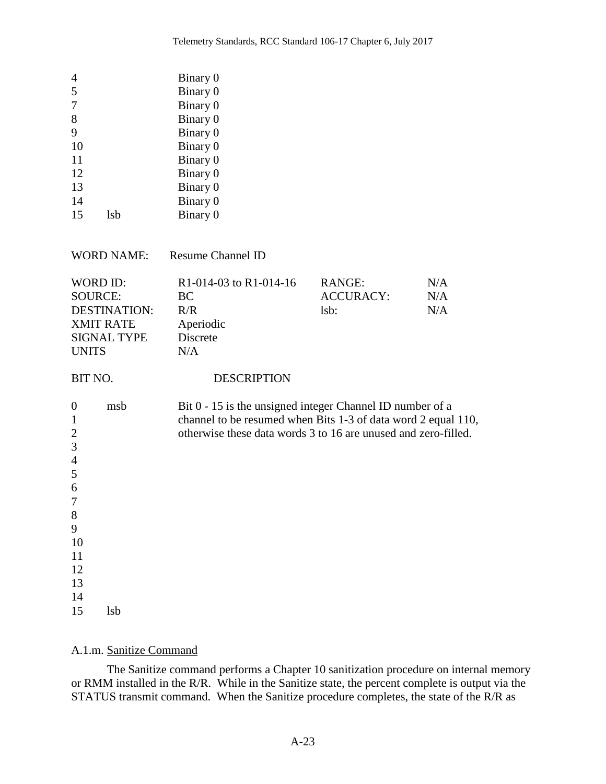| 4  |     | Binary 0            |
|----|-----|---------------------|
| 5  |     | Binary 0            |
| 7  |     | Binary <sub>0</sub> |
| 8  |     | Binary <sub>0</sub> |
| 9  |     | Binary 0            |
| 10 |     | Binary 0            |
| 11 |     | Binary 0            |
| 12 |     | Binary 0            |
| 13 |     | Binary <sub>0</sub> |
| 14 |     | Binary 0            |
| 15 | lsh | Binary 0            |
|    |     |                     |

| <b>WORD NAME:</b> | <b>Resume Channel ID</b> |
|-------------------|--------------------------|
|-------------------|--------------------------|

| WORD ID:            | R <sub>1</sub> -014-03 to R <sub>1</sub> -014-16 | RANGE:           | N/A |
|---------------------|--------------------------------------------------|------------------|-----|
| SOURCE:             | BC.                                              | <b>ACCURACY:</b> | N/A |
| <b>DESTINATION:</b> | R/R                                              | lsb:             | N/A |
| <b>XMIT RATE</b>    | Aperiodic                                        |                  |     |
| <b>SIGNAL TYPE</b>  | Discrete                                         |                  |     |
| <b>UNITS</b>        | N/A                                              |                  |     |
|                     |                                                  |                  |     |
| BIT NO.             | <b>DESCRIPTION</b>                               |                  |     |

| $\overline{0}$<br>$\mathbf{1}$ | msb        | Bit 0 - 15 is the unsigned integer Channel ID number of a<br>channel to be resumed when Bits 1-3 of data word 2 equal 110, |
|--------------------------------|------------|----------------------------------------------------------------------------------------------------------------------------|
| 2                              |            | otherwise these data words 3 to 16 are unused and zero-filled.                                                             |
| 3                              |            |                                                                                                                            |
| $\overline{4}$                 |            |                                                                                                                            |
| 5                              |            |                                                                                                                            |
| 6                              |            |                                                                                                                            |
| $\tau$                         |            |                                                                                                                            |
| 8                              |            |                                                                                                                            |
| 9                              |            |                                                                                                                            |
| 10                             |            |                                                                                                                            |
| <sup>11</sup>                  |            |                                                                                                                            |
| 12                             |            |                                                                                                                            |
| 13                             |            |                                                                                                                            |
| 14                             |            |                                                                                                                            |
| 15                             | <b>lsb</b> |                                                                                                                            |

## A.1.m. Sanitize Command

The Sanitize command performs a Chapter 10 sanitization procedure on internal memory or RMM installed in the R/R. While in the Sanitize state, the percent complete is output via the STATUS transmit command. When the Sanitize procedure completes, the state of the R/R as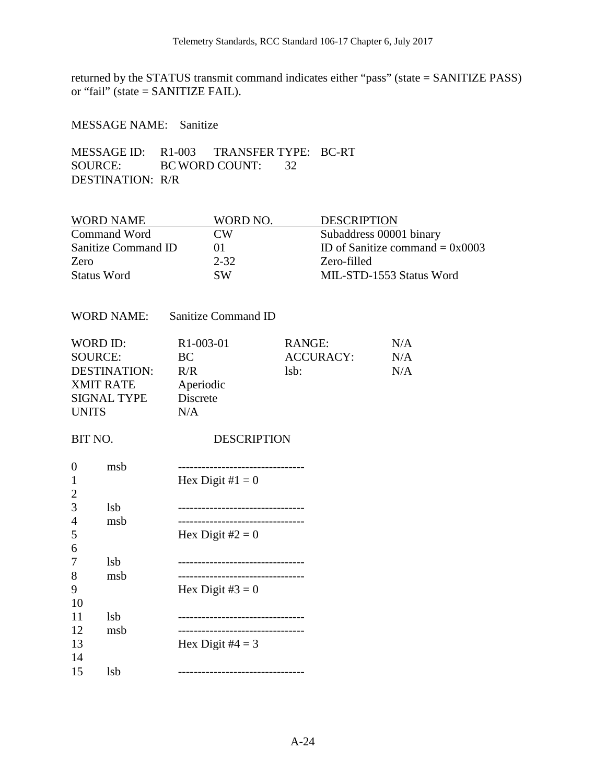returned by the STATUS transmit command indicates either "pass" (state = SANITIZE PASS) or "fail" (state = SANITIZE FAIL).

MESSAGE NAME: Sanitize

MESSAGE ID: R1-003 TRANSFER TYPE: BC-RT SOURCE: BC WORD COUNT: 32 DESTINATION: R/R

|                                  | <b>WORD NAME</b>    | WORD NO.                         | <b>DESCRIPTION</b> |                                   |
|----------------------------------|---------------------|----------------------------------|--------------------|-----------------------------------|
| Command Word<br>CW               |                     |                                  |                    | Subaddress 00001 binary           |
| <b>Sanitize Command ID</b><br>01 |                     |                                  |                    | ID of Sanitize command = $0x0003$ |
| Zero                             |                     | $2 - 32$                         | Zero-filled        |                                   |
| <b>Status Word</b>               |                     | <b>SW</b>                        |                    | MIL-STD-1553 Status Word          |
|                                  |                     |                                  |                    |                                   |
|                                  | <b>WORD NAME:</b>   | Sanitize Command ID              |                    |                                   |
| WORD ID:                         |                     | R1-003-01                        | <b>RANGE:</b>      | N/A                               |
| <b>SOURCE:</b>                   |                     | BC                               | <b>ACCURACY:</b>   | N/A                               |
|                                  | <b>DESTINATION:</b> | R/R                              | lsb:               | N/A                               |
|                                  | <b>XMIT RATE</b>    | Aperiodic                        |                    |                                   |
|                                  | <b>SIGNAL TYPE</b>  | Discrete                         |                    |                                   |
| <b>UNITS</b>                     |                     | N/A                              |                    |                                   |
| BIT NO.                          |                     | <b>DESCRIPTION</b>               |                    |                                   |
| $\boldsymbol{0}$                 | msb                 |                                  |                    |                                   |
| $\mathbf{1}$                     |                     | Hex Digit # $1 = 0$              |                    |                                   |
| $\overline{c}$                   |                     |                                  |                    |                                   |
| 3                                | <b>lsb</b>          | -----------------------------    |                    |                                   |
| $\overline{4}$                   | msb                 |                                  |                    |                                   |
| 5                                |                     | Hex Digit #2 = 0                 |                    |                                   |
| 6                                |                     |                                  |                    |                                   |
| 7                                | <b>lsb</b>          | ----------------------------     |                    |                                   |
| 8<br>9                           | msb                 |                                  |                    |                                   |
| 10                               |                     | Hex Digit #3 = 0                 |                    |                                   |
| 11                               | <b>lsb</b>          | ----------------------------     |                    |                                   |
| 12                               | msb                 |                                  |                    |                                   |
| 13                               |                     | Hex Digit #4 = 3                 |                    |                                   |
| 14                               |                     |                                  |                    |                                   |
| 15                               | <b>lsb</b>          | -------------------------------- |                    |                                   |
|                                  |                     |                                  |                    |                                   |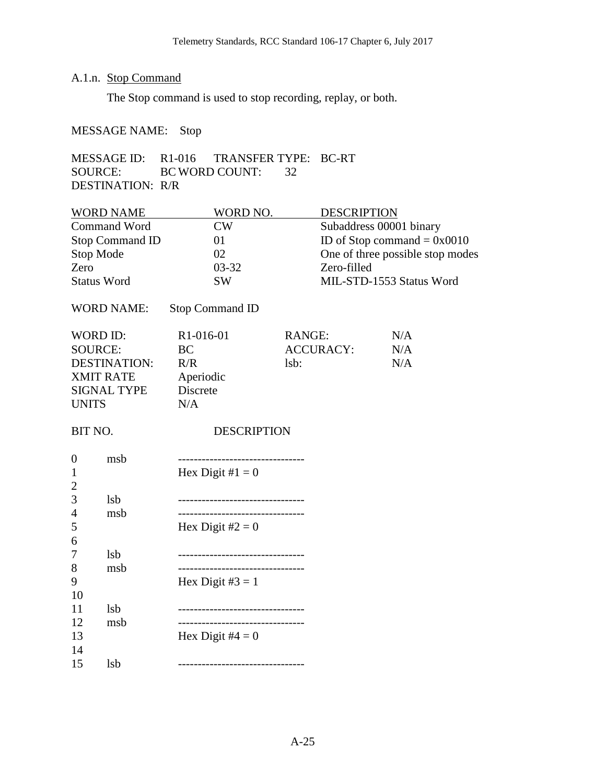## A.1.n. Stop Command

The Stop command is used to stop recording, replay, or both.

### MESSAGE NAME: Stop

### MESSAGE ID: R1-016 TRANSFER TYPE: BC-RT<br>SOURCE: BC WORD COUNT: 32 BC WORD COUNT: DESTINATION: R/R

| <b>WORD NAME</b>       |                     | WORD NO.                       |               | <b>DESCRIPTION</b>            |                                  |  |
|------------------------|---------------------|--------------------------------|---------------|-------------------------------|----------------------------------|--|
| Command Word           |                     | CW                             |               | Subaddress 00001 binary       |                                  |  |
| <b>Stop Command ID</b> |                     | 01                             |               | ID of Stop command = $0x0010$ |                                  |  |
| Stop Mode              |                     | 02                             |               |                               | One of three possible stop modes |  |
| Zero                   |                     | $03 - 32$                      |               | Zero-filled                   |                                  |  |
| <b>Status Word</b>     |                     | <b>SW</b>                      |               |                               | MIL-STD-1553 Status Word         |  |
| <b>WORD NAME:</b>      |                     | <b>Stop Command ID</b>         |               |                               |                                  |  |
| <b>WORD ID:</b>        |                     | R1-016-01                      | <b>RANGE:</b> |                               | N/A                              |  |
| <b>SOURCE:</b>         |                     | <b>BC</b>                      |               | <b>ACCURACY:</b>              | N/A                              |  |
|                        | <b>DESTINATION:</b> | R/R                            | lsb:          |                               | N/A                              |  |
|                        | <b>XMIT RATE</b>    | Aperiodic                      |               |                               |                                  |  |
|                        | <b>SIGNAL TYPE</b>  | Discrete                       |               |                               |                                  |  |
| <b>UNITS</b>           |                     | N/A                            |               |                               |                                  |  |
| BIT NO.                |                     | <b>DESCRIPTION</b>             |               |                               |                                  |  |
| $\boldsymbol{0}$       | msb                 | ------------------------------ |               |                               |                                  |  |
| 1                      |                     | Hex Digit # $1 = 0$            |               |                               |                                  |  |
| 2                      |                     |                                |               |                               |                                  |  |
| 3                      | 1 <sub>sb</sub>     | ---------------------------    |               |                               |                                  |  |
| 4                      | msb                 |                                |               |                               |                                  |  |
| 5                      |                     | Hex Digit #2 = 0               |               |                               |                                  |  |
| 6                      |                     |                                |               |                               |                                  |  |
| 7                      | <b>lsb</b>          | ----------------------------   |               |                               |                                  |  |
| 8                      | msb                 |                                |               |                               |                                  |  |
| 9                      |                     | Hex Digit #3 = 1               |               |                               |                                  |  |
| 10                     |                     |                                |               |                               |                                  |  |
| 11                     | <b>lsb</b>          | ----------------------------   |               |                               |                                  |  |
| 12                     | msb                 | --------------------------     |               |                               |                                  |  |
| 13                     |                     | Hex Digit #4 = 0               |               |                               |                                  |  |
| 14                     |                     |                                |               |                               |                                  |  |
| 15                     | <b>lsb</b>          |                                |               |                               |                                  |  |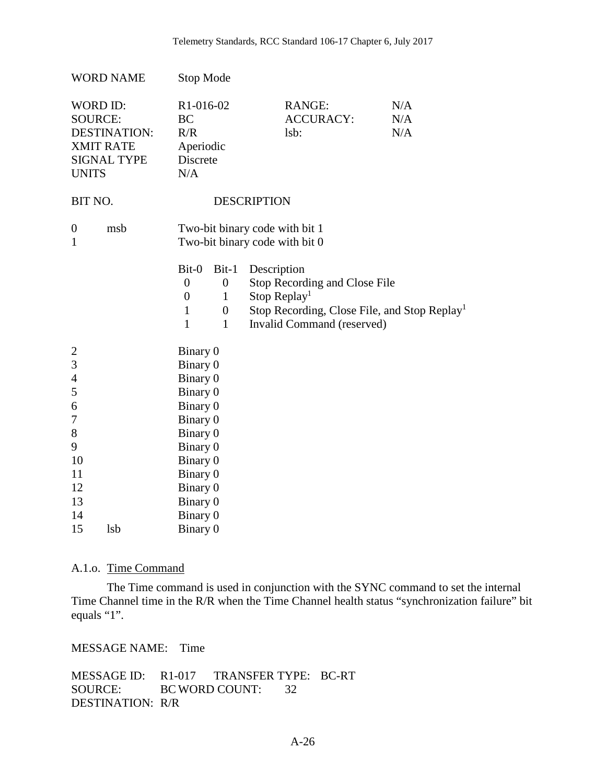| <b>WORD NAME</b>                                                                                                 | Stop Mode                                                                                                                                                            |                                                                                                                                                                    |                   |  |
|------------------------------------------------------------------------------------------------------------------|----------------------------------------------------------------------------------------------------------------------------------------------------------------------|--------------------------------------------------------------------------------------------------------------------------------------------------------------------|-------------------|--|
| WORD ID:<br><b>SOURCE:</b><br><b>DESTINATION:</b><br><b>XMIT RATE</b><br><b>SIGNAL TYPE</b><br><b>UNITS</b>      | R <sub>1</sub> -016-02<br><b>BC</b><br>R/R<br>Aperiodic<br>Discrete<br>N/A                                                                                           | <b>RANGE:</b><br><b>ACCURACY:</b><br>lsb:                                                                                                                          | N/A<br>N/A<br>N/A |  |
| BIT NO.                                                                                                          |                                                                                                                                                                      | <b>DESCRIPTION</b>                                                                                                                                                 |                   |  |
| $\boldsymbol{0}$<br>msb<br>$\mathbf{1}$                                                                          | Two-bit binary code with bit 1<br>Two-bit binary code with bit 0                                                                                                     |                                                                                                                                                                    |                   |  |
|                                                                                                                  | Bit-0<br>$Bit-1$<br>$\boldsymbol{0}$<br>$\boldsymbol{0}$<br>$\overline{0}$<br>$\mathbf{1}$<br>$\boldsymbol{0}$<br>$\mathbf{1}$<br>$\mathbf{1}$<br>$\mathbf{1}$       | Description<br>Stop Recording and Close File<br>Stop Replay <sup>1</sup><br>Stop Recording, Close File, and Stop Replay <sup>1</sup><br>Invalid Command (reserved) |                   |  |
| $\overline{c}$<br>3<br>$\overline{4}$<br>5<br>6<br>7<br>8<br>9<br>10<br>11<br>12<br>13<br>14<br>15<br><b>lsb</b> | Binary 0<br>Binary 0<br>Binary 0<br>Binary 0<br>Binary 0<br>Binary 0<br>Binary 0<br>Binary 0<br>Binary 0<br>Binary 0<br>Binary 0<br>Binary 0<br>Binary 0<br>Binary 0 |                                                                                                                                                                    |                   |  |

### A.1.o. Time Command

The Time command is used in conjunction with the SYNC command to set the internal Time Channel time in the R/R when the Time Channel health status "synchronization failure" bit equals "1".

#### MESSAGE NAME: Time

MESSAGE ID: R1-017 TRANSFER TYPE: BC-RT SOURCE: BC WORD COUNT: 32 DESTINATION: R/R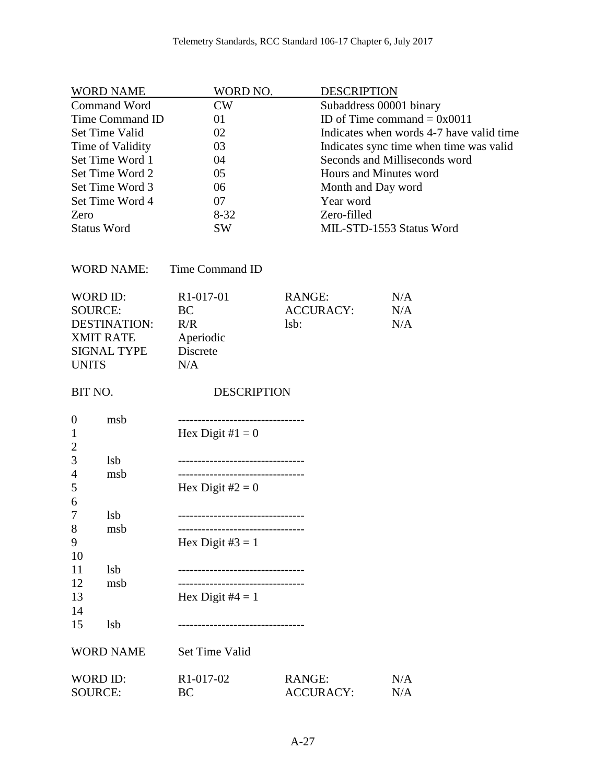| <b>WORD NAME</b>   | WORD NO.  | <b>DESCRIPTION</b>                       |
|--------------------|-----------|------------------------------------------|
| Command Word       | <b>CW</b> | Subaddress 00001 binary                  |
| Time Command ID    | 01        | ID of Time command $= 0x0011$            |
| Set Time Valid     | 02        | Indicates when words 4-7 have valid time |
| Time of Validity   | 03        | Indicates sync time when time was valid  |
| Set Time Word 1    | 04        | Seconds and Milliseconds word            |
| Set Time Word 2    | 05        | Hours and Minutes word                   |
| Set Time Word 3    | 06        | Month and Day word                       |
| Set Time Word 4    | 07        | Year word                                |
| Zero               | $8 - 32$  | Zero-filled                              |
| <b>Status Word</b> | <b>SW</b> | MIL-STD-1553 Status Word                 |
|                    |           |                                          |

WORD NAME: Time Command ID

| WORD ID:            | R <sub>1</sub> -017-01 | RANGE:           | N/A |
|---------------------|------------------------|------------------|-----|
| SOURCE:             | BC.                    | <b>ACCURACY:</b> | N/A |
| <b>DESTINATION:</b> | R/R                    | lsb:             | N/A |
| XMIT RATE           | Aperiodic              |                  |     |
| <b>SIGNAL TYPE</b>  | <b>Discrete</b>        |                  |     |
| <b>UNITS</b>        | N/A                    |                  |     |

| 0                | msb        |                      |                  |     |
|------------------|------------|----------------------|------------------|-----|
| 1<br>2           |            | Hex Digit # $1 = 0$  |                  |     |
| 3                | <b>lsb</b> |                      |                  |     |
| $\overline{4}$   | msb        |                      |                  |     |
| 5                |            | Hex Digit #2 = 0     |                  |     |
| 6                |            |                      |                  |     |
| 7                | <b>lsb</b> | -------------------- |                  |     |
| 8<br>9           | msb        | Hex Digit #3 = 1     |                  |     |
| 10               |            |                      |                  |     |
| 11               | <b>lsb</b> | ---------------      |                  |     |
| 12               | msb        |                      |                  |     |
| 13               |            | Hex Digit #4 = 1     |                  |     |
| 14               |            |                      |                  |     |
| 15               | <b>lsb</b> | ------------------   |                  |     |
| <b>WORD NAME</b> |            | Set Time Valid       |                  |     |
| WORD ID:         |            | R1-017-02            | <b>RANGE:</b>    | N/A |
| SOURCE:          |            | BC                   | <b>ACCURACY:</b> | N/A |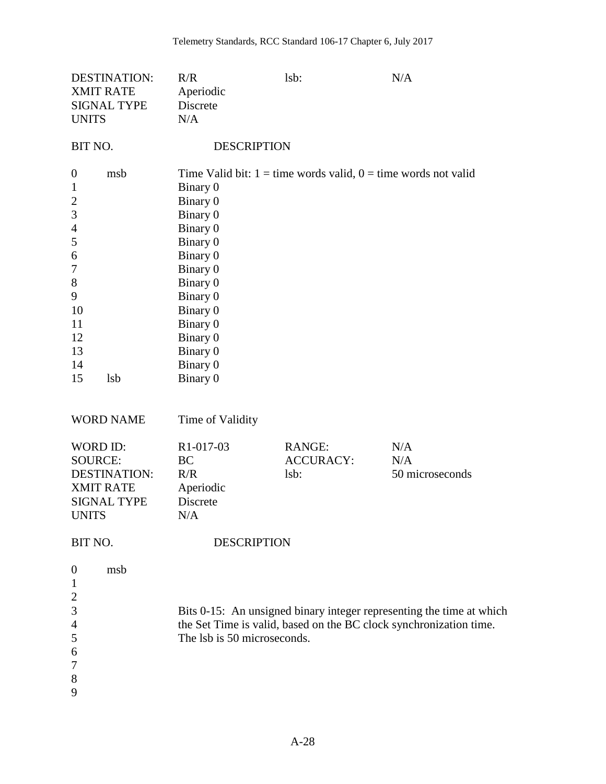| <b>DESTINATION:</b><br><b>XMIT RATE</b><br><b>SIGNAL TYPE</b><br><b>UNITS</b>                                                                     | R/R<br>Aperiodic<br>Discrete<br>N/A                                                                                                                                              | lsb:                                                               | N/A                                                                                                                                        |
|---------------------------------------------------------------------------------------------------------------------------------------------------|----------------------------------------------------------------------------------------------------------------------------------------------------------------------------------|--------------------------------------------------------------------|--------------------------------------------------------------------------------------------------------------------------------------------|
| BIT NO.                                                                                                                                           | <b>DESCRIPTION</b>                                                                                                                                                               |                                                                    |                                                                                                                                            |
| msb<br>$\overline{0}$<br>1<br>$\overline{2}$<br>3<br>$\overline{4}$<br>5<br>6<br>7<br>8<br>9<br>10<br>11<br>12<br>13<br>14<br>15<br><b>lsb</b>    | Binary 0<br>Binary 0<br>Binary 0<br>Binary 0<br>Binary 0<br>Binary 0<br>Binary 0<br>Binary 0<br>Binary 0<br>Binary 0<br>Binary 0<br>Binary 0<br>Binary 0<br>Binary 0<br>Binary 0 | Time Valid bit: $1 =$ time words valid, $0 =$ time words not valid |                                                                                                                                            |
| <b>WORD NAME</b>                                                                                                                                  | Time of Validity                                                                                                                                                                 |                                                                    |                                                                                                                                            |
| WORD ID:<br><b>SOURCE:</b><br><b>DESTINATION:</b><br><b>XMIT RATE</b><br><b>SIGNAL TYPE</b><br><b>UNITS</b>                                       | R1-017-03<br><b>BC</b><br>R/R<br>Aperiodic<br><b>Discrete</b><br>N/A                                                                                                             | <b>RANGE:</b><br><b>ACCURACY:</b><br>lsb:                          | N/A<br>N/A<br>50 microseconds                                                                                                              |
| BIT NO.                                                                                                                                           | <b>DESCRIPTION</b>                                                                                                                                                               |                                                                    |                                                                                                                                            |
| msb<br>$\boldsymbol{0}$<br>$\mathbf{1}$<br>$\overline{2}$<br>$\mathfrak{Z}$<br>$\overline{4}$<br>$\mathfrak s$<br>6<br>$\boldsymbol{7}$<br>8<br>9 | The lsb is 50 microseconds.                                                                                                                                                      |                                                                    | Bits 0-15: An unsigned binary integer representing the time at which<br>the Set Time is valid, based on the BC clock synchronization time. |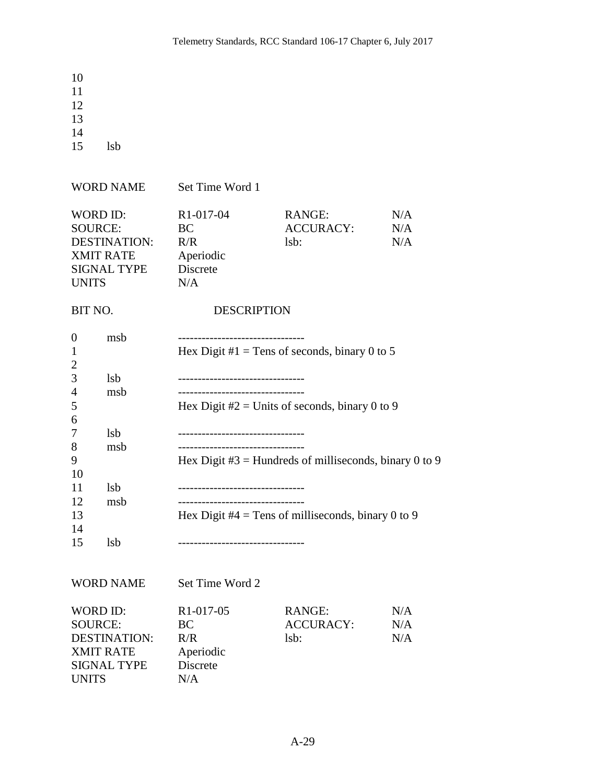$\frac{14}{15}$ 

15 lsb

| <b>WORD NAME</b>   | Set Time Word 1        |                  |     |
|--------------------|------------------------|------------------|-----|
| WORD ID:           | R <sub>1</sub> -017-04 | RANGE:           | N/A |
| SOURCE:            | BC.                    | <b>ACCURACY:</b> | N/A |
| DESTINATION:       | R/R                    | lsb:             | N/A |
| <b>XMIT RATE</b>   | Aperiodic              |                  |     |
| <b>SIGNAL TYPE</b> | <b>Discrete</b>        |                  |     |
| UNITS              | N/A                    |                  |     |

| msb        |                                                        |
|------------|--------------------------------------------------------|
|            | Hex Digit #1 = Tens of seconds, binary 0 to 5          |
|            |                                                        |
| <b>lsb</b> |                                                        |
| msb        | -------------------------                              |
|            | Hex Digit #2 = Units of seconds, binary 0 to 9         |
|            |                                                        |
| <b>lsb</b> | -----------------------                                |
| msb        |                                                        |
|            | Hex Digit #3 = Hundreds of milliseconds, binary 0 to 9 |
|            |                                                        |
| <b>lsb</b> |                                                        |
| msb        |                                                        |
|            | Hex Digit #4 = Tens of milliseconds, binary 0 to 9     |
|            |                                                        |
| <b>lsb</b> |                                                        |
|            |                                                        |

| <b>WORD NAME</b>    | Set Time Word 2        |                  |     |
|---------------------|------------------------|------------------|-----|
| WORD ID:            | R <sub>1</sub> -017-05 | RANGE:           | N/A |
| SOURCE:             | BC.                    | <b>ACCURACY:</b> | N/A |
| <b>DESTINATION:</b> | R/R                    | lsb:             | N/A |
| <b>XMIT RATE</b>    | Aperiodic              |                  |     |
| <b>SIGNAL TYPE</b>  | <b>Discrete</b>        |                  |     |
| <b>UNITS</b>        | N/A                    |                  |     |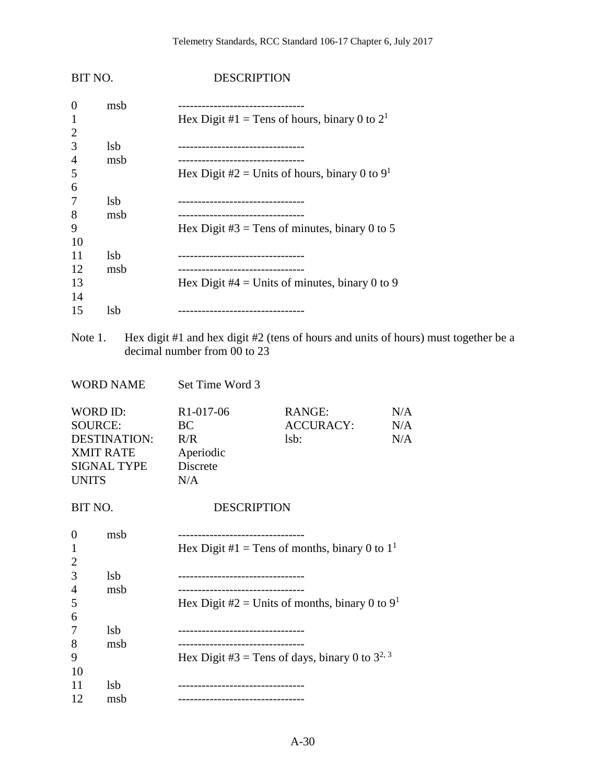## BIT NO. DESCRIPTION 0 msb -------------------------------- 1 Hex Digit #1 = Tens of hours, binary 0 to  $2^1$ 2 3 lsb ---------------------------------4 msb --------------------------------5 Hex Digit #2 = Units of hours, binary 0 to  $9<sup>1</sup>$ 6 7 lsb ---------------------------------8 msb -------------------------------- 9 Hex Digit  $#3 =$ Tens of minutes, binary 0 to 5 10 11 lsb -------------------------------- 12 msb -------------------------------- 13 Hex Digit  $#4 =$  Units of minutes, binary 0 to 9 14 15 lsb ----------------------------------

Note 1. Hex digit #1 and hex digit #2 (tens of hours and units of hours) must together be a decimal number from 00 to 23

WORD NAME Set Time Word 3

| WORD ID:           | R <sub>1</sub> -017-06 | RANGE:           | N/A |
|--------------------|------------------------|------------------|-----|
| SOURCE:            | BC.                    | <b>ACCURACY:</b> | N/A |
| DESTINATION:       | R/R                    | lsb:             | N/A |
| XMIT RATE          | Aperiodic              |                  |     |
| <b>SIGNAL TYPE</b> | <b>Discrete</b>        |                  |     |
| <b>UNITS</b>       | N/A                    |                  |     |
|                    |                        |                  |     |

| $\Omega$       | msb        |                                                    |
|----------------|------------|----------------------------------------------------|
|                |            | Hex Digit #1 = Tens of months, binary 0 to $1^1$   |
|                |            |                                                    |
| 3              | <b>lsb</b> |                                                    |
| $\overline{4}$ | msb        |                                                    |
| .5             |            | Hex Digit #2 = Units of months, binary 0 to $91$   |
| 6              |            |                                                    |
|                | <b>lsb</b> |                                                    |
| 8              | msb        |                                                    |
| 9              |            | Hex Digit #3 = Tens of days, binary 0 to $3^{2,3}$ |
| 10             |            |                                                    |
| 11             | <b>lsb</b> |                                                    |
| 12             | msb        |                                                    |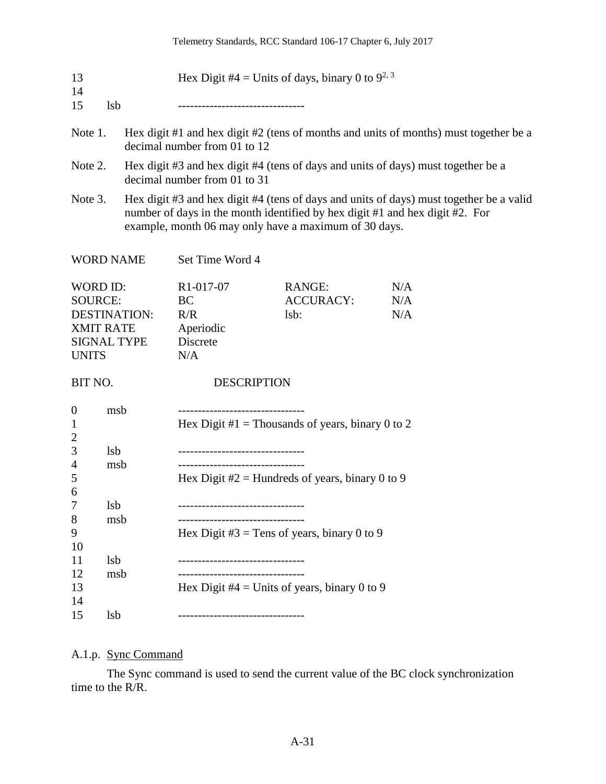| 13<br>14<br>15                                                                                              | <b>lsb</b>        | Hex Digit #4 = Units of days, binary 0 to $9^{2,3}$                                                                                                                                                                              |                                                  |                                                                                           |  |  |
|-------------------------------------------------------------------------------------------------------------|-------------------|----------------------------------------------------------------------------------------------------------------------------------------------------------------------------------------------------------------------------------|--------------------------------------------------|-------------------------------------------------------------------------------------------|--|--|
| Note 1.                                                                                                     |                   | decimal number from 01 to 12                                                                                                                                                                                                     |                                                  | Hex digit $#1$ and hex digit $#2$ (tens of months and units of months) must together be a |  |  |
| Note 2.                                                                                                     |                   | decimal number from 01 to 31                                                                                                                                                                                                     |                                                  | Hex digit #3 and hex digit #4 (tens of days and units of days) must together be a         |  |  |
| Note 3.                                                                                                     |                   | Hex digit #3 and hex digit #4 (tens of days and units of days) must together be a valid<br>number of days in the month identified by hex digit #1 and hex digit #2. For<br>example, month 06 may only have a maximum of 30 days. |                                                  |                                                                                           |  |  |
| <b>WORD NAME</b>                                                                                            |                   | Set Time Word 4                                                                                                                                                                                                                  |                                                  |                                                                                           |  |  |
| WORD ID:<br><b>SOURCE:</b><br><b>DESTINATION:</b><br><b>XMIT RATE</b><br><b>SIGNAL TYPE</b><br><b>UNITS</b> |                   | R <sub>1</sub> -017-07<br>BC<br>R/R<br>Aperiodic<br>Discrete<br>N/A                                                                                                                                                              | <b>RANGE:</b><br><b>ACCURACY:</b><br>lsb:        | N/A<br>N/A<br>N/A                                                                         |  |  |
| BIT NO.                                                                                                     |                   | <b>DESCRIPTION</b>                                                                                                                                                                                                               |                                                  |                                                                                           |  |  |
| $\theta$<br>$\mathbf{1}$<br>$\overline{c}$                                                                  | msb               |                                                                                                                                                                                                                                  | Hex Digit #1 = Thousands of years, binary 0 to 2 |                                                                                           |  |  |
| 3<br><b>lsb</b><br>msb<br>$\overline{4}$<br>5<br>6                                                          |                   | -------------------------------<br>Hex Digit #2 = Hundreds of years, binary 0 to 9                                                                                                                                               |                                                  |                                                                                           |  |  |
| 7<br>8<br>9<br>10                                                                                           | <b>lsb</b><br>msb | ------------------------------                                                                                                                                                                                                   | Hex Digit #3 = Tens of years, binary 0 to 9      |                                                                                           |  |  |
| 11<br>12<br>13<br>14                                                                                        | <b>lsb</b><br>msb | --------------------------<br>---------------------------                                                                                                                                                                        | Hex Digit #4 = Units of years, binary 0 to 9     |                                                                                           |  |  |
| 15                                                                                                          | <b>lsb</b>        |                                                                                                                                                                                                                                  |                                                  |                                                                                           |  |  |

# A.1.p. Sync Command

The Sync command is used to send the current value of the BC clock synchronization time to the R/R.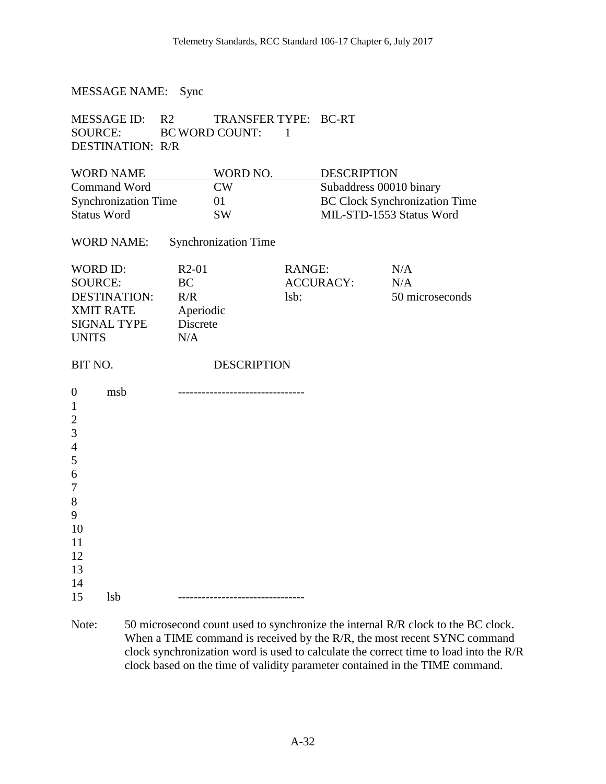#### MESSAGE NAME: Sync

MESSAGE ID: R2 TRANSFER TYPE: BC-RT SOURCE: BC WORD COUNT: 1 DESTINATION: R/R

| <b>WORD NAME</b>            |           | WORD NO.                          |               | <b>DESCRIPTION</b>      |                                      |
|-----------------------------|-----------|-----------------------------------|---------------|-------------------------|--------------------------------------|
| Command Word                |           | CW                                |               | Subaddress 00010 binary |                                      |
| <b>Synchronization Time</b> |           | 01                                |               |                         | <b>BC Clock Synchronization Time</b> |
| <b>Status Word</b>          |           | <b>SW</b>                         |               |                         | MIL-STD-1553 Status Word             |
| <b>WORD NAME:</b>           |           | <b>Synchronization Time</b>       |               |                         |                                      |
| <b>WORD ID:</b>             | $R2-01$   |                                   | <b>RANGE:</b> |                         | N/A                                  |
| <b>SOURCE:</b>              | <b>BC</b> |                                   |               | <b>ACCURACY:</b>        | N/A                                  |
| <b>DESTINATION:</b>         | R/R       |                                   | lsb:          |                         | 50 microseconds                      |
| <b>XMIT RATE</b>            | Aperiodic |                                   |               |                         |                                      |
| <b>SIGNAL TYPE</b>          | Discrete  |                                   |               |                         |                                      |
| <b>UNITS</b>                | N/A       |                                   |               |                         |                                      |
| BIT NO.                     |           | <b>DESCRIPTION</b>                |               |                         |                                      |
| msb<br>$\boldsymbol{0}$     |           | -------------------------------   |               |                         |                                      |
| $\mathbf{1}$                |           |                                   |               |                         |                                      |
| $\overline{c}$              |           |                                   |               |                         |                                      |
| $\mathfrak{Z}$              |           |                                   |               |                         |                                      |
| $\overline{4}$              |           |                                   |               |                         |                                      |
| 5                           |           |                                   |               |                         |                                      |
| 6                           |           |                                   |               |                         |                                      |
| 7                           |           |                                   |               |                         |                                      |
| 8                           |           |                                   |               |                         |                                      |
| 9                           |           |                                   |               |                         |                                      |
| 10                          |           |                                   |               |                         |                                      |
| 11                          |           |                                   |               |                         |                                      |
| 12                          |           |                                   |               |                         |                                      |
| 13<br>14                    |           |                                   |               |                         |                                      |
| 15<br><b>lsb</b>            |           | --------------------------------- |               |                         |                                      |
|                             |           |                                   |               |                         |                                      |

Note: 50 microsecond count used to synchronize the internal R/R clock to the BC clock. When a TIME command is received by the R/R, the most recent SYNC command clock synchronization word is used to calculate the correct time to load into the R/R clock based on the time of validity parameter contained in the TIME command.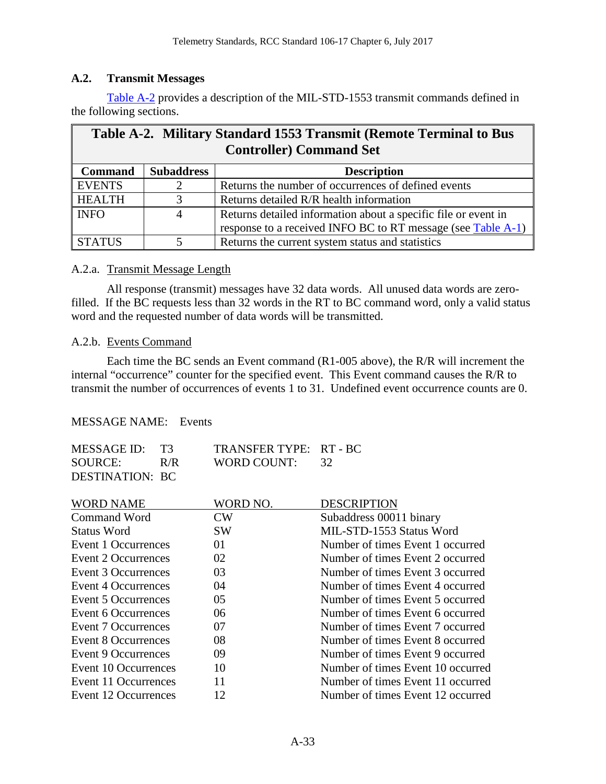## **A.2. Transmit Messages**

[Table A-2](#page-98-0) provides a description of the MIL-STD-1553 transmit commands defined in the following sections.

<span id="page-98-0"></span>

| Table A-2. Military Standard 1553 Transmit (Remote Terminal to Bus<br><b>Controller) Command Set</b> |                   |                                                                                                                                |  |
|------------------------------------------------------------------------------------------------------|-------------------|--------------------------------------------------------------------------------------------------------------------------------|--|
| <b>Command</b>                                                                                       | <b>Subaddress</b> | <b>Description</b>                                                                                                             |  |
| <b>EVENTS</b>                                                                                        |                   | Returns the number of occurrences of defined events                                                                            |  |
| <b>HEALTH</b>                                                                                        | $\mathbf 3$       | Returns detailed R/R health information                                                                                        |  |
| <b>INFO</b>                                                                                          | 4                 | Returns detailed information about a specific file or event in<br>response to a received INFO BC to RT message (see Table A-1) |  |
| <b>STATUS</b>                                                                                        |                   | Returns the current system status and statistics                                                                               |  |

### A.2.a. Transmit Message Length

All response (transmit) messages have 32 data words. All unused data words are zerofilled. If the BC requests less than 32 words in the RT to BC command word, only a valid status word and the requested number of data words will be transmitted.

## A.2.b. Events Command

Each time the BC sends an Event command (R1-005 above), the R/R will increment the internal "occurrence" counter for the specified event. This Event command causes the R/R to transmit the number of occurrences of events 1 to 31. Undefined event occurrence counts are 0.

## MESSAGE NAME: Events

| MESSAGE ID: T3  |     | TRANSFER TYPE: RT - BC |  |
|-----------------|-----|------------------------|--|
| SOURCE:         | R/R | WORD COUNT: 32         |  |
| DESTINATION: BC |     |                        |  |

| <b>WORD NAME</b>     | WORD NO.  | <b>DESCRIPTION</b>                |
|----------------------|-----------|-----------------------------------|
| Command Word         | CW        | Subaddress 00011 binary           |
| Status Word          | <b>SW</b> | MIL-STD-1553 Status Word          |
| Event 1 Occurrences  | 01        | Number of times Event 1 occurred  |
| Event 2 Occurrences  | 02        | Number of times Event 2 occurred  |
| Event 3 Occurrences  | 03        | Number of times Event 3 occurred  |
| Event 4 Occurrences  | 04        | Number of times Event 4 occurred  |
| Event 5 Occurrences  | 05        | Number of times Event 5 occurred  |
| Event 6 Occurrences  | 06        | Number of times Event 6 occurred  |
| Event 7 Occurrences  | 07        | Number of times Event 7 occurred  |
| Event 8 Occurrences  | 08        | Number of times Event 8 occurred  |
| Event 9 Occurrences  | 09        | Number of times Event 9 occurred  |
| Event 10 Occurrences | 10        | Number of times Event 10 occurred |
| Event 11 Occurrences | 11        | Number of times Event 11 occurred |
| Event 12 Occurrences | 12        | Number of times Event 12 occurred |
|                      |           |                                   |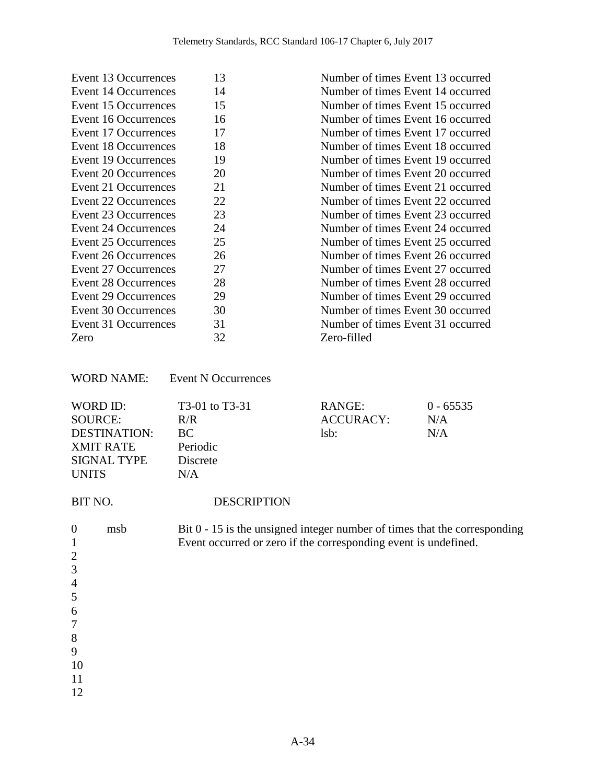| Event 13 Occurrences        | 13 | Number of times Event 13 occurred |
|-----------------------------|----|-----------------------------------|
| Event 14 Occurrences        | 14 | Number of times Event 14 occurred |
| Event 15 Occurrences        | 15 | Number of times Event 15 occurred |
| Event 16 Occurrences        | 16 | Number of times Event 16 occurred |
| Event 17 Occurrences        | 17 | Number of times Event 17 occurred |
| Event 18 Occurrences        | 18 | Number of times Event 18 occurred |
| Event 19 Occurrences        | 19 | Number of times Event 19 occurred |
| Event 20 Occurrences        | 20 | Number of times Event 20 occurred |
| Event 21 Occurrences        | 21 | Number of times Event 21 occurred |
| Event 22 Occurrences        | 22 | Number of times Event 22 occurred |
| Event 23 Occurrences        | 23 | Number of times Event 23 occurred |
| Event 24 Occurrences        | 24 | Number of times Event 24 occurred |
| Event 25 Occurrences        | 25 | Number of times Event 25 occurred |
| Event 26 Occurrences        | 26 | Number of times Event 26 occurred |
| Event 27 Occurrences        | 27 | Number of times Event 27 occurred |
| <b>Event 28 Occurrences</b> | 28 | Number of times Event 28 occurred |
| Event 29 Occurrences        | 29 | Number of times Event 29 occurred |
| Event 30 Occurrences        | 30 | Number of times Event 30 occurred |
| Event 31 Occurrences        | 31 | Number of times Event 31 occurred |
| Zero                        | 32 | Zero-filled                       |
|                             |    |                                   |
|                             |    |                                   |
|                             |    |                                   |

WORD NAME: Event N Occurrences

| WORD ID:<br><b>SOURCE:</b><br><b>DESTINATION:</b><br><b>XMIT RATE</b><br><b>SIGNAL TYPE</b><br><b>UNITS</b>                            | T3-01 to T3-31<br>R/R<br>BC<br>Periodic<br>Discrete<br>N/A                                                                                     | RANGE:<br><b>ACCURACY:</b><br>lsb: | $0 - 65535$<br>N/A<br>N/A |
|----------------------------------------------------------------------------------------------------------------------------------------|------------------------------------------------------------------------------------------------------------------------------------------------|------------------------------------|---------------------------|
| BIT NO.                                                                                                                                | <b>DESCRIPTION</b>                                                                                                                             |                                    |                           |
| $\boldsymbol{0}$<br>msb<br>$\mathbf{1}$<br>$\mathbf{2}$<br>$\mathfrak{Z}$<br>$\overline{4}$<br>5<br>6<br>7<br>8<br>9<br>10<br>11<br>12 | Bit $0 - 15$ is the unsigned integer number of times that the corresponding<br>Event occurred or zero if the corresponding event is undefined. |                                    |                           |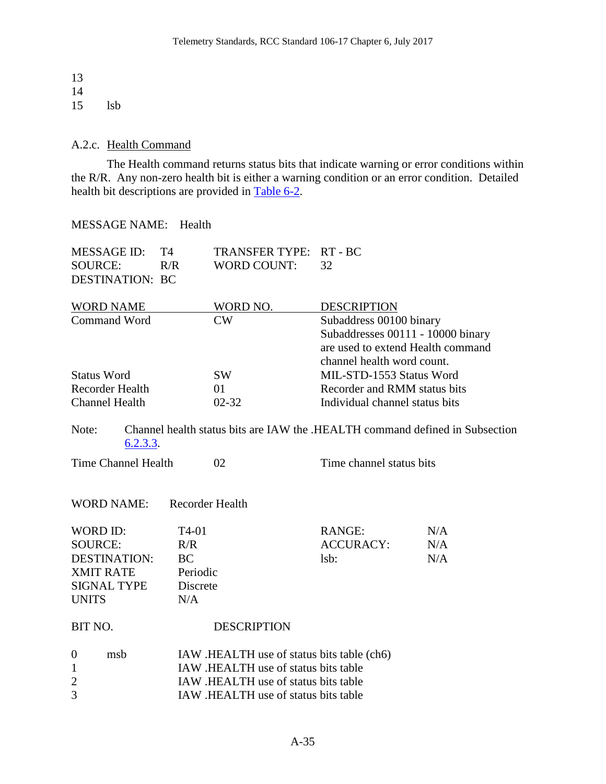13  $\frac{14}{15}$ lsb

## A.2.c. Health Command

The Health command returns status bits that indicate warning or error conditions within the R/R. Any non-zero health bit is either a warning condition or an error condition. Detailed health bit descriptions are provided in [Table 6-2.](#page-13-0)

MESSAGE NAME: Health

| <b>MESSAGE ID:</b>         | <b>T4</b>              | <b>TRANSFER TYPE:</b>                                                        | RT - BC                                                                                                                         |     |
|----------------------------|------------------------|------------------------------------------------------------------------------|---------------------------------------------------------------------------------------------------------------------------------|-----|
| <b>SOURCE:</b>             | R/R                    | <b>WORD COUNT:</b>                                                           | 32                                                                                                                              |     |
| <b>DESTINATION: BC</b>     |                        |                                                                              |                                                                                                                                 |     |
| <b>WORD NAME</b>           |                        | WORD NO.                                                                     | <b>DESCRIPTION</b>                                                                                                              |     |
| <b>Command Word</b>        |                        | CW                                                                           | Subaddress 00100 binary<br>Subaddresses 00111 - 10000 binary<br>are used to extend Health command<br>channel health word count. |     |
| <b>Status Word</b>         |                        | SW                                                                           | MIL-STD-1553 Status Word                                                                                                        |     |
| <b>Recorder Health</b>     |                        | 01                                                                           | Recorder and RMM status bits                                                                                                    |     |
| <b>Channel Health</b>      |                        | $02 - 32$                                                                    | Individual channel status bits                                                                                                  |     |
| Note:<br>6.2.3.3.          |                        | Channel health status bits are IAW the .HEALTH command defined in Subsection |                                                                                                                                 |     |
| <b>Time Channel Health</b> |                        | 02                                                                           | Time channel status bits                                                                                                        |     |
| <b>WORD NAME:</b>          | <b>Recorder Health</b> |                                                                              |                                                                                                                                 |     |
| WORD ID:                   | $T4-01$                |                                                                              | <b>RANGE:</b>                                                                                                                   | N/A |
| <b>SOURCE:</b>             | R/R                    |                                                                              | <b>ACCURACY:</b>                                                                                                                | N/A |
| <b>DESTINATION:</b>        | <b>BC</b>              |                                                                              | lsb:                                                                                                                            | N/A |
| <b>XMIT RATE</b>           | Periodic               |                                                                              |                                                                                                                                 |     |
| <b>SIGNAL TYPE</b>         | Discrete               |                                                                              |                                                                                                                                 |     |
| <b>UNITS</b>               | N/A                    |                                                                              |                                                                                                                                 |     |
| BIT NO.                    |                        | <b>DESCRIPTION</b>                                                           |                                                                                                                                 |     |
| msb<br>$\boldsymbol{0}$    |                        | IAW .HEALTH use of status bits table (ch6)                                   |                                                                                                                                 |     |
| 1                          |                        | IAW .HEALTH use of status bits table                                         |                                                                                                                                 |     |
| $\overline{c}$             |                        | IAW .HEALTH use of status bits table                                         |                                                                                                                                 |     |
| 3                          |                        | IAW .HEALTH use of status bits table                                         |                                                                                                                                 |     |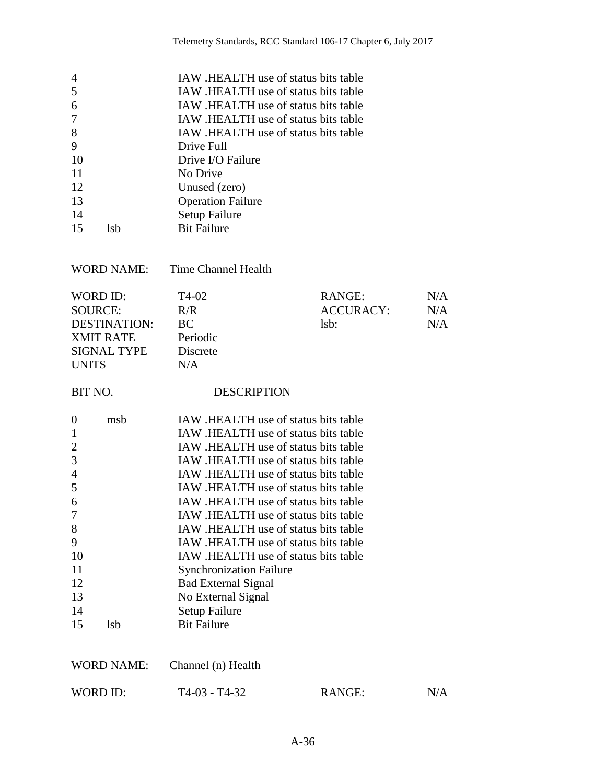| $\overline{A}$ |     | IAW .HEALTH use of status bits table |
|----------------|-----|--------------------------------------|
| 5              |     | IAW HEALTH use of status bits table  |
| 6              |     | IAW .HEALTH use of status bits table |
| 7              |     | IAW .HEALTH use of status bits table |
| 8              |     | IAW .HEALTH use of status bits table |
| 9              |     | Drive Full                           |
| 10             |     | Drive I/O Failure                    |
| 11             |     | No Drive                             |
| 12             |     | Unused (zero)                        |
| 13             |     | <b>Operation Failure</b>             |
| 14             |     | Setup Failure                        |
| 15             | lsh | <b>Bit Failure</b>                   |
|                |     |                                      |

| <b>WORD NAME:</b> | Time Channel Health |
|-------------------|---------------------|
|                   |                     |

| WORD ID:     | T4-02    | RANGE:           | N/A |
|--------------|----------|------------------|-----|
| SOURCE:      | R/R      | <b>ACCURACY:</b> | N/A |
| DESTINATION: | BC.      | lsb:             | N/A |
| XMIT RATE    | Periodic |                  |     |
| SIGNAL TYPE  | Discrete |                  |     |
| <b>UNITS</b> | N/A      |                  |     |

|    | msh | IAW .HEALTH use of status bits table |
|----|-----|--------------------------------------|
|    |     | IAW .HEALTH use of status bits table |
| 2  |     | IAW .HEALTH use of status bits table |
| 3  |     | IAW .HEALTH use of status bits table |
| 4  |     | IAW .HEALTH use of status bits table |
| 5  |     | IAW .HEALTH use of status bits table |
| 6  |     | IAW .HEALTH use of status bits table |
|    |     | IAW .HEALTH use of status bits table |
| 8  |     | IAW .HEALTH use of status bits table |
| 9  |     | IAW .HEALTH use of status bits table |
| 10 |     | IAW .HEALTH use of status bits table |
| 11 |     | <b>Synchronization Failure</b>       |
| 12 |     | <b>Bad External Signal</b>           |
| 13 |     | No External Signal                   |
| 14 |     | Setup Failure                        |
| 15 | lsb | <b>Bit Failure</b>                   |
|    |     |                                      |

| <b>WORD NAME:</b> | Channel (n) Health |  |
|-------------------|--------------------|--|
|                   |                    |  |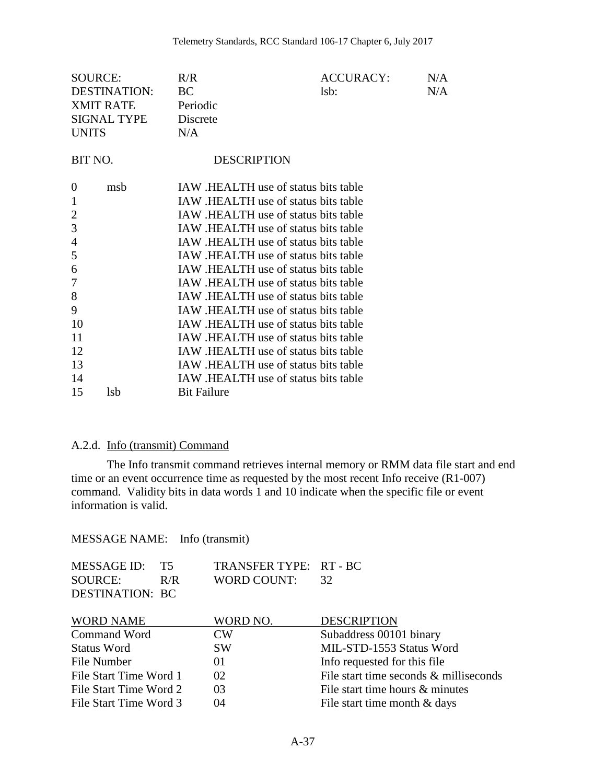| SOURCE:             | R/R                                        | <b>ACCURACY:</b> | N/A |
|---------------------|--------------------------------------------|------------------|-----|
| <b>DESTINATION:</b> | <b>BC</b>                                  | lsb:             | N/A |
| <b>XMIT RATE</b>    | Periodic                                   |                  |     |
| <b>SIGNAL TYPE</b>  | Discrete                                   |                  |     |
| <b>UNITS</b>        | N/A                                        |                  |     |
|                     |                                            |                  |     |
| BIT NO.             | <b>DESCRIPTION</b>                         |                  |     |
| msb<br>$\Omega$     | <b>IAW</b> HEALTH use of status bits table |                  |     |
| 1                   | IAW .HEALTH use of status bits table       |                  |     |
| $\overline{2}$      | IAW .HEALTH use of status bits table       |                  |     |
| $\overline{3}$      | IAW .HEALTH use of status bits table       |                  |     |
| $\overline{4}$      | IAW.HEALTH use of status bits table        |                  |     |
| 5                   | IAW .HEALTH use of status bits table       |                  |     |
| 6                   | IAW .HEALTH use of status bits table       |                  |     |
| $\overline{7}$      | IAW .HEALTH use of status bits table       |                  |     |
| 8                   | IAW .HEALTH use of status bits table       |                  |     |
| 9                   | IAW .HEALTH use of status bits table       |                  |     |
| 10                  | IAW .HEALTH use of status bits table       |                  |     |
| 11                  | IAW HEALTH use of status bits table        |                  |     |
| 12                  | IAW .HEALTH use of status bits table       |                  |     |
| 13                  | IAW .HEALTH use of status bits table       |                  |     |
| 14                  | IAW HEALTH use of status bits table        |                  |     |
| 15<br>lsb           | <b>Bit Failure</b>                         |                  |     |

## <span id="page-102-0"></span>A.2.d. Info (transmit) Command

The Info transmit command retrieves internal memory or RMM data file start and end time or an event occurrence time as requested by the most recent Info receive (R1-007) command. Validity bits in data words 1 and 10 indicate when the specific file or event information is valid.

## MESSAGE NAME: Info (transmit)

| MESSAGE ID: T5         | TRANSFER TYPE: RT - BC |  |
|------------------------|------------------------|--|
| SOURCE:<br>R/R         | WORD COUNT: 32         |  |
| <b>DESTINATION: BC</b> |                        |  |

| <b>WORD NAME</b>       | WORD NO.  | <b>DESCRIPTION</b>                     |
|------------------------|-----------|----------------------------------------|
| Command Word           | <b>CW</b> | Subaddress 00101 binary                |
| Status Word            | SW        | MIL-STD-1553 Status Word               |
| File Number            | 01        | Info requested for this file           |
| File Start Time Word 1 | 02        | File start time seconds & milliseconds |
| File Start Time Word 2 | 03        | File start time hours & minutes        |
| File Start Time Word 3 | 04        | File start time month $&$ days         |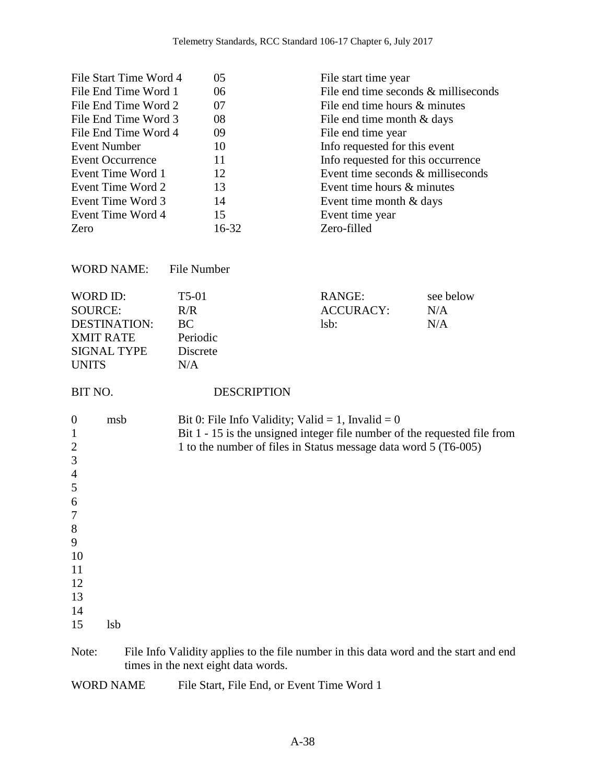| File Start Time Word 4<br>File End Time Word 1<br>File End Time Word 2<br>File End Time Word 3<br>File End Time Word 4<br><b>Event Number</b><br><b>Event Occurrence</b><br>Event Time Word 1<br>Event Time Word 2<br>Event Time Word 3<br>Event Time Word 4 |                                                          | 05<br>06<br>07<br>08<br>09<br>10<br>11<br>12<br>13<br>14<br>15 | File start time year<br>File end time seconds & milliseconds<br>File end time hours & minutes<br>File end time month & days<br>File end time year<br>Info requested for this event<br>Info requested for this occurrence<br>Event time seconds & milliseconds<br>Event time hours & minutes<br>Event time month & days<br>Event time year |                         |
|--------------------------------------------------------------------------------------------------------------------------------------------------------------------------------------------------------------------------------------------------------------|----------------------------------------------------------|----------------------------------------------------------------|-------------------------------------------------------------------------------------------------------------------------------------------------------------------------------------------------------------------------------------------------------------------------------------------------------------------------------------------|-------------------------|
| Zero                                                                                                                                                                                                                                                         |                                                          | 16-32                                                          | Zero-filled                                                                                                                                                                                                                                                                                                                               |                         |
| <b>WORD NAME:</b>                                                                                                                                                                                                                                            | <b>File Number</b>                                       |                                                                |                                                                                                                                                                                                                                                                                                                                           |                         |
| WORD ID:<br><b>SOURCE:</b><br><b>DESTINATION:</b><br><b>XMIT RATE</b><br><b>SIGNAL TYPE</b><br><b>UNITS</b>                                                                                                                                                  | T5-01<br>R/R<br><b>BC</b><br>Periodic<br>Discrete<br>N/A |                                                                | <b>RANGE:</b><br><b>ACCURACY:</b><br>lsb:                                                                                                                                                                                                                                                                                                 | see below<br>N/A<br>N/A |
| BIT NO.                                                                                                                                                                                                                                                      |                                                          | <b>DESCRIPTION</b>                                             |                                                                                                                                                                                                                                                                                                                                           |                         |
| $\boldsymbol{0}$<br>msb<br>$\mathbf{1}$<br>$\overline{c}$<br>$\mathfrak{Z}$<br>$\overline{4}$<br>5<br>6<br>7<br>8<br>9<br>10<br>11<br>12<br>13<br>14<br>15<br><b>lsb</b>                                                                                     |                                                          | Bit 0: File Info Validity; Valid = 1, Invalid = 0              | Bit 1 - 15 is the unsigned integer file number of the requested file from<br>1 to the number of files in Status message data word 5 (T6-005)                                                                                                                                                                                              |                         |
|                                                                                                                                                                                                                                                              |                                                          |                                                                |                                                                                                                                                                                                                                                                                                                                           |                         |
| Note:                                                                                                                                                                                                                                                        |                                                          | times in the next eight data words.                            | File Info Validity applies to the file number in this data word and the start and end                                                                                                                                                                                                                                                     |                         |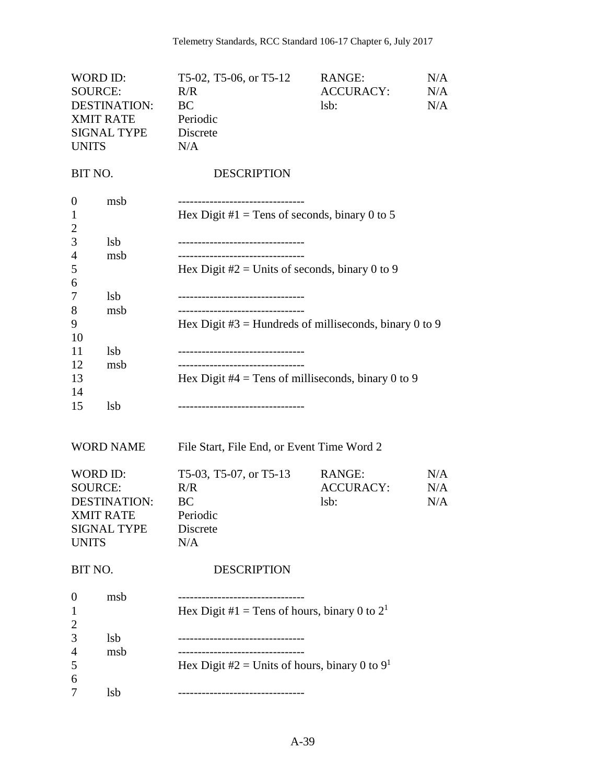| WORD ID:<br>SOURCE:<br><b>DESTINATION:</b><br><b>XMIT RATE</b><br>SIGNAL TYPE<br><b>UNITS</b> |                                                        | T5-02, T5-06, or T5-12<br>R/R<br><b>BC</b><br>Periodic<br>Discrete<br>N/A                                                 | <b>RANGE:</b><br><b>ACCURACY:</b><br>lsb: | N/A<br>N/A<br>N/A |
|-----------------------------------------------------------------------------------------------|--------------------------------------------------------|---------------------------------------------------------------------------------------------------------------------------|-------------------------------------------|-------------------|
| BIT NO.                                                                                       |                                                        | <b>DESCRIPTION</b>                                                                                                        |                                           |                   |
| $\theta$<br>1<br>$\overline{2}$                                                               | msb                                                    | Hex Digit #1 = Tens of seconds, binary 0 to 5                                                                             |                                           |                   |
| 3<br>4                                                                                        | $\mathbf{lsb}$<br>msb                                  | -----------------------------                                                                                             |                                           |                   |
| 5<br>6<br>7                                                                                   | <b>lsb</b>                                             | Hex Digit $#2 =$ Units of seconds, binary 0 to 9<br>-----------------------------                                         |                                           |                   |
| 8<br>9<br>10                                                                                  | msb                                                    | ------------------------------<br>Hex Digit #3 = Hundreds of milliseconds, binary 0 to 9                                  |                                           |                   |
| 11<br>12<br>13<br>14                                                                          | <b>lsb</b><br>msb                                      | ----------------------------<br>---------------------------------<br>Hex Digit $#4$ = Tens of milliseconds, binary 0 to 9 |                                           |                   |
| 15                                                                                            | <b>lsb</b>                                             |                                                                                                                           |                                           |                   |
|                                                                                               | <b>WORD NAME</b>                                       | File Start, File End, or Event Time Word 2                                                                                |                                           |                   |
| WORD ID:<br><b>SOURCE:</b><br><b>UNITS</b>                                                    | <b>DESTINATION:</b><br>XMIT RATE<br><b>SIGNAL TYPE</b> | T5-03, T5-07, or T5-13<br>R/R<br>BC<br>Periodic<br>Discrete<br>N/A                                                        | RANGE:<br><b>ACCURACY:</b><br>lsb:        | N/A<br>N/A<br>N/A |
| BIT NO.                                                                                       |                                                        | <b>DESCRIPTION</b>                                                                                                        |                                           |                   |
| $\theta$<br>1<br>$\overline{c}$                                                               | msb                                                    | Hex Digit #1 = Tens of hours, binary 0 to $2^1$                                                                           |                                           |                   |
| 3<br>$\overline{4}$<br>5                                                                      | <b>lsb</b><br>msb                                      | -------------------------------<br>-------------------------------<br>Hex Digit #2 = Units of hours, binary 0 to $91$     |                                           |                   |
| 6<br>7                                                                                        | <b>lsb</b>                                             |                                                                                                                           |                                           |                   |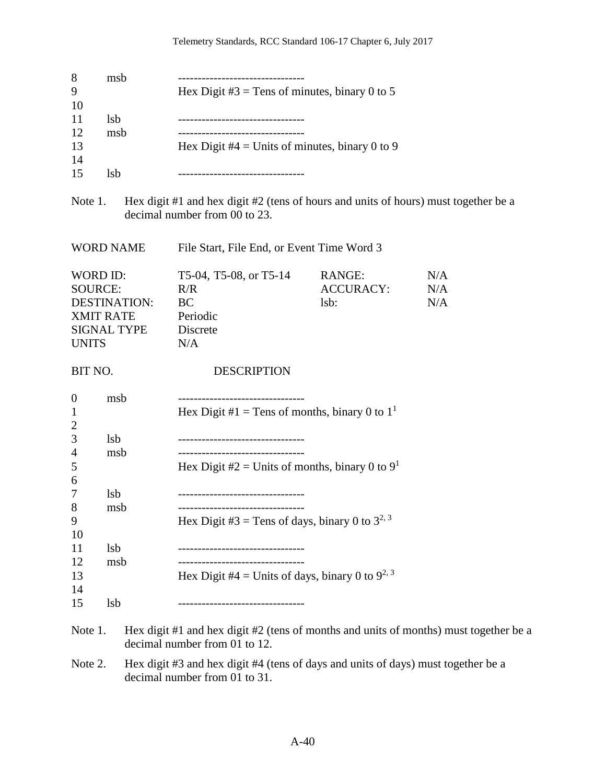| 8  | msb        |                                                |
|----|------------|------------------------------------------------|
| 9  |            | Hex Digit #3 = Tens of minutes, binary 0 to 5  |
| 10 |            |                                                |
| 11 | <b>lsb</b> |                                                |
| 12 | msb        |                                                |
| 13 |            | Hex Digit #4 = Units of minutes, binary 0 to 9 |
| 14 |            |                                                |
| 15 | lsb        |                                                |
|    |            |                                                |

Note 1. Hex digit #1 and hex digit #2 (tens of hours and units of hours) must together be a decimal number from 00 to 23.

WORD NAME File Start, File End, or Event Time Word 3

| WORD ID:            | T5-04, T5-08, or T5-14 | <b>RANGE:</b>    | N/A |
|---------------------|------------------------|------------------|-----|
| SOURCE:             | R/R                    | <b>ACCURACY:</b> | N/A |
| <b>DESTINATION:</b> | <b>BC</b>              | lsb:             | N/A |
| <b>XMIT RATE</b>    | Periodic               |                  |     |
| <b>SIGNAL TYPE</b>  | Discrete               |                  |     |
| <b>UNITS</b>        | N/A                    |                  |     |
|                     |                        |                  |     |
| BIT NO.             | <b>DESCRIPTION</b>     |                  |     |
| meh                 |                        |                  |     |

| v              | <b>IIISD</b> |                                                                                           |
|----------------|--------------|-------------------------------------------------------------------------------------------|
| 1              |              | Hex Digit #1 = Tens of months, binary 0 to $1^1$                                          |
| $\overline{2}$ |              |                                                                                           |
| 3              | <b>lsb</b>   |                                                                                           |
| $\overline{4}$ | msb          |                                                                                           |
| 5              |              | Hex Digit #2 = Units of months, binary 0 to $91$                                          |
| 6              |              |                                                                                           |
| 7              | <b>lsb</b>   |                                                                                           |
| 8              | msb          | -------------------------                                                                 |
| 9              |              | Hex Digit #3 = Tens of days, binary 0 to $3^{2,3}$                                        |
| 10             |              |                                                                                           |
| 11             | <b>lsb</b>   |                                                                                           |
| 12             | msb          | ---------------------                                                                     |
| 13             |              | Hex Digit #4 = Units of days, binary 0 to $9^{2,3}$                                       |
| 14             |              |                                                                                           |
| 15             | <b>lsb</b>   |                                                                                           |
|                |              |                                                                                           |
| Note 1.        |              | Hex digit $#1$ and hex digit $#2$ (tens of months and units of months) must together be a |
|                |              | decimal number from 01 to 12.                                                             |
|                |              |                                                                                           |

Note 2. Hex digit #3 and hex digit #4 (tens of days and units of days) must together be a decimal number from 01 to 31.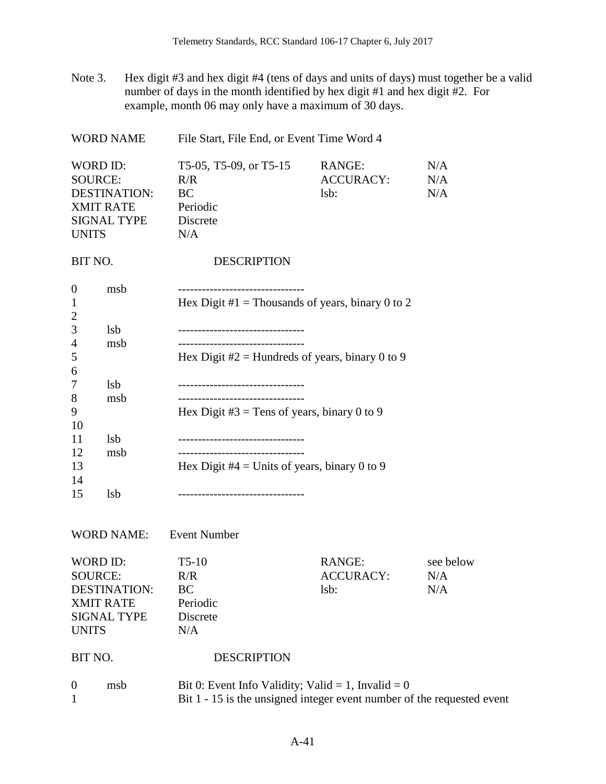Note 3. Hex digit #3 and hex digit #4 (tens of days and units of days) must together be a valid number of days in the month identified by hex digit #1 and hex digit #2. For example, month 06 may only have a maximum of 30 days.

| WORD NAME                           |                                                                                             | File Start, File End, or Event Time Word 4                                                                                   |                                           |                         |
|-------------------------------------|---------------------------------------------------------------------------------------------|------------------------------------------------------------------------------------------------------------------------------|-------------------------------------------|-------------------------|
| <b>UNITS</b>                        | WORD ID:<br><b>SOURCE:</b><br><b>DESTINATION:</b><br>XMIT RATE<br>SIGNAL TYPE               | T5-05, T5-09, or T5-15<br>R/R<br><b>BC</b><br>Periodic<br>Discrete<br>N/A                                                    | RANGE:<br><b>ACCURACY:</b><br>lsb:        | N/A<br>N/A<br>N/A       |
| BIT NO.                             |                                                                                             | <b>DESCRIPTION</b>                                                                                                           |                                           |                         |
| 0<br>$\mathbf{1}$<br>$\overline{c}$ | msb                                                                                         | Hex Digit #1 = Thousands of years, binary 0 to 2                                                                             |                                           |                         |
| 3<br>4<br>5                         | <b>lsb</b><br>msb                                                                           | ------------------------------<br>--------------------------------<br>Hex Digit $#2$ = Hundreds of years, binary 0 to 9      |                                           |                         |
| 6<br>7<br>8<br>9                    | <b>lsb</b><br>msb                                                                           | ------------------------------<br>Hex Digit #3 = Tens of years, binary 0 to 9                                                |                                           |                         |
| 10<br>11<br>12<br>13<br>14          | <b>lsb</b><br>msb                                                                           | -------------------------------<br>--------------------------------<br>Hex Digit #4 = Units of years, binary 0 to 9          |                                           |                         |
| 15                                  | <b>lsb</b>                                                                                  |                                                                                                                              |                                           |                         |
|                                     |                                                                                             | WORD NAME: Event Number                                                                                                      |                                           |                         |
| <b>UNITS</b>                        | WORD ID:<br><b>SOURCE:</b><br><b>DESTINATION:</b><br><b>XMIT RATE</b><br><b>SIGNAL TYPE</b> | $T5-10$<br>R/R<br>BC<br>Periodic<br>Discrete<br>N/A                                                                          | <b>RANGE:</b><br><b>ACCURACY:</b><br>lsb: | see below<br>N/A<br>N/A |
| BIT NO.                             |                                                                                             | <b>DESCRIPTION</b>                                                                                                           |                                           |                         |
| 0<br>1                              | msb                                                                                         | Bit 0: Event Info Validity; Valid = 1, Invalid = 0<br>Bit 1 - 15 is the unsigned integer event number of the requested event |                                           |                         |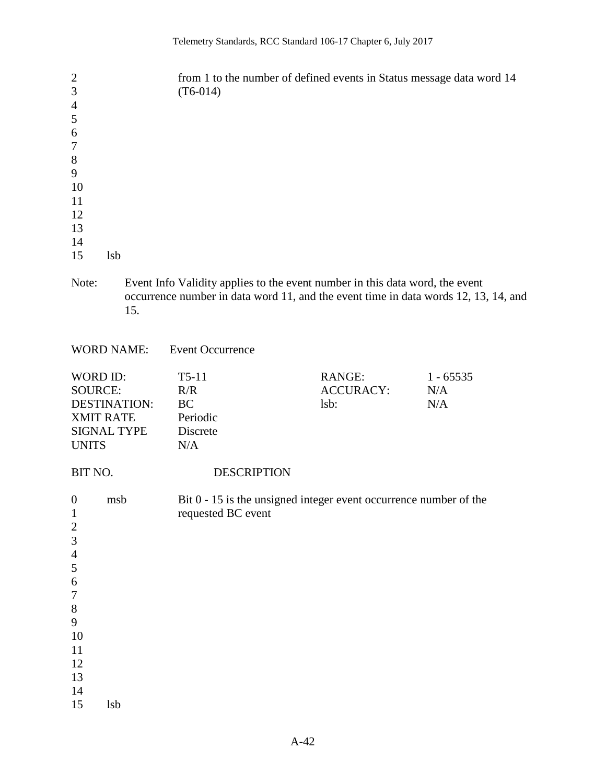| $\overline{2}$<br>3<br>$\overline{4}$<br>5<br>6<br>7<br>8<br>9<br>10<br>11<br>12<br>13<br>14<br>15 | lsb | from 1 to the number of defined events in Status message data word 14<br>$(T6-014)$                                                                                        |
|----------------------------------------------------------------------------------------------------|-----|----------------------------------------------------------------------------------------------------------------------------------------------------------------------------|
| Note:                                                                                              |     | Event Info Validity applies to the event number in this data word, the event<br>occurrence number in data word 11, and the event time in data words 12, 13, 14, and<br>15. |
| <b>WORD NAME:</b>                                                                                  |     | <b>Event Occurrence</b>                                                                                                                                                    |

| WORD ID:<br><b>SOURCE:</b><br><b>DESTINATION:</b><br><b>XMIT RATE</b><br><b>SIGNAL TYPE</b><br><b>UNITS</b>                                                                  | $T5-11$<br>R/R<br>BC<br>Periodic<br>Discrete<br>N/A                                       | RANGE:<br><b>ACCURACY:</b><br>$1$ sb: | $1 - 65535$<br>N/A<br>N/A |
|------------------------------------------------------------------------------------------------------------------------------------------------------------------------------|-------------------------------------------------------------------------------------------|---------------------------------------|---------------------------|
| BIT NO.                                                                                                                                                                      | <b>DESCRIPTION</b>                                                                        |                                       |                           |
| msb<br>$\overline{0}$<br>$\mathbf{1}$<br>$\overline{2}$<br>3<br>$\overline{4}$<br>5<br>6<br>$\boldsymbol{7}$<br>$8\,$<br>9<br>10<br>11<br>12<br>13<br>14<br>15<br><b>lsb</b> | Bit $0 - 15$ is the unsigned integer event occurrence number of the<br>requested BC event |                                       |                           |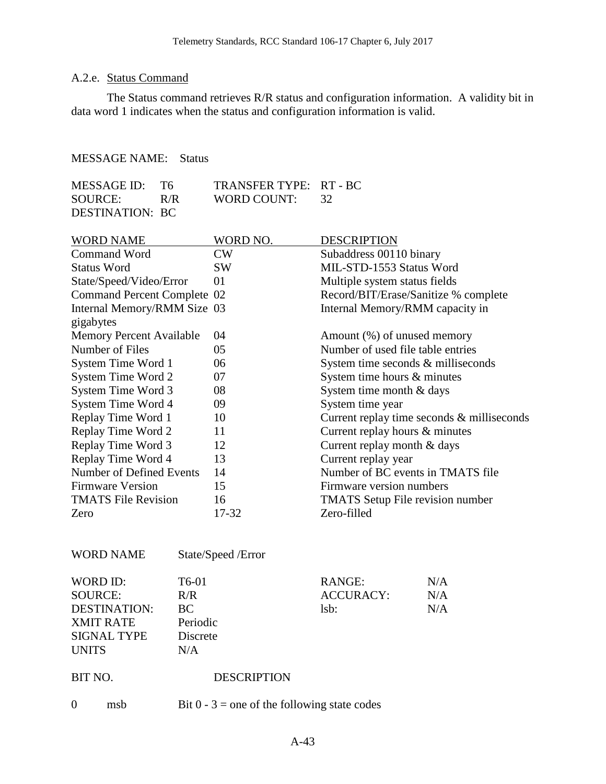### A.2.e. Status Command

The Status command retrieves R/R status and configuration information. A validity bit in data word 1 indicates when the status and configuration information is valid.

#### MESSAGE NAME: Status

| MESSAGE ID: T6         |     | TRANSFER TYPE: RT - BC |  |
|------------------------|-----|------------------------|--|
| SOURCE:                | R/R | WORD COUNT: 32         |  |
| <b>DESTINATION: BC</b> |     |                        |  |

| <b>WORD NAME</b>                | WORD NO.  | <b>DESCRIPTION</b>                            |
|---------------------------------|-----------|-----------------------------------------------|
| Command Word                    | CW        | Subaddress 00110 binary                       |
| <b>Status Word</b>              | <b>SW</b> | MIL-STD-1553 Status Word                      |
| State/Speed/Video/Error         | 01        | Multiple system status fields                 |
| Command Percent Complete 02     |           | Record/BIT/Erase/Sanitize % complete          |
| Internal Memory/RMM Size 03     |           | Internal Memory/RMM capacity in               |
| gigabytes                       |           |                                               |
| <b>Memory Percent Available</b> | 04        | Amount (%) of unused memory                   |
| Number of Files                 | 05        | Number of used file table entries             |
| System Time Word 1              | 06        | System time seconds & milliseconds            |
| System Time Word 2              | 07        | System time hours & minutes                   |
| System Time Word 3              | 08        | System time month $&$ days                    |
| System Time Word 4              | 09        | System time year                              |
| Replay Time Word 1              | 10        | Current replay time seconds $\&$ milliseconds |
| Replay Time Word 2              | 11        | Current replay hours & minutes                |
| Replay Time Word 3              | 12        | Current replay month & days                   |
| Replay Time Word 4              | 13        | Current replay year                           |
| Number of Defined Events        | 14        | Number of BC events in TMATS file             |
| <b>Firmware Version</b>         | 15        | Firmware version numbers                      |
| <b>TMATS File Revision</b>      | 16        | <b>TMATS</b> Setup File revision number       |
| Zero                            | 17-32     | Zero-filled                                   |

WORD NAME State/Speed /Error WORD ID: T6-01 RANGE: N/A<br>SOURCE: R/R ACCURACY: N/A SOURCE: R/R ACCURACY: DESTINATION: BC lsb: N/A XMIT RATE Periodic SIGNAL TYPE Discrete UNITS N/A BIT NO. DESCRIPTION

0 msb Bit  $0 - 3 =$  one of the following state codes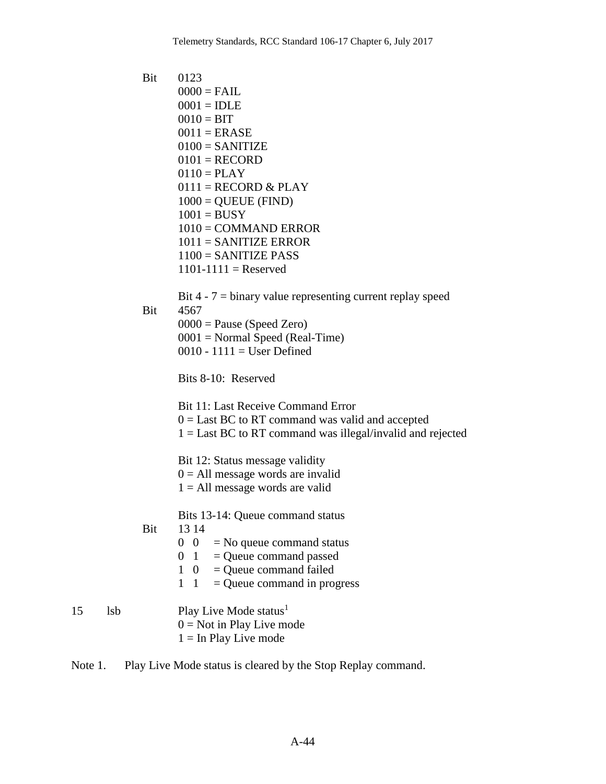|    |            | Bit | 0123<br>$0000 = \text{FAIL}$<br>$0001 = IDLE$<br>$0010 = BIT$<br>$0011 = ERASE$<br>$0100 =$ SANITIZE<br>$0101 = RECORD$<br>$0110 = PLAY$<br>$0111$ = RECORD & PLAY<br>$1000 = \text{QUEUE}$ (FIND)<br>$1001 = BUSY$<br>$1010 = \text{COMMAND}$ ERROR<br>$1011 =$ SANITIZE ERROR<br>$1100 =$ SANITIZE PASS<br>$1101 - 1111 =$ Reserved |
|----|------------|-----|---------------------------------------------------------------------------------------------------------------------------------------------------------------------------------------------------------------------------------------------------------------------------------------------------------------------------------------|
|    |            | Bit | Bit 4 - $7 = \text{binary value representing current replay speed}$<br>4567<br>$0000 = \text{Pause}$ (Speed Zero)<br>$0001$ = Normal Speed (Real-Time)<br>0010 - 1111 = User Defined                                                                                                                                                  |
|    |            |     | Bits 8-10: Reserved                                                                                                                                                                                                                                                                                                                   |
|    |            |     | Bit 11: Last Receive Command Error<br>$0 =$ Last BC to RT command was valid and accepted<br>$1 =$ Last BC to RT command was illegal/invalid and rejected                                                                                                                                                                              |
|    |            |     | Bit 12: Status message validity<br>$0 = All message words are invalid$<br>$1 = All message words are valid$                                                                                                                                                                                                                           |
|    |            | Bit | Bits 13-14: Queue command status<br>13 14<br>$0\quad 0$<br>$=$ No queue command status<br>$=$ Queue command passed<br>$\overline{0}$<br>$\mathbf{1}$<br>$=$ Queue command failed<br>$\mathbf{1}$<br>$\overline{0}$<br>$\mathbf{1}$<br>$=$ Queue command in progress<br>$\mathbf{1}$                                                   |
| 15 | <b>lsb</b> |     | Play Live Mode status <sup>1</sup><br>$0 = Not in Play Live mode$<br>$1 =$ In Play Live mode                                                                                                                                                                                                                                          |

Note 1. Play Live Mode status is cleared by the Stop Replay command.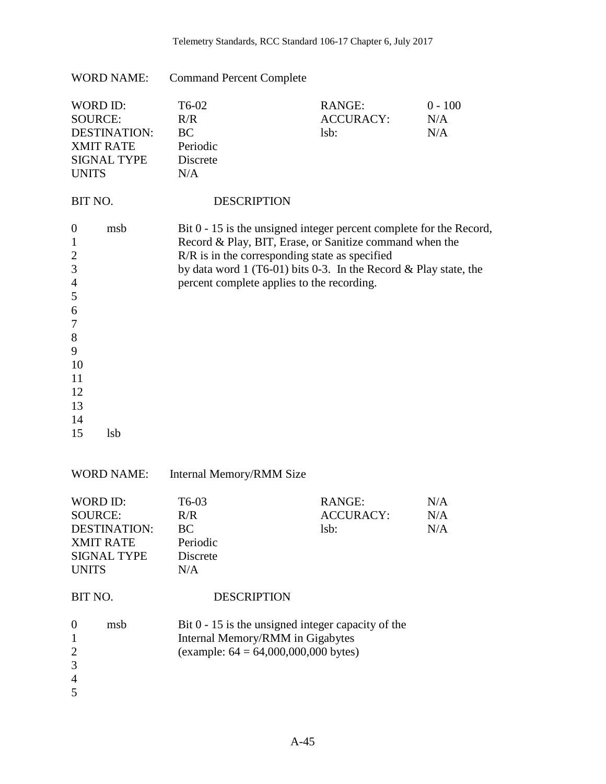| <b>WORD NAME:</b>                                                                                                                                             | <b>Command Percent Complete</b>                          |                                                                                                                                                                                                                                                                                                    |                         |
|---------------------------------------------------------------------------------------------------------------------------------------------------------------|----------------------------------------------------------|----------------------------------------------------------------------------------------------------------------------------------------------------------------------------------------------------------------------------------------------------------------------------------------------------|-------------------------|
| WORD ID:<br><b>SOURCE:</b><br><b>DESTINATION:</b><br><b>XMIT RATE</b><br><b>SIGNAL TYPE</b><br><b>UNITS</b>                                                   | T6-02<br>R/R<br><b>BC</b><br>Periodic<br>Discrete<br>N/A | <b>RANGE:</b><br><b>ACCURACY:</b><br>lsb:                                                                                                                                                                                                                                                          | $0 - 100$<br>N/A<br>N/A |
| BIT NO.                                                                                                                                                       | <b>DESCRIPTION</b>                                       |                                                                                                                                                                                                                                                                                                    |                         |
| msb<br>$\boldsymbol{0}$<br>1<br>$\overline{c}$<br>3<br>$\overline{4}$<br>5<br>6<br>$\overline{7}$<br>8<br>9<br>10<br>11<br>12<br>13<br>14<br>15<br><b>lsb</b> |                                                          | Bit 0 - 15 is the unsigned integer percent complete for the Record,<br>Record & Play, BIT, Erase, or Sanitize command when the<br>R/R is in the corresponding state as specified<br>by data word 1 (T6-01) bits 0-3. In the Record & Play state, the<br>percent complete applies to the recording. |                         |
| <b>WORD NAME:</b>                                                                                                                                             | Internal Memory/RMM Size                                 |                                                                                                                                                                                                                                                                                                    |                         |
| WORD ID:<br><b>SOURCE:</b><br><b>DESTINATION:</b>                                                                                                             | T6-03<br>R/R<br><b>BC</b>                                | <b>RANGE:</b><br><b>ACCURACY:</b><br>lsb:                                                                                                                                                                                                                                                          | N/A<br>N/A<br>N/A       |

0 msb Bit 0 - 15 is the unsigned integer capacity of the 1 Internal Memory/RMM in Gigabytes<br>2 (example: 64 = 64,000,000,000 bytes)

XMIT RATE Periodic<br>SIGNAL TYPE Discrete SIGNAL TYPE Discrete<br>UNITS N/A

BIT NO. DESCRIPTION

3 4

**UNITS** 

5

(example:  $64 = 64,000,000,000$  bytes)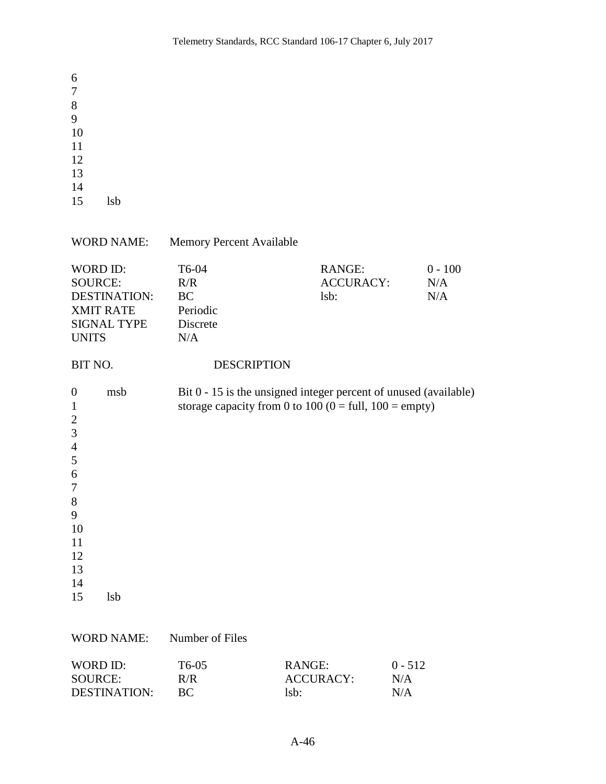| <b>WORD NAME:</b>                                                                                                                                                              | <b>Memory Percent Available</b>                          |                                                                                                                                         |                         |
|--------------------------------------------------------------------------------------------------------------------------------------------------------------------------------|----------------------------------------------------------|-----------------------------------------------------------------------------------------------------------------------------------------|-------------------------|
| WORD ID:<br><b>SOURCE:</b><br><b>DESTINATION:</b><br><b>XMIT RATE</b><br><b>SIGNAL TYPE</b><br><b>UNITS</b>                                                                    | T6-04<br>R/R<br><b>BC</b><br>Periodic<br>Discrete<br>N/A | RANGE:<br><b>ACCURACY:</b><br>lsb:                                                                                                      | $0 - 100$<br>N/A<br>N/A |
| BIT NO.                                                                                                                                                                        | <b>DESCRIPTION</b>                                       |                                                                                                                                         |                         |
| msb<br>$\boldsymbol{0}$<br>$\mathbf{1}$<br>$\overline{2}$<br>3<br>$\overline{4}$<br>5<br>6<br>$\boldsymbol{7}$<br>$8\,$<br>9<br>10<br>11<br>12<br>13<br>14<br>15<br><b>lsb</b> |                                                          | Bit $0 - 15$ is the unsigned integer percent of unused (available)<br>storage capacity from 0 to 100 ( $0 = \text{full}$ , 100 = empty) |                         |

| WORD NAME: | Number of Files |
|------------|-----------------|
|            |                 |

| WORD ID:     | T6-05 | RANGE:    | $0 - 512$ |
|--------------|-------|-----------|-----------|
| SOURCE:      | R/R   | ACCURACY: | N/A       |
| DESTINATION: | BС    | lsb:      | N/A       |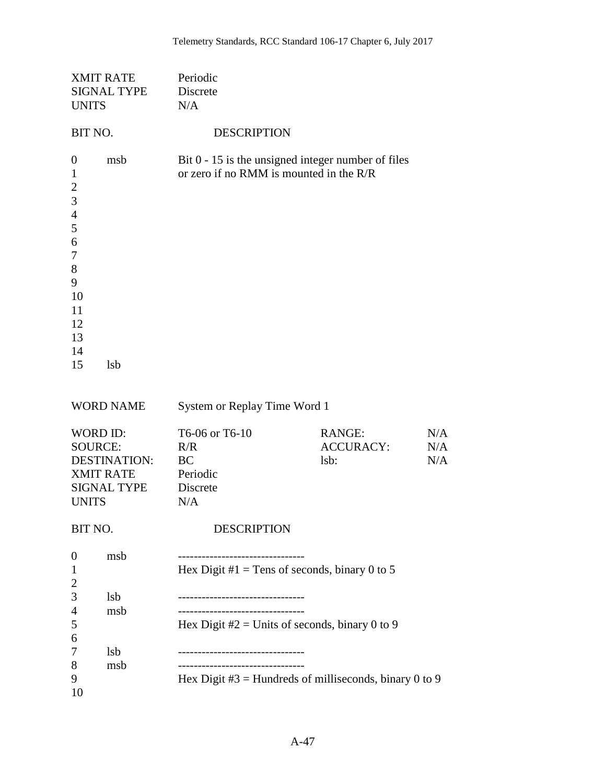| <b>XMIT RATE</b><br><b>UNITS</b>                                                                                                                                                      | <b>SIGNAL TYPE</b>                        | Periodic<br>Discrete<br>N/A                                       |                                                        |                   |
|---------------------------------------------------------------------------------------------------------------------------------------------------------------------------------------|-------------------------------------------|-------------------------------------------------------------------|--------------------------------------------------------|-------------------|
| BIT NO.                                                                                                                                                                               |                                           | <b>DESCRIPTION</b>                                                |                                                        |                   |
| $\boldsymbol{0}$<br>$\mathbf{1}$<br>$\overline{\mathbf{c}}$<br>$\mathfrak{Z}$<br>$\overline{4}$<br>$\mathfrak s$<br>6<br>$\overline{7}$<br>8<br>9<br>10<br>11<br>12<br>13<br>14<br>15 | msb<br><b>lsb</b>                         | or zero if no RMM is mounted in the R/R                           | Bit $0 - 15$ is the unsigned integer number of files   |                   |
|                                                                                                                                                                                       | <b>WORD NAME</b>                          | System or Replay Time Word 1                                      |                                                        |                   |
| WORD ID:<br><b>SOURCE:</b><br><b>XMIT RATE</b><br><b>UNITS</b>                                                                                                                        | <b>DESTINATION:</b><br><b>SIGNAL TYPE</b> | T6-06 or T6-10<br>R/R<br><b>BC</b><br>Periodic<br>Discrete<br>N/A | <b>RANGE:</b><br><b>ACCURACY:</b><br>lsb:              | N/A<br>N/A<br>N/A |
| BIT NO.                                                                                                                                                                               |                                           | <b>DESCRIPTION</b>                                                |                                                        |                   |
| $\theta$<br>1<br>$\overline{c}$                                                                                                                                                       | msb                                       |                                                                   | Hex Digit #1 = Tens of seconds, binary 0 to 5          |                   |
| 3<br>4<br>5<br>6                                                                                                                                                                      | <b>lsb</b><br>msb                         | ---------------------------                                       | Hex Digit $#2 =$ Units of seconds, binary 0 to 9       |                   |
| 7<br>8<br>9<br>10                                                                                                                                                                     | <b>lsb</b><br>msb                         | ----------------------------<br>---------------------------       | Hex Digit #3 = Hundreds of milliseconds, binary 0 to 9 |                   |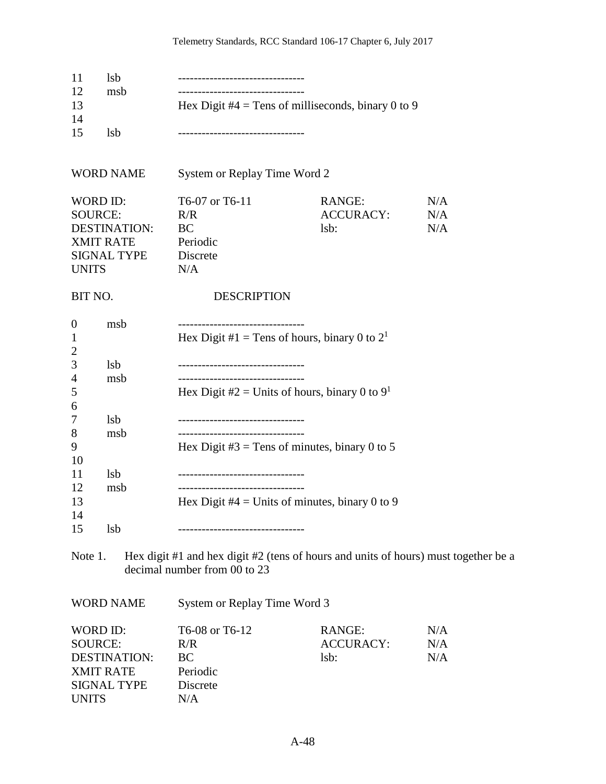| 11 | lsb. |                                                    |
|----|------|----------------------------------------------------|
| 12 | msh  |                                                    |
| 13 |      | Hex Digit #4 = Tens of milliseconds, binary 0 to 9 |
| 14 |      |                                                    |
| 15 | lsb  |                                                    |

| <b>WORD NAME</b>                                                                                     | System or Replay Time Word 2                                |                                    |                   |
|------------------------------------------------------------------------------------------------------|-------------------------------------------------------------|------------------------------------|-------------------|
| WORD ID:<br>SOURCE:<br><b>DESTINATION:</b><br><b>XMIT RATE</b><br><b>SIGNAL TYPE</b><br><b>UNITS</b> | T6-07 or T6-11<br>R/R<br>BC.<br>Periodic<br>Discrete<br>N/A | RANGE:<br><b>ACCURACY:</b><br>lsb: | N/A<br>N/A<br>N/A |
|                                                                                                      |                                                             |                                    |                   |

BIT NO. DESCRIPTION

| $\theta$ | msb        |                                                  |
|----------|------------|--------------------------------------------------|
|          |            | Hex Digit #1 = Tens of hours, binary 0 to $21$   |
| 2        |            |                                                  |
| 3        | <b>lsb</b> |                                                  |
| 4        | msb        |                                                  |
| 5        |            | Hex Digit #2 = Units of hours, binary 0 to $91$  |
| 6        |            |                                                  |
| 7        | <b>lsb</b> |                                                  |
| 8        | msb        |                                                  |
| 9        |            | Hex Digit #3 = Tens of minutes, binary 0 to 5    |
| 10       |            |                                                  |
| 11       | <b>lsb</b> |                                                  |
| 12       | msb        |                                                  |
| 13       |            | Hex Digit $#4 =$ Units of minutes, binary 0 to 9 |
| 14       |            |                                                  |
| 15       | lsb        | -------------------                              |

Note 1. Hex digit #1 and hex digit #2 (tens of hours and units of hours) must together be a decimal number from 00 to 23

WORD NAME System or Replay Time Word 3

| WORD ID:            | T6-08 or T6-12 | RANGE:           | N/A |
|---------------------|----------------|------------------|-----|
| SOURCE:             | R/R            | <b>ACCURACY:</b> | N/A |
| <b>DESTINATION:</b> | BC.            | lsb:             | N/A |
| XMIT RATE           | Periodic       |                  |     |
| SIGNAL TYPE         | Discrete       |                  |     |
| <b>UNITS</b>        | N/A            |                  |     |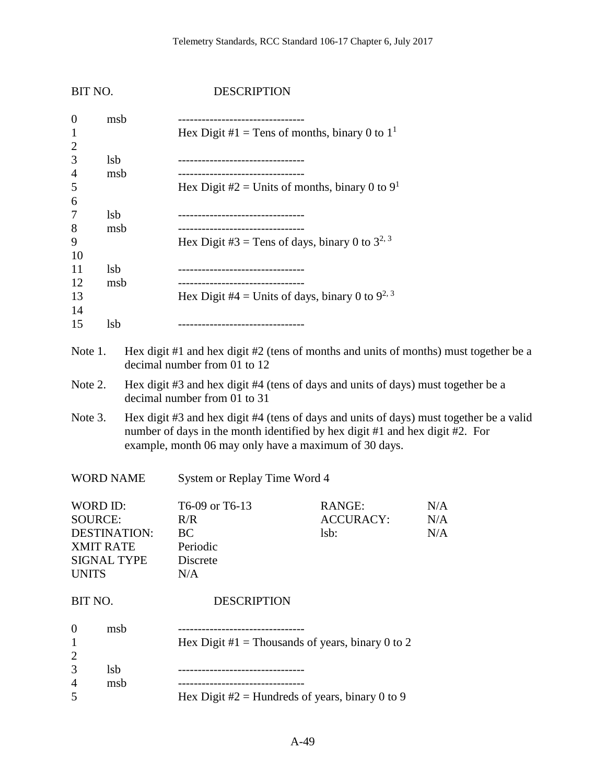| BIT NO.                                                                                                     |                   |  | <b>DESCRIPTION</b>                                                                                                                                                                                                               |  |  |  |  |  |  |  |  |  |  |
|-------------------------------------------------------------------------------------------------------------|-------------------|--|----------------------------------------------------------------------------------------------------------------------------------------------------------------------------------------------------------------------------------|--|--|--|--|--|--|--|--|--|--|
| $\theta$<br>$\mathbf{1}$<br>$\overline{c}$                                                                  | msb               |  | Hex Digit #1 = Tens of months, binary 0 to $1^1$                                                                                                                                                                                 |  |  |  |  |  |  |  |  |  |  |
| 3<br><b>lsb</b><br>msb<br>$\overline{4}$<br>5                                                               |                   |  | ---------------------------<br>-------------------------------<br>Hex Digit #2 = Units of months, binary 0 to $91$                                                                                                               |  |  |  |  |  |  |  |  |  |  |
| 6<br>7<br><b>lsb</b><br>8<br>msb                                                                            |                   |  | ------------------------------                                                                                                                                                                                                   |  |  |  |  |  |  |  |  |  |  |
| 9<br>10<br>11<br>12                                                                                         | <b>lsb</b><br>msb |  | Hex Digit #3 = Tens of days, binary 0 to $3^{2,3}$<br>------------------------------<br>---------------------------------                                                                                                        |  |  |  |  |  |  |  |  |  |  |
| 13<br>14<br>15                                                                                              | <b>lsb</b>        |  | Hex Digit #4 = Units of days, binary 0 to $9^{2,3}$                                                                                                                                                                              |  |  |  |  |  |  |  |  |  |  |
| Note 1.                                                                                                     |                   |  | Hex digit $#1$ and hex digit $#2$ (tens of months and units of months) must together be a<br>decimal number from 01 to 12                                                                                                        |  |  |  |  |  |  |  |  |  |  |
| Note 2.                                                                                                     |                   |  | Hex digit #3 and hex digit #4 (tens of days and units of days) must together be a<br>decimal number from 01 to 31                                                                                                                |  |  |  |  |  |  |  |  |  |  |
| Note 3.                                                                                                     |                   |  | Hex digit #3 and hex digit #4 (tens of days and units of days) must together be a valid<br>number of days in the month identified by hex digit #1 and hex digit #2. For<br>example, month 06 may only have a maximum of 30 days. |  |  |  |  |  |  |  |  |  |  |
| <b>WORD NAME</b>                                                                                            |                   |  | System or Replay Time Word 4                                                                                                                                                                                                     |  |  |  |  |  |  |  |  |  |  |
| WORD ID:<br><b>SOURCE:</b><br><b>DESTINATION:</b><br><b>XMIT RATE</b><br><b>SIGNAL TYPE</b><br><b>UNITS</b> |                   |  | T6-09 or T6-13<br>RANGE:<br>N/A<br><b>ACCURACY:</b><br>N/A<br>R/R<br>BC<br>lsb:<br>N/A<br>Periodic<br>Discrete<br>N/A                                                                                                            |  |  |  |  |  |  |  |  |  |  |
| BIT NO.                                                                                                     |                   |  | <b>DESCRIPTION</b>                                                                                                                                                                                                               |  |  |  |  |  |  |  |  |  |  |
| $\boldsymbol{0}$<br>1<br>2                                                                                  | msb               |  | Hex Digit #1 = Thousands of years, binary 0 to 2                                                                                                                                                                                 |  |  |  |  |  |  |  |  |  |  |
| 3<br>4<br>5                                                                                                 | <b>lsb</b><br>msb |  | Hex Digit $#2$ = Hundreds of years, binary 0 to 9                                                                                                                                                                                |  |  |  |  |  |  |  |  |  |  |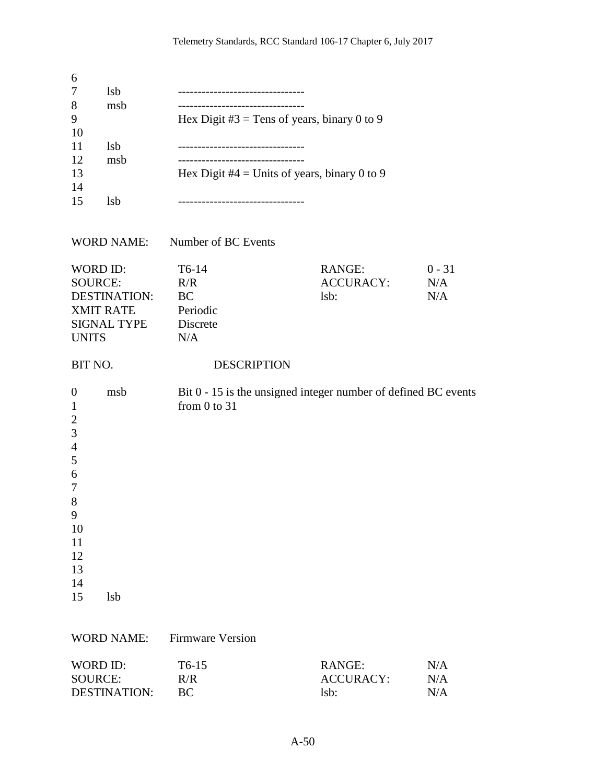| 6<br><b>lsb</b><br>7<br>msb<br>8<br>9<br>10<br>11<br><b>lsb</b><br>12<br>msb<br>13<br>14<br>15<br><b>lsb</b>                          |                                                          | ---------------------------<br>--------------------------------<br>Hex Digit #3 = Tens of years, binary 0 to 9<br>--------------------------------<br>---------------------------------<br>Hex Digit $#4 =$ Units of years, binary 0 to 9<br>-------------------------------- |                        |  |  |  |  |  |  |  |  |
|---------------------------------------------------------------------------------------------------------------------------------------|----------------------------------------------------------|-------------------------------------------------------------------------------------------------------------------------------------------------------------------------------------------------------------------------------------------------------------------------------|------------------------|--|--|--|--|--|--|--|--|
| WORD NAME:                                                                                                                            | Number of BC Events                                      |                                                                                                                                                                                                                                                                               |                        |  |  |  |  |  |  |  |  |
| WORD ID:<br><b>SOURCE:</b><br><b>DESTINATION:</b><br><b>XMIT RATE</b><br><b>SIGNAL TYPE</b><br><b>UNITS</b>                           | T6-14<br>R/R<br><b>BC</b><br>Periodic<br>Discrete<br>N/A | <b>RANGE:</b><br><b>ACCURACY:</b><br>lsb:                                                                                                                                                                                                                                     | $0 - 31$<br>N/A<br>N/A |  |  |  |  |  |  |  |  |
| BIT NO.                                                                                                                               |                                                          | <b>DESCRIPTION</b>                                                                                                                                                                                                                                                            |                        |  |  |  |  |  |  |  |  |
| msb<br>$\overline{0}$<br>1<br>2<br>3<br>$\overline{4}$<br>5<br>6<br>7<br>8<br>9<br>10<br>11<br>$12\,$<br>13<br>14<br>15<br><b>lsb</b> | from $0$ to $31$                                         | Bit 0 - 15 is the unsigned integer number of defined BC events                                                                                                                                                                                                                |                        |  |  |  |  |  |  |  |  |

| WORD ID:            | T6-15 | RANGE:    | N/A |
|---------------------|-------|-----------|-----|
| SOURCE:             | R/R   | ACCURACY: | N/A |
| <b>DESTINATION:</b> |       | lsb:      | N/A |

WORD NAME: Firmware Version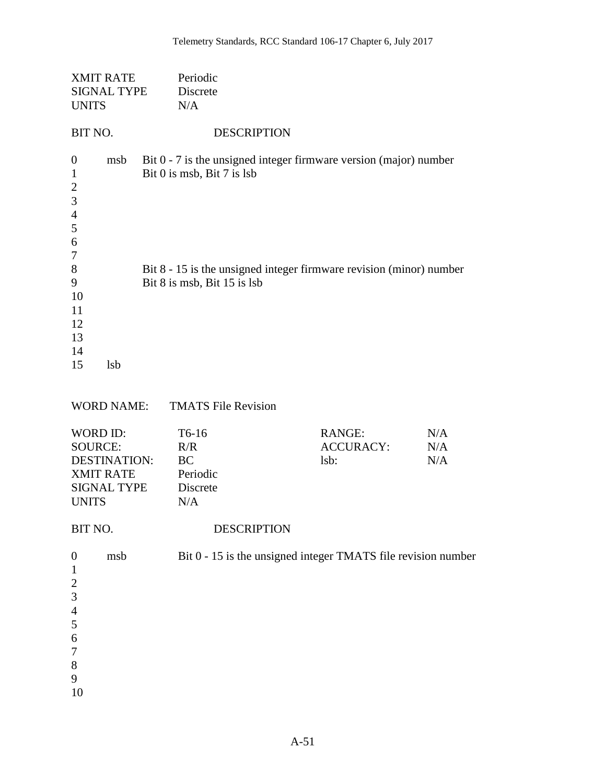| XMIT RATE          | Periodic |
|--------------------|----------|
| <b>SIGNAL TYPE</b> | Discrete |
| <b>UNITS</b>       | N/A      |

## BIT NO. DESCRIPTION

| $\mathbf{0}$<br>1 | msb | Bit $0 - 7$ is the unsigned integer firmware version (major) number<br>Bit 0 is msb, Bit 7 is lsb |
|-------------------|-----|---------------------------------------------------------------------------------------------------|
| $\overline{2}$    |     |                                                                                                   |
| 3                 |     |                                                                                                   |
| $\overline{4}$    |     |                                                                                                   |
| 5                 |     |                                                                                                   |
| 6                 |     |                                                                                                   |
| 7                 |     |                                                                                                   |
| 8                 |     | Bit 8 - 15 is the unsigned integer firmware revision (minor) number                               |
| 9                 |     | Bit 8 is msb, Bit 15 is lsb                                                                       |
| 10                |     |                                                                                                   |
| <sup>11</sup>     |     |                                                                                                   |
| 12                |     |                                                                                                   |
| 13                |     |                                                                                                   |
| 14                |     |                                                                                                   |
| 15                | lsb |                                                                                                   |

|                                                                                                   | WORD NAME: TMATS File Revision                             |                                                               |                   |
|---------------------------------------------------------------------------------------------------|------------------------------------------------------------|---------------------------------------------------------------|-------------------|
| WORD ID:<br>SOURCE:<br><b>DESTINATION:</b><br>XMIT RATE<br>SIGNAL TYPE<br><b>UNITS</b>            | $T6-16$<br>R/R<br><b>BC</b><br>Periodic<br>Discrete<br>N/A | RANGE:<br><b>ACCURACY:</b><br>lsb:                            | N/A<br>N/A<br>N/A |
| BIT NO.                                                                                           | <b>DESCRIPTION</b>                                         |                                                               |                   |
| $\theta$<br>msb<br>$\mathbf{1}$<br>$\frac{2}{3}$<br>$\overline{4}$<br>5<br>6<br>7<br>8<br>9<br>10 |                                                            | Bit 0 - 15 is the unsigned integer TMATS file revision number |                   |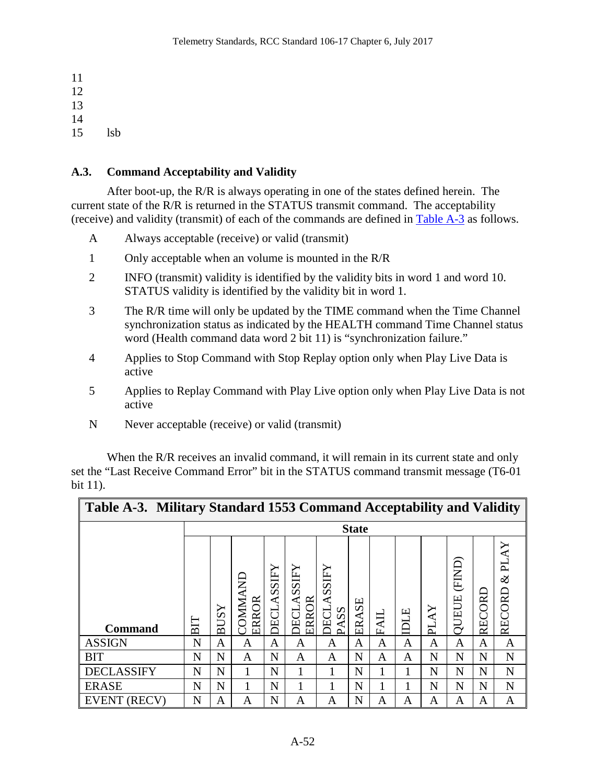### **A.3. Command Acceptability and Validity**

After boot-up, the R/R is always operating in one of the states defined herein. The current state of the R/R is returned in the STATUS transmit command. The acceptability (receive) and validity (transmit) of each of the commands are defined in [Table A-3](#page-117-0) as follows.

- A Always acceptable (receive) or valid (transmit)
- 1 Only acceptable when an volume is mounted in the R/R
- 2 INFO (transmit) validity is identified by the validity bits in word 1 and word 10. STATUS validity is identified by the validity bit in word 1.
- 3 The R/R time will only be updated by the TIME command when the Time Channel synchronization status as indicated by the HEALTH command Time Channel status word (Health command data word 2 bit 11) is "synchronization failure."
- 4 Applies to Stop Command with Stop Replay option only when Play Live Data is active
- 5 Applies to Replay Command with Play Live option only when Play Live Data is not active
- N Never acceptable (receive) or valid (transmit)

When the R/R receives an invalid command, it will remain in its current state and only set the "Last Receive Command Error" bit in the STATUS command transmit message (T6-01 bit 11).

<span id="page-117-0"></span>

| Table A-3. Military Standard 1553 Command Acceptability and Validity |    |              |                       |            |                                |                       |       |      |      |                         |                 |             |                         |
|----------------------------------------------------------------------|----|--------------|-----------------------|------------|--------------------------------|-----------------------|-------|------|------|-------------------------|-----------------|-------------|-------------------------|
|                                                                      |    | <b>State</b> |                       |            |                                |                       |       |      |      |                         |                 |             |                         |
| <b>Command</b>                                                       | ВЦ | <b>BUSY</b>  | ERROR<br><b>NINOC</b> | DECLASSIFY | <b>ASSIFY</b><br>ERROR<br>DECL | SSIFY<br>PASS<br>DECL | ERASE | FAII | IDLE | $\overline{\mathbf{p}}$ | (FIND)<br>QUEUE | RECORL      | 口<br>$\infty$<br>RECORD |
| <b>ASSIGN</b>                                                        | N  | A            | A                     | A          | A                              | A                     | A     | A    | A    | A                       | A               | A           | A                       |
| <b>BIT</b>                                                           | N  | N            | A                     | N          | A                              | A                     | N     | A    | A    | N                       | N               | $\mathbf N$ | N                       |
| <b>DECLASSIFY</b>                                                    | N  | N            | 1                     | N          |                                |                       | N     | 1    |      | N                       | N               | N           | N                       |
| <b>ERASE</b>                                                         | N  | N            | 1                     | N          |                                |                       | N     |      |      | N                       | N               | N           | N                       |
| <b>EVENT (RECV)</b>                                                  | N  | A            | A                     | N          | A                              | A                     | N     | A    | A    | A                       | A               | A           | Α                       |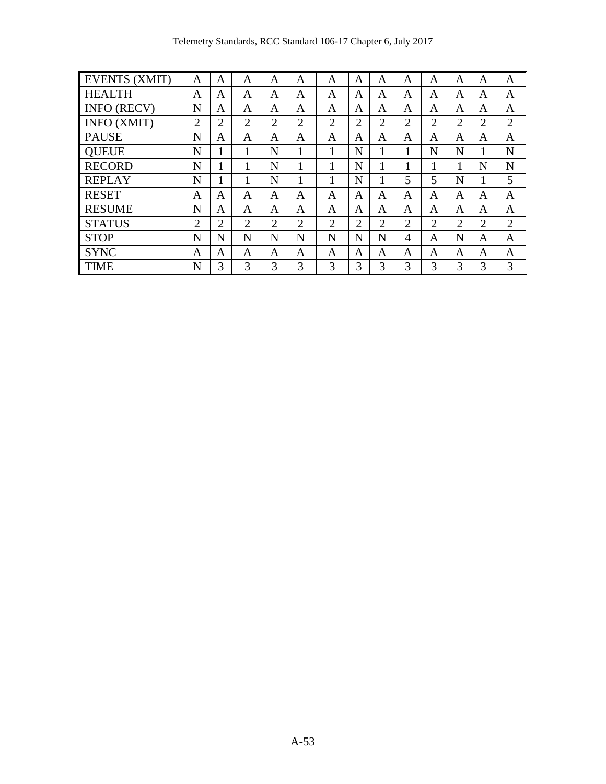| <b>EVENTS (XMIT)</b> | Α              | Α              | A              | A              | A              | A              | A              | A              | A              | Α              | A              | A              | A              |
|----------------------|----------------|----------------|----------------|----------------|----------------|----------------|----------------|----------------|----------------|----------------|----------------|----------------|----------------|
| <b>HEALTH</b>        | Α              | A              | A              | A              | A              | A              | Α              | A              | A              | A              | A              | A              | A              |
| <b>INFO (RECV)</b>   | N              | A              | A              | A              | A              | A              | Α              | A              | A              | A              | A              | A              | A              |
| <b>INFO (XMIT)</b>   | $\overline{2}$ | $\overline{2}$ | $\overline{2}$ | $\overline{2}$ | $\overline{2}$ | $\overline{2}$ | $\overline{2}$ | $\overline{2}$ | $\overline{2}$ | $\overline{2}$ | $\overline{2}$ | $\overline{2}$ | $\overline{2}$ |
| <b>PAUSE</b>         | N              | Α              | A              | A              | A              | A              | A              | A              | A              | Α              | A              | Α              | A              |
| <b>QUEUE</b>         | N              |                | ı              | N              |                | 1<br>-1        | N              | 1              |                | N              | N              | T              | N              |
| <b>RECORD</b>        | N              |                |                | N              |                |                | N              |                |                |                |                | N              | N              |
| <b>REPLAY</b>        | N              |                |                | N              |                |                | N              | 1              | 5              | 5              | N              |                | 5              |
| <b>RESET</b>         | A              | A              | A              | A              | A              | A              | Α              | A              | A              | Α              | A              | A              | A              |
| <b>RESUME</b>        | N              | A              | A              | A              | A              | Α              | A              | A              | A              | A              | A              | A              | A              |
| <b>STATUS</b>        | $\overline{2}$ | $\overline{2}$ | $\overline{2}$ | $\overline{2}$ | $\overline{2}$ | $\overline{2}$ | $\overline{2}$ | $\overline{2}$ | $\overline{2}$ | $\overline{2}$ | $\overline{2}$ | $\overline{2}$ | $\overline{2}$ |
| <b>STOP</b>          | N              | N              | N              | N              | N              | N              | N              | N              | 4              | A              | N              | A              | A              |
| <b>SYNC</b>          | A              | A              | A              | A              | A              | A              | Α              | A              | A              | A              | A              | A              | A              |
| <b>TIME</b>          | N              | 3              | 3              | 3              | 3              | 3              | 3              | 3              | 3              | 3              | 3              | 3              | 3              |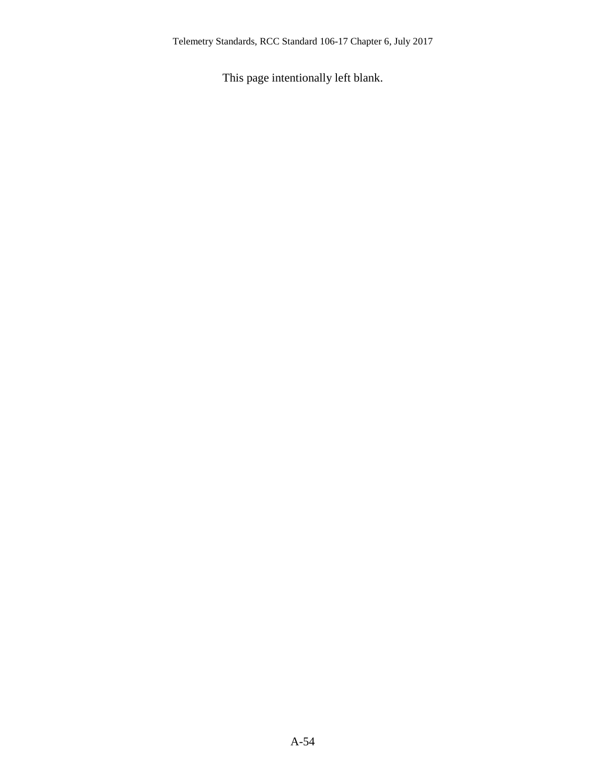This page intentionally left blank.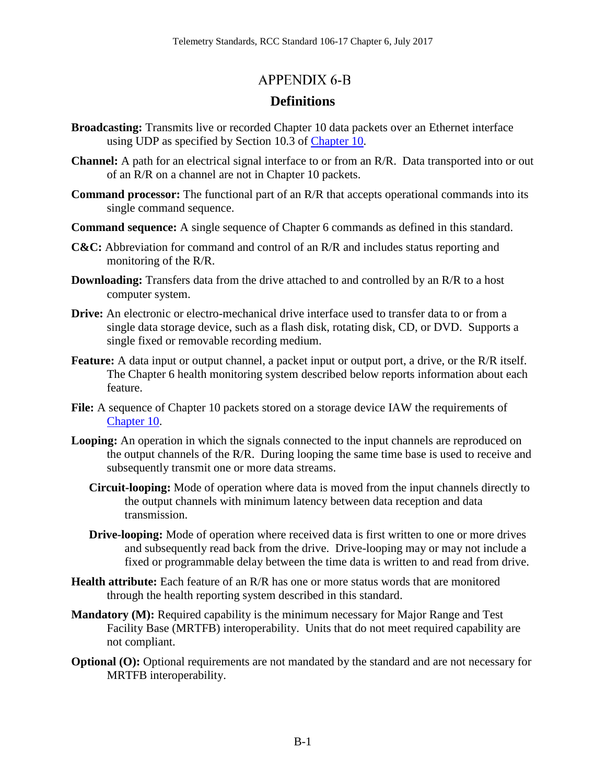# **APPENDIX 6-B**

### **Definitions**

- **Broadcasting:** Transmits live or recorded Chapter 10 data packets over an Ethernet interface using UDP as specified by Section 10.3 of [Chapter 10.](http://www.wsmr.army.mil/RCCsite/Documents/106-17_Telemetry_Standards/chapter10.pdf)
- **Channel:** A path for an electrical signal interface to or from an R/R. Data transported into or out of an R/R on a channel are not in Chapter 10 packets.
- **Command processor:** The functional part of an R/R that accepts operational commands into its single command sequence.
- **Command sequence:** A single sequence of Chapter 6 commands as defined in this standard.
- **C&C:** Abbreviation for command and control of an R/R and includes status reporting and monitoring of the R/R.
- **Downloading:** Transfers data from the drive attached to and controlled by an R/R to a host computer system.
- **Drive:** An electronic or electro-mechanical drive interface used to transfer data to or from a single data storage device, such as a flash disk, rotating disk, CD, or DVD. Supports a single fixed or removable recording medium.
- **Feature:** A data input or output channel, a packet input or output port, a drive, or the R/R itself. The Chapter 6 health monitoring system described below reports information about each feature.
- File: A sequence of Chapter 10 packets stored on a storage device IAW the requirements of [Chapter 10.](http://www.wsmr.army.mil/RCCsite/Documents/106-17_Telemetry_Standards/chapter10.pdf)
- Looping: An operation in which the signals connected to the input channels are reproduced on the output channels of the R/R. During looping the same time base is used to receive and subsequently transmit one or more data streams.
	- **Circuit-looping:** Mode of operation where data is moved from the input channels directly to the output channels with minimum latency between data reception and data transmission.
	- **Drive-looping:** Mode of operation where received data is first written to one or more drives and subsequently read back from the drive. Drive-looping may or may not include a fixed or programmable delay between the time data is written to and read from drive.
- **Health attribute:** Each feature of an R/R has one or more status words that are monitored through the health reporting system described in this standard.
- **Mandatory (M):** Required capability is the minimum necessary for Major Range and Test Facility Base (MRTFB) interoperability. Units that do not meet required capability are not compliant.
- **Optional (O):** Optional requirements are not mandated by the standard and are not necessary for MRTFB interoperability.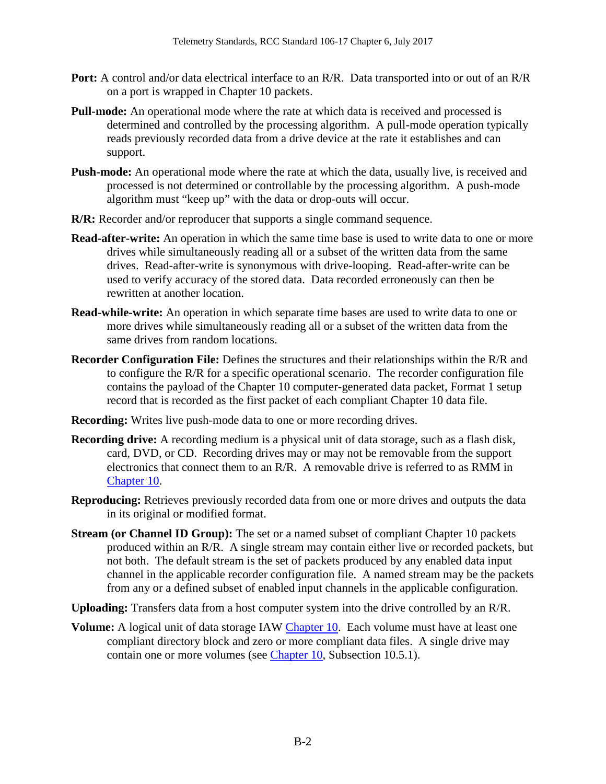- **Port:** A control and/or data electrical interface to an R/R. Data transported into or out of an R/R on a port is wrapped in Chapter 10 packets.
- **Pull-mode:** An operational mode where the rate at which data is received and processed is determined and controlled by the processing algorithm. A pull-mode operation typically reads previously recorded data from a drive device at the rate it establishes and can support.
- **Push-mode:** An operational mode where the rate at which the data, usually live, is received and processed is not determined or controllable by the processing algorithm. A push-mode algorithm must "keep up" with the data or drop-outs will occur.
- **R/R:** Recorder and/or reproducer that supports a single command sequence.
- **Read-after-write:** An operation in which the same time base is used to write data to one or more drives while simultaneously reading all or a subset of the written data from the same drives. Read-after-write is synonymous with drive-looping. Read-after-write can be used to verify accuracy of the stored data. Data recorded erroneously can then be rewritten at another location.
- **Read-while-write:** An operation in which separate time bases are used to write data to one or more drives while simultaneously reading all or a subset of the written data from the same drives from random locations.
- **Recorder Configuration File:** Defines the structures and their relationships within the R/R and to configure the R/R for a specific operational scenario. The recorder configuration file contains the payload of the Chapter 10 computer-generated data packet, Format 1 setup record that is recorded as the first packet of each compliant Chapter 10 data file.
- **Recording:** Writes live push-mode data to one or more recording drives.
- **Recording drive:** A recording medium is a physical unit of data storage, such as a flash disk, card, DVD, or CD. Recording drives may or may not be removable from the support electronics that connect them to an R/R. A removable drive is referred to as RMM in [Chapter 10.](http://www.wsmr.army.mil/RCCsite/Documents/106-17_Telemetry_Standards/chapter10.pdf)
- **Reproducing:** Retrieves previously recorded data from one or more drives and outputs the data in its original or modified format.
- **Stream (or Channel ID Group):** The set or a named subset of compliant Chapter 10 packets produced within an R/R. A single stream may contain either live or recorded packets, but not both. The default stream is the set of packets produced by any enabled data input channel in the applicable recorder configuration file. A named stream may be the packets from any or a defined subset of enabled input channels in the applicable configuration.
- **Uploading:** Transfers data from a host computer system into the drive controlled by an R/R.
- **Volume:** A logical unit of data storage IAW [Chapter 10.](http://www.wsmr.army.mil/RCCsite/Documents/106-17_Telemetry_Standards/chapter10.pdf) Each volume must have at least one compliant directory block and zero or more compliant data files. A single drive may contain one or more volumes (see [Chapter 10,](http://www.wsmr.army.mil/RCCsite/Documents/106-17_Telemetry_Standards/chapter10.pdf) Subsection 10.5.1).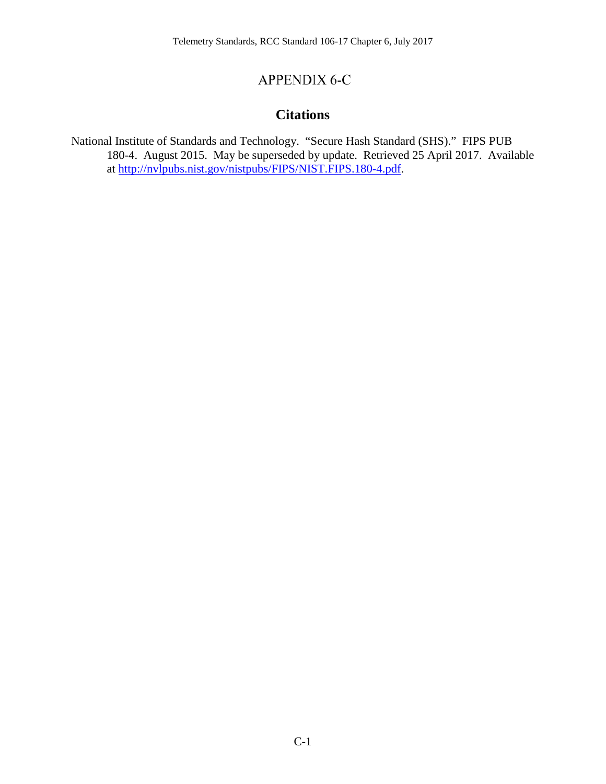# **APPENDIX 6-C**

## **Citations**

National Institute of Standards and Technology. "Secure Hash Standard (SHS)." FIPS PUB 180-4. August 2015. May be superseded by update. Retrieved 25 April 2017. Available at [http://nvlpubs.nist.gov/nistpubs/FIPS/NIST.FIPS.180-4.pdf.](http://nvlpubs.nist.gov/nistpubs/FIPS/NIST.FIPS.180-4.pdf)